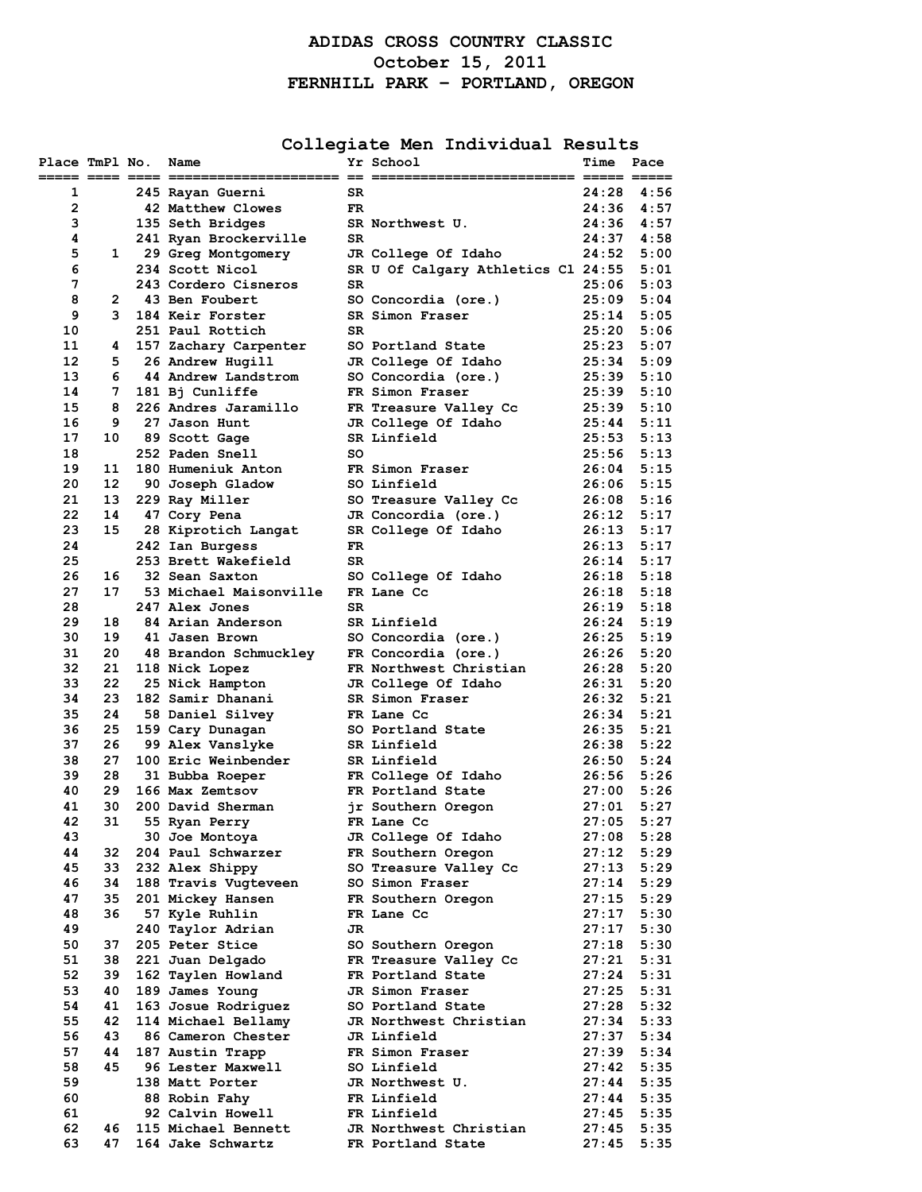# **ADIDAS CROSS COUNTRY CLASSIC October 15, 2011 FERNHILL PARK – PORTLAND, OREGON**

**Collegiate Men Individual Results**

| Place TmPl No. |          | Name                                    |           | Yr School<br>$= 22$ $= 2222222222$<br>================================== | Time           | Pace                             |
|----------------|----------|-----------------------------------------|-----------|--------------------------------------------------------------------------|----------------|----------------------------------|
| 1              |          | 245 Rayan Guerni                        | SR        |                                                                          |                | 24:28 4:56                       |
| $\overline{2}$ |          | 42 Matthew Clowes                       | FR.       |                                                                          | 24:36          | 4:57                             |
| 3              |          | 135 Seth Bridges                        |           | SR Northwest U.                                                          | 24:36          | 4:57                             |
| 4              |          | 241 Ryan Brockerville                   | SR.       |                                                                          | 24:37          | 4:58                             |
| 5              | 1        | 29 Greg Montgomery                      |           | JR College Of Idaho                                                      | 24:52          | 5:00                             |
| 6              |          | 234 Scott Nicol                         |           | SR U Of Calgary Athletics Cl 24:55                                       |                | 5:01                             |
| 7              |          | 243 Cordero Cisneros                    | SR        |                                                                          | 25:06          | 5:03                             |
| 8              | 2        | 43 Ben Foubert                          |           | SO Concordia (ore.)                                                      | 25:09          | 5:04                             |
| 9              | 3        | 184 Keir Forster                        |           | SR Simon Fraser                                                          | 25:14          | 5:05                             |
| 10             |          | 251 Paul Rottich                        | SR.       |                                                                          |                | $25:20$ $5:06$                   |
| 11             | 4        | 157 Zachary Carpenter                   |           | SO Portland State                                                        | 25:23          | 5:07                             |
| 12             | 5.       | 26 Andrew Hugill                        |           | JR College Of Idaho                                                      | 25:34          | 5:09                             |
| 13<br>14       | 7        | 6 44 Andrew Landstrom                   |           | SO Concordia (ore.)<br>FR Simon Fraser                                   |                | $25:39$ $5:10$<br>$25:39$ $5:10$ |
| 15             | 8        | 181 Bj Cunliffe<br>226 Andres Jaramillo |           | FR Treasure Valley Cc                                                    | 25:39          | 5:10                             |
| 16             | 9        | 27 Jason Hunt                           |           | JR College Of Idaho                                                      | 25:44          | 5:11                             |
| 17             | 10       | 89 Scott Gage                           |           | SR Linfield                                                              |                | $25:53$ $5:13$                   |
| 18             |          | 252 Paden Snell                         | SO.       |                                                                          |                | $25:56$ $5:13$                   |
| 19             | 11       | 180 Humeniuk Anton                      |           | FR Simon Fraser                                                          | 26:04          | 5:15                             |
| 20             | 12       | 90 Joseph Gladow                        |           | SO Linfield                                                              |                | $26:06$ 5:15                     |
| 21             | 13       | 229 Ray Miller                          |           | SO Treasure Valley Cc                                                    |                | $26:08$ 5:16                     |
| 22             | 14       | 47 Cory Pena                            |           | JR Concordia (ore.)                                                      | 26:12          | 5:17                             |
| 23             | 15       | 28 Kiprotich Langat                     |           | SR College Of Idaho                                                      |                | $26:13$ $5:17$                   |
| 24             |          | 242 Ian Burgess                         | <b>FR</b> |                                                                          |                | $26:13$ $5:17$                   |
| 25             |          | 253 Brett Wakefield                     | SR.       |                                                                          | 26:14          | 5:17                             |
| 26             | 16       | 32 Sean Saxton                          |           | SO College Of Idaho                                                      |                | $26:18$ $5:18$                   |
| 27             | 17       | 53 Michael Maisonville                  |           | FR Lane Cc                                                               |                | $26:18$ $5:18$                   |
| 28             |          | 247 Alex Jones                          | <b>SR</b> |                                                                          |                | $26:19$ $5:18$                   |
| 29             | 18       | 84 Arian Anderson                       |           | SR Linfield                                                              | 26:24          | 5:19                             |
| 30<br>31       | 19<br>20 | 41 Jasen Brown                          |           | SO Concordia (ore.)                                                      |                | $26:25$ $5:19$<br>$26:26$ 5:20   |
| 32             | 21       | 48 Brandon Schmuckley<br>118 Nick Lopez |           | FR Concordia (ore.)<br>FR Northwest Christian                            | 26:28          | 5:20                             |
| 33             | 22       | 25 Nick Hampton                         |           | JR College Of Idaho                                                      | 26:31          | 5:20                             |
| 34             | 23       | 182 Samir Dhanani                       |           | SR Simon Fraser                                                          | 26:32          | 5:21                             |
| 35             | 24       | 58 Daniel Silvey                        |           | FR Lane Cc                                                               | 26:34          | 5:21                             |
| 36             | 25       | 159 Cary Dunagan                        |           | SO Portland State                                                        |                | $26:35$ $5:21$                   |
| 37             | 26       | 99 Alex Vanslyke                        |           | SR Linfield                                                              |                | $26:38$ $5:22$                   |
| 38             | 27       | 100 Eric Weinbender                     |           | SR Linfield                                                              |                | 26:50 5:24                       |
| 39             | 28       | 31 Bubba Roeper                         |           | FR College Of Idaho                                                      |                | $26:56$ $5:26$                   |
| 40             | 29       | 166 Max Zemtsov                         |           | FR Portland State                                                        |                | $27:00$ 5:26                     |
| 41             | 30       | 200 David Sherman                       |           | jr Southern Oregon                                                       | 27:01          | 5:27                             |
| 42             | 31       | 55 Ryan Perry                           |           | FR Lane Cc                                                               | 27:05          | 5:27                             |
| 43             |          | 30 Joe Montoya                          |           | JR College Of Idaho                                                      | 27:08          | 5:28                             |
| 44<br>45       | 32<br>33 | 204 Paul Schwarzer<br>232 Alex Shippy   |           | FR Southern Oregon<br>SO Treasure Valley Cc                              | 27:12<br>27:13 | 5:29<br>5:29                     |
| 46             | 34       | 188 Travis Vugteveen                    |           | SO Simon Fraser                                                          | 27:14          | 5:29                             |
| 47             | 35       | 201 Mickey Hansen                       |           | FR Southern Oregon                                                       | 27:15          | 5:29                             |
| 48             | 36       | 57 Kyle Ruhlin                          |           | FR Lane Cc                                                               | 27:17          | 5:30                             |
| 49             |          | 240 Taylor Adrian                       | JR        |                                                                          | 27:17          | 5:30                             |
| 50             | 37       | 205 Peter Stice                         |           | SO Southern Oregon                                                       | 27:18          | 5:30                             |
| 51             | 38       | 221 Juan Delgado                        |           | FR Treasure Valley Cc                                                    | 27:21          | 5:31                             |
| 52             | 39       | 162 Taylen Howland                      |           | FR Portland State                                                        | 27:24          | 5:31                             |
| 53             | 40       | 189 James Young                         |           | JR Simon Fraser                                                          | 27:25          | 5:31                             |
| 54             | 41       | 163 Josue Rodriguez                     |           | SO Portland State                                                        | 27:28          | 5:32                             |
| 55             | 42       | 114 Michael Bellamy                     |           | JR Northwest Christian                                                   | 27:34          | 5:33                             |
| 56             | 43       | 86 Cameron Chester                      |           | JR Linfield                                                              | 27:37          | 5:34                             |
| 57             | 44       | 187 Austin Trapp                        |           | FR Simon Fraser                                                          | 27:39          | 5:34                             |
| 58             | 45       | 96 Lester Maxwell                       |           | SO Linfield                                                              | 27:42          | 5:35                             |
| 59<br>60       |          | 138 Matt Porter<br>88 Robin Fahy        |           | JR Northwest U.<br>FR Linfield                                           | 27:44<br>27:44 | 5:35<br>5:35                     |
| 61             |          | 92 Calvin Howell                        |           | FR Linfield                                                              | 27:45          | 5:35                             |
| 62             | 46       | 115 Michael Bennett                     |           | JR Northwest Christian                                                   | 27:45          | 5:35                             |
| 63             | 47       | 164 Jake Schwartz                       |           | FR Portland State                                                        | 27:45          | 5:35                             |
|                |          |                                         |           |                                                                          |                |                                  |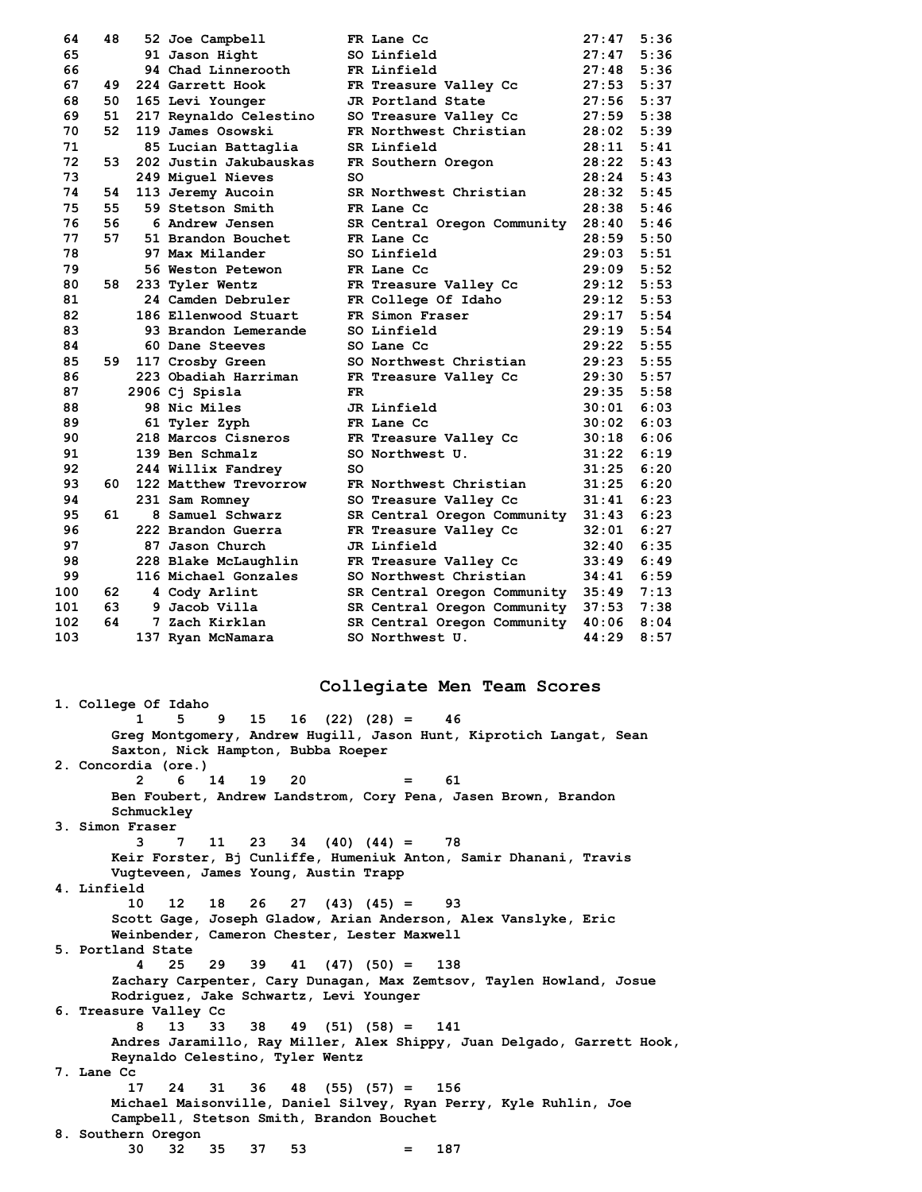| 64  | 48  | 52 Joe Campbell        |     | FR Lane Cc                             | 27:47          | 5:36 |
|-----|-----|------------------------|-----|----------------------------------------|----------------|------|
| 65  |     | 91 Jason Hight         |     | SO Linfield                            | $27:47$ 5:36   |      |
| 66  |     | 94 Chad Linnerooth     |     | FR Linfield                            | 27:48          | 5:36 |
| 67  | 49  | 224 Garrett Hook       |     | FR Treasure Valley Cc                  | $27:53$ 5:37   |      |
| 68  | 50  | 165 Levi Younger       |     | JR Portland State                      | 27:56          | 5:37 |
| 69  | 51  | 217 Reynaldo Celestino |     | SO Treasure Valley Cc                  | 27:59          | 5:38 |
| 70  | 52  | 119 James Osowski      |     | FR Northwest Christian                 | 28:02          | 5:39 |
| 71  |     | 85 Lucian Battaglia    |     | SR Linfield                            | 28:11          | 5:41 |
| 72  | 53. | 202 Justin Jakubauskas |     | FR Southern Oregon                     | $28:22$ 5:43   |      |
| 73  |     | 249 Miquel Nieves      | so  |                                        | $28:24$ 5:43   |      |
| 74  | 54  | 113 Jeremy Aucoin      |     | SR Northwest Christian                 | 28:32 5:45     |      |
| 75  | 55  | 59 Stetson Smith       |     | FR Lane Cc                             | 28:38 5:46     |      |
| 76  | 56  | 6 Andrew Jensen        |     | SR Central Oregon Community            | $28:40$ 5:46   |      |
| 77  | 57  | 51 Brandon Bouchet     |     | FR Lane Cc                             | 28:59          | 5:50 |
| 78  |     | 97 Max Milander        |     | SO Linfield                            | 29:03          | 5:51 |
| 79  |     | 56 Weston Petewon      |     | FR Lane Cc                             | $29:09$ $5:52$ |      |
| 80  | 58  | 233 Tyler Wentz        |     | FR Treasure Valley Cc                  | $29:12$ 5:53   |      |
| 81  |     | 24 Camden Debruler     |     | FR College Of Idaho                    | $29:12$ $5:53$ |      |
| 82  |     | 186 Ellenwood Stuart   |     | FR Simon Fraser                        | $29:17$ 5:54   |      |
| 83  |     | 93 Brandon Lemerande   |     | SO Linfield                            | $29:19$ $5:54$ |      |
| 84  |     | 60 Dane Steeves        |     | SO Lane Cc                             | 29:22          | 5:55 |
| 85  | 59. | 117 Crosby Green       |     | SO Northwest Christian                 | 29:23          | 5:55 |
| 86  |     | 223 Obadiah Harriman   |     | FR Treasure Valley Cc                  | 29:30 5:57     |      |
| 87  |     | 2906 Cj Spisla         | FR. |                                        | 29:35 5:58     |      |
| 88  |     | 98 Nic Miles           |     | JR Linfield                            | 30:01          | 6:03 |
| 89  |     | 61 Tyler Zyph          |     | FR Lane Cc                             | 30:02          | 6:03 |
| 90  |     | 218 Marcos Cisneros    |     | FR Treasure Valley Cc                  | 30:18          | 6:06 |
| 91  |     | 139 Ben Schmalz        |     | SO Northwest U.                        | 31:22          | 6:19 |
| 92  |     | 244 Willix Fandrey     | SO. |                                        | 31:25          | 6:20 |
| 93  | 60. | 122 Matthew Trevorrow  |     | FR Northwest Christian                 | 31:25          | 6:20 |
| 94  |     | 231 Sam Romney         |     | SO Treasure Valley Cc                  | 31:41          | 6:23 |
| 95  | 61  | 8 Samuel Schwarz       |     | SR Central Oregon Community            | 31:43          | 6:23 |
| 96  |     | 222 Brandon Guerra     |     | FR Treasure Valley Cc                  | 32:01          | 6:27 |
| 97  |     | 87 Jason Church        |     | JR Linfield                            | 32:40          | 6:35 |
| 98  |     | 228 Blake McLaughlin   |     | FR Treasure Valley Cc                  | 33:49          | 6:49 |
| 99  |     | 116 Michael Gonzales   |     | SO Northwest Christian                 | 34:41          | 6:59 |
| 100 | 62  | 4 Cody Arlint          |     | SR Central Oregon Community 35:49 7:13 |                |      |
| 101 | 63  | 9 Jacob Villa          |     | SR Central Oregon Community            | 37:53          | 7:38 |
| 102 | 64  | 7 Zach Kirklan         |     | SR Central Oregon Community            | 40:06          | 8:04 |
| 103 |     | 137 Ryan McNamara      |     | SO Northwest U.                        | 44:29          | 8:57 |

# **Collegiate Men Team Scores**

**1. College Of Idaho**  $16 (22) (28) = 46$ **Greg Montgomery, Andrew Hugill, Jason Hunt, Kiprotich Langat, Sean Saxton, Nick Hampton, Bubba Roeper 2. Concordia (ore.) 2 6 14 19 20 = 61 Ben Foubert, Andrew Landstrom, Cory Pena, Jasen Brown, Brandon Schmuckley 3. Simon Fraser 34** (40) (44) = 78 **Keir Forster, Bj Cunliffe, Humeniuk Anton, Samir Dhanani, Travis Vugteveen, James Young, Austin Trapp 4. Linfield 10 12 18 26 27 (43) (45) = 93 Scott Gage, Joseph Gladow, Arian Anderson, Alex Vanslyke, Eric Weinbender, Cameron Chester, Lester Maxwell 5. Portland State 4 25 29 39 41 (47) (50) = 138 Zachary Carpenter, Cary Dunagan, Max Zemtsov, Taylen Howland, Josue Rodriguez, Jake Schwartz, Levi Younger 6. Treasure Valley Cc 8 13 33 38 49 (51) (58) = 141 Andres Jaramillo, Ray Miller, Alex Shippy, Juan Delgado, Garrett Hook, Reynaldo Celestino, Tyler Wentz 7. Lane Cc 17 24 31 36 48 (55) (57) = 156 Michael Maisonville, Daniel Silvey, Ryan Perry, Kyle Ruhlin, Joe Campbell, Stetson Smith, Brandon Bouchet 8. Southern Oregon 30 32 35 37 53 = 187**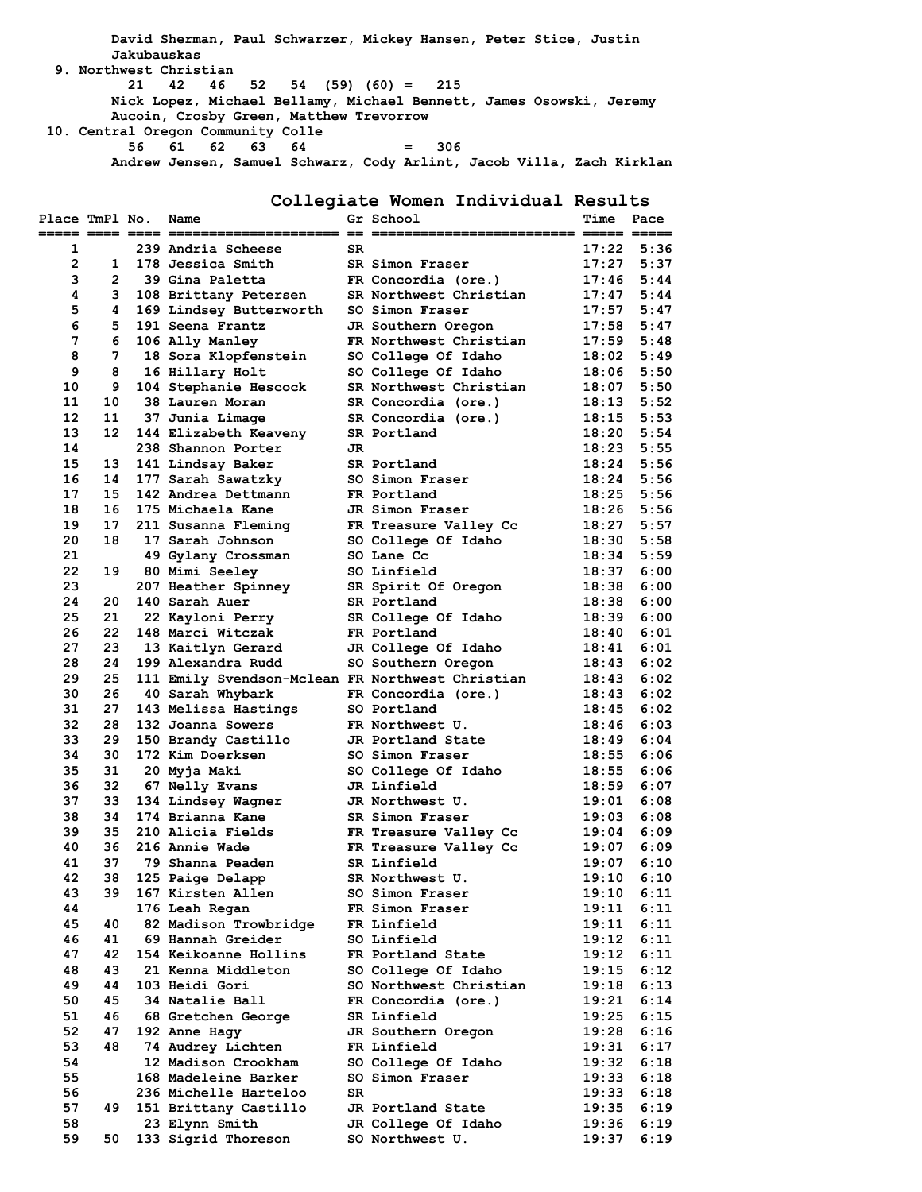**David Sherman, Paul Schwarzer, Mickey Hansen, Peter Stice, Justin Jakubauskas 9. Northwest Christian 21 42 46 52 54 (59) (60) = 215 Nick Lopez, Michael Bellamy, Michael Bennett, James Osowski, Jeremy Aucoin, Crosby Green, Matthew Trevorrow 10. Central Oregon Community Colle 56 61 62 63 64 = 306**

**Andrew Jensen, Samuel Schwarz, Cody Arlint, Jacob Villa, Zach Kirklan**

**Collegiate Women Individual Results**

| Place TmPl No. |                | Name                                             |     | Gr School              | Time           | Pace |
|----------------|----------------|--------------------------------------------------|-----|------------------------|----------------|------|
|                |                |                                                  |     |                        |                |      |
| 1              |                | 239 Andria Scheese                               | SR  |                        | 17:22          | 5:36 |
| $\mathbf{2}$   | 1              | 178 Jessica Smith                                |     | SR Simon Fraser        | 17:27          | 5:37 |
| з              | $\overline{2}$ | 39 Gina Paletta                                  |     | FR Concordia (ore.)    | 17:46          | 5:44 |
| 4              | 3              | 108 Brittany Petersen                            |     | SR Northwest Christian | 17:47          | 5:44 |
| 5              | 4              | 169 Lindsey Butterworth                          |     | SO Simon Fraser        | 17:57          | 5:47 |
| 6              | 5.             | 191 Seena Frantz                                 |     | JR Southern Oregon     | 17:58          | 5:47 |
| 7              | 6              | 106 Ally Manley                                  |     | FR Northwest Christian | $17:59$ $5:48$ |      |
| 8              | 7              | 18 Sora Klopfenstein                             |     | SO College Of Idaho    | $18:02$ 5:49   |      |
| 9              | 8              | 16 Hillary Holt                                  |     | SO College Of Idaho    | 18:06          | 5:50 |
| 10             | 9              | 104 Stephanie Hescock                            |     | SR Northwest Christian | 18:07          | 5:50 |
| 11             | 10             | 38 Lauren Moran                                  |     | SR Concordia (ore.)    | $18:13$ $5:52$ |      |
| 12             | 11             | 37 Junia Limage                                  |     | SR Concordia (ore.)    | 18:15          | 5:53 |
| 13             | 12             | 144 Elizabeth Keaveny                            |     | SR Portland            | 18:20          | 5:54 |
| 14             |                | 238 Shannon Porter                               | JR. |                        | $18:23$ 5:55   |      |
| 15             | 13             | 141 Lindsay Baker                                |     | SR Portland            | $18:24$ 5:56   |      |
| 16             | 14             | 177 Sarah Sawatzky                               |     | SO Simon Fraser        | 18:24          | 5:56 |
| 17             | 15             | 142 Andrea Dettmann                              |     | FR Portland            | 18:25          | 5:56 |
| 18             | 16             | 175 Michaela Kane                                |     | JR Simon Fraser        | $18:26$ 5:56   |      |
| 19             | 17             | 211 Susanna Fleming                              |     | FR Treasure Valley Cc  | 18:27          | 5:57 |
| 20             | 18             | 17 Sarah Johnson                                 |     | SO College Of Idaho    | 18:30          | 5:58 |
| 21             |                | 49 Gylany Crossman                               |     | SO Lane Cc             | $18:34$ 5:59   |      |
| 22             | 19             | 80 Mimi Seeley                                   |     | SO Linfield            | 18:37          | 6:00 |
| 23             |                | 207 Heather Spinney                              |     | SR Spirit Of Oregon    | 18:38          | 6:00 |
| 24             | 20             | 140 Sarah Auer                                   |     | SR Portland            | 18:38          | 6:00 |
| 25             | 21             | 22 Kayloni Perry                                 |     | SR College Of Idaho    | $18:39$ $6:00$ |      |
| 26             | 22             | 148 Marci Witczak                                |     | FR Portland            | 18:40          | 6:01 |
| 27             | 23             | 13 Kaitlyn Gerard                                |     | JR College Of Idaho    | 18:41          | 6:01 |
| 28             | 24             | 199 Alexandra Rudd                               |     | SO Southern Oregon     | 18:43          | 6:02 |
| 29             | 25             | 111 Emily Svendson-Mclean FR Northwest Christian |     |                        | 18:43          | 6:02 |
| 30             | 26             | 40 Sarah Whybark                                 |     | FR Concordia (ore.)    | 18:43          | 6:02 |
| 31             | 27             | 143 Melissa Hastings                             |     | SO Portland            | 18:45          | 6:02 |
| 32             | 28             | 132 Joanna Sowers                                |     | FR Northwest U.        | 18:46          | 6:03 |
| 33             | 29             | 150 Brandy Castillo                              |     | JR Portland State      | 18:49          | 6:04 |
| 34             | 30             | 172 Kim Doerksen                                 |     | SO Simon Fraser        | 18:55          | 6:06 |
| 35             | 31             | 20 Myja Maki                                     |     | SO College Of Idaho    | 18:55          | 6:06 |
| 36             | 32             | 67 Nelly Evans                                   |     | JR Linfield            | 18:59          | 6:07 |
| 37             | 33             | 134 Lindsey Wagner                               |     | JR Northwest U.        | 19:01          | 6:08 |
| 38             | 34             | 174 Brianna Kane                                 |     | SR Simon Fraser        | $19:03$ 6:08   |      |
| 39             | 35.            | 210 Alicia Fields                                |     | FR Treasure Valley Cc  | 19:04          | 6:09 |
| 40             | 36             | 216 Annie Wade                                   |     | FR Treasure Valley Cc  | 19:07          | 6:09 |
| 41             | 37             | 79 Shanna Peaden                                 |     | SR Linfield            | 19:07          | 6:10 |
| 42             | 38             | 125 Paige Delapp                                 |     | SR Northwest U.        | 19:10          | 6:10 |
| 43             | 39             | 167 Kirsten Allen                                |     | SO Simon Fraser        | 19:10          | 6:11 |
| 44             |                | 176 Leah Regan                                   |     | FR Simon Fraser        | 19:11          | 6:11 |
| 45             | 40             | 82 Madison Trowbridge                            |     | FR Linfield            | 19:11          | 6:11 |
| 46             | 41             | 69 Hannah Greider                                |     | SO Linfield            | 19:12          | 6:11 |
| 47             | 42             | 154 Keikoanne Hollins                            |     | FR Portland State      | 19:12          | 6:11 |
| 48             | 43             |                                                  |     | SO College Of Idaho    |                | 6:12 |
|                |                | 21 Kenna Middleton                               |     |                        | 19:15          |      |
| 49             | 44             | 103 Heidi Gori                                   |     | SO Northwest Christian | 19:18          | 6:13 |
| 50             | 45             | 34 Natalie Ball                                  |     | FR Concordia (ore.)    | 19:21          | 6:14 |
| 51             | 46             | 68 Gretchen George                               |     | SR Linfield            | 19:25          | 6:15 |
| 52             | 47             | 192 Anne Hagy                                    |     | JR Southern Oregon     | 19:28          | 6:16 |
| 53             | 48             | 74 Audrey Lichten                                |     | FR Linfield            | 19:31          | 6:17 |
| 54             |                | 12 Madison Crookham                              |     | SO College Of Idaho    | 19:32          | 6:18 |
| 55             |                | 168 Madeleine Barker                             |     | SO Simon Fraser        | 19:33          | 6:18 |
| 56             |                | 236 Michelle Harteloo                            | SR  |                        | 19:33          | 6:18 |
| 57             | 49             | 151 Brittany Castillo                            |     | JR Portland State      | 19:35          | 6:19 |
| 58             |                | 23 Elynn Smith                                   |     | JR College Of Idaho    | 19:36          | 6:19 |
| 59             | 50             | 133 Sigrid Thoreson                              |     | SO Northwest U.        | 19:37          | 6:19 |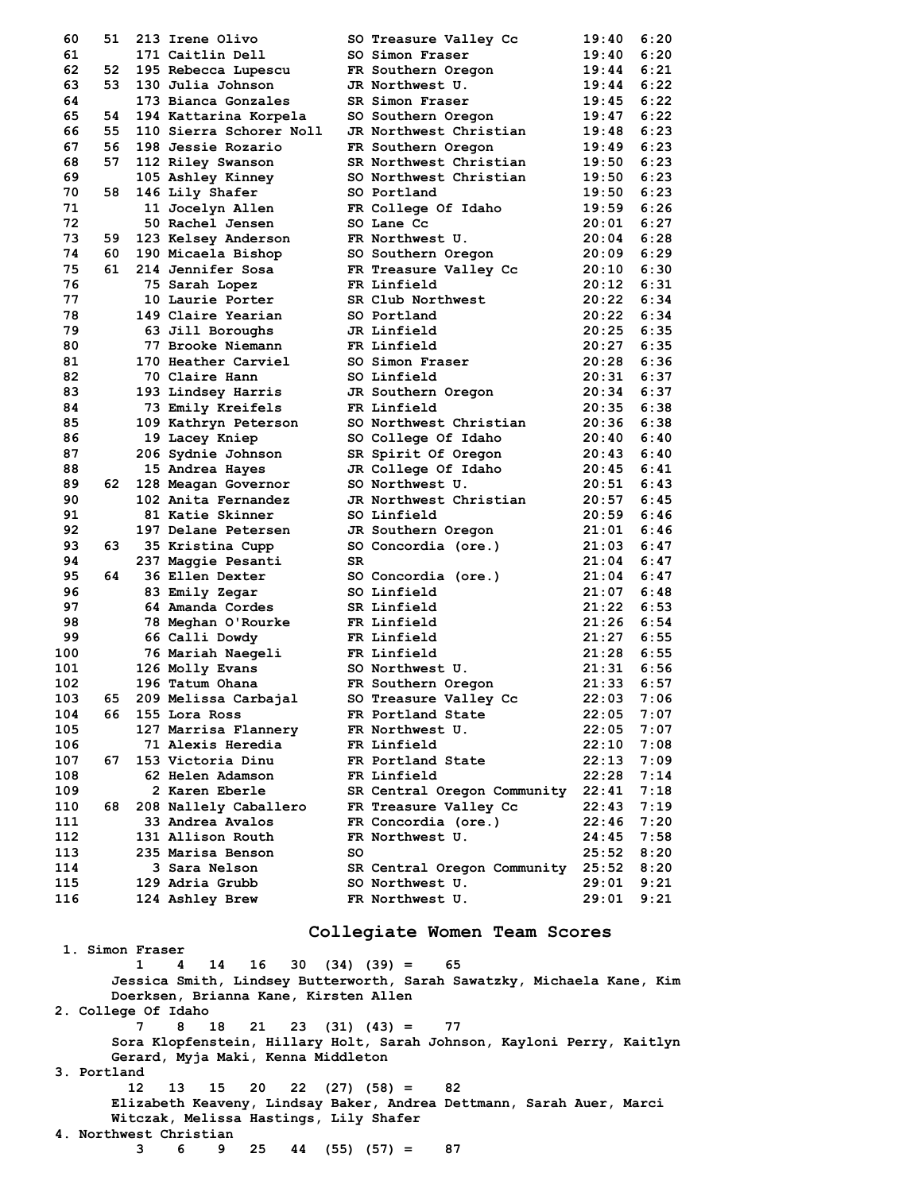| 60  | 51 | 213 Irene Olivo         |    | SO Treasure Valley Cc       | 19:40              | 6:20 |
|-----|----|-------------------------|----|-----------------------------|--------------------|------|
| 61  |    | 171 Caitlin Dell        |    | SO Simon Fraser             | 19:40              | 6:20 |
| 62  | 52 | 195 Rebecca Lupescu     |    | FR Southern Oregon          | 19:44              | 6:21 |
| 63  | 53 | 130 Julia Johnson       |    | JR Northwest U.             | 19:44              | 6:22 |
| 64  |    | 173 Bianca Gonzales     |    | SR Simon Fraser             | 19:45              | 6:22 |
| 65  | 54 | 194 Kattarina Korpela   |    | SO Southern Oregon          | 19:47              | 6:22 |
| 66  | 55 | 110 Sierra Schorer Noll |    | JR Northwest Christian      | 19:48              | 6:23 |
| 67  | 56 | 198 Jessie Rozario      |    | FR Southern Oregon          | 19:49              | 6:23 |
| 68  | 57 | 112 Riley Swanson       |    | SR Northwest Christian      | 19:50              | 6:23 |
| 69  |    | 105 Ashley Kinney       |    | SO Northwest Christian      | 19:50              | 6:23 |
| 70  | 58 | 146 Lily Shafer         |    | SO Portland                 | 19:50              | 6:23 |
| 71  |    | 11 Jocelyn Allen        |    | FR College Of Idaho         | 19:59              | 6:26 |
| 72  |    | 50 Rachel Jensen        |    | SO Lane Cc                  | 20:01              | 6:27 |
| 73  | 59 | 123 Kelsey Anderson     |    | FR Northwest U.             | 20:04              | 6:28 |
| 74  | 60 | 190 Micaela Bishop      |    | SO Southern Oregon          | 20:09 6:29         |      |
| 75  | 61 | 214 Jennifer Sosa       |    | FR Treasure Valley Cc       | 20:10 6:30         |      |
| 76  |    | 75 Sarah Lopez          |    | FR Linfield                 | 20:12              | 6:31 |
| 77  |    | 10 Laurie Porter        |    | SR Club Northwest           | 20:22 6:34         |      |
| 78  |    | 149 Claire Yearian      |    | SO Portland                 | 20:22 6:34         |      |
| 79  |    | 63 Jill Boroughs        |    | JR Linfield                 | 20:25              | 6:35 |
| 80  |    | 77 Brooke Niemann       |    | FR Linfield                 | 20:27 6:35         |      |
| 81  |    | 170 Heather Carviel     |    | SO Simon Fraser             | $20:28$ 6:36       |      |
| 82  |    | 70 Claire Hann          |    | SO Linfield                 | 20:31              | 6:37 |
| 83  |    | 193 Lindsey Harris      |    | JR Southern Oregon          | 20:34 6:37         |      |
| 84  |    | 73 Emily Kreifels       |    | FR Linfield                 | 20:35              | 6:38 |
| 85  |    | 109 Kathryn Peterson    |    | SO Northwest Christian      | 20:36              | 6:38 |
| 86  |    | 19 Lacey Kniep          |    | SO College Of Idaho         | 20:40              | 6:40 |
| 87  |    | 206 Sydnie Johnson      |    | SR Spirit Of Oregon         | $20:43$ $6:40$     |      |
| 88  |    | 15 Andrea Hayes         |    | JR College Of Idaho         | 20:45 6:41         |      |
| 89  | 62 | 128 Meagan Governor     |    | SO Northwest U.             | 20:51              | 6:43 |
| 90  |    | 102 Anita Fernandez     |    | JR Northwest Christian      | $20:57$ 6:45       |      |
| 91  |    | 81 Katie Skinner        |    | SO Linfield                 | 20:59              | 6:46 |
| 92  |    | 197 Delane Petersen     |    | JR Southern Oregon          | 21:01              | 6:46 |
| 93  | 63 |                         |    | SO Concordia (ore.)         | $21:03 \quad 6:47$ |      |
|     |    | 35 Kristina Cupp        |    |                             |                    |      |
| 94  |    | 237 Maggie Pesanti      | SR |                             | 21:04              | 6:47 |
| 95  | 64 | 36 Ellen Dexter         |    | SO Concordia (ore.)         | 21:04              | 6:47 |
| 96  |    | 83 Emily Zegar          |    | SO Linfield                 | 21:07              | 6:48 |
| 97  |    | 64 Amanda Cordes        |    | SR Linfield                 | $21:22$ 6:53       |      |
| 98  |    | 78 Meghan O'Rourke      |    | FR Linfield                 | 21:26 6:54         |      |
| 99  |    | 66 Calli Dowdy          |    | FR Linfield                 | $21:27$ 6:55       |      |
| 100 |    | 76 Mariah Naegeli       |    | FR Linfield                 | $21:28$ 6:55       |      |
| 101 |    | 126 Molly Evans         |    | SO Northwest U.             | $21:31$ 6:56       |      |
| 102 |    | 196 Tatum Ohana         |    | FR Southern Oregon          | 21:33              | 6:57 |
| 103 | 65 | 209 Melissa Carbajal    |    | SO Treasure Valley Cc       | 22:03              | 7:06 |
| 104 | 66 | 155 Lora Ross           |    | FR Portland State           | 22:05              | 7:07 |
| 105 |    | 127 Marrisa Flannery    |    | FR Northwest U.             | 22:05              | 7:07 |
| 106 |    | 71 Alexis Heredia       |    | FR Linfield                 | 22:10              | 7:08 |
| 107 | 67 | 153 Victoria Dinu       |    | FR Portland State           | 22:13              | 7:09 |
| 108 |    | 62 Helen Adamson        |    | FR Linfield                 | 22:28              | 7:14 |
| 109 |    | 2 Karen Eberle          |    | SR Central Oregon Community | 22:41              | 7:18 |
| 110 | 68 | 208 Nallely Caballero   |    | FR Treasure Valley Cc       | 22:43              | 7:19 |
| 111 |    | 33 Andrea Avalos        |    | FR Concordia (ore.)         | 22:46              | 7:20 |
| 112 |    | 131 Allison Routh       |    | FR Northwest U.             | 24:45              | 7:58 |
| 113 |    | 235 Marisa Benson       | so |                             | 25:52              | 8:20 |
| 114 |    | 3 Sara Nelson           |    | SR Central Oregon Community | 25:52              | 8:20 |
| 115 |    | 129 Adria Grubb         |    | SO Northwest U.             | 29:01              | 9:21 |
| 116 |    | 124 Ashley Brew         |    | FR Northwest U.             | 29:01              | 9:21 |

## **Collegiate Women Team Scores**

**1. Simon Fraser 1 4 14 16 30 (34) (39) = 65 Jessica Smith, Lindsey Butterworth, Sarah Sawatzky, Michaela Kane, Kim Doerksen, Brianna Kane, Kirsten Allen 2. College Of Idaho 7 8 18 21 23 (31) (43) = 77 Sora Klopfenstein, Hillary Holt, Sarah Johnson, Kayloni Perry, Kaitlyn Gerard, Myja Maki, Kenna Middleton 3. Portland 12 13 15 20 22 (27) (58) = 82 Elizabeth Keaveny, Lindsay Baker, Andrea Dettmann, Sarah Auer, Marci Witczak, Melissa Hastings, Lily Shafer 4. Northwest Christian 3 6 9 25 44 (55) (57) = 87**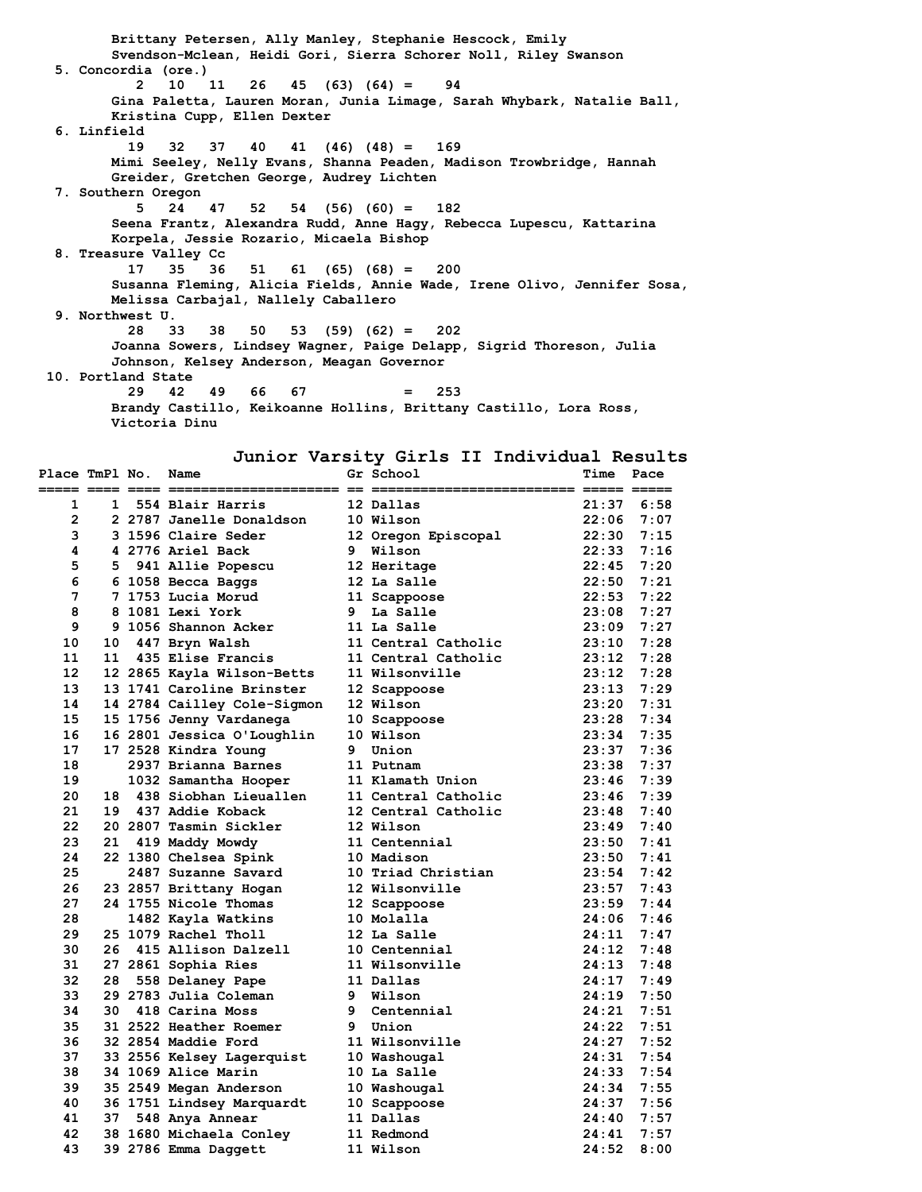**Brittany Petersen, Ally Manley, Stephanie Hescock, Emily Svendson-Mclean, Heidi Gori, Sierra Schorer Noll, Riley Swanson 5. Concordia (ore.) 2 10 11 26 45 (63) (64) = 94 Gina Paletta, Lauren Moran, Junia Limage, Sarah Whybark, Natalie Ball, Kristina Cupp, Ellen Dexter 6. Linfield 19 32 37 40 41 (46) (48) = 169 Mimi Seeley, Nelly Evans, Shanna Peaden, Madison Trowbridge, Hannah Greider, Gretchen George, Audrey Lichten 7. Southern Oregon 5 24 47 52 54 (56) (60) = 182 Seena Frantz, Alexandra Rudd, Anne Hagy, Rebecca Lupescu, Kattarina Korpela, Jessie Rozario, Micaela Bishop 8. Treasure Valley Cc 17 35 36 51 61 (65) (68) = 200 Susanna Fleming, Alicia Fields, Annie Wade, Irene Olivo, Jennifer Sosa, Melissa Carbajal, Nallely Caballero 9. Northwest U. 28 33 38 50 53 (59) (62) = 202 Joanna Sowers, Lindsey Wagner, Paige Delapp, Sigrid Thoreson, Julia Johnson, Kelsey Anderson, Meagan Governor 10. Portland State 29 42 49 66 67 = 253 Brandy Castillo, Keikoanne Hollins, Brittany Castillo, Lora Ross, Victoria Dinu**

# **Junior Varsity Girls II Individual Results**

| Place TmPl No. |      | Name                        |   | Gr School           | Time               | Pace         |
|----------------|------|-----------------------------|---|---------------------|--------------------|--------------|
| 1              | 1    | 554 Blair Harris            |   | 12 Dallas           | 21:37              | 6:58         |
| $\overline{2}$ |      | 2 2787 Janelle Donaldson    |   | 10 Wilson           | 22:06              | 7:07         |
| 3              |      | 3 1596 Claire Seder         |   | 12 Oregon Episcopal | 22:30              | 7:15         |
| 4              |      | 4 2776 Ariel Back           |   | 9 Wilson            |                    | $22:33$ 7:16 |
| 5              |      | 5 941 Allie Popescu         |   | 12 Heritage         |                    | $22:45$ 7:20 |
| 6              |      | 6 1058 Becca Baggs          |   | 12 La Salle         | 22:50              | 7:21         |
| 7              |      | 7 1753 Lucia Morud          |   | 11 Scappoose        |                    | $22:53$ 7:22 |
| 8              |      | 8 1081 Lexi York            |   | 9 La Salle          | $23:08$ 7:27       |              |
| 9              |      | 9 1056 Shannon Acker        |   | 11 La Salle         | 23:09              | 7:27         |
| 10             |      | 10 447 Bryn Walsh           |   | 11 Central Catholic | $23:10$ 7:28       |              |
| 11             | 11   | 435 Elise Francis           |   | 11 Central Catholic | $23:12$ 7:28       |              |
| 12             |      | 12 2865 Kayla Wilson-Betts  |   | 11 Wilsonville      | 23:12              | 7:28         |
| 13             |      | 13 1741 Caroline Brinster   |   | 12 Scappoose        |                    | $23:13$ 7:29 |
| 14             |      | 14 2784 Cailley Cole-Sigmon |   | 12 Wilson           | $23:20$ 7:31       |              |
| 15             |      | 15 1756 Jenny Vardanega     |   | 10 Scappoose        | 23:28              | 7:34         |
| 16             |      | 16 2801 Jessica O'Loughlin  |   | 10 Wilson           |                    | $23:34$ 7:35 |
| 17             |      | 17 2528 Kindra Young        |   | 9 Union             |                    | $23:37$ 7:36 |
| 18             |      | 2937 Brianna Barnes         |   | 11 Putnam           | 23:38              | 7:37         |
| 19             |      | 1032 Samantha Hooper        |   | 11 Klamath Union    |                    | $23:46$ 7:39 |
| 20             |      | 18 438 Siobhan Lieuallen    |   | 11 Central Catholic | $23:46$ 7:39       |              |
| 21             |      | 19 437 Addie Koback         |   | 12 Central Catholic | 23:48              | 7:40         |
| 22             |      | 20 2807 Tasmin Sickler      |   | 12 Wilson           |                    | $23:49$ 7:40 |
| 23             | 21   | 419 Maddy Mowdy             |   | 11 Centennial       | $23:50$ 7:41       |              |
| 24             |      | 22 1380 Chelsea Spink       |   | 10 Madison          | 23:50              | 7:41         |
| 25             |      | 2487 Suzanne Savard         |   | 10 Triad Christian  |                    | $23:54$ 7:42 |
| 26             |      | 23 2857 Brittany Hogan      |   | 12 Wilsonville      | 23:57              | 7:43         |
| 27             |      | 24 1755 Nicole Thomas       |   | 12 Scappoose        | 23:59              | 7:44         |
| 28             |      | 1482 Kayla Watkins          |   | 10 Molalla          |                    | $24:06$ 7:46 |
| 29             |      | 25 1079 Rachel Tholl        |   | 12 La Salle         | 24:11              | 7:47         |
| 30             |      | 26 415 Allison Dalzell      |   | 10 Centennial       | $24:12 \quad 7:48$ |              |
| 31             |      | 27 2861 Sophia Ries         |   | 11 Wilsonville      | $24:13$ 7:48       |              |
| 32             | 28   | 558 Delaney Pape            |   | 11 Dallas           | 24:17              | 7:49         |
| 33             |      | 29 2783 Julia Coleman       |   | 9 Wilson            |                    | $24:19$ 7:50 |
| 34             |      | 30 418 Carina Moss          |   | 9 Centennial        | 24:21              | 7:51         |
| 35             |      | 31 2522 Heather Roemer      | 9 | Union               | 24:22              | 7:51         |
| 36             |      | 32 2854 Maddie Ford         |   | 11 Wilsonville      | $24:27$ 7:52       |              |
| 37             |      | 33 2556 Kelsey Lagerquist   |   | 10 Washougal        | $24:31$ 7:54       |              |
| 38             |      | 34 1069 Alice Marin         |   | 10 La Salle         | $24:33 \quad 7:54$ |              |
| 39             |      | 35 2549 Megan Anderson      |   | 10 Washougal        |                    | 24:34 7:55   |
| 40             |      | 36 1751 Lindsey Marquardt   |   | 10 Scappoose        |                    | $24:37$ 7:56 |
| 41             | 37 - | 548 Anya Annear             |   | 11 Dallas           |                    | $24:40$ 7:57 |
| 42             |      | 38 1680 Michaela Conley     |   | 11 Redmond          | 24:41              | 7:57         |
| 43             |      | 39 2786 Emma Daggett        |   | 11 Wilson           | 24:52              | 8:00         |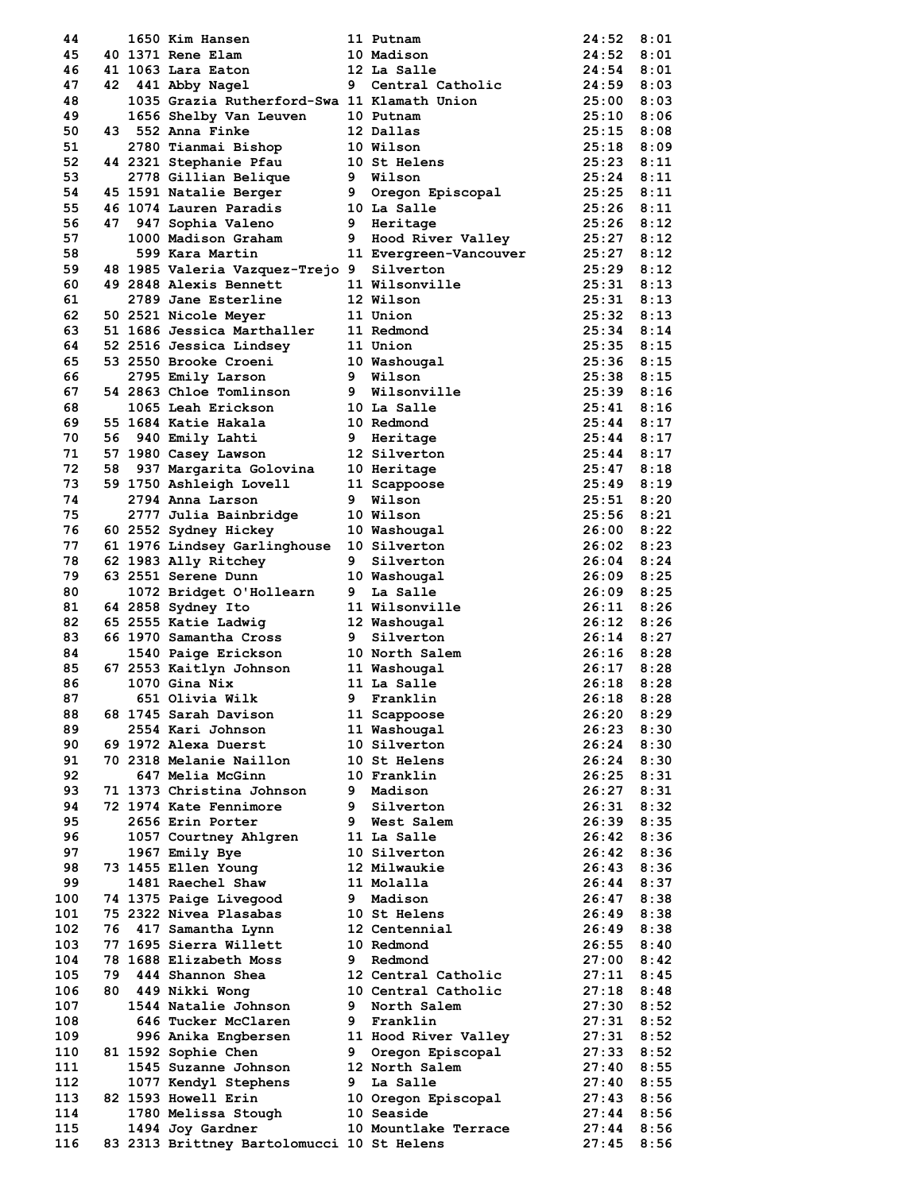| 44  |    | 1650 Kim Hansen                             |    | 11 Putnam                  | 24:52          | 8:01 |
|-----|----|---------------------------------------------|----|----------------------------|----------------|------|
| 45  |    | 40 1371 Rene Elam                           |    | 10 Madison                 | 24:52          | 8:01 |
| 46  |    | 41 1063 Lara Eaton                          |    | 12 La Salle                | 24:54          | 8:01 |
| 47  |    | 42 441 Abby Nagel                           |    | 9 Central Catholic         | 24:59          | 8:03 |
| 48  |    | 1035 Grazia Rutherford-Swa 11 Klamath Union |    |                            | 25:00          | 8:03 |
| 49  |    | 1656 Shelby Van Leuven                      |    | 10 Putnam                  | 25:10          | 8:06 |
| 50  |    | 43 552 Anna Finke                           |    | 12 Dallas                  | $25:15$ 8:08   |      |
| 51  |    | 2780 Tianmai Bishop                         |    | 10 Wilson                  | $25:18$ $8:09$ |      |
| 52  |    | 44 2321 Stephanie Pfau                      |    | 10 St Helens               | $25:23$ $8:11$ |      |
| 53  |    | 2778 Gillian Belique                        |    | 9 Wilson                   | $25:24$ $8:11$ |      |
| 54  |    | 45 1591 Natalie Berger                      |    | 9 Oregon Episcopal         | $25:25$ 8:11   |      |
| 55  |    | 46 1074 Lauren Paradis                      |    | 10 La Salle                | $25:26$ $8:11$ |      |
| 56  |    | 47 947 Sophia Valeno                        |    | 9 Heritage                 | 25:26          | 8:12 |
| 57  |    | 1000 Madison Graham                         |    | 9 Hood River Valley        | $25:27$ $8:12$ |      |
| 58  |    | 599 Kara Martin                             |    | 11 Evergreen-Vancouver     | $25:27$ $8:12$ |      |
| 59  |    | 48 1985 Valeria Vazquez-Trejo 9             |    | Silverton                  | $25:29$ $8:12$ |      |
| 60  |    | 49 2848 Alexis Bennett                      |    | 11 Wilsonville             | $25:31$ $8:13$ |      |
| 61  |    | 2789 Jane Esterline                         |    | 12 Wilson                  | $25:31$ $8:13$ |      |
| 62  |    | 50 2521 Nicole Meyer                        |    | 11 Union                   | $25:32$ $8:13$ |      |
| 63  |    | 51 1686 Jessica Marthaller                  |    | 11 Redmond                 | $25:34$ $8:14$ |      |
| 64  |    | 52 2516 Jessica Lindsey                     |    | 11 Union                   | $25:35$ $8:15$ |      |
| 65  |    | 53 2550 Brooke Croeni                       |    | 10 Washougal               | $25:36$ 8:15   |      |
| 66  |    | 2795 Emily Larson                           |    | 9 Wilson                   | $25:38$ $8:15$ |      |
| 67  |    | 54 2863 Chloe Tomlinson                     |    | 9 Wilsonville              | $25:39$ $8:16$ |      |
| 68  |    | 1065 Leah Erickson                          |    | 10 La Salle                | $25:41$ $8:16$ |      |
| 69  |    | 55 1684 Katie Hakala                        |    | 10 Redmond                 | $25:44$ 8:17   |      |
| 70  |    | 56 940 Emily Lahti                          |    |                            |                |      |
| 71  |    |                                             |    | 9 Heritage<br>12 Silverton | $25:44$ 8:17   |      |
| 72  |    | 57 1980 Casey Lawson                        |    |                            | $25:44$ $8:17$ |      |
|     | 58 | 937 Margarita Golovina                      |    | 10 Heritage                | $25:47$ $8:18$ |      |
| 73  |    | 59 1750 Ashleigh Lovell                     |    | 11 Scappoose               | $25:49$ $8:19$ |      |
| 74  |    | 2794 Anna Larson                            |    | 9 Wilson                   | $25:51$ $8:20$ |      |
| 75  |    | 2777 Julia Bainbridge                       |    | 10 Wilson                  | $25:56$ $8:21$ |      |
| 76  |    | 60 2552 Sydney Hickey                       |    | 10 Washougal               | 26:00 8:22     |      |
| 77  |    | 61 1976 Lindsey Garlinghouse                |    | 10 Silverton               | 26:02 8:23     |      |
| 78  |    | 62 1983 Ally Ritchey                        |    | 9 Silverton                | 26:04 8:24     |      |
| 79  |    | 63 2551 Serene Dunn                         |    | 10 Washougal               | 26:09 8:25     |      |
| 80  |    | 1072 Bridget O'Hollearn                     | 9  | La Salle                   | $26:09$ $8:25$ |      |
| 81  |    | 64 2858 Sydney Ito                          |    | 11 Wilsonville             | $26:11$ $8:26$ |      |
| 82  |    | 65 2555 Katie Ladwig                        |    | 12 Washougal               | $26:12$ $8:26$ |      |
| 83  |    | 66 1970 Samantha Cross                      |    | 9 Silverton                | $26:14$ $8:27$ |      |
| 84  |    | 1540 Paige Erickson                         |    | 10 North Salem             | $26:16$ $8:28$ |      |
| 85  |    | 67 2553 Kaitlyn Johnson                     |    | 11 Washougal               | $26:17$ 8:28   |      |
| 86  |    | 1070 Gina Nix                               |    | 11 La Salle                | 26:18          | 8:28 |
| 87  |    | 651 Olivia Wilk                             | 9. | Franklin                   | 26:18          | 8:28 |
| 88  |    | 68 1745 Sarah Davison                       |    | 11 Scappoose               | 26:20          | 8:29 |
| 89  |    | 2554 Kari Johnson                           |    | 11 Washougal               | 26:23          | 8:30 |
| 90  |    | 69 1972 Alexa Duerst                        |    | 10 Silverton               | 26:24          | 8:30 |
| 91  |    | 70 2318 Melanie Naillon                     |    | 10 St Helens               | 26:24 8:30     |      |
| 92  |    | 647 Melia McGinn                            |    | 10 Franklin                | 26:25          | 8:31 |
| 93  |    | 71 1373 Christina Johnson                   |    | 9 Madison                  | 26:27 8:31     |      |
| 94  |    | 72 1974 Kate Fennimore                      |    | 9 Silverton                | $26:31$ $8:32$ |      |
| 95  |    | 2656 Erin Porter                            | 9  | West Salem                 | 26:39 8:35     |      |
| 96  |    | 1057 Courtney Ahlgren                       |    | 11 La Salle                | 26:42          | 8:36 |
| 97  |    | 1967 Emily Bye                              |    | 10 Silverton               | 26:42 8:36     |      |
| 98  |    | 73 1455 Ellen Young                         |    | 12 Milwaukie               | 26:43 8:36     |      |
| 99  |    | 1481 Raechel Shaw                           |    | 11 Molalla                 | 26:44          | 8:37 |
| 100 |    | 74 1375 Paige Livegood                      |    | 9 Madison                  | 26:47 8:38     |      |
| 101 |    | 75 2322 Nivea Plasabas                      |    | 10 St Helens               | 26:49 8:38     |      |
| 102 | 76 | 417 Samantha Lynn                           |    | 12 Centennial              | 26:49          | 8:38 |
| 103 |    | 77 1695 Sierra Willett                      |    | 10 Redmond                 | $26:55$ $8:40$ |      |
| 104 |    | 78 1688 Elizabeth Moss                      |    | 9 Redmond                  | 27:00          | 8:42 |
| 105 | 79 | 444 Shannon Shea                            |    | 12 Central Catholic        | 27:11          | 8:45 |
| 106 | 80 | 449 Nikki Wong                              |    | 10 Central Catholic        | 27:18          | 8:48 |
| 107 |    | 1544 Natalie Johnson                        |    | 9 North Salem              | 27:30 8:52     |      |
| 108 |    | 646 Tucker McClaren                         |    | 9 Franklin                 | $27:31$ 8:52   |      |
| 109 |    | 996 Anika Engbersen                         |    | 11 Hood River Valley       | 27:31          | 8:52 |
| 110 |    | 81 1592 Sophie Chen                         | 9  | Oregon Episcopal           | 27:33 8:52     |      |
|     |    |                                             |    |                            |                |      |
| 111 |    | 1545 Suzanne Johnson                        |    | 12 North Salem             | 27:40          | 8:55 |
| 112 |    | 1077 Kendyl Stephens                        | 9  | La Salle                   | 27:40          | 8:55 |
| 113 |    | 82 1593 Howell Erin                         |    | 10 Oregon Episcopal        | 27:43 8:56     |      |
| 114 |    | 1780 Melissa Stough                         |    | 10 Seaside                 | 27:44          | 8:56 |
| 115 |    | 1494 Joy Gardner                            |    | 10 Mountlake Terrace       | 27:44          | 8:56 |
| 116 |    | 83 2313 Brittney Bartolomucci 10 St Helens  |    |                            | 27:45          | 8:56 |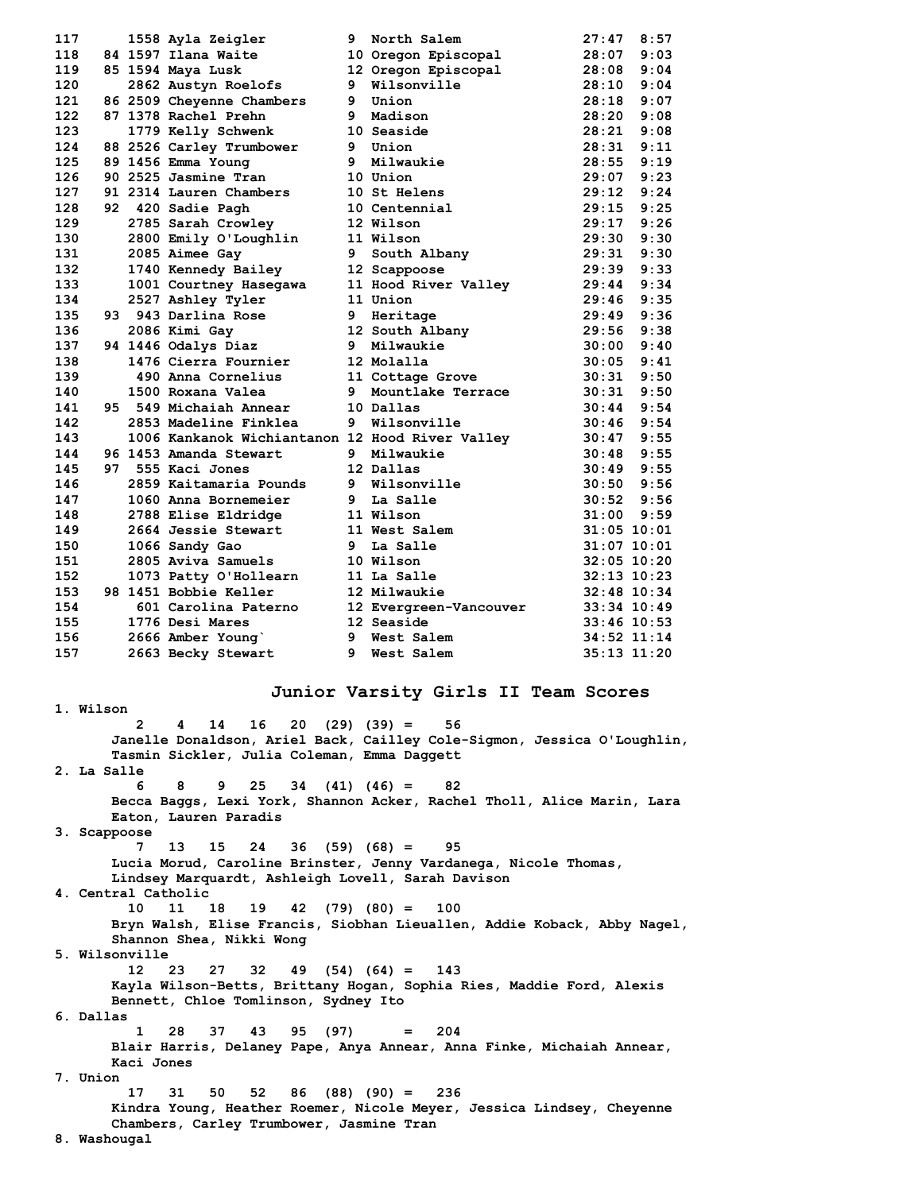| 117 |  | 1558 Ayla Zeigler                               |    | 9 North Salem                        | 27:47          | 8:57            |
|-----|--|-------------------------------------------------|----|--------------------------------------|----------------|-----------------|
| 118 |  | 84 1597 Ilana Waite                             |    | 10 Oregon Episcopal                  | 28:07          | 9:03            |
| 119 |  | 85 1594 Maya Lusk                               |    |                                      | 28:08          | 9:04            |
| 120 |  | 2862 Austyn Roelofs                             |    | 12 Oregon Episcopal<br>9 Wilsonville | 28:10          | 9:04            |
| 121 |  | 86 2509 Cheyenne Chambers                       |    | 9 Union                              | 28:18          | 9:07            |
| 122 |  | 87 1378 Rachel Prehn                            |    | 9 Madison                            | 28:20          | 9:08            |
| 123 |  | 1779 Kelly Schwenk                              |    | 10 Seaside                           |                | $28:21$ $9:08$  |
| 124 |  | 88 2526 Carley Trumbower                        |    | 9 Union                              |                | $28:31$ $9:11$  |
| 125 |  | 89 1456 Emma Young                              |    | 9 Milwaukie                          |                | $28:55$ $9:19$  |
| 126 |  | 90 2525 Jasmine Tran                            |    | 10 Union                             |                | $29:07$ $9:23$  |
| 127 |  | 91 2314 Lauren Chambers                         |    | 10 St Helens                         | 29:12          | 9:24            |
| 128 |  | 92 420 Sadie Pagh                               |    | 10 Centennial                        |                | $29:15$ $9:25$  |
| 129 |  | 2785 Sarah Crowley                              |    | 12 Wilson                            | $29:17$ $9:26$ |                 |
| 130 |  | $2800$ Emily O'Loughlin                         |    | 11 Wilson                            | 29:30          | 9:30            |
| 131 |  | 2085 Aimee Gay                                  | 9  | South Albany                         | 29:31 9:30     |                 |
| 132 |  | 1740 Kennedy Bailey                             |    | 12 Scappoose                         | 29:39          | 9:33            |
| 133 |  | 1001 Courtney Hasegawa                          |    | 11 Hood River Valley                 | 29:44          | 9:34            |
| 134 |  | 2527 Ashley Tyler                               |    | 11 Union                             |                | $29:46$ $9:35$  |
| 135 |  | 93 943 Darlina Rose                             |    | 9 Heritage                           | $29:49$ $9:36$ |                 |
| 136 |  | 2086 Kimi Gay                                   |    | 12 South Albany                      |                | $29:56$ $9:38$  |
| 137 |  | 94 1446 Odalys Diaz                             |    | 9 Milwaukie                          | 30:00          | 9:40            |
| 138 |  | 1476 Cierra Fournier                            |    | 12 Molalla                           | 30:05          | 9:41            |
| 139 |  | 490 Anna Cornelius                              |    | 11 Cottage Grove                     | $30:31$ $9:50$ |                 |
| 140 |  | 1500 Roxana Valea                               |    | 9 Mountlake Terrace                  | $30:31$ $9:50$ |                 |
| 141 |  | 95 549 Michaiah Annear                          |    | 10 Dallas                            |                | $30:44$ 9:54    |
| 142 |  | 2853 Madeline Finklea                           |    | 9 Wilsonville                        | $30:46$ 9:54   |                 |
| 143 |  | 1006 Kankanok Wichiantanon 12 Hood River Valley |    |                                      | 30:47          | 9:55            |
| 144 |  | 96 1453 Amanda Stewart                          |    | 9 Milwaukie                          |                | $30:48$ 9:55    |
| 145 |  | 97 555 Kaci Jones                               |    | 12 Dallas                            |                | $30:49$ 9:55    |
| 146 |  | 2859 Kaitamaria Pounds                          |    | 9 Wilsonville                        | $30:50$ 9:56   |                 |
| 147 |  | 1060 Anna Bornemeier                            |    | 9 La Salle                           |                | $30:52$ 9:56    |
| 148 |  | 2788 Elise Eldridge                             |    | 11 Wilson                            | 31:00          | 9:59            |
| 149 |  | 2664 Jessie Stewart                             |    | 11 West Salem                        | $31:05$ 10:01  |                 |
| 150 |  | 1066 Sandy Gao                                  |    | 9 La Salle                           | $31:07$ 10:01  |                 |
| 151 |  | 2805 Aviva Samuels                              |    | 10 Wilson                            |                | $32:05$ 10:20   |
| 152 |  | 1073 Patty O'Hollearn                           |    | 11 La Salle                          |                | $32:13$ $10:23$ |
| 153 |  | 98 1451 Bobbie Keller                           |    | 12 Milwaukie                         | 32:48 10:34    |                 |
| 154 |  | 601 Carolina Paterno                            |    | 12 Evergreen-Vancouver               | 33:34 10:49    |                 |
| 155 |  | 1776 Desi Mares                                 |    | 12 Seaside                           | $33:46$ 10:53  |                 |
| 156 |  | 2666 Amber Young                                |    | 9 West Salem                         |                | $34:52$ $11:14$ |
| 157 |  | 2663 Becky Stewart                              | 9. | West Salem                           |                | $35:13$ $11:20$ |

### **Junior Varsity Girls II Team Scores**

**2 4 14 16 20 (29) (39) = 56 Janelle Donaldson, Ariel Back, Cailley Cole-Sigmon, Jessica O'Loughlin, Tasmin Sickler, Julia Coleman, Emma Daggett 2. La Salle 6 8 9 25 34 (41) (46) = 82 Becca Baggs, Lexi York, Shannon Acker, Rachel Tholl, Alice Marin, Lara Eaton, Lauren Paradis 3. Scappoose 7 13 15 24 36 (59) (68) = 95 Lucia Morud, Caroline Brinster, Jenny Vardanega, Nicole Thomas, Lindsey Marquardt, Ashleigh Lovell, Sarah Davison 4. Central Catholic 10 11 18 19 42 (79) (80) = 100 Bryn Walsh, Elise Francis, Siobhan Lieuallen, Addie Koback, Abby Nagel, Shannon Shea, Nikki Wong 5. Wilsonville 12 23 27 32 49 (54) (64) = 143 Kayla Wilson-Betts, Brittany Hogan, Sophia Ries, Maddie Ford, Alexis Bennett, Chloe Tomlinson, Sydney Ito 6. Dallas 1 28 37 43 95 (97) = 204 Blair Harris, Delaney Pape, Anya Annear, Anna Finke, Michaiah Annear, Kaci Jones 7. Union 17 31 50 52 86 (88) (90) = 236 Kindra Young, Heather Roemer, Nicole Meyer, Jessica Lindsey, Cheyenne Chambers, Carley Trumbower, Jasmine Tran 8. Washougal**

**1. Wilson**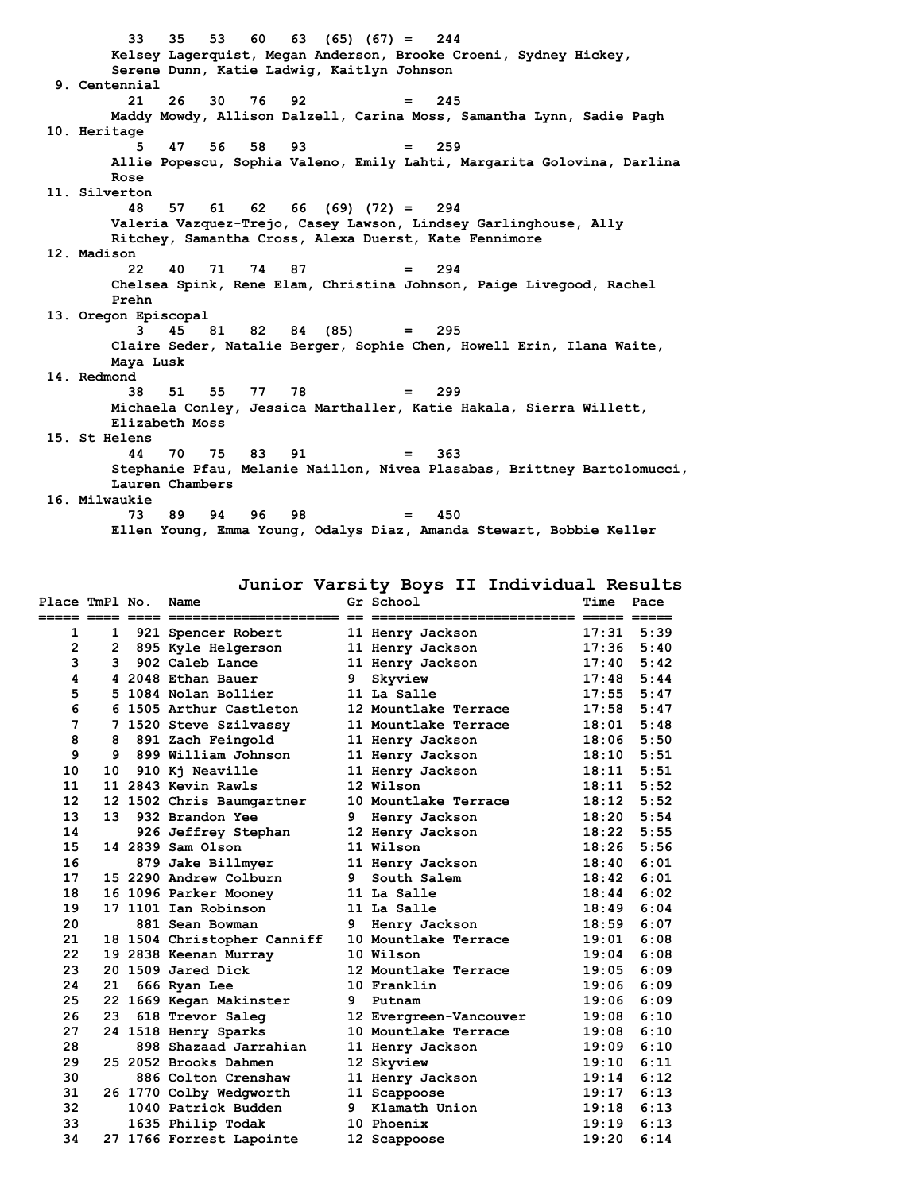**33 35 53 60 63 (65) (67) = 244 Kelsey Lagerquist, Megan Anderson, Brooke Croeni, Sydney Hickey, Serene Dunn, Katie Ladwig, Kaitlyn Johnson 9. Centennial 21 26 30 76 92 = 245 Maddy Mowdy, Allison Dalzell, Carina Moss, Samantha Lynn, Sadie Pagh 10. Heritage 5 47 56 58 93 = 259 Allie Popescu, Sophia Valeno, Emily Lahti, Margarita Golovina, Darlina Rose 11. Silverton 48 57 61 62 66 (69) (72) = 294 Valeria Vazquez-Trejo, Casey Lawson, Lindsey Garlinghouse, Ally Ritchey, Samantha Cross, Alexa Duerst, Kate Fennimore 12. Madison 22 40 71 74 87 = 294 Chelsea Spink, Rene Elam, Christina Johnson, Paige Livegood, Rachel Prehn 13. Oregon Episcopal 3 45 81 82 84 (85) = 295 Claire Seder, Natalie Berger, Sophie Chen, Howell Erin, Ilana Waite, Maya Lusk 14. Redmond 38 51 55 77 78 = 299 Michaela Conley, Jessica Marthaller, Katie Hakala, Sierra Willett, Elizabeth Moss 15. St Helens 44 70 75 83 91 = 363 Stephanie Pfau, Melanie Naillon, Nivea Plasabas, Brittney Bartolomucci, Lauren Chambers 16. Milwaukie 73 89 94 96 98 = 450 Ellen Young, Emma Young, Odalys Diaz, Amanda Stewart, Bobbie Keller**

**Junior Varsity Boys II Individual Results**

| Place TmPl No. |              | Name                        |    | Gr School              | Time  | Pace         |
|----------------|--------------|-----------------------------|----|------------------------|-------|--------------|
| 1              | $\mathbf{1}$ | 921 Spencer Robert          |    | 11 Henry Jackson       | 17:31 | 5:39         |
| $\overline{2}$ |              | 2 895 Kyle Helgerson        |    | 11 Henry Jackson       | 17:36 | 5:40         |
| 3              | 3            | 902 Caleb Lance             |    | 11 Henry Jackson       | 17:40 | 5:42         |
| 4              |              | 4 2048 Ethan Bauer          | 9  | Skyview                | 17:48 | 5:44         |
| 5              |              | 5 1084 Nolan Bollier        |    | 11 La Salle            | 17:55 | 5:47         |
| 6              |              | 6 1505 Arthur Castleton     |    | 12 Mountlake Terrace   |       | $17:58$ 5:47 |
| 7              |              | 7 1520 Steve Szilvassy      |    | 11 Mountlake Terrace   | 18:01 | 5:48         |
| 8              |              | 8 891 Zach Feingold         |    | 11 Henry Jackson       |       | $18:06$ 5:50 |
| 9              |              | 9 899 William Johnson       |    | 11 Henry Jackson       | 18:10 | 5:51         |
| 10             | 10           | 910 Kj Neaville             |    | 11 Henry Jackson       | 18:11 | 5:51         |
| 11             |              | 11 2843 Kevin Rawls         |    | 12 Wilson              | 18:11 | 5:52         |
| 12             |              | 12 1502 Chris Baumgartner   |    | 10 Mountlake Terrace   | 18:12 | 5:52         |
| 13             | 13           | 932 Brandon Yee             |    | 9 Henry Jackson        | 18:20 | 5:54         |
| 14             |              | 926 Jeffrey Stephan         |    | 12 Henry Jackson       | 18:22 | 5:55         |
| 15             |              | 14 2839 Sam Olson           |    | 11 Wilson              | 18:26 | 5:56         |
| 16             |              | 879 Jake Billmyer           |    | 11 Henry Jackson       | 18:40 | 6:01         |
| 17             |              | 15 2290 Andrew Colburn      | 9  | South Salem            | 18:42 | 6:01         |
| 18             |              | 16 1096 Parker Mooney       |    | 11 La Salle            | 18:44 | 6:02         |
| 19             |              | 17 1101 Ian Robinson        |    | 11 La Salle            | 18:49 | 6:04         |
| 20             |              | 881 Sean Bowman             | 9  | Henry Jackson          | 18:59 | 6:07         |
| 21             |              | 18 1504 Christopher Canniff |    | 10 Mountlake Terrace   | 19:01 | 6:08         |
| 22             |              | 19 2838 Keenan Murray       |    | 10 Wilson              | 19:04 | 6:08         |
| 23             |              | 20 1509 Jared Dick          |    | 12 Mountlake Terrace   | 19:05 | 6:09         |
| 24             | 21           | 666 Ryan Lee                |    | 10 Franklin            | 19:06 | 6:09         |
| 25             |              | 22 1669 Kegan Makinster     | 9. | Putnam                 | 19:06 | 6:09         |
| 26             | 23           | 618 Trevor Saleg            |    | 12 Evergreen-Vancouver | 19:08 | 6:10         |
| 27             |              | 24 1518 Henry Sparks        |    | 10 Mountlake Terrace   | 19:08 | 6:10         |
| 28             |              | 898 Shazaad Jarrahian       |    | 11 Henry Jackson       | 19:09 | 6:10         |
| 29             |              | 25 2052 Brooks Dahmen       |    | 12 Skyview             | 19:10 | 6:11         |
| 30             |              | 886 Colton Crenshaw         |    | 11 Henry Jackson       | 19:14 | 6:12         |
| 31             |              | 26 1770 Colby Wedgworth     |    | 11 Scappoose           | 19:17 | 6:13         |
| 32             |              | 1040 Patrick Budden         |    | 9 Klamath Union        | 19:18 | 6:13         |
| 33             |              | 1635 Philip Todak           |    | 10 Phoenix             | 19:19 | 6:13         |
| 34             |              | 27 1766 Forrest Lapointe    |    | 12 Scappoose           | 19:20 | 6:14         |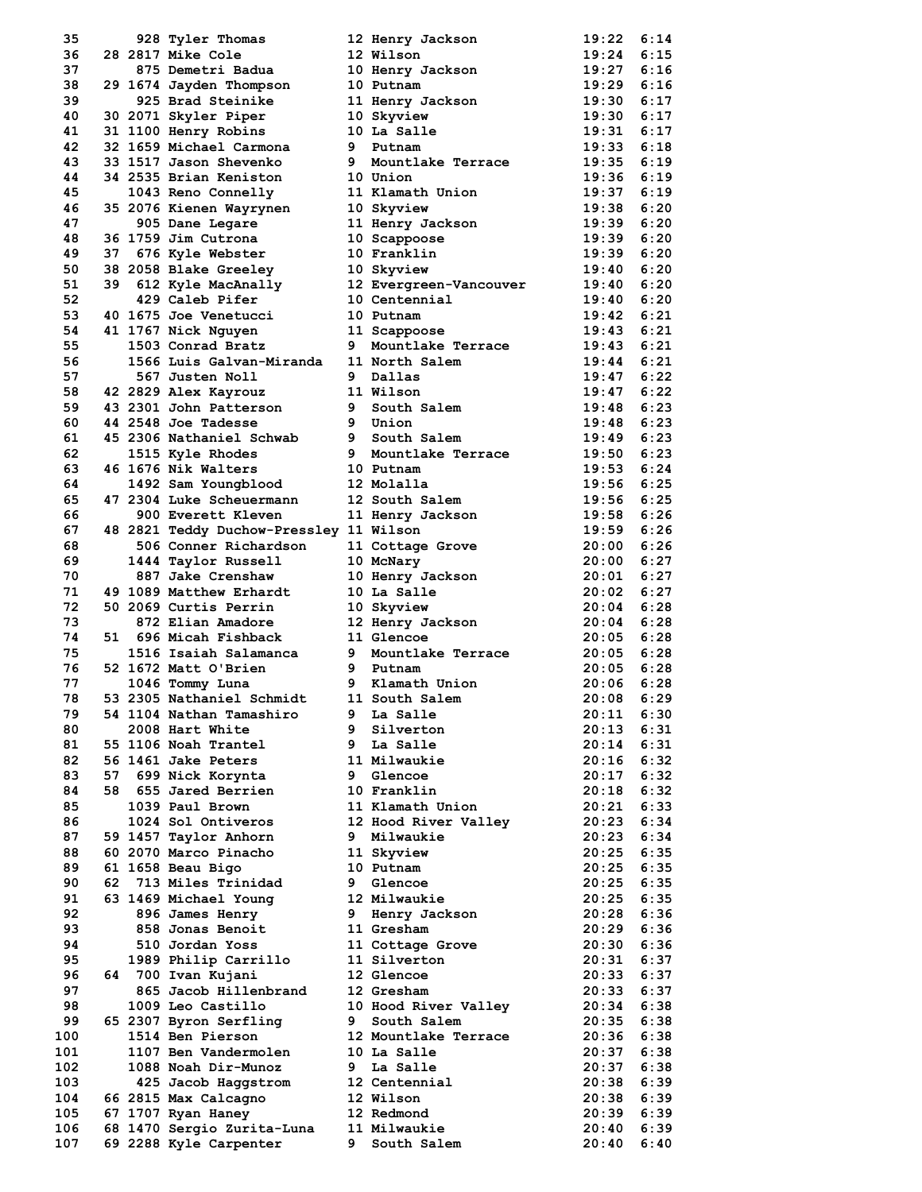| 35  |      | 928 Tyler Thomas                           |    | 12 Henry Jackson       | 19:22              | 6:14 |
|-----|------|--------------------------------------------|----|------------------------|--------------------|------|
| 36  |      | 28 2817 Mike Cole                          |    | 12 Wilson              | 19:24              | 6:15 |
| 37  |      | 875 Demetri Badua                          |    | 10 Henry Jackson       | 19:27              | 6:16 |
| 38  |      | 29 1674 Jayden Thompson                    |    | 10 Putnam              | $19:29$ 6:16       |      |
| 39  |      | 925 Brad Steinike                          |    |                        | $19:30$ $6:17$     |      |
|     |      |                                            |    | 11 Henry Jackson       |                    |      |
| 40  |      | 30 2071 Skyler Piper                       |    | 10 Skyview             | 19:30              | 6:17 |
| 41  |      | 31 1100 Henry Robins                       |    | 10 La Salle            | $19:31$ $6:17$     |      |
| 42  |      | 32 1659 Michael Carmona                    |    | 9 Putnam               | $19:33$ $6:18$     |      |
| 43  |      | 33 1517 Jason Shevenko                     |    | 9 Mountlake Terrace    | 19:35              | 6:19 |
| 44  |      | 34 2535 Brian Keniston                     |    | 10 Union               | 19:36              | 6:19 |
| 45  |      | 1043 Reno Connelly                         |    | 11 Klamath Union       | $19:37$ 6:19       |      |
| 46  |      | 35 2076 Kienen Wayrynen                    |    | 10 Skyview             | 19:38 6:20         |      |
| 47  |      | 905 Dane Legare                            |    | 11 Henry Jackson       | 19:39              | 6:20 |
| 48  |      | 36 1759 Jim Cutrona                        |    | 10 Scappoose           | $19:39$ $6:20$     |      |
| 49  |      | 37 676 Kyle Webster                        |    | 10 Franklin            | $19:39$ 6:20       |      |
| 50  |      | 38 2058 Blake Greeley                      |    | 10 Skyview             | 19:40              | 6:20 |
| 51  | 39.  | 612 Kyle MacAnally                         |    | 12 Evergreen-Vancouver | 19:40              | 6:20 |
| 52  |      | 429 Caleb Pifer                            |    | 10 Centennial          | 19:40              | 6:20 |
| 53  |      | 40 1675 Joe Venetucci                      |    | 10 Putnam              | 19:42              | 6:21 |
| 54  |      | 41 1767 Nick Nguyen                        |    | 11 Scappoose           | 19:43              | 6:21 |
| 55  |      | 1503 Conrad Bratz                          |    | 9 Mountlake Terrace    | $19:43 \quad 6:21$ |      |
| 56  |      | 1566 Luis Galvan-Miranda                   |    | 11 North Salem         | $19:44$ $6:21$     |      |
| 57  |      | 567 Justen Noll                            |    | 9 Dallas               | 19:47              | 6:22 |
|     |      |                                            |    |                        |                    |      |
| 58  |      | 42 2829 Alex Kayrouz                       |    | 11 Wilson              | $19:47$ 6:22       |      |
| 59  |      | 43 2301 John Patterson                     |    | 9 South Salem          | 19:48              | 6:23 |
| 60  |      | 44 2548 Joe Tadesse                        |    | 9 Union                | 19:48              | 6:23 |
| 61  |      | 45 2306 Nathaniel Schwab                   |    | 9 South Salem          | $19:49$ 6:23       |      |
| 62  |      | 1515 Kyle Rhodes                           |    | 9 Mountlake Terrace    | $19:50$ 6:23       |      |
| 63  |      | 46 1676 Nik Walters                        |    | 10 Putnam              | 19:53              | 6:24 |
| 64  |      | 1492 Sam Youngblood                        |    | 12 Molalla             | 19:56              | 6:25 |
| 65  |      | 47 2304 Luke Scheuermann                   |    | 12 South Salem         | 19:56              | 6:25 |
| 66  |      | 900 Everett Kleven                         |    | 11 Henry Jackson       | 19:58              | 6:26 |
| 67  |      | 48 2821 Teddy Duchow-Pressley 11 Wilson    |    |                        | 19:59              | 6:26 |
| 68  |      | 506 Conner Richardson                      |    | 11 Cottage Grove       | $20:00$ 6:26       |      |
| 69  |      | 1444 Taylor Russell                        |    | 10 McNary              | $20:00$ $6:27$     |      |
| 70  |      | 887 Jake Crenshaw                          |    | 10 Henry Jackson       | 20:01              | 6:27 |
| 71  |      | 49 1089 Matthew Erhardt                    |    | 10 La Salle            | $20:02$ $6:27$     |      |
| 72  |      |                                            |    |                        |                    |      |
|     |      | 50 2069 Curtis Perrin<br>872 Elian Amadore |    | 10 Skyview             | $20:04$ 6:28       |      |
| 73  |      |                                            |    | 12 Henry Jackson       | 20:04              | 6:28 |
| 74  | 51 - | 696 Micah Fishback                         |    | 11 Glencoe             | $20:05$ 6:28       |      |
| 75  |      | 1516 Isaiah Salamanca                      |    | 9 Mountlake Terrace    | $20:05$ 6:28       |      |
| 76  |      | 52 1672 Matt O'Brien                       |    | 9 Putnam               | $20:05$ 6:28       |      |
| 77  |      | 1046 Tommy Luna                            |    | 9 Klamath Union        | 20:06              | 6:28 |
| 78  |      | 53 2305 Nathaniel Schmidt                  |    | 11 South Salem         | 20:08              | 6:29 |
| 79  |      | 54 1104 Nathan Tamashiro                   | 9  | La Salle               | 20:11              | 6:30 |
| 80  |      | 2008 Hart White                            |    | 9 Silverton            | 20:13              | 6:31 |
| 81  |      | 55 1106 Noah Trantel                       |    | 9 La Salle             | 20:14              | 6:31 |
| 82  |      | 56 1461 Jake Peters                        |    | 11 Milwaukie           | 20:16 6:32         |      |
| 83  | 57   | 699 Nick Korynta                           | 9  | Glencoe                | 20:17              | 6:32 |
| 84  | 58   | 655 Jared Berrien                          |    | 10 Franklin            | 20:18              | 6:32 |
| 85  |      | 1039 Paul Brown                            |    | 11 Klamath Union       | 20:21 6:33         |      |
| 86  |      | 1024 Sol Ontiveros                         |    | 12 Hood River Valley   | 20:23 6:34         |      |
| 87  |      | 59 1457 Taylor Anhorn                      | 9  | Milwaukie              | 20:23              | 6:34 |
| 88  |      | 60 2070 Marco Pinacho                      |    | 11 Skyview             | $20:25$ 6:35       |      |
| 89  |      | 61 1658 Beau Bigo                          |    | 10 Putnam              | 20:25              | 6:35 |
| 90  | 62   | 713 Miles Trinidad                         | 9  | Glencoe                | 20:25              | 6:35 |
|     |      |                                            |    |                        |                    |      |
| 91  |      | 63 1469 Michael Young                      |    | 12 Milwaukie           | 20:25 6:35         |      |
| 92  |      | 896 James Henry                            |    | 9 Henry Jackson        | 20:28              | 6:36 |
| 93  |      | 858 Jonas Benoit                           |    | 11 Gresham             | 20:29              | 6:36 |
| 94  |      | 510 Jordan Yoss                            |    | 11 Cottage Grove       | 20:30              | 6:36 |
| 95  |      | 1989 Philip Carrillo                       |    | 11 Silverton           | 20:31 6:37         |      |
| 96  |      | 64 700 Ivan Kujani                         |    | 12 Glencoe             | 20:33 6:37         |      |
| 97  |      | 865 Jacob Hillenbrand                      |    | 12 Gresham             | 20:33              | 6:37 |
| 98  |      | 1009 Leo Castillo                          |    | 10 Hood River Valley   | 20:34              | 6:38 |
| 99  |      | 65 2307 Byron Serfling                     | 9  | South Salem            | 20:35              | 6:38 |
| 100 |      | 1514 Ben Pierson                           |    | 12 Mountlake Terrace   | 20:36              | 6:38 |
| 101 |      | 1107 Ben Vandermolen                       |    | 10 La Salle            | 20:37 6:38         |      |
| 102 |      | 1088 Noah Dir-Munoz                        |    | 9 La Salle             | 20:37 6:38         |      |
| 103 |      | 425 Jacob Haggstrom                        |    | 12 Centennial          | 20:38              | 6:39 |
| 104 |      | 66 2815 Max Calcagno                       |    | 12 Wilson              | 20:38              | 6:39 |
| 105 |      | 67 1707 Ryan Haney                         |    | 12 Redmond             | 20:39 6:39         |      |
| 106 |      | 68 1470 Sergio Zurita-Luna                 |    | 11 Milwaukie           | 20:40              | 6:39 |
|     |      |                                            |    |                        |                    |      |
| 107 |      | 69 2288 Kyle Carpenter                     | 9. | South Salem            | 20:40              | 6:40 |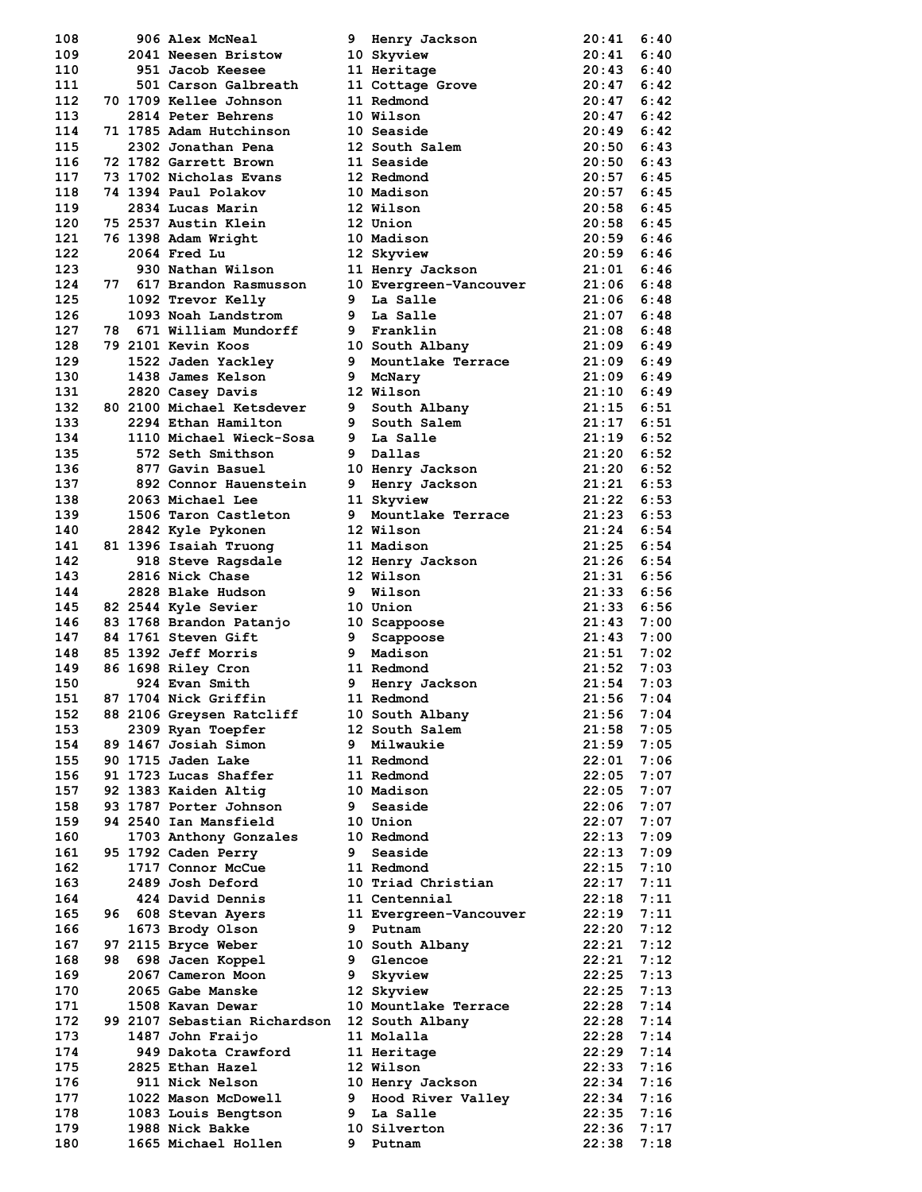| 108 |  | 906 Alex McNeal              |    | 9 Henry Jackson        | 20:41        | 6:40 |
|-----|--|------------------------------|----|------------------------|--------------|------|
| 109 |  | 2041 Neesen Bristow          |    | 10 Skyview             | 20:41        | 6:40 |
| 110 |  | 951 Jacob Keesee             |    | 11 Heritage            | 20:43        | 6:40 |
| 111 |  | 501 Carson Galbreath         |    | 11 Cottage Grove       | 20:47        | 6:42 |
| 112 |  | 70 1709 Kellee Johnson       |    | 11 Redmond             | 20:47        | 6:42 |
| 113 |  | <b>2814 Peter Behrens</b>    |    | 10 Wilson              | 20:47        | 6:42 |
| 114 |  | 71 1785 Adam Hutchinson      |    | 10 Seaside             | 20:49        | 6:42 |
| 115 |  | 2302 Jonathan Pena           |    | 12 South Salem         | 20:50        | 6:43 |
| 116 |  | 72 1782 Garrett Brown        |    | 11 Seaside             | 20:50        | 6:43 |
| 117 |  | 73 1702 Nicholas Evans       |    | 12 Redmond             | $20:57$ 6:45 |      |
| 118 |  | 74 1394 Paul Polakov         |    | 10 Madison             | 20:57        | 6:45 |
| 119 |  | 2834 Lucas Marin             |    | 12 Wilson              | 20:58        | 6:45 |
| 120 |  | 75 2537 Austin Klein         |    | 12 Union               | 20:58        | 6:45 |
| 121 |  | 76 1398 Adam Wright          |    | 10 Madison             | 20:59 6:46   |      |
| 122 |  | 2064 Fred Lu                 |    | 12 Skyview             | $20:59$ 6:46 |      |
| 123 |  | 930 Nathan Wilson            |    | 11 Henry Jackson       | 21:01        | 6:46 |
| 124 |  | 77 617 Brandon Rasmusson     |    | 10 Evergreen-Vancouver | 21:06        | 6:48 |
| 125 |  | 1092 Trevor Kelly            |    | 9 La Salle             | 21:06        | 6:48 |
| 126 |  | 1093 Noah Landstrom          | 9  | La Salle               | 21:07        | 6:48 |
| 127 |  | 78 671 William Mundorff      |    | 9 Franklin             | 21:08        | 6:48 |
| 128 |  | 79 2101 Kevin Koos           |    | 10 South Albany        | 21:09        | 6:49 |
| 129 |  | 1522 Jaden Yackley           | 9  | Mountlake Terrace      | 21:09        | 6:49 |
| 130 |  | 1438 James Kelson            | 9  | McNary                 | 21:09        | 6:49 |
| 131 |  | 2820 Casey Davis             |    | 12 Wilson              | $21:10$ 6:49 |      |
| 132 |  | 80 2100 Michael Ketsdever    | 9  | South Albany           | 21:15        | 6:51 |
| 133 |  | 2294 Ethan Hamilton          | 9  | South Salem            | 21:17        | 6:51 |
| 134 |  | 1110 Michael Wieck-Sosa      |    | 9 La Salle             | 21:19        | 6:52 |
| 135 |  | 572 Seth Smithson            | 9  | Dallas                 | $21:20$ 6:52 |      |
| 136 |  | 877 Gavin Basuel             |    | 10 Henry Jackson       | 21:20        | 6:52 |
| 137 |  | 892 Connor Hauenstein        | 9  | Henry Jackson          | 21:21        | 6:53 |
| 138 |  | 2063 Michael Lee             |    | 11 Skyview             | 21:22        | 6:53 |
| 139 |  | 1506 Taron Castleton         | 9. | Mountlake Terrace      | 21:23        | 6:53 |
| 140 |  | 2842 Kyle Pykonen            |    | 12 Wilson              | 21:24        | 6:54 |
| 141 |  | 81 1396 Isaiah Truong        |    | 11 Madison             | 21:25        | 6:54 |
| 142 |  | 918 Steve Ragsdale           |    | 12 Henry Jackson       | 21:26        | 6:54 |
| 143 |  | 2816 Nick Chase              |    | 12 Wilson              | 21:31        | 6:56 |
| 144 |  | 2828 Blake Hudson            | 9  | Wilson                 | 21:33        | 6:56 |
| 145 |  | <b>82 2544 Kyle Sevier</b>   |    | 10 Union               | 21:33        | 6:56 |
| 146 |  | 83 1768 Brandon Patanjo      |    | 10 Scappoose           | 21:43        | 7:00 |
| 147 |  | 84 1761 Steven Gift          | 9  | Scappoose              | 21:43        | 7:00 |
| 148 |  | 85 1392 Jeff Morris          | 9  | Madison                | 21:51        | 7:02 |
| 149 |  | 86 1698 Riley Cron           |    | 11 Redmond             | 21:52        | 7:03 |
| 150 |  | 924 Evan Smith               | 9  | Henry Jackson          | 21:54        | 7:03 |
| 151 |  | 87 1704 Nick Griffin         |    | 11 Redmond             | 21:56        | 7:04 |
| 152 |  | 88 2106 Greysen Ratcliff     |    | 10 South Albany        | 21:56        | 7:04 |
| 153 |  | 2309 Ryan Toepfer            |    | 12 South Salem         | 21:58        | 7:05 |
| 154 |  | 89 1467 Josiah Simon         |    | 9 Milwaukie            | 21:59        | 7:05 |
| 155 |  | 90 1715 Jaden Lake           |    | 11 Redmond             | 22:01        | 7:06 |
| 156 |  | 91 1723 Lucas Shaffer        |    | 11 Redmond             | 22:05        | 7:07 |
| 157 |  | 92 1383 Kaiden Altig         |    | 10 Madison             | 22:05        | 7:07 |
| 158 |  | 93 1787 Porter Johnson       | 9  | Seaside                | 22:06        | 7:07 |
| 159 |  | 94 2540 Ian Mansfield        |    | 10 Union               | 22:07        | 7:07 |
| 160 |  | 1703 Anthony Gonzales        |    | 10 Redmond             | 22:13        | 7:09 |
| 161 |  | 95 1792 Caden Perry          | 9  | Seaside                | 22:13        | 7:09 |
| 162 |  | 1717 Connor McCue            |    | 11 Redmond             | 22:15        | 7:10 |
| 163 |  | 2489 Josh Deford             |    | 10 Triad Christian     | 22:17        | 7:11 |
| 164 |  | 424 David Dennis             |    | 11 Centennial          | 22:18        | 7:11 |
| 165 |  | 96 608 Stevan Ayers          |    | 11 Evergreen-Vancouver | 22:19        | 7:11 |
| 166 |  | 1673 Brody Olson             | 9  | Putnam                 | 22:20        | 7:12 |
| 167 |  | 97 2115 Bryce Weber          |    | 10 South Albany        | 22:21        | 7:12 |
| 168 |  | 98 698 Jacen Koppel          |    | 9 Glencoe              | 22:21        | 7:12 |
| 169 |  | 2067 Cameron Moon            | 9  | Skyview                | 22:25        | 7:13 |
| 170 |  | 2065 Gabe Manske             |    | 12 Skyview             | 22:25        | 7:13 |
| 171 |  | 1508 Kavan Dewar             |    | 10 Mountlake Terrace   | 22:28        | 7:14 |
| 172 |  | 99 2107 Sebastian Richardson |    | 12 South Albany        | 22:28        | 7:14 |
| 173 |  | 1487 John Fraijo             |    | 11 Molalla             | 22:28        | 7:14 |
| 174 |  | 949 Dakota Crawford          |    | 11 Heritage            | 22:29        | 7:14 |
| 175 |  | 2825 Ethan Hazel             |    | 12 Wilson              | 22:33        | 7:16 |
| 176 |  | 911 Nick Nelson              |    | 10 Henry Jackson       | 22:34        | 7:16 |
| 177 |  | 1022 Mason McDowell          | 9  | Hood River Valley      | 22:34        | 7:16 |
| 178 |  | 1083 Louis Bengtson          | 9  | La Salle               | 22:35        | 7:16 |
| 179 |  | 1988 Nick Bakke              |    | 10 Silverton           | 22:36        | 7:17 |
| 180 |  | 1665 Michael Hollen          | 9  | Putnam                 | 22:38        | 7:18 |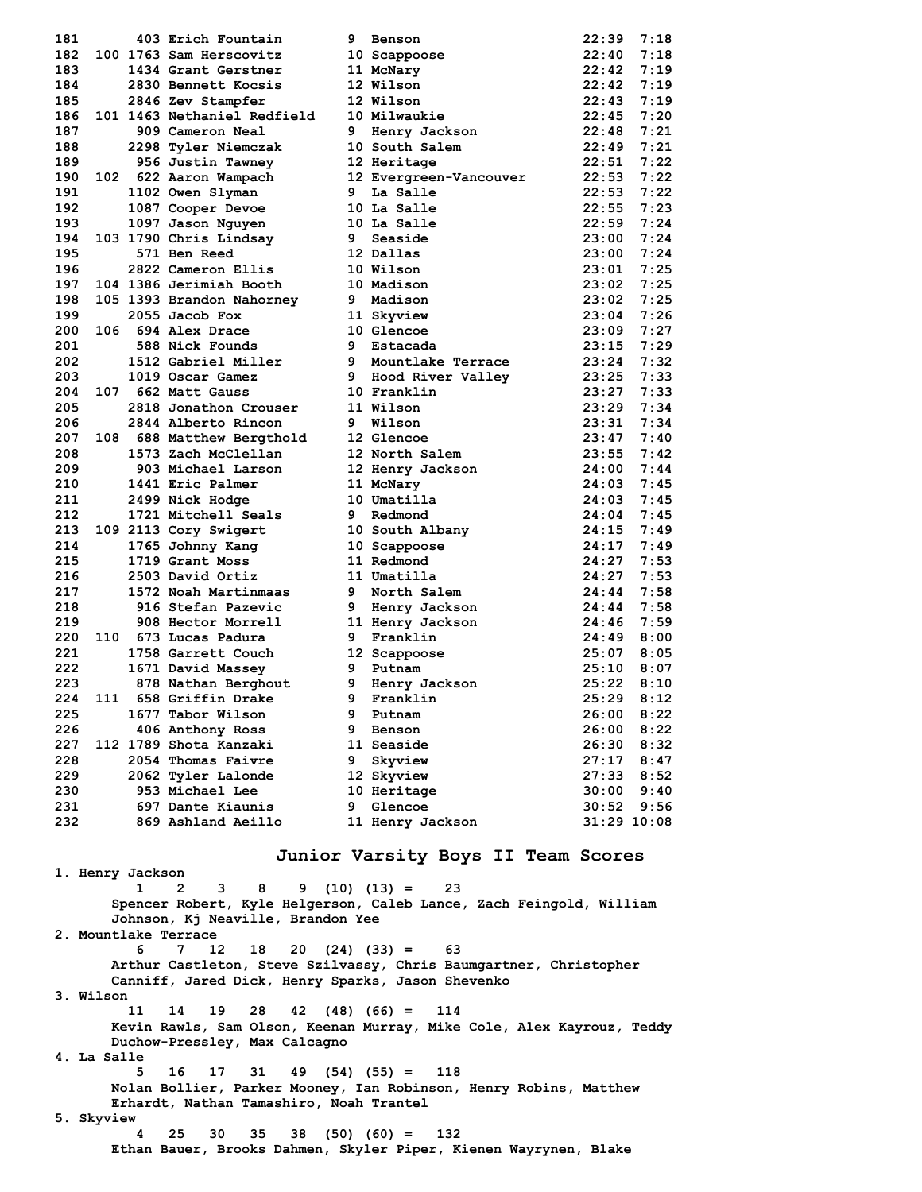| 181 |     | 403 Erich Fountain          | 9 | Benson                 | 22:39           | 7:18 |
|-----|-----|-----------------------------|---|------------------------|-----------------|------|
| 182 |     | 100 1763 Sam Herscovitz     |   | 10 Scappoose           | 22:40           | 7:18 |
| 183 |     | 1434 Grant Gerstner         |   | 11 McNary              | 22:42           | 7:19 |
| 184 |     | 2830 Bennett Kocsis         |   | 12 Wilson              | 22:42           | 7:19 |
| 185 |     | 2846 Zev Stampfer           |   | 12 Wilson              | 22:43           | 7:19 |
| 186 |     | 101 1463 Nethaniel Redfield |   | 10 Milwaukie           | 22:45           | 7:20 |
| 187 |     | 909 Cameron Neal            |   | 9 Henry Jackson        | 22:48           | 7:21 |
| 188 |     | 2298 Tyler Niemczak         |   | 10 South Salem         | 22:49           | 7:21 |
| 189 |     | 956 Justin Tawney           |   | 12 Heritage            | 22:51           | 7:22 |
| 190 |     | 102 622 Aaron Wampach       |   | 12 Evergreen-Vancouver | 22:53           | 7:22 |
| 191 |     | 1102 Owen Slyman            | 9 | La Salle               | 22:53           | 7:22 |
| 192 |     | 1087 Cooper Devoe           |   | 10 La Salle            | 22:55           | 7:23 |
| 193 |     | 1097 Jason Nguyen           |   | 10 La Salle            | 22:59           | 7:24 |
| 194 |     | 103 1790 Chris Lindsay      |   | 9 Seaside              | 23:00           | 7:24 |
| 195 |     | 571 Ben Reed                |   | 12 Dallas              | 23:00           | 7:24 |
| 196 |     | 2822 Cameron Ellis          |   | 10 Wilson              | 23:01           | 7:25 |
| 197 |     | 104 1386 Jerimiah Booth     |   | 10 Madison             | 23:02           | 7:25 |
| 198 |     | 105 1393 Brandon Nahorney   |   | 9 Madison              | 23:02           | 7:25 |
| 199 |     | 2055 Jacob Fox              |   | 11 Skyview             | 23:04           | 7:26 |
| 200 |     | 106 694 Alex Drace          |   | 10 Glencoe             | 23:09           | 7:27 |
| 201 |     | 588 Nick Founds             |   | 9 Estacada             | 23:15           | 7:29 |
| 202 |     | 1512 Gabriel Miller         |   | 9 Mountlake Terrace    | 23:24           | 7:32 |
| 203 |     | 1019 Oscar Gamez            |   | 9 Hood River Valley    | 23:25           | 7:33 |
| 204 |     | 107 662 Matt Gauss          |   | 10 Franklin            | 23:27           | 7:33 |
| 205 |     | 2818 Jonathon Crouser       |   | 11 Wilson              | 23:29           | 7:34 |
| 206 |     | 2844 Alberto Rincon         | 9 | Wilson                 | 23:31           | 7:34 |
| 207 |     | 108 688 Matthew Bergthold   |   | 12 Glencoe             | 23:47           | 7:40 |
| 208 |     | 1573 Zach McClellan         |   | 12 North Salem         | 23:55           | 7:42 |
| 209 |     | 903 Michael Larson          |   | 12 Henry Jackson       | 24:00           | 7:44 |
| 210 |     | 1441 Eric Palmer            |   | 11 McNary              | 24:03           | 7:45 |
| 211 |     | 2499 Nick Hodge             |   | 10 Umatilla            | 24:03           | 7:45 |
| 212 |     | 1721 Mitchell Seals         | 9 | Redmond                | 24:04           | 7:45 |
| 213 |     | 109 2113 Cory Swigert       |   | 10 South Albany        | 24:15           | 7:49 |
| 214 |     | 1765 Johnny Kang            |   | 10 Scappoose           | 24:17           | 7:49 |
| 215 |     | 1719 Grant Moss             |   | 11 Redmond             | 24:27           | 7:53 |
| 216 |     | 2503 David Ortiz            |   | 11 Umatilla            | 24:27           | 7:53 |
| 217 |     | 1572 Noah Martinmaas        |   | 9 North Salem          | 24:44           | 7:58 |
| 218 |     | 916 Stefan Pazevic          |   | 9 Henry Jackson        | 24:44           | 7:58 |
| 219 |     | 908 Hector Morrell          |   | 11 Henry Jackson       | 24:46           | 7:59 |
| 220 |     | 110 673 Lucas Padura        | 9 | Franklin               | 24:49           | 8:00 |
| 221 |     | 1758 Garrett Couch          |   | 12 Scappoose           | 25:07           | 8:05 |
| 222 |     | 1671 David Massey           |   | 9 Putnam               | 25:10           | 8:07 |
| 223 |     | 878 Nathan Berghout         | 9 | Henry Jackson          | 25:22           | 8:10 |
| 224 | 111 | 658 Griffin Drake           | 9 | Franklin               | 25:29           | 8:12 |
| 225 |     | 1677 Tabor Wilson           | 9 | Putnam                 | 26:00           | 8:22 |
| 226 |     | 406 Anthony Ross            | 9 | Benson                 | 26:00           | 8:22 |
| 227 |     | 112 1789 Shota Kanzaki      |   | 11 Seaside             | 26:30           | 8:32 |
| 228 |     | 2054 Thomas Faivre          | 9 | Skyview                | 27:17           | 8:47 |
| 229 |     | 2062 Tyler Lalonde          |   | 12 Skyview             | 27:33           | 8:52 |
| 230 |     | 953 Michael Lee             |   | 10 Heritage            | 30:00           | 9:40 |
| 231 |     | 697 Dante Kiaunis           | 9 | Glencoe                | 30:52           | 9:56 |
| 232 |     | 869 Ashland Aeillo          |   | 11 Henry Jackson       | $31:29$ $10:08$ |      |
|     |     |                             |   |                        |                 |      |

# **Junior Varsity Boys II Team Scores**

**1. Henry Jackson 1 2 3 8 9 (10) (13) = 23 Spencer Robert, Kyle Helgerson, Caleb Lance, Zach Feingold, William Johnson, Kj Neaville, Brandon Yee 2. Mountlake Terrace 6 7 12 18 20 (24) (33) = 63 Arthur Castleton, Steve Szilvassy, Chris Baumgartner, Christopher Canniff, Jared Dick, Henry Sparks, Jason Shevenko 3. Wilson 11 14 19 28 42 (48) (66) = 114 Kevin Rawls, Sam Olson, Keenan Murray, Mike Cole, Alex Kayrouz, Teddy Duchow-Pressley, Max Calcagno 4. La Salle 5 16 17 31 49 (54) (55) = 118 Nolan Bollier, Parker Mooney, Ian Robinson, Henry Robins, Matthew Erhardt, Nathan Tamashiro, Noah Trantel 5. Skyview 4 25 30 35 38 (50) (60) = 132 Ethan Bauer, Brooks Dahmen, Skyler Piper, Kienen Wayrynen, Blake**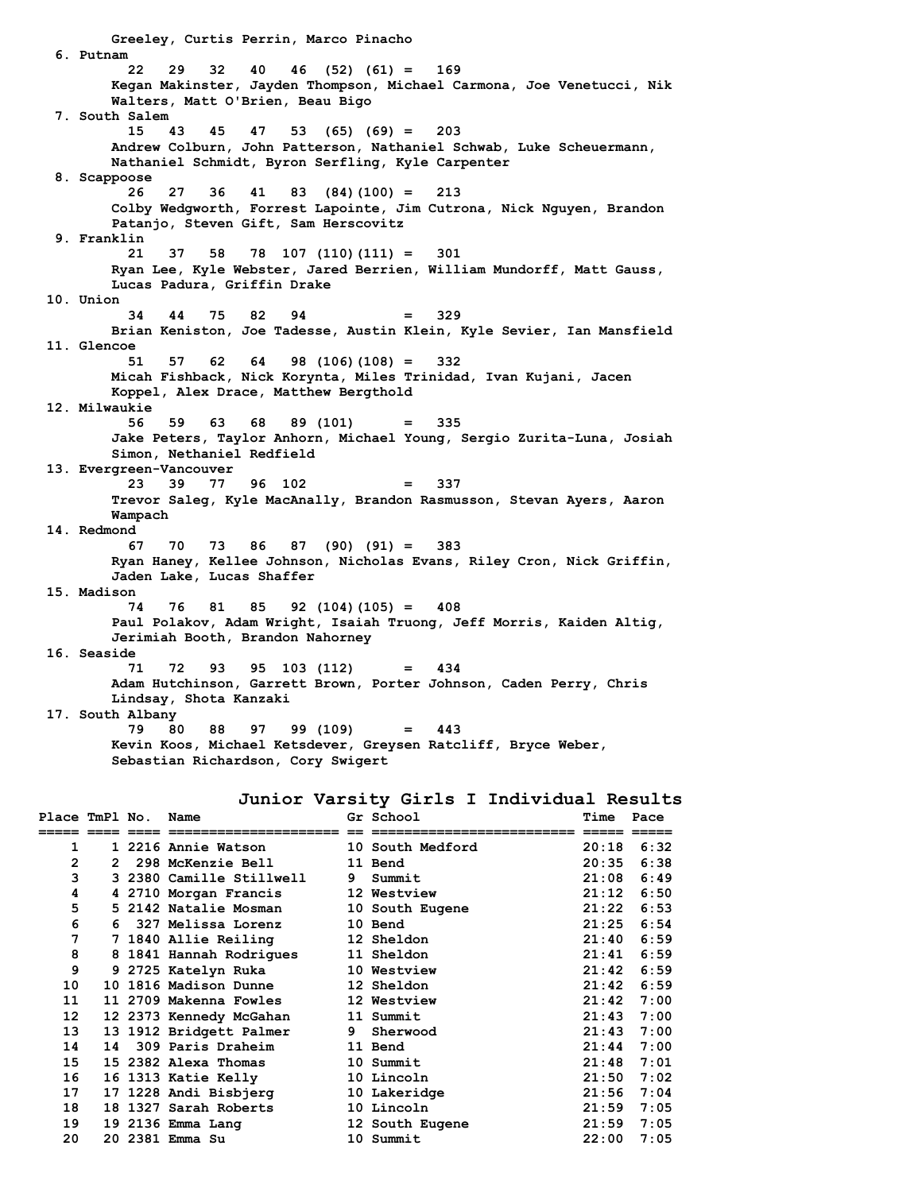**Greeley, Curtis Perrin, Marco Pinacho 6. Putnam 22 29 32 40 46 (52) (61) = 169 Kegan Makinster, Jayden Thompson, Michael Carmona, Joe Venetucci, Nik Walters, Matt O'Brien, Beau Bigo 7. South Salem 15 43 45 47 53 (65) (69) = 203 Andrew Colburn, John Patterson, Nathaniel Schwab, Luke Scheuermann, Nathaniel Schmidt, Byron Serfling, Kyle Carpenter 8. Scappoose 26 27 36 41 83 (84)(100) = 213 Colby Wedgworth, Forrest Lapointe, Jim Cutrona, Nick Nguyen, Brandon Patanjo, Steven Gift, Sam Herscovitz 9. Franklin 21 37 58 78 107 (110)(111) = 301 Ryan Lee, Kyle Webster, Jared Berrien, William Mundorff, Matt Gauss, Lucas Padura, Griffin Drake 10. Union 34 44 75 82 94 = 329 Brian Keniston, Joe Tadesse, Austin Klein, Kyle Sevier, Ian Mansfield 11. Glencoe 51 57 62 64 98 (106)(108) = 332 Micah Fishback, Nick Korynta, Miles Trinidad, Ivan Kujani, Jacen Koppel, Alex Drace, Matthew Bergthold 12. Milwaukie 56 59 63 68 89 (101) = 335 Jake Peters, Taylor Anhorn, Michael Young, Sergio Zurita-Luna, Josiah Simon, Nethaniel Redfield 13. Evergreen-Vancouver 23 39 77 96 102 = 337 Trevor Saleg, Kyle MacAnally, Brandon Rasmusson, Stevan Ayers, Aaron Wampach 14. Redmond 67 70 73 86 87 (90) (91) = 383 Ryan Haney, Kellee Johnson, Nicholas Evans, Riley Cron, Nick Griffin, Jaden Lake, Lucas Shaffer 15. Madison 74 76 81 85 92 (104)(105) = 408 Paul Polakov, Adam Wright, Isaiah Truong, Jeff Morris, Kaiden Altig, Jerimiah Booth, Brandon Nahorney 16. Seaside 71 72 93 95 103 (112) = 434 Adam Hutchinson, Garrett Brown, Porter Johnson, Caden Perry, Chris Lindsay, Shota Kanzaki 17. South Albany 79 80 88 97 99 (109) = 443 Kevin Koos, Michael Ketsdever, Greysen Ratcliff, Bryce Weber, Sebastian Richardson, Cory Swigert**

**Junior Varsity Girls I Individual Results**

| 1<br>1 2216 Annie Watson                 10 South Medford<br>$20:18$ 6:32<br>2<br>20:35<br><b>298 McKenzie Bell</b><br>11 Bend<br>$2^{\circ}$<br>3<br>$21:08$ 6:49<br>3 2380 Camille Stillwell<br>9 Summit<br>4<br>12 Westview<br>21:12<br>4 2710 Morgan Francis<br>5<br>5 2142 Natalie Mosman<br>21:22<br>10 South Eugene<br>6<br>$21:25$ 6:54<br>10 Bend<br>327 Melissa Lorenz<br>6.<br>7<br>21:40<br>7 1840 Allie Reiling<br>12 Sheldon<br>8<br>8 1841 Hannah Rodrigues<br>21:41<br>11 Sheldon<br>9<br>9 2725 Katelyn Ruka<br>21:42<br>10 Westview<br>10<br>12 Sheldon<br>21:42<br><b>10 1816 Madison Dunne</b><br>11<br>11 2709 Makenna Fowles<br>21:42<br>12 Westview<br>12 <sup>°</sup><br>12 2373 Kennedy McGahan<br>21:43<br>11 Summit<br>13<br>13 1912 Bridgett Palmer<br>21:43<br>9 Sherwood<br>14<br>14<br>309 Paris Draheim<br>21:44<br>11 Bend<br>15<br>21:48<br>15 2382 Alexa Thomas<br>10 Summit<br>16 1313 Katie Kelly<br>$21:50$ 7:02<br>16<br>10 Lincoln<br>17<br>17 1228 Andi Bisbjerg<br>21:56<br>10 Lakeridge<br>18<br>18 1327 Sarah Roberts<br>10 Lincoln<br>$21:59$ 7:05<br>19<br>19 2136 Emma Lang<br>$21:59$ 7:05<br>12 South Eugene<br>20<br>20 2381 Emma Su<br>10 Summit<br>22:00 | Place TmPl No. |  | Name | Gr School | Time | Pace |
|--------------------------------------------------------------------------------------------------------------------------------------------------------------------------------------------------------------------------------------------------------------------------------------------------------------------------------------------------------------------------------------------------------------------------------------------------------------------------------------------------------------------------------------------------------------------------------------------------------------------------------------------------------------------------------------------------------------------------------------------------------------------------------------------------------------------------------------------------------------------------------------------------------------------------------------------------------------------------------------------------------------------------------------------------------------------------------------------------------------------------------------------------------------------------------------------------------------|----------------|--|------|-----------|------|------|
|                                                                                                                                                                                                                                                                                                                                                                                                                                                                                                                                                                                                                                                                                                                                                                                                                                                                                                                                                                                                                                                                                                                                                                                                              |                |  |      |           |      |      |
|                                                                                                                                                                                                                                                                                                                                                                                                                                                                                                                                                                                                                                                                                                                                                                                                                                                                                                                                                                                                                                                                                                                                                                                                              |                |  |      |           |      | 6:38 |
|                                                                                                                                                                                                                                                                                                                                                                                                                                                                                                                                                                                                                                                                                                                                                                                                                                                                                                                                                                                                                                                                                                                                                                                                              |                |  |      |           |      |      |
|                                                                                                                                                                                                                                                                                                                                                                                                                                                                                                                                                                                                                                                                                                                                                                                                                                                                                                                                                                                                                                                                                                                                                                                                              |                |  |      |           |      | 6:50 |
|                                                                                                                                                                                                                                                                                                                                                                                                                                                                                                                                                                                                                                                                                                                                                                                                                                                                                                                                                                                                                                                                                                                                                                                                              |                |  |      |           |      | 6:53 |
|                                                                                                                                                                                                                                                                                                                                                                                                                                                                                                                                                                                                                                                                                                                                                                                                                                                                                                                                                                                                                                                                                                                                                                                                              |                |  |      |           |      |      |
|                                                                                                                                                                                                                                                                                                                                                                                                                                                                                                                                                                                                                                                                                                                                                                                                                                                                                                                                                                                                                                                                                                                                                                                                              |                |  |      |           |      | 6:59 |
|                                                                                                                                                                                                                                                                                                                                                                                                                                                                                                                                                                                                                                                                                                                                                                                                                                                                                                                                                                                                                                                                                                                                                                                                              |                |  |      |           |      | 6:59 |
|                                                                                                                                                                                                                                                                                                                                                                                                                                                                                                                                                                                                                                                                                                                                                                                                                                                                                                                                                                                                                                                                                                                                                                                                              |                |  |      |           |      | 6:59 |
|                                                                                                                                                                                                                                                                                                                                                                                                                                                                                                                                                                                                                                                                                                                                                                                                                                                                                                                                                                                                                                                                                                                                                                                                              |                |  |      |           |      | 6:59 |
|                                                                                                                                                                                                                                                                                                                                                                                                                                                                                                                                                                                                                                                                                                                                                                                                                                                                                                                                                                                                                                                                                                                                                                                                              |                |  |      |           |      | 7:00 |
|                                                                                                                                                                                                                                                                                                                                                                                                                                                                                                                                                                                                                                                                                                                                                                                                                                                                                                                                                                                                                                                                                                                                                                                                              |                |  |      |           |      | 7:00 |
|                                                                                                                                                                                                                                                                                                                                                                                                                                                                                                                                                                                                                                                                                                                                                                                                                                                                                                                                                                                                                                                                                                                                                                                                              |                |  |      |           |      | 7:00 |
|                                                                                                                                                                                                                                                                                                                                                                                                                                                                                                                                                                                                                                                                                                                                                                                                                                                                                                                                                                                                                                                                                                                                                                                                              |                |  |      |           |      | 7:00 |
|                                                                                                                                                                                                                                                                                                                                                                                                                                                                                                                                                                                                                                                                                                                                                                                                                                                                                                                                                                                                                                                                                                                                                                                                              |                |  |      |           |      | 7:01 |
|                                                                                                                                                                                                                                                                                                                                                                                                                                                                                                                                                                                                                                                                                                                                                                                                                                                                                                                                                                                                                                                                                                                                                                                                              |                |  |      |           |      |      |
|                                                                                                                                                                                                                                                                                                                                                                                                                                                                                                                                                                                                                                                                                                                                                                                                                                                                                                                                                                                                                                                                                                                                                                                                              |                |  |      |           |      | 7:04 |
|                                                                                                                                                                                                                                                                                                                                                                                                                                                                                                                                                                                                                                                                                                                                                                                                                                                                                                                                                                                                                                                                                                                                                                                                              |                |  |      |           |      |      |
|                                                                                                                                                                                                                                                                                                                                                                                                                                                                                                                                                                                                                                                                                                                                                                                                                                                                                                                                                                                                                                                                                                                                                                                                              |                |  |      |           |      |      |
|                                                                                                                                                                                                                                                                                                                                                                                                                                                                                                                                                                                                                                                                                                                                                                                                                                                                                                                                                                                                                                                                                                                                                                                                              |                |  |      |           |      | 7:05 |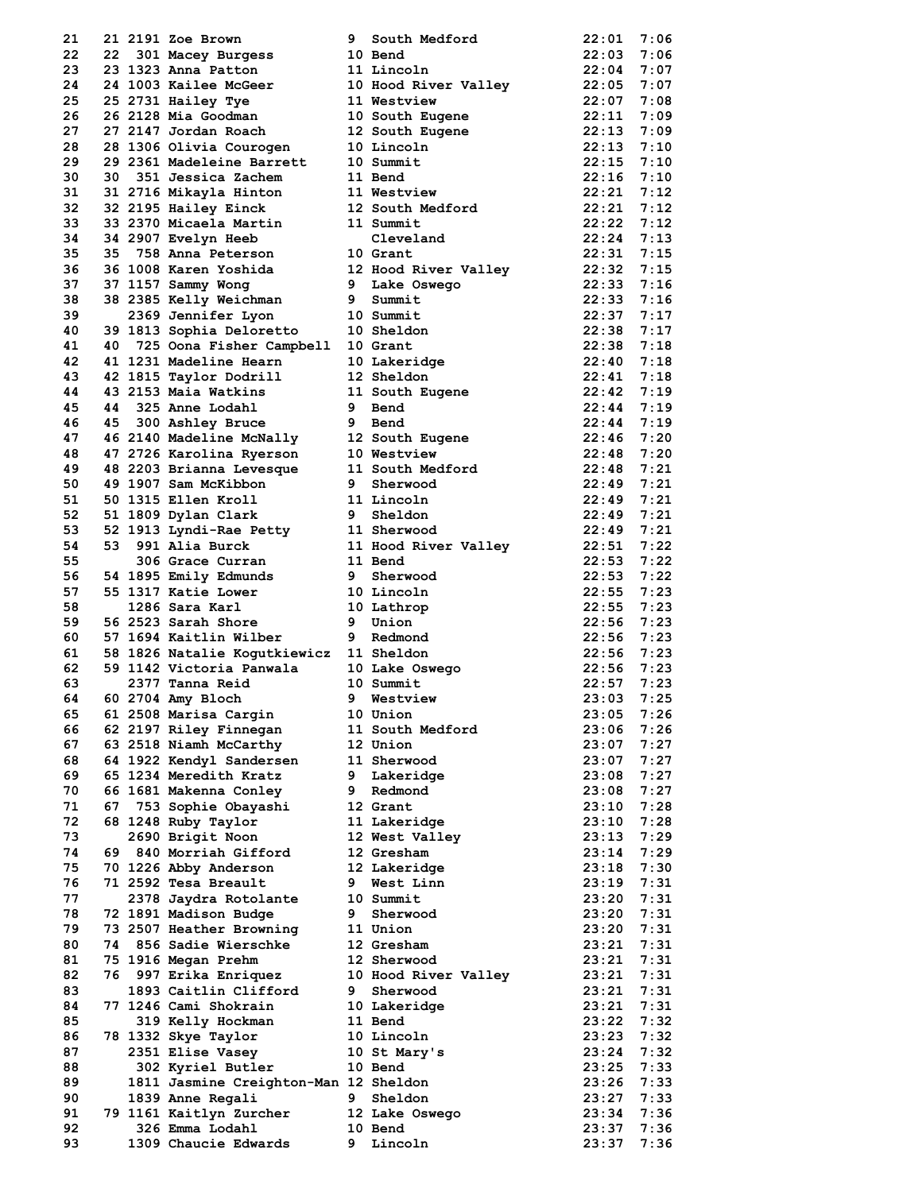| 21       |      | 21 2191 Zoe Brown                                                     | 9  | South Medford                                         | 22:01                        | 7:06         |
|----------|------|-----------------------------------------------------------------------|----|-------------------------------------------------------|------------------------------|--------------|
| 22       |      | 22 301 Macey Burgess                                                  |    | 10 Bend                                               | $22:03$ 7:06                 |              |
| 23       |      | 23 1323 Anna Patton                                                   |    | 11 Lincoln                                            | $22:04$ 7:07                 |              |
| 24       |      |                                                                       |    | 24 1003 Kailee McGeer 10 Hood River Valley            | $22:05$ 7:07                 |              |
| 25       |      | 25 2731 Hailey Tye                                                    |    | 11 Westview                                           | $22:07$ 7:08                 |              |
| 26       |      | 26 2128 Mia Goodman                                                   |    | 10 South Eugene                                       | 22:11                        | 7:09         |
| 27       |      | 27 2147 Jordan Roach                                                  |    | 12 South Eugene                                       | 22:13 7:09                   |              |
| 28       |      | 28 1306 Olivia Courogen                                               |    | 10 Lincoln                                            | 22:13 7:10                   |              |
| 29<br>30 |      | 29 2361 Madeleine Barrett<br>30 351 Jessica Zachem                    |    | 10 Summit                                             | $22:15$ 7:10<br>$22:16$ 7:10 |              |
| 31       |      | 31 2716 Mikayla Hinton                                                |    | 11 Bend<br>11 Westview                                | $22:21$ $7:12$               |              |
| 32       |      | 32 2195 Hailey Einck                                                  |    | 12 South Medford                                      | 22:21 7:12                   |              |
| 33       |      | 33 2370 Micaela Martin                                                |    | 11 Summit                                             | 22:22 7:12                   |              |
| 34       |      | 34 2907 Evelyn Heeb                                                   |    | Cleveland                                             | $22:24$ 7:13                 |              |
| 35       |      | 35 758 Anna Peterson                                                  |    | 10 Grant                                              | $22:31$ 7:15                 |              |
| 36       |      |                                                                       |    | 36 1008 Karen Yoshida 12 Hood River Valley 22:32 7:15 |                              |              |
| 37       |      | 37 1157 Sammy Wong                                                    |    | 9 Lake Oswego                                         | 22:33 7:16                   |              |
| 38       |      | 38 2385 Kelly Weichman                                                |    | 9 Summit                                              | $22:33$ 7:16                 |              |
| 39       |      | 2369 Jennifer Lyon                                                    |    | 10 Summit                                             | 22:37 7:17                   |              |
| 40       |      | 39 1813 Sophia Deloretto 10 Sheldon                                   |    |                                                       | $22:38$ 7:17                 |              |
| 41       |      | 40 725 Oona Fisher Campbell 10 Grant                                  |    |                                                       | 22:38 7:18                   |              |
| 42       |      | 41 1231 Madeline Hearn                                                |    | 10 Lakeridge                                          | $22:40$ 7:18                 |              |
| 43       |      | 42 1815 Taylor Dodrill                                                |    | 12 Sheldon                                            | $22:41$ 7:18                 |              |
| 44       |      | 43 2153 Maia Watkins                                                  |    | 11 South Eugene                                       | $22:42$ 7:19                 |              |
| 45       |      | 44 325 Anne Lodahl                                                    |    | 9 Bend                                                | $22:44$ 7:19                 |              |
| 46       |      | 9 Bend<br>45 300 Ashley Bruce                                         |    |                                                       | $22:44$ 7:19                 |              |
| 47       |      |                                                                       |    | 46 2140 Madeline McNally 12 South Eugene              | 22:46 7:20                   |              |
| 48<br>49 |      | 47 2726 Karolina Ryerson<br>48 2203 Brianna Levesque                  |    | 10 Westview                                           | 22:48 7:20<br>$22:48$ 7:21   |              |
| 50       |      | 49 1907 Sam McKibbon                                                  |    | 11 South Medford<br>9 Sherwood                        | $22:49$ 7:21                 |              |
| 51       |      | 50 1315 Ellen Kroll                                                   |    | 11 Lincoln                                            | $22:49$ 7:21                 |              |
| 52       |      | 51 1809 Dylan Clark                                                   |    | 9 Sheldon                                             | $22:49$ 7:21                 |              |
| 53       |      |                                                                       |    |                                                       | 22:49 7:21                   |              |
| 54       |      | 52 1913 Lyndi-Rae Petty 11 Sherwood<br>53 991 Alia Burck 11 Hood Rive |    | 11 Hood River Valley                                  | $22:51$ 7:22                 |              |
| 55       |      | 306 Grace Curran                                                      |    | 11 Bend                                               | $22:53$ 7:22                 |              |
| 56       |      | 54 1895 Emily Edmunds                                                 |    | 9 Sherwood                                            | $22:53$ 7:22                 |              |
| 57       |      | 55 1317 Katie Lower                                                   |    | 10 Lincoln                                            | $22:55$ 7:23                 |              |
| 58       |      | 1286 Sara Karl                                                        |    | 10 Lathrop                                            | $22:55$ 7:23                 |              |
| 59       |      | 56 2523 Sarah Shore                                                   |    | 9 Union                                               | $22:56$ 7:23                 |              |
| 60       |      | 57 1694 Kaitlin Wilber                                                |    | 9 Redmond                                             | $22:56$ 7:23                 |              |
| 61       |      | 58 1826 Natalie Kogutkiewicz 11 Sheldon                               |    |                                                       | $22:56$ 7:23                 |              |
| 62       |      | 59 1142 Victoria Panwala                                              |    | 10 Lake Oswego                                        | 22:56 7:23                   |              |
| 63       |      | 2377 Tanna Reid                                                       |    | 10 Summit                                             | $22:57$ 7:23                 |              |
| 64       |      | 60 2704 Amy Bloch                                                     | 9. | Westview                                              | 23:03                        | 7:25         |
| 65       |      | 61 2508 Marisa Cargin                                                 |    | 10 Union                                              | 23:05                        | 7:26         |
| 66       |      | 62 2197 Riley Finnegan                                                |    | 11 South Medford                                      | 23:06                        | 7:26         |
| 67       |      | 63 2518 Niamh McCarthy                                                |    | 12 Union                                              | 23:07                        | 7:27         |
| 68<br>69 |      | 64 1922 Kendyl Sandersen<br>65 1234 Meredith Kratz                    |    | 11 Sherwood                                           | 23:07<br>23:08               | 7:27         |
| 70       |      | 66 1681 Makenna Conley                                                |    | 9 Lakeridge<br>9 Redmond                              | 23:08                        | 7:27<br>7:27 |
| 71       |      | 67 753 Sophie Obayashi                                                |    | 12 Grant                                              | 23:10                        | 7:28         |
| 72       |      | 68 1248 Ruby Taylor                                                   |    | 11 Lakeridge                                          | 23:10                        | 7:28         |
| 73       |      | 2690 Brigit Noon                                                      |    | 12 West Valley                                        | 23:13                        | 7:29         |
| 74       |      | 69 840 Morriah Gifford                                                |    | 12 Gresham                                            | 23:14                        | 7:29         |
| 75       |      | 70 1226 Abby Anderson                                                 |    | 12 Lakeridge                                          | 23:18                        | 7:30         |
| 76       |      | 71 2592 Tesa Breault                                                  | 9  | West Linn                                             | 23:19                        | 7:31         |
| 77       |      | 2378 Jaydra Rotolante                                                 |    | 10 Summit                                             | 23:20                        | 7:31         |
| 78       |      | 72 1891 Madison Budge                                                 |    | 9 Sherwood                                            | 23:20                        | 7:31         |
| 79       |      | 73 2507 Heather Browning                                              |    | 11 Union                                              | 23:20                        | 7:31         |
| 80       |      | 74 856 Sadie Wierschke                                                |    | 12 Gresham                                            | 23:21                        | 7:31         |
| 81       |      | 75 1916 Megan Prehm                                                   |    | 12 Sherwood                                           | 23:21                        | 7:31         |
| 82       | 76 - | 997 Erika Enriquez                                                    |    | 10 Hood River Valley                                  | 23:21                        | 7:31         |
| 83       |      | 1893 Caitlin Clifford                                                 | 9  | Sherwood                                              | 23:21                        | 7:31         |
| 84       |      | 77 1246 Cami Shokrain                                                 |    | 10 Lakeridge                                          | 23:21                        | 7:31         |
| 85       |      | 319 Kelly Hockman                                                     |    | 11 Bend                                               | 23:22                        | 7:32         |
| 86       |      | 78 1332 Skye Taylor                                                   |    | 10 Lincoln                                            | 23:23                        | 7:32         |
| 87       |      | 2351 Elise Vasey                                                      |    | 10 St Mary's                                          | 23:24                        | 7:32         |
| 88<br>89 |      | 302 Kyriel Butler                                                     |    | 10 Bend                                               | 23:25<br>$23:26$ 7:33        | 7:33         |
| 90       |      | 1811 Jasmine Creighton-Man 12 Sheldon<br>1839 Anne Regali             | 9  | Sheldon                                               | 23:27                        | 7:33         |
| 91       |      | 79 1161 Kaitlyn Zurcher                                               |    | 12 Lake Oswego                                        | 23:34                        | 7:36         |
| 92       |      | 326 Emma Lodahl                                                       |    | 10 Bend                                               | 23:37                        | 7:36         |
| 93       |      | 1309 Chaucie Edwards                                                  | 9  | Lincoln                                               | 23:37                        | 7:36         |
|          |      |                                                                       |    |                                                       |                              |              |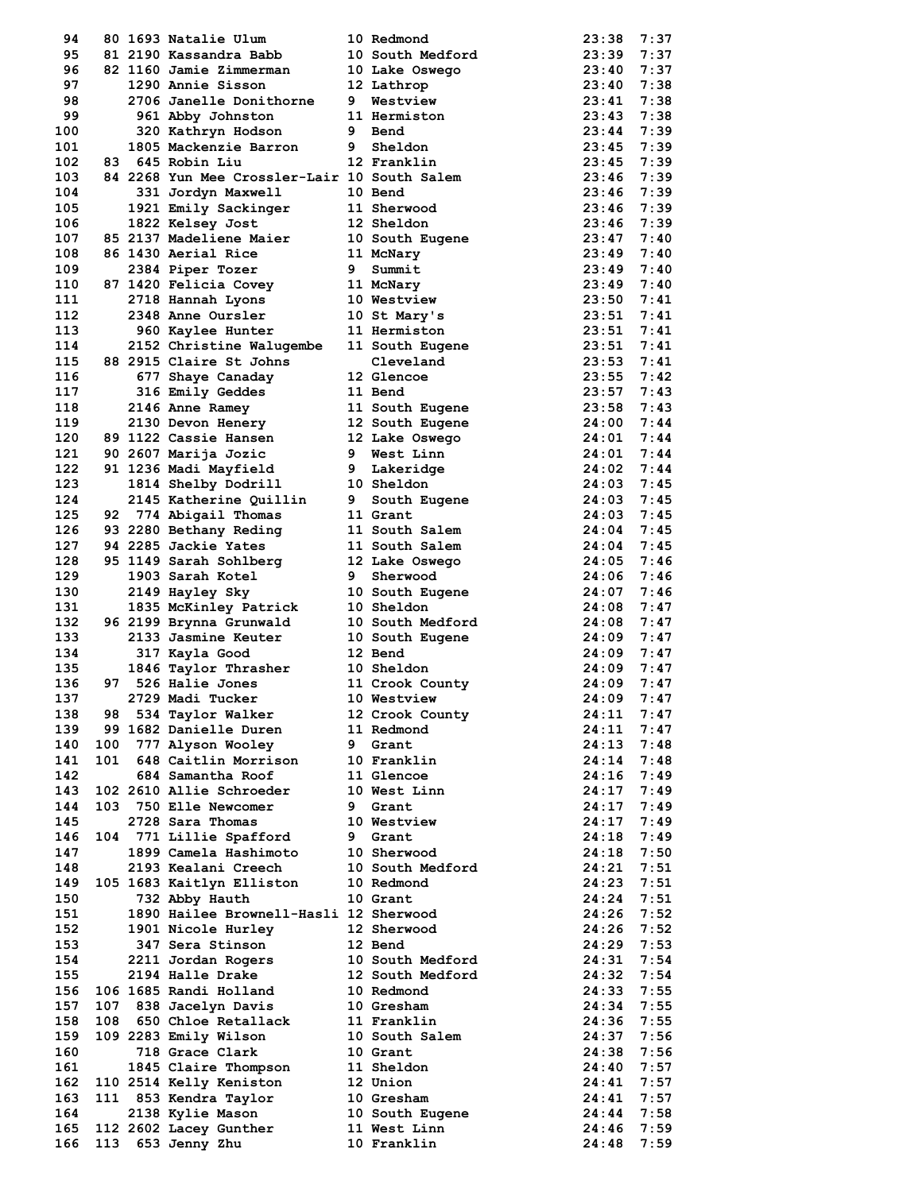| 94  |     | 80 1693 Natalie Ulum                         |                | 10 Redmond              | 23:38        | 7:37 |
|-----|-----|----------------------------------------------|----------------|-------------------------|--------------|------|
| 95  |     | 81 2190 Kassandra Babb                       |                | 10 South Medford        | 23:39        | 7:37 |
| 96  |     | 82 1160 Jamie Zimmerman                      |                | 10 Lake Oswego          | 23:40        | 7:37 |
| 97  |     | 1290 Annie Sisson                            |                | 12 Lathrop              | 23:40        | 7:38 |
| 98  |     | 2706 Janelle Donithorne                      |                | 9 Westview              | 23:41        | 7:38 |
| 99  |     | 961 Abby Johnston                            |                | 11 Hermiston            | 23:43        | 7:38 |
| 100 |     | 320 Kathryn Hodson                           |                | 9 Bend                  | 23:44        | 7:39 |
| 101 |     | 1805 Mackenzie Barron                        | 9              | Sheldon                 | 23:45        | 7:39 |
| 102 |     | 83 645 Robin Liu                             |                | 12 Franklin             | 23:45        | 7:39 |
| 103 |     | 84 2268 Yun Mee Crossler-Lair 10 South Salem |                |                         | 23:46        | 7:39 |
| 104 |     | 331 Jordyn Maxwell                           |                | 10 Bend                 | 23:46        | 7:39 |
|     |     |                                              |                | 11 Sherwood             | 23:46        | 7:39 |
| 105 |     | 1921 Emily Sackinger                         |                |                         |              |      |
| 106 |     | 1822 Kelsey Jost                             |                | 12 Sheldon              | 23:46        | 7:39 |
| 107 |     | 85 2137 Madeliene Maier                      |                | 10 South Eugene         | 23:47        | 7:40 |
| 108 |     | 86 1430 Aerial Rice                          |                | 11 McNary               | 23:49        | 7:40 |
| 109 |     | 2384 Piper Tozer                             | 9              | Summit                  | 23:49        | 7:40 |
| 110 |     | 87 1420 Felicia Covey                        |                | 11 McNary               | $23:49$ 7:40 |      |
| 111 |     | 2718 Hannah Lyons                            |                | 10 Westview             | 23:50        | 7:41 |
| 112 |     | 2348 Anne Oursler                            |                | 10 St Mary's            | 23:51        | 7:41 |
| 113 |     | 960 Kaylee Hunter                            |                | 11 Hermiston            | 23:51        | 7:41 |
| 114 |     | 2152 Christine Walugembe                     |                | 11 South Eugene         | 23:51        | 7:41 |
| 115 |     | 88 2915 Claire St Johns                      |                | Cleveland               | 23:53        | 7:41 |
| 116 |     | 677 Shaye Canaday                            |                | 12 Glencoe              | 23:55        | 7:42 |
| 117 |     | 316 Emily Geddes                             |                | 11 Bend                 | $23:57$ 7:43 |      |
| 118 |     | 2146 Anne Ramey                              |                | 11 South Eugene         | 23:58        | 7:43 |
| 119 |     | 2130 Devon Henery                            |                | 12 South Eugene         | 24:00        | 7:44 |
| 120 |     | 89 1122 Cassie Hansen                        |                | 12 Lake Oswego          | 24:01        | 7:44 |
| 121 |     | 90 2607 Marija Jozic                         |                | 9 West Linn             | 24:01        | 7:44 |
| 122 |     | 91 1236 Madi Mayfield                        | 9 <sup>1</sup> | Lakeridge               | 24:02        | 7:44 |
| 123 |     | 1814 Shelby Dodrill                          |                | 10 Sheldon              | $24:03$ 7:45 |      |
| 124 |     |                                              |                |                         |              |      |
|     |     | 2145 Katherine Quillin                       | 9              | South Eugene            | 24:03        | 7:45 |
| 125 |     | 92 774 Abigail Thomas                        |                | 11 Grant                | 24:03        | 7:45 |
| 126 |     | 93 2280 Bethany Reding                       |                | 11 South Salem          | 24:04        | 7:45 |
| 127 |     | 94 2285 Jackie Yates                         |                | 11 South Salem          | 24:04        | 7:45 |
| 128 |     | 95 1149 Sarah Sohlberg                       |                | 12 Lake Oswego          | 24:05        | 7:46 |
| 129 |     | 1903 Sarah Kotel                             | 9              | Sherwood                | 24:06        | 7:46 |
| 130 |     | 2149 Hayley Sky                              |                | 10 South Eugene         | 24:07        | 7:46 |
| 131 |     | 1835 McKinley Patrick                        |                | 10 Sheldon              | 24:08        | 7:47 |
| 132 |     | 96 2199 Brynna Grunwald                      |                | 10 South Medford        | 24:08        | 7:47 |
| 133 |     | 2133 Jasmine Keuter                          |                | 10 South Eugene         | $24:09$ 7:47 |      |
| 134 |     | 317 Kayla Good                               |                | 12 Bend                 | 24:09        | 7:47 |
| 135 |     | 1846 Taylor Thrasher                         |                | 10 Sheldon              | 24:09        | 7:47 |
| 136 |     | 97 526 Halie Jones                           |                | 11 Crook County         | 24:09        | 7:47 |
| 137 |     | 2729 Madi Tucker                             |                | 10 Westview             | 24:09        | 7:47 |
| 138 | 98  | 534 Taylor Walker                            |                | 12 Crook County         | 24:11        | 7:47 |
| 139 |     | 99 1682 Danielle Duren                       |                | 11 Redmond              | 24:11        | 7:47 |
| 140 | 100 | 777 Alyson Wooley                            | 9              | Grant                   | 24:13        | 7:48 |
| 141 | 101 | 648 Caitlin Morrison                         |                | 10 Franklin             | 24:14        | 7:48 |
| 142 |     | 684 Samantha Roof                            |                | 11 Glencoe              | 24:16        | 7:49 |
| 143 |     | 102 2610 Allie Schroeder                     |                | 10 West Linn            | 24:17        | 7:49 |
|     |     |                                              |                |                         |              |      |
| 144 |     | 103 750 Elle Newcomer                        |                | 9 Grant                 | 24:17        | 7:49 |
| 145 |     | 2728 Sara Thomas                             |                | 10 Westview             | 24:17        | 7:49 |
| 146 |     | 104 771 Lillie Spafford                      | 9              | Grant                   | 24:18        | 7:49 |
| 147 |     | 1899 Camela Hashimoto                        |                | 10 Sherwood             | 24:18        | 7:50 |
| 148 |     | 2193 Kealani Creech                          |                | 10 South Medford        | 24:21        | 7:51 |
| 149 |     | 105 1683 Kaitlyn Elliston                    |                | 10 Redmond              | 24:23        | 7:51 |
| 150 |     | 732 Abby Hauth                               |                | 10 Grant                | 24:24        | 7:51 |
| 151 |     | 1890 Hailee Brownell-Hasli 12 Sherwood       |                |                         | 24:26        | 7:52 |
| 152 |     | 1901 Nicole Hurley                           |                | 12 Sherwood             | 24:26        | 7:52 |
| 153 |     | 347 Sera Stinson                             |                | 12 Bend                 | 24:29        | 7:53 |
| 154 |     | 2211 Jordan Rogers                           |                | <b>10 South Medford</b> | 24:31        | 7:54 |
| 155 |     | 2194 Halle Drake                             |                | 12 South Medford        | 24:32        | 7:54 |
| 156 |     | 106 1685 Randi Holland                       |                | 10 Redmond              | 24:33        | 7:55 |
| 157 |     | 107 838 Jacelyn Davis                        |                | 10 Gresham              | 24:34        | 7:55 |
| 158 | 108 | 650 Chloe Retallack                          |                | 11 Franklin             | 24:36        | 7:55 |
| 159 |     | 109 2283 Emily Wilson                        |                | 10 South Salem          | 24:37        | 7:56 |
| 160 |     | 718 Grace Clark                              |                | 10 Grant                | 24:38        | 7:56 |
| 161 |     | 1845 Claire Thompson                         |                | 11 Sheldon              | 24:40        | 7:57 |
|     |     |                                              |                |                         |              |      |
| 162 |     | 110 2514 Kelly Keniston                      |                | 12 Union                | 24:41        | 7:57 |
| 163 |     | 111 853 Kendra Taylor                        |                | 10 Gresham              | 24:41        | 7:57 |
| 164 |     | 2138 Kylie Mason                             |                | 10 South Eugene         | 24:44        | 7:58 |
| 165 |     | 112 2602 Lacey Gunther                       |                | 11 West Linn            | 24:46        | 7:59 |
| 166 |     | 113 653 Jenny Zhu                            |                | 10 Franklin             | 24:48        | 7:59 |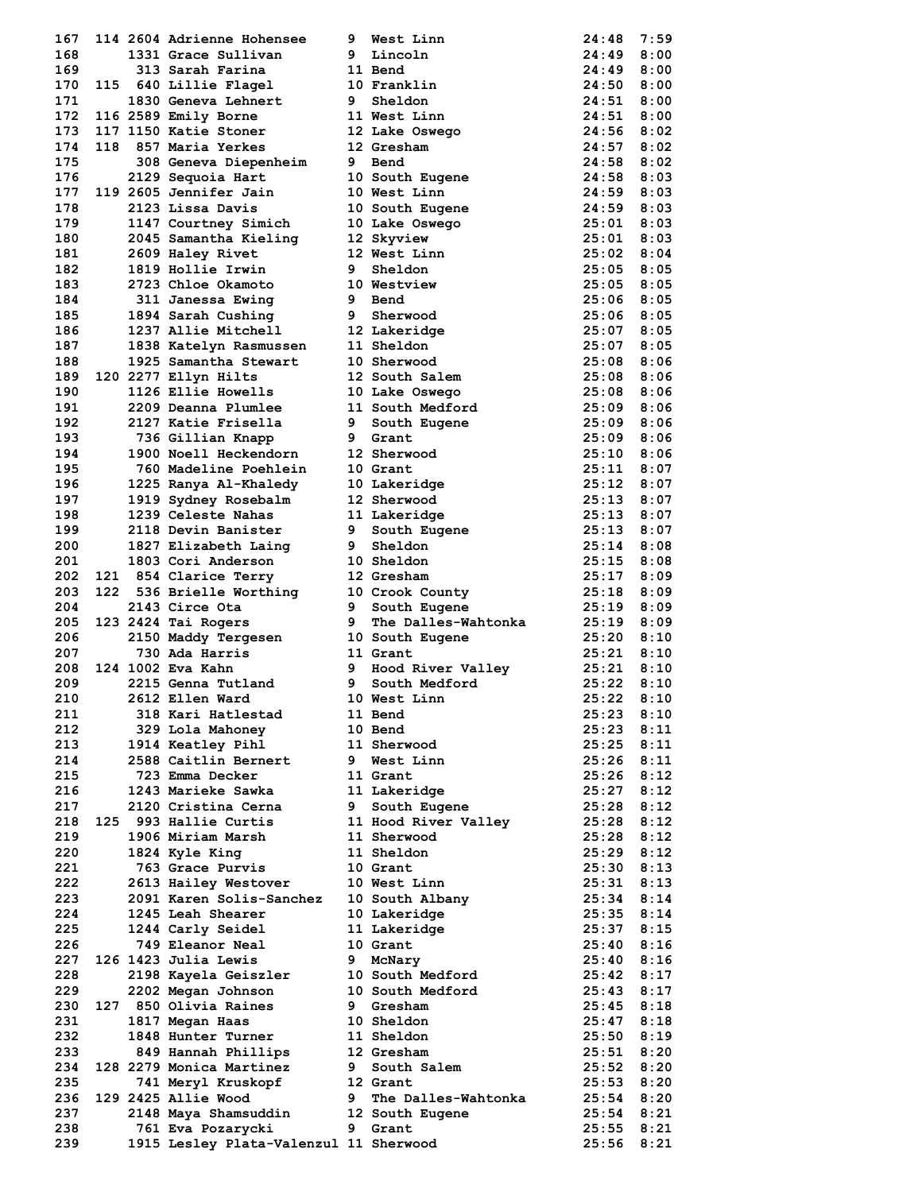| 167 |  | 114 2604 Adrienne Hohensee             | 9           | West Linn                                            | 24:48          | 7:59 |
|-----|--|----------------------------------------|-------------|------------------------------------------------------|----------------|------|
| 168 |  | 1331 Grace Sullivan                    |             | 9 Lincoln                                            | 24:49          | 8:00 |
| 169 |  | 313 Sarah Farina                       |             | 11 Bend                                              | 24:49          | 8:00 |
| 170 |  | 115 640 Lillie Flagel                  |             | 10 Franklin                                          | 24:50          | 8:00 |
| 171 |  | 1830 Geneva Lehnert                    |             | 9 Sheldon                                            | 24:51          | 8:00 |
| 172 |  | 116 2589 Emily Borne                   |             | 11 West Linn                                         | 24:51          | 8:00 |
| 173 |  | 117 1150 Katie Stoner                  |             | 12 Lake Oswego                                       | 24:56          | 8:02 |
| 174 |  | 118 857 Maria Yerkes                   |             |                                                      | $24:57$ 8:02   |      |
|     |  |                                        |             | 12 Gresham<br>9 Bend                                 |                |      |
| 175 |  | 308 Geneva Diepenheim                  |             |                                                      | 24:58          | 8:02 |
| 176 |  | 2129 Sequoia Hart                      |             | 10 South Eugene                                      | 24:58          | 8:03 |
| 177 |  | 119 2605 Jennifer Jain                 |             | 10 West Linn                                         | 24:59          | 8:03 |
| 178 |  | 2123 Lissa Davis                       |             | 10 South Eugene<br>10 Lake Oswego<br>12 Skuvier      | $24:59$ 8:03   |      |
| 179 |  | 1147 Courtney Simich                   |             |                                                      | 25:01          | 8:03 |
| 180 |  | 2045 Samantha Kieling                  |             | 12 Skyview                                           | 25:01          | 8:03 |
| 181 |  | 2609 Haley Rivet                       |             | 12 West Linn                                         | 25:02 8:04     |      |
| 182 |  | 1819 Hollie Irwin                      | 9           | Sheldon                                              | 25:05          | 8:05 |
| 183 |  | 2723 Chloe Okamoto                     |             | 10 Westview                                          | 25:05          | 8:05 |
| 184 |  | 311 Janessa Ewing                      |             | 9 Bend                                               | $25:06$ 8:05   |      |
| 185 |  | 1894 Sarah Cushing                     |             | <b>9</b> Sherwood                                    | $25:06$ 8:05   |      |
| 186 |  | 1237 Allie Mitchell                    |             | 12 Lakeridge                                         | 25:07          | 8:05 |
| 187 |  | 1838 Katelyn Rasmussen                 |             | 11 Sheldon                                           | 25:07          | 8:05 |
| 188 |  | 1925 Samantha Stewart                  |             | 10 Sherwood                                          | $25:08$ 8:06   |      |
| 189 |  | 120 2277 Ellyn Hilts                   |             | 12 South Salem                                       | 25:08          | 8:06 |
| 190 |  | 1126 Ellie Howells                     |             | 10 Lake Oswego                                       | 25:08          | 8:06 |
| 191 |  | 2209 Deanna Plumlee                    |             | 11 South Medford                                     | 25:09          | 8:06 |
| 192 |  | 2127 Katie Frisella                    |             | 9 South Eugene                                       | 25:09          | 8:06 |
| 193 |  | 736 Gillian Knapp                      | $9^{\circ}$ | Grant                                                | 25:09          | 8:06 |
| 194 |  | 1900 Noell Heckendorn                  |             | 12 Sherwood                                          | 25:10          | 8:06 |
| 195 |  | 760 Madeline Poehlein                  |             | 10 Grant                                             | $25:11$ 8:07   |      |
| 196 |  | 1225 Ranya Al-Khaledy                  |             | 10 Lakeridge                                         | 25:12 8:07     |      |
| 197 |  | 1919 Sydney Rosebalm                   |             | 12 Sherwood                                          | $25:13$ 8:07   |      |
| 198 |  | 1239 Celeste Nahas                     |             | 11 Lakeridge                                         | $25:13$ 8:07   |      |
| 199 |  | 2118 Devin Banister                    | 9           | South Eugene                                         | 25:13          | 8:07 |
| 200 |  | 1827 Elizabeth Laing                   | 9           | Sheldon                                              | 25:14          | 8:08 |
| 201 |  | 1803 Cori Anderson                     |             | 10 Sheldon                                           | $25:15$ 8:08   |      |
| 202 |  | 121 854 Clarice Terry                  |             | 12 Gresham                                           | 25:17          | 8:09 |
| 203 |  | 122 536 Brielle Worthing               |             |                                                      | 25:18          |      |
| 204 |  |                                        |             | 10 Crook County                                      |                | 8:09 |
|     |  | 2143 Circe Ota                         |             | 9 South Eugene                                       | 25:19          | 8:09 |
| 205 |  | 123 2424 Tai Rogers                    | 9           | The Dalles-Wahtonka                                  | $25:19$ 8:09   |      |
| 206 |  | 2150 Maddy Tergesen                    |             | 10 South Eugene                                      | 25:20          | 8:10 |
| 207 |  | 730 Ada Harris                         |             | 11 Grant<br>Grand<br>Hood River Valley<br>Considered | $25:21$ $8:10$ |      |
| 208 |  | 124 1002 Eva Kahn                      | 9           |                                                      | $25:21$ $8:10$ |      |
| 209 |  | 2215 Genna Tutland                     | 9           |                                                      | 25:22          | 8:10 |
| 210 |  | 2612 Ellen Ward                        |             | 10 West Linn                                         | 25:22          | 8:10 |
| 211 |  | 318 Kari Hatlestad                     |             | 11 Bend                                              | 25:23          | 8:10 |
| 212 |  | 329 Lola Mahoney                       |             | 10 Bend                                              | 25:23          | 8:11 |
| 213 |  | 1914 Keatley Pihl                      |             | 11 Sherwood                                          | 25:25          | 8:11 |
| 214 |  | 2588 Caitlin Bernert                   |             | 9 West Linn                                          | 25:26          | 8:11 |
| 215 |  | 723 Emma Decker                        |             | 11 Grant                                             | 25:26          | 8:12 |
| 216 |  | 1243 Marieke Sawka                     |             | 11 Lakeridge                                         | 25:27          | 8:12 |
| 217 |  | 2120 Cristina Cerna                    | 9           | South Eugene                                         | 25:28          | 8:12 |
| 218 |  | 125 993 Hallie Curtis                  |             | 11 Hood River Valley                                 | $25:28$ $8:12$ |      |
| 219 |  | 1906 Miriam Marsh                      |             | 11 Sherwood                                          | 25:28          | 8:12 |
| 220 |  | 1824 Kyle King                         |             | 11 Sheldon                                           | 25:29          | 8:12 |
| 221 |  | 763 Grace Purvis                       |             | 10 Grant                                             | $25:30$ $8:13$ |      |
| 222 |  | 2613 Hailey Westover                   |             | 10 West Linn                                         | $25:31$ $8:13$ |      |
| 223 |  | 2091 Karen Solis-Sanchez               |             | 10 South Albany                                      | 25:34          | 8:14 |
| 224 |  | 1245 Leah Shearer                      |             | 10 Lakeridge                                         | $25:35$ $8:14$ |      |
| 225 |  | 1244 Carly Seidel                      |             | 11 Lakeridge                                         | 25:37 8:15     |      |
| 226 |  | 749 Eleanor Neal                       |             | 10 Grant                                             | 25:40          | 8:16 |
| 227 |  | 126 1423 Julia Lewis                   | 9           | McNary                                               | $25:40$ $8:16$ |      |
| 228 |  | 2198 Kayela Geiszler                   |             | 10 South Medford                                     | 25:42 8:17     |      |
| 229 |  | 2202 Megan Johnson                     |             | 10 South Medford                                     | 25:43          | 8:17 |
| 230 |  | 127 850 Olivia Raines                  | 9           | Gresham                                              | 25:45          | 8:18 |
| 231 |  | 1817 Megan Haas                        |             | 10 Sheldon                                           | 25:47 8:18     |      |
| 232 |  | 1848 Hunter Turner                     |             | 11 Sheldon                                           | $25:50$ $8:19$ |      |
| 233 |  | 849 Hannah Phillips                    |             | 12 Gresham                                           | 25:51          | 8:20 |
| 234 |  | 128 2279 Monica Martinez               |             | 9 South Salem                                        | 25:52          | 8:20 |
| 235 |  | 741 Meryl Kruskopf                     |             | 12 Grant                                             | 25:53 8:20     |      |
| 236 |  | 129 2425 Allie Wood                    | 9           | The Dalles-Wahtonka                                  | 25:54          | 8:20 |
| 237 |  | 2148 Maya Shamsuddin                   |             | 12 South Eugene                                      | 25:54          | 8:21 |
| 238 |  | 761 Eva Pozarycki                      | 9           | Grant                                                | 25:55          | 8:21 |
| 239 |  | 1915 Lesley Plata-Valenzul 11 Sherwood |             |                                                      | 25:56          | 8:21 |
|     |  |                                        |             |                                                      |                |      |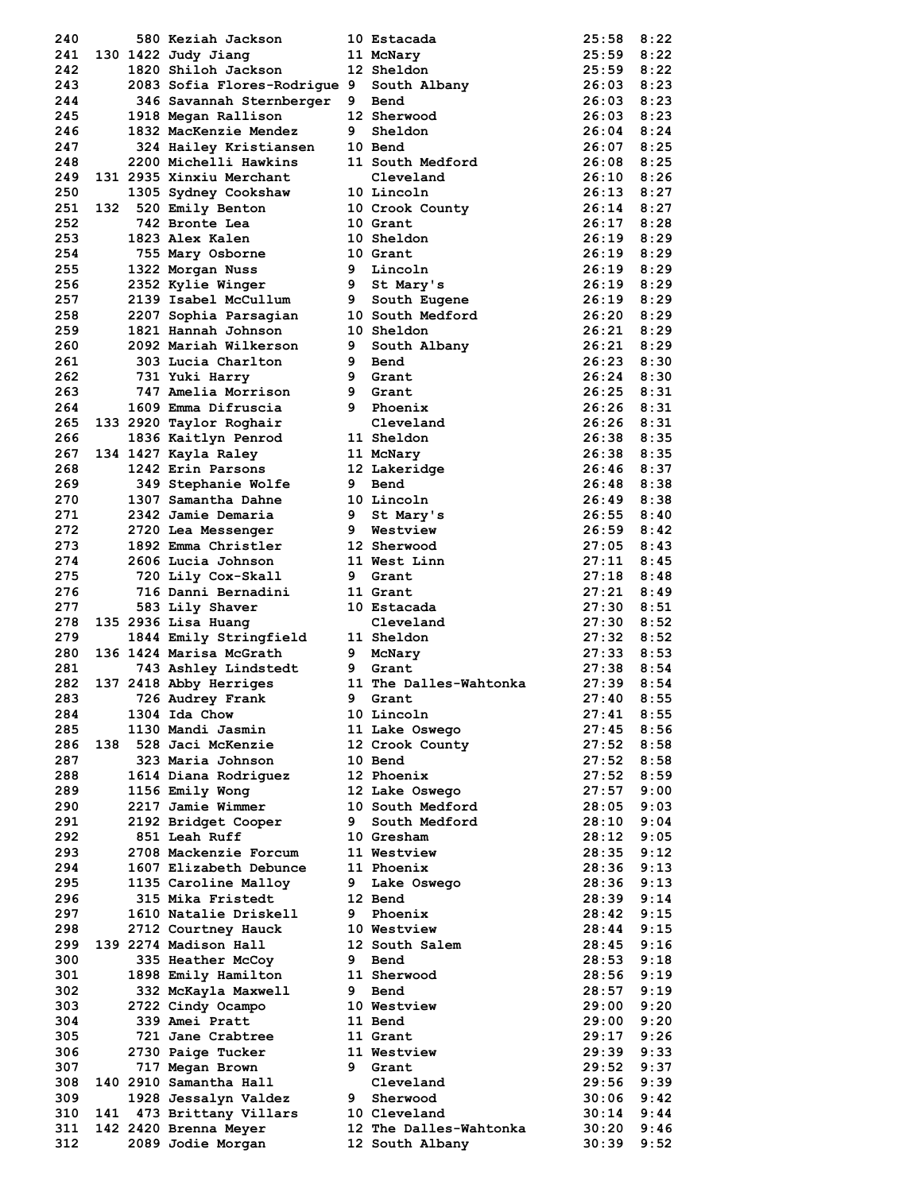| 240        |  | 580 Keziah Jackson                         |    | 10 Estacada                               | 25:58          | 8:22         |
|------------|--|--------------------------------------------|----|-------------------------------------------|----------------|--------------|
| 241        |  | 130 1422 Judy Jiang                        |    | 11 McNary                                 | 25:59          | 8:22         |
| 242        |  | 1820 Shiloh Jackson                        |    | 12 Sheldon                                | 25:59          | 8:22         |
| 243        |  | 2083 Sofia Flores-Rodrique 9               |    | South Albany                              | 26:03          | 8:23         |
| 244        |  | 346 Savannah Sternberger                   | 9  | Bend                                      | 26:03          | 8:23         |
| 245        |  | 1918 Megan Rallison                        |    | 12 Sherwood                               | $26:03$ $8:23$ |              |
| 246        |  | 1832 MacKenzie Mendez                      | 9. | Sheldon                                   | $26:04$ 8:24   |              |
| 247        |  | 324 Hailey Kristiansen                     |    | 10 Bend                                   | 26:07          | 8:25         |
| 248        |  | 2200 Michelli Hawkins                      |    | 11 South Medford                          | 26:08          | 8:25         |
| 249        |  | 131 2935 Xinxiu Merchant                   |    | Cleveland                                 | 26:10          | 8:26         |
|            |  |                                            |    |                                           |                |              |
| 250        |  | 1305 Sydney Cookshaw                       |    | 10 Lincoln                                | 26:13          | 8:27         |
| 251        |  | 132 520 Emily Benton                       |    | 10 Crook County                           | 26:14          | 8:27         |
| 252        |  | 742 Bronte Lea                             |    | 10 Grant                                  | $26:17$ 8:28   |              |
| 253        |  | 1823 Alex Kalen                            |    | 10 Sheldon                                | $26:19$ $8:29$ |              |
| 254        |  | 755 Mary Osborne                           |    | 10 Grant                                  | 26:19          | 8:29         |
| 255        |  | 1322 Morgan Nuss                           |    | 9 Lincoln                                 | $26:19$ 8:29   |              |
| 256        |  | 2352 Kylie Winger                          |    | 9 St Mary's                               | $26:19$ $8:29$ |              |
| 257        |  | 2139 Isabel McCullum                       | 9  | South Eugene                              | 26:19          | 8:29         |
| 258        |  | 2207 Sophia Parsagian                      |    | <b>10 South Medford</b>                   | 26:20          | 8:29         |
| 259        |  | 1821 Hannah Johnson                        |    | 10 Sheldon                                | $26:21$ $8:29$ |              |
| 260        |  | 2092 Mariah Wilkerson                      | 9  | South Albany                              | $26:21$ $8:29$ |              |
| 261        |  | 303 Lucia Charlton                         | 9  | Bend                                      | 26:23          | 8:30         |
| 262        |  | 731 Yuki Harry                             |    | 9 Grant                                   | $26:24$ $8:30$ |              |
| 263        |  | 747 Amelia Morrison                        |    | 9 Grant                                   | $26:25$ $8:31$ |              |
| 264        |  | 1609 Emma Difruscia                        | 9  | Phoenix                                   | 26:26          | 8:31         |
|            |  |                                            |    | Cleveland                                 | $26:26$ 8:31   |              |
| 265        |  | 133 2920 Taylor Roghair                    |    |                                           |                |              |
| 266        |  | 1836 Kaitlyn Penrod                        |    | 11 Sheldon                                | $26:38$ $8:35$ |              |
| 267        |  | 134 1427 Kayla Raley                       |    | 11 McNary                                 | 26:38          | 8:35         |
| 268        |  | 1242 Erin Parsons                          |    | 12 Lakeridge                              | 26:46 8:37     |              |
| 269        |  | 349 Stephanie Wolfe                        | 9  | Bend                                      | 26:48 8:38     |              |
| 270        |  | 1307 Samantha Dahne                        |    | 10 Lincoln                                | 26:49          | 8:38         |
| 271        |  | 2342 Jamie Demaria                         | 9  | St Mary's                                 | 26:55          | 8:40         |
| 272        |  | 2720 Lea Messenger                         | 9  | Westview                                  | 26:59          | 8:42         |
| 273        |  | 1892 Emma Christler                        |    | 12 Sherwood                               | 27:05          | 8:43         |
| 274        |  | 2606 Lucia Johnson                         |    | 11 West Linn                              | 27:11          | 8:45         |
| 275        |  | 720 Lily Cox-Skall                         | 9  | Grant                                     | 27:18          | 8:48         |
| 276        |  | 716 Danni Bernadini                        |    | 11 Grant                                  | 27:21          | 8:49         |
| 277        |  | 583 Lily Shaver                            |    | 10 Estacada                               | 27:30          | 8:51         |
|            |  |                                            |    |                                           |                |              |
|            |  |                                            |    |                                           |                |              |
| 278        |  | 135 2936 Lisa Huang                        |    | Cleveland                                 | 27:30          | 8:52         |
| 279        |  | 1844 Emily Stringfield                     |    | 11 Sheldon                                | $27:32$ $8:52$ |              |
| 280        |  | 136 1424 Marisa McGrath                    | 9  | McNary                                    | 27:33          | 8:53         |
| 281        |  | 743 Ashley Lindstedt                       | 9. | Grant                                     | 27:38          | 8:54         |
| 282        |  | 137 2418 Abby Herriges                     |    | 11 The Dalles-Wahtonka                    | 27:39          | 8:54         |
| 283        |  | 726 Audrey Frank                           | 9  | Grant                                     | 27:40          | 8:55         |
| 284        |  | 1304 Ida Chow                              |    | 10 Lincoln                                | 27:41          | 8:55         |
| 285        |  | 1130 Mandi Jasmin                          |    | 11 Lake Oswego                            | 27:45          | 8:56         |
| 286        |  | 138 528 Jaci McKenzie                      |    | 12 Crook County                           | 27:52          | 8:58         |
| 287        |  | 323 Maria Johnson                          |    | 10 Bend                                   | 27:52          | 8:58         |
| 288        |  | 1614 Diana Rodriquez                       |    | 12 Phoenix                                | 27:52          | 8:59         |
|            |  |                                            |    |                                           | 27:57          |              |
| 289<br>290 |  | 1156 Emily Wong<br>2217 Jamie Wimmer       |    | 12 Lake Oswego<br>10 South Medford        | 28:05          | 9:00<br>9:03 |
|            |  |                                            |    |                                           |                |              |
| 291        |  | 2192 Bridget Cooper                        | 9  | South Medford                             | 28:10          | 9:04         |
| 292        |  | 851 Leah Ruff                              |    | 10 Gresham                                | 28:12          | 9:05         |
| 293        |  | 2708 Mackenzie Forcum                      |    | 11 Westview                               | 28:35          | 9:12         |
| 294        |  | 1607 Elizabeth Debunce                     |    | 11 Phoenix                                | 28:36          | 9:13         |
| 295        |  | 1135 Caroline Malloy                       | 9  | Lake Oswego                               | 28:36          | 9:13         |
| 296        |  | 315 Mika Fristedt                          |    | 12 Bend                                   | 28:39          | 9:14         |
| 297        |  | 1610 Natalie Driskell                      | 9  | Phoenix                                   | 28:42          | 9:15         |
| 298        |  | 2712 Courtney Hauck                        |    | 10 Westview                               | 28:44          | 9:15         |
| 299        |  | 139 2274 Madison Hall                      |    | 12 South Salem                            | 28:45          | 9:16         |
| 300        |  | 335 Heather McCoy                          | 9. | Bend                                      | 28:53          | 9:18         |
| 301        |  | 1898 Emily Hamilton                        |    | 11 Sherwood                               | 28:56          | 9:19         |
| 302        |  | 332 McKayla Maxwell                        |    | 9 Bend                                    | 28:57          | 9:19         |
| 303        |  | 2722 Cindy Ocampo                          |    | 10 Westview                               | 29:00          | 9:20         |
| 304        |  | 339 Amei Pratt                             |    | 11 Bend                                   | 29:00          | 9:20         |
|            |  | 721 Jane Crabtree                          |    | 11 Grant                                  | 29:17          | 9:26         |
| 305        |  |                                            |    |                                           |                |              |
| 306        |  | 2730 Paige Tucker                          |    | 11 Westview                               | 29:39          | 9:33         |
| 307        |  | 717 Megan Brown                            | 9  | Grant                                     | 29:52          | 9:37         |
| 308        |  | 140 2910 Samantha Hall                     |    | Cleveland                                 | 29:56          | 9:39         |
| 309        |  | 1928 Jessalyn Valdez                       |    | 9 Sherwood                                | 30:06          | 9:42         |
| 310        |  | 141 473 Brittany Villars                   |    | 10 Cleveland                              | 30:14          | 9:44         |
| 311<br>312 |  | 142 2420 Brenna Meyer<br>2089 Jodie Morgan |    | 12 The Dalles-Wahtonka<br>12 South Albany | 30:20<br>30:39 | 9:46<br>9:52 |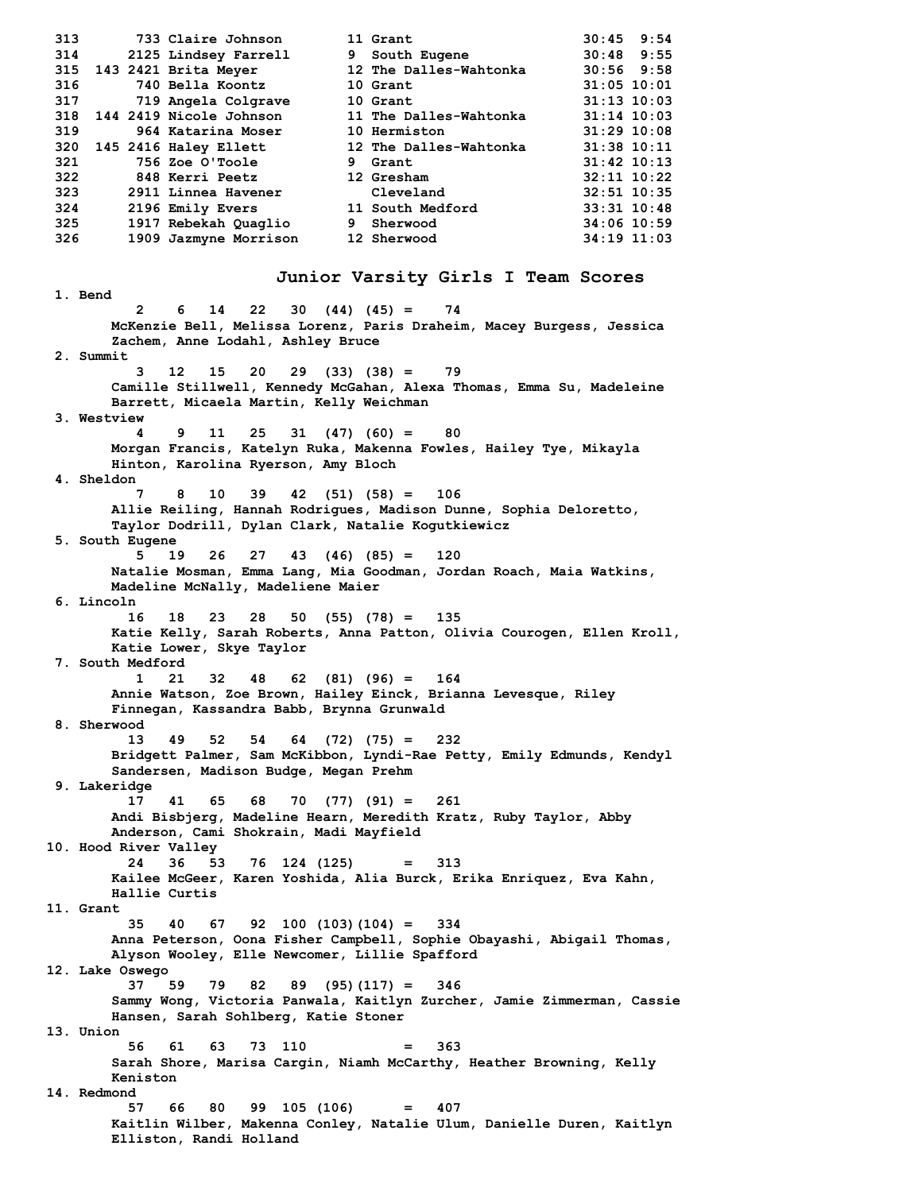| 317 |                                                                                                                                                                                                                                          |                      |                                                                                                                                                                                                                                                                                                                   |                                                                                                                                                                                                                                               |
|-----|------------------------------------------------------------------------------------------------------------------------------------------------------------------------------------------------------------------------------------------|----------------------|-------------------------------------------------------------------------------------------------------------------------------------------------------------------------------------------------------------------------------------------------------------------------------------------------------------------|-----------------------------------------------------------------------------------------------------------------------------------------------------------------------------------------------------------------------------------------------|
|     |                                                                                                                                                                                                                                          |                      |                                                                                                                                                                                                                                                                                                                   |                                                                                                                                                                                                                                               |
| 319 |                                                                                                                                                                                                                                          |                      |                                                                                                                                                                                                                                                                                                                   |                                                                                                                                                                                                                                               |
|     |                                                                                                                                                                                                                                          |                      |                                                                                                                                                                                                                                                                                                                   |                                                                                                                                                                                                                                               |
| 321 |                                                                                                                                                                                                                                          |                      |                                                                                                                                                                                                                                                                                                                   |                                                                                                                                                                                                                                               |
| 322 |                                                                                                                                                                                                                                          |                      |                                                                                                                                                                                                                                                                                                                   |                                                                                                                                                                                                                                               |
|     |                                                                                                                                                                                                                                          |                      |                                                                                                                                                                                                                                                                                                                   |                                                                                                                                                                                                                                               |
|     |                                                                                                                                                                                                                                          |                      |                                                                                                                                                                                                                                                                                                                   |                                                                                                                                                                                                                                               |
| 325 |                                                                                                                                                                                                                                          |                      |                                                                                                                                                                                                                                                                                                                   |                                                                                                                                                                                                                                               |
|     |                                                                                                                                                                                                                                          |                      |                                                                                                                                                                                                                                                                                                                   |                                                                                                                                                                                                                                               |
|     | 733 Claire Johnson<br>2125 Lindsey Farrell<br>315 143 2421 Brita Meyer<br>740 Bella Koontz<br>719 Angela Colgrave<br>964 Katarina Moser<br>320 145 2416 Haley Ellett<br>756 Zoe O'Toole<br><b>848 Kerri Peetz</b><br>2911 Linnea Havener | 1917 Rebekah Quaglio | 11 Grant<br>9 South Eugene<br>12 The Dalles-Wahtonka<br>10 Grant<br>10 Grant<br>318 144 2419 Nicole Johnson 11 The Dalles-Wahtonka<br><b>10 Hermiston</b><br>12 The Dalles-Wahtonka<br>9 Grant<br>12 Gresham<br>Cleveland<br>2196 Emily Evers 11 South Medford<br>9 Sherwood<br>1909 Jazmyne Morrison 12 Sherwood | $30:45$ 9:54<br>$30:48$ 9:55<br>$30:56$ 9:58<br>$31:05$ 10:01<br>$31:13$ $10:03$<br>$31:14$ $10:03$<br>$31:29$ $10:08$<br>31:38 10:11<br>$31:42$ 10:13<br>$32:11$ $10:22$<br>32:51 10:35<br>$33:31$ $10:48$<br>34:06 10:59<br>$34:19$ $11:03$ |

**1. Bend**

#### **Junior Varsity Girls I Team Scores**

**2 6 14 22 30 (44) (45) = 74 McKenzie Bell, Melissa Lorenz, Paris Draheim, Macey Burgess, Jessica Zachem, Anne Lodahl, Ashley Bruce 2. Summit 3 12 15 20 29 (33) (38) = 79 Camille Stillwell, Kennedy McGahan, Alexa Thomas, Emma Su, Madeleine Barrett, Micaela Martin, Kelly Weichman 3. Westview 4 9 11 25 31 (47) (60) = 80 Morgan Francis, Katelyn Ruka, Makenna Fowles, Hailey Tye, Mikayla Hinton, Karolina Ryerson, Amy Bloch 4. Sheldon 7 8 10 39 42 (51) (58) = 106 Allie Reiling, Hannah Rodrigues, Madison Dunne, Sophia Deloretto, Taylor Dodrill, Dylan Clark, Natalie Kogutkiewicz 5. South Eugene 5 19 26 27 43 (46) (85) = 120 Natalie Mosman, Emma Lang, Mia Goodman, Jordan Roach, Maia Watkins, Madeline McNally, Madeliene Maier 6. Lincoln 16 18 23 28 50 (55) (78) = 135 Katie Kelly, Sarah Roberts, Anna Patton, Olivia Courogen, Ellen Kroll, Katie Lower, Skye Taylor 7. South Medford 1 21 32 48 62 (81) (96) = 164 Annie Watson, Zoe Brown, Hailey Einck, Brianna Levesque, Riley Finnegan, Kassandra Babb, Brynna Grunwald 8. Sherwood 13 49 52 54 64 (72) (75) = 232 Bridgett Palmer, Sam McKibbon, Lyndi-Rae Petty, Emily Edmunds, Kendyl Sandersen, Madison Budge, Megan Prehm 9. Lakeridge 17 41 65 68 70 (77) (91) = 261 Andi Bisbjerg, Madeline Hearn, Meredith Kratz, Ruby Taylor, Abby Anderson, Cami Shokrain, Madi Mayfield 10. Hood River Valley 24 36 53 76 124 (125) = 313 Kailee McGeer, Karen Yoshida, Alia Burck, Erika Enriquez, Eva Kahn, Hallie Curtis 11. Grant 35 40 67 92 100 (103)(104) = 334 Anna Peterson, Oona Fisher Campbell, Sophie Obayashi, Abigail Thomas, Alyson Wooley, Elle Newcomer, Lillie Spafford 12. Lake Oswego 37 59 79 82 89 (95)(117) = 346 Sammy Wong, Victoria Panwala, Kaitlyn Zurcher, Jamie Zimmerman, Cassie Hansen, Sarah Sohlberg, Katie Stoner 13. Union 56 61 63 73 110 = 363 Sarah Shore, Marisa Cargin, Niamh McCarthy, Heather Browning, Kelly Keniston 14. Redmond 57 66 80 99 105 (106) = 407 Kaitlin Wilber, Makenna Conley, Natalie Ulum, Danielle Duren, Kaitlyn Elliston, Randi Holland**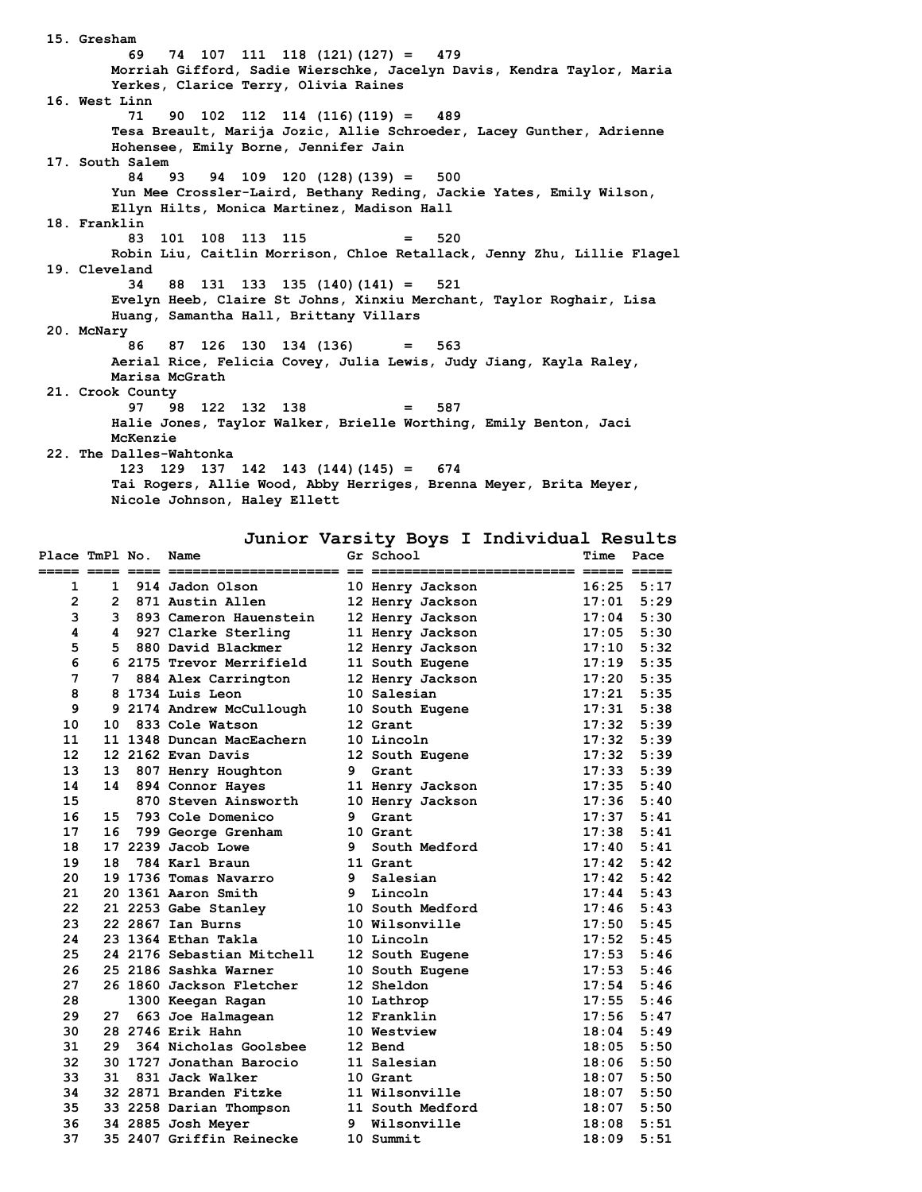**15. Gresham 69 74 107 111 118 (121)(127) = 479 Morriah Gifford, Sadie Wierschke, Jacelyn Davis, Kendra Taylor, Maria Yerkes, Clarice Terry, Olivia Raines 16. West Linn 71 90 102 112 114 (116)(119) = 489 Tesa Breault, Marija Jozic, Allie Schroeder, Lacey Gunther, Adrienne Hohensee, Emily Borne, Jennifer Jain 17. South Salem 84 93 94 109 120 (128)(139) = 500 Yun Mee Crossler-Laird, Bethany Reding, Jackie Yates, Emily Wilson, Ellyn Hilts, Monica Martinez, Madison Hall 18. Franklin 83 101 108 113 115 = 520 Robin Liu, Caitlin Morrison, Chloe Retallack, Jenny Zhu, Lillie Flagel 19. Cleveland 34 88 131 133 135 (140)(141) = 521 Evelyn Heeb, Claire St Johns, Xinxiu Merchant, Taylor Roghair, Lisa Huang, Samantha Hall, Brittany Villars 20. McNary 86 87 126 130 134 (136) = 563 Aerial Rice, Felicia Covey, Julia Lewis, Judy Jiang, Kayla Raley, Marisa McGrath 21. Crook County 97 98 122 132 138 = 587 Halie Jones, Taylor Walker, Brielle Worthing, Emily Benton, Jaci McKenzie 22. The Dalles-Wahtonka 123 129 137 142 143 (144)(145) = 674 Tai Rogers, Allie Wood, Abby Herriges, Brenna Meyer, Brita Meyer, Nicole Johnson, Haley Ellett**

**Junior Varsity Boys I Individual Results**

| Place TmPl No.           |              | Name                       |    | Gr School                                         | <b>Time</b> | Pace           |
|--------------------------|--------------|----------------------------|----|---------------------------------------------------|-------------|----------------|
| ===== ==== ==== ===<br>1 | $\mathbf{1}$ | 914 Jadon Olson            |    | ----------------- ----- -----<br>10 Henry Jackson | 16:25       | 5:17           |
| $\overline{2}$           |              | 2 871 Austin Allen         |    | 12 Henry Jackson                                  | 17:01       | 5:29           |
| 3                        |              | 3 893 Cameron Hauenstein   |    | 12 Henry Jackson                                  | 17:04       | 5:30           |
| 4                        |              | 4 927 Clarke Sterling      |    | 11 Henry Jackson                                  | 17:05       | 5:30           |
| 5                        | 5.           | 880 David Blackmer         |    | 12 Henry Jackson                                  | 17:10       | 5:32           |
| 6                        |              | 6 2175 Trevor Merrifield   |    | 11 South Eugene                                   | 17:19       | 5:35           |
| $\overline{7}$           | 7            | 884 Alex Carrington        |    | 12 Henry Jackson                                  | 17:20       | 5:35           |
| 8                        |              | 8 1734 Luis Leon           |    | 10 Salesian                                       | 17:21       | 5:35           |
| 9                        |              | 9 2174 Andrew McCullough   |    | 10 South Eugene                                   | 17:31       | 5:38           |
| 10                       | 10           | 833 Cole Watson            |    | 12 Grant                                          | 17:32       | 5:39           |
| 11                       |              | 11 1348 Duncan MacEachern  |    | 10 Lincoln                                        | 17:32       | 5:39           |
| 12                       |              | 12 2162 Evan Davis         |    | 12 South Eugene                                   | 17:32       | 5:39           |
| 13                       | 13           | 807 Henry Houghton         | 9  | Grant                                             | 17:33       | 5:39           |
| 14                       | 14           | 894 Connor Hayes           |    | 11 Henry Jackson                                  | 17:35       | 5:40           |
| 15                       |              | 870 Steven Ainsworth       |    | 10 Henry Jackson                                  | 17:36       | 5:40           |
| 16                       | 15           | 793 Cole Domenico          | 9  | Grant                                             | 17:37       | 5:41           |
| 17                       | 16           | 799 George Grenham         |    | 10 Grant                                          | 17:38       | 5:41           |
| 18                       |              | 17 2239 Jacob Lowe         | 9  | South Medford                                     | 17:40       | 5:41           |
| 19                       | 18           | 784 Karl Braun             |    | 11 Grant                                          | 17:42       | 5:42           |
| 20                       |              | 19 1736 Tomas Navarro      | 9. | Salesian                                          | 17:42       | 5:42           |
| 21                       |              | 20 1361 Aaron Smith        |    | 9 Lincoln                                         | 17:44       | 5:43           |
| 22                       |              | 21 2253 Gabe Stanley       |    | 10 South Medford                                  | 17:46       | 5:43           |
| 23                       |              | 22 2867 Ian Burns          |    | 10 Wilsonville                                    | 17:50       | 5:45           |
| 24                       |              | 23 1364 Ethan Takla        |    | 10 Lincoln                                        | 17:52       | 5:45           |
| 25                       |              | 24 2176 Sebastian Mitchell |    | 12 South Eugene                                   | 17:53       | 5:46           |
| 26                       |              | 25 2186 Sashka Warner      |    | 10 South Eugene                                   | 17:53       | 5:46           |
| 27                       |              | 26 1860 Jackson Fletcher   |    | 12 Sheldon                                        | 17:54       | 5:46           |
| 28                       |              | 1300 Keegan Ragan          |    | 10 Lathrop                                        | 17:55       | 5:46           |
| 29                       | 27           | 663 Joe Halmagean          |    | 12 Franklin                                       |             | $17:56$ $5:47$ |
| 30                       |              | 28 2746 Erik Hahn          |    | 10 Westview                                       | 18:04       | 5:49           |
| 31                       | 29           | 364 Nicholas Goolsbee      |    | 12 Bend                                           | 18:05       | 5:50           |
| 32                       |              | 30 1727 Jonathan Barocio   |    | 11 Salesian                                       | 18:06       | 5:50           |
| 33                       |              | 31 831 Jack Walker         |    | 10 Grant                                          | 18:07       | 5:50           |
| 34                       |              | 32 2871 Branden Fitzke     |    | 11 Wilsonville                                    | 18:07       | 5:50           |
| 35                       |              | 33 2258 Darian Thompson    |    | 11 South Medford                                  | 18:07       | 5:50           |
| 36                       |              | 34 2885 Josh Meyer         | 9  | Wilsonville                                       | 18:08       | 5:51           |
| 37                       |              | 35 2407 Griffin Reinecke   |    | 10 Summit                                         | 18:09       | 5:51           |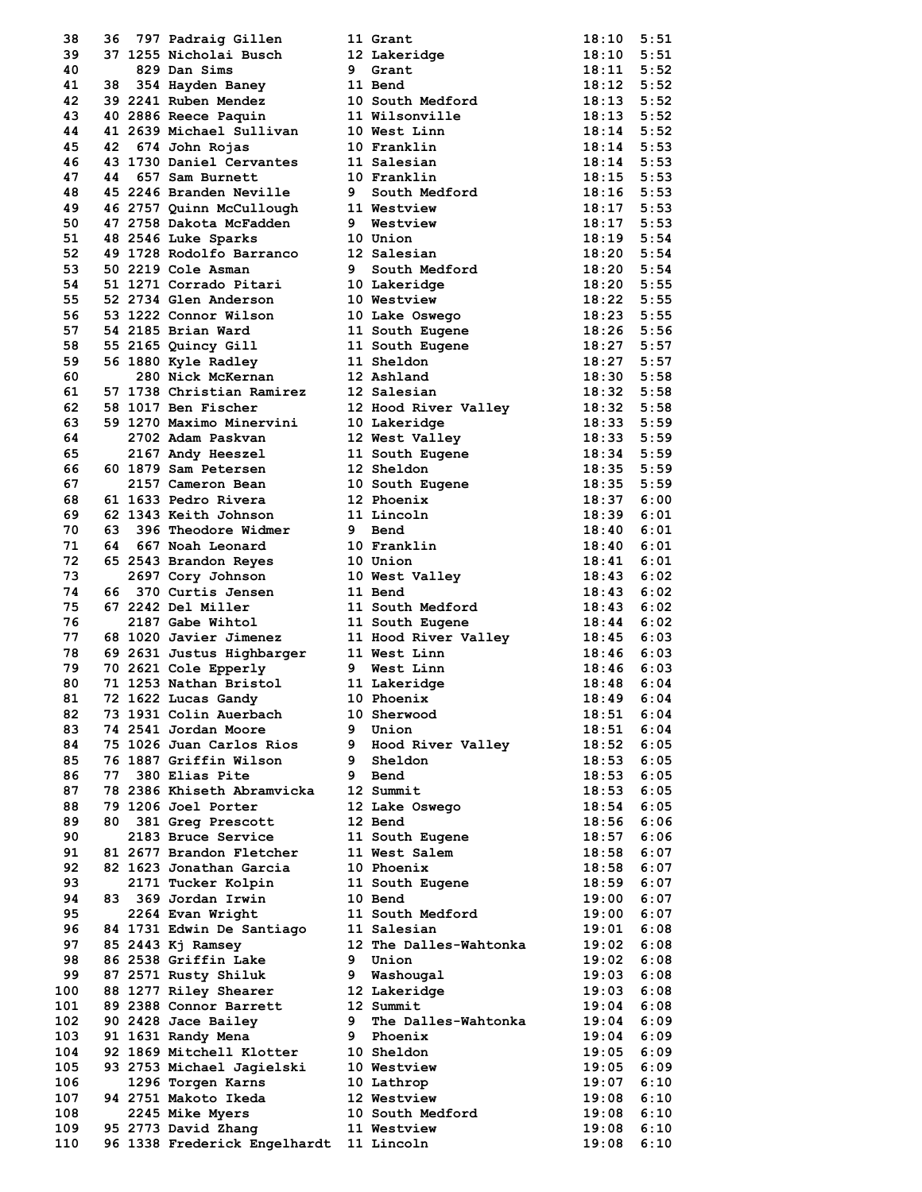| 38   | 36  | 797 Padraig Gillen                          |   | 11 Grant                       | $18:10$ $5:51$ |      |
|------|-----|---------------------------------------------|---|--------------------------------|----------------|------|
| 39   |     | 37 1255 Nicholai Busch                      |   | 12 Lakeridge                   | 18:10 5:51     |      |
| 40   |     | 829 Dan Sims                                | 9 | Grant                          | $18:11$ $5:52$ |      |
| 41   |     |                                             |   | 11 Bend                        | $18:12$ $5:52$ |      |
| 42   |     | 38 354 Hayden Baney<br>39 2241 Ruben Mendez |   | 10 South Medford               | $18:13$ $5:52$ |      |
| 43   |     | 40 2886 Reece Paquin                        |   | 11 Wilsonville                 | $18:13$ 5:52   |      |
| 44   |     | 41 2639 Michael Sullivan                    |   |                                | $18:14$ 5:52   |      |
|      |     |                                             |   | 10 West Linn                   |                |      |
| 45   | 42  | 674 John Rojas                              |   | 10 Franklin                    | $18:14$ 5:53   |      |
| 46   |     | 43 1730 Daniel Cervantes                    |   | 11 Salesian                    | $18:14$ 5:53   |      |
| 47   | 44  | 657 Sam Burnett                             |   | 10 Franklin                    | $18:15$ 5:53   |      |
| 48   |     | 45 2246 Branden Neville                     |   | 9 South Medford                | $18:16$ 5:53   |      |
| 49   |     | 46 2757 Quinn McCullough                    |   | 11 Westview                    | $18:17$ 5:53   |      |
| 50   |     | 47 2758 Dakota McFadden                     |   | 9 Westview                     | 18:17 5:53     |      |
| 51   |     | 48 2546 Luke Sparks                         |   | 10 Union                       | $18:19$ $5:54$ |      |
| 52   |     | 49 1728 Rodolfo Barranco                    |   | 12 Salesian                    | $18:20$ 5:54   |      |
| 53   |     | 50 2219 Cole Asman                          |   | 9 South Medford                | $18:20$ 5:54   |      |
| 54   |     | 51 1271 Corrado Pitari                      |   | 10 Lakeridge                   | $18:20$ 5:55   |      |
| 55   |     | 52 2734 Glen Anderson                       |   | 10 Westview                    | $18:22$ 5:55   |      |
| 56   |     | 53 1222 Connor Wilson                       |   | 10 Lake Oswego                 | $18:23$ 5:55   |      |
| 57   |     | 54 2185 Brian Ward                          |   | 11 South Eugene                | $18:26$ 5:56   |      |
| 58   |     |                                             |   |                                |                |      |
|      |     | 55 2165 Quincy Gill                         |   | 11 South Eugene                | $18:27$ 5:57   |      |
| 59   |     | 56 1880 Kyle Radley                         |   | 11 Sheldon                     | $18:27$ 5:57   |      |
| 60   |     | 280 Nick McKernan                           |   | 12 Ashland                     | $18:30$ $5:58$ |      |
| 61   |     | 57 1738 Christian Ramirez                   |   | 12 Salesian                    | $18:32$ $5:58$ |      |
| 62   |     | 58 1017 Ben Fischer                         |   | 12 Hood River Valley           | $18:32$ $5:58$ |      |
| 63   |     | 59 1270 Maximo Minervini                    |   | 10 Lakeridge                   | $18:33$ $5:59$ |      |
| 64   |     | 2702 Adam Paskvan                           |   | 10 Lakeringe<br>12 West Valley | $18:33$ $5:59$ |      |
| 65   |     | 2167 Andy Heeszel                           |   | 11 South Eugene                | $18:34$ 5:59   |      |
| 66   |     | 60 1879 Sam Petersen                        |   | 12 Sheldon                     | $18:35$ $5:59$ |      |
| 67   |     | 2157 Cameron Bean                           |   | 10 South Eugene                | $18:35$ $5:59$ |      |
| 68   |     | 61 1633 Pedro Rivera                        |   | 12 Phoenix                     | $18:37$ 6:00   |      |
|      |     |                                             |   |                                |                |      |
| 69   |     | 62 1343 Keith Johnson                       |   | 11 Lincoln                     | 18:39 6:01     |      |
| 70   | 63. | 396 Theodore Widmer                         |   | 9 Bend                         | 18:40          | 6:01 |
| 71   |     | 64 667 Noah Leonard                         |   | 10 Franklin                    | $18:40$ $6:01$ |      |
| 72   |     | 65 2543 Brandon Reyes                       |   | 10 Union                       | $18:41$ $6:01$ |      |
| 73   |     | 2697 Cory Johnson                           |   | 10 West Valley                 | 18:43          | 6:02 |
| 74   |     | 66 370 Curtis Jensen                        |   | 11 Bend                        | $18:43$ 6:02   |      |
| 75   |     | 67 2242 Del Miller                          |   | 11 South Medford               | $18:43$ 6:02   |      |
| 76   |     | 2187 Gabe Wihtol                            |   | 11 South Eugene                | 18:44          | 6:02 |
| 77   |     | 68 1020 Javier Jimenez                      |   | 11 Hood River Valley           | 18:45          | 6:03 |
| 78   |     | 69 2631 Justus Highbarger                   |   | 11 West Linn                   | $18:46$ 6:03   |      |
| 79   |     |                                             |   | 9 West Linn                    | $18:46$ 6:03   |      |
|      |     | 70 2621 Cole Epperly                        |   |                                |                |      |
| 80   |     | 71 1253 Nathan Bristol                      |   | 11 Lakeridge                   | 18:48          | 6:04 |
| 81   |     | 72 1622 Lucas Gandy                         |   | 10 Phoenix                     | 18:49          | 6:04 |
| 82   |     | 73 1931 Colin Auerbach                      |   | 10 Sherwood                    | 18:51          | 6:04 |
| 83   |     | 74 2541 Jordan Moore                        | 9 | Union                          | 18:51          | 6:04 |
| 84   |     | 75 1026 Juan Carlos Rios                    |   | 9 Hood River Valley            | 18:52          | 6:05 |
| 85   |     | 76 1887 Griffin Wilson                      |   | 9 Sheldon                      | 18:53          | 6:05 |
| 86   | 77  | 380 Elias Pite                              |   | 9 Bend                         | 18:53          | 6:05 |
| 87   |     | 78 2386 Khiseth Abramvicka                  |   | 12 Summit                      | 18:53          | 6:05 |
| 88   |     | 79 1206 Joel Porter                         |   | 12 Lake Oswego                 | 18:54          | 6:05 |
| 89   | 80. | 381 Greg Prescott                           |   | 12 Bend                        | 18:56          | 6:06 |
| 90   |     | 2183 Bruce Service                          |   | 11 South Eugene                | 18:57          | 6:06 |
| 91   |     | 81 2677 Brandon Fletcher                    |   | 11 West Salem                  | 18:58          | 6:07 |
|      |     |                                             |   |                                |                |      |
| 92   |     | 82 1623 Jonathan Garcia                     |   | 10 Phoenix                     | 18:58          | 6:07 |
| 93   |     | 2171 Tucker Kolpin                          |   | 11 South Eugene                | 18:59          | 6:07 |
| 94   |     | 83 369 Jordan Irwin                         |   | 10 Bend                        | 19:00          | 6:07 |
| 95   |     | 2264 Evan Wright                            |   | 11 South Medford               | 19:00          | 6:07 |
| 96   |     | 84 1731 Edwin De Santiago                   |   | 11 Salesian                    | 19:01          | 6:08 |
| 97   |     | 85 2443 Kj Ramsey                           |   | 12 The Dalles-Wahtonka         | 19:02          | 6:08 |
| 98   |     | 86 2538 Griffin Lake                        |   | 9 Union                        | 19:02          | 6:08 |
| 99   |     | 87 2571 Rusty Shiluk                        |   | 9 Washougal                    | 19:03          | 6:08 |
| 100  |     | 88 1277 Riley Shearer                       |   | 12 Lakeridge                   | 19:03          | 6:08 |
| 101  |     | 89 2388 Connor Barrett                      |   | 12 Summit                      | 19:04          | 6:08 |
| 102. |     | 90 2428 Jace Bailey                         |   | 9 The Dalles-Wahtonka          | 19:04          | 6:09 |
|      |     |                                             |   |                                |                |      |
| 103  |     | 91 1631 Randy Mena                          | 9 | Phoenix                        | 19:04          | 6:09 |
| 104  |     | 92 1869 Mitchell Klotter                    |   | 10 Sheldon                     | $19:05$ 6:09   |      |
| 105  |     | 93 2753 Michael Jagielski                   |   | 10 Westview                    | 19:05          | 6:09 |
| 106  |     | 1296 Torgen Karns                           |   | 10 Lathrop                     | 19:07          | 6:10 |
| 107  |     | 94 2751 Makoto Ikeda                        |   | 12 Westview                    | 19:08          | 6:10 |
| 108  |     | <b>2245 Mike Myers</b>                      |   | <b>10 South Medford</b>        | 19:08          | 6:10 |
| 109  |     | 95 2773 David Zhang                         |   | 11 Westview                    | 19:08          | 6:10 |
| 110  |     | 96 1338 Frederick Engelhardt 11 Lincoln     |   |                                | 19:08          | 6:10 |
|      |     |                                             |   |                                |                |      |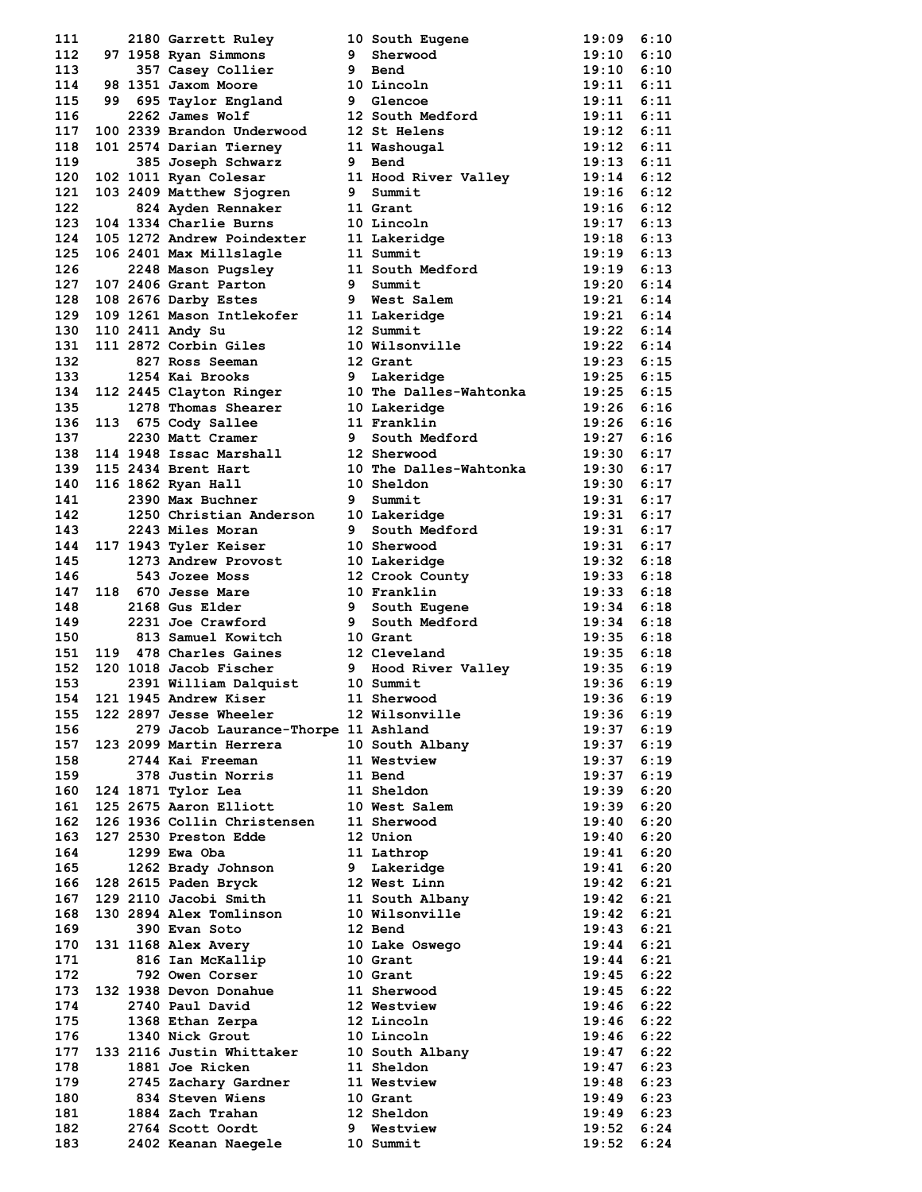| 111        |  | SALLEUT Ruley<br>97 1958 Ryan Simmons<br>357 Core |     | 10 South Eugene                                | 19:09          | 6:10         |
|------------|--|---------------------------------------------------|-----|------------------------------------------------|----------------|--------------|
| 112        |  |                                                   |     | 9 Sherwood                                     | 19:10          | 6:10         |
| 113        |  | 357 Casey Collier                                 | 9   | Bend                                           | 19:10          | 6:10         |
| 114        |  | 98 1351 Jaxom Moore                               |     | 10 Lincoln                                     | $19:11$ $6:11$ |              |
| 115        |  | 99 695 Taylor England                             |     | 9 Glencoe                                      | $19:11$ $6:11$ |              |
| 116        |  | 2262 James Wolf                                   |     | 12 South Medford                               | 19:11          | 6:11         |
| 117        |  | 100 2339 Brandon Underwood                        |     | 12 St Helens                                   | 19:12          | 6:11         |
| 118        |  | 101 2574 Darian Tierney                           |     | 11 Washougal                                   | 19:12 6:11     |              |
| 119        |  | 385 Joseph Schwarz                                |     | 9 Bend                                         | $19:13$ $6:11$ |              |
| 120        |  | 102 1011 Ryan Colesar                             |     | 11 Hood River Valley                           | 19:14          | 6:12         |
| 121        |  | 103 2409 Matthew Sjogren                          |     | 9 Summit                                       | $19:16$ $6:12$ |              |
| 122        |  | 824 Ayden Rennaker                                |     | 11 Grant                                       | $19:16$ $6:12$ |              |
| 123        |  | 104 1334 Charlie Burns                            |     | 10 Lincoln                                     | 19:17          | 6:13         |
| 124        |  | 105 1272 Andrew Poindexter                        |     | 11 Lakeridge                                   | 19:18 6:13     |              |
| 125        |  | 106 2401 Max Millslagle                           |     | 11 Summit                                      | $19:19$ $6:13$ |              |
| 126        |  | 2248 Mason Pugsley                                |     | 11 South Medford                               | $19:19$ $6:13$ |              |
| 127        |  | 107 2406 Grant Parton                             |     | 9 Summit                                       | 19:20          | 6:14         |
| 128        |  | 108 2676 Darby Estes                              |     | 9 West Salem                                   | 19:21 6:14     |              |
| 129        |  | 109 1261 Mason Intlekofer                         |     | 11 Lakeridge                                   | 19:21 6:14     |              |
| 130        |  | 110 2411 Andy Su                                  |     | 12 Summit                                      | 19:22          | 6:14         |
| 131        |  | 111 2872 Corbin Giles                             |     | 10 Wilsonville                                 | $19:22$ $6:14$ |              |
| 132        |  | 827 Ross Seeman                                   |     | 12 Grant                                       | $19:23$ 6:15   |              |
| 133        |  | 1254 Kai Brooks                                   | 9   | Lakeridge                                      | 19:25          | 6:15         |
| 134        |  |                                                   |     | 112 2445 Clayton Ringer 10 The Dalles-Wahtonka | $19:25$ $6:15$ |              |
| 135        |  | 1278 Thomas Shearer                               |     | 10 Lakeridge                                   | 19:26          | 6:16         |
| 136        |  | 113 675 Cody Sallee                               |     | 11 Franklin                                    | 19:26          | 6:16         |
| 137        |  | 2230 Matt Cramer                                  |     | 9 South Medford                                | 19:27          | 6:16         |
| 138        |  | 114 1948 Issac Marshall<br>115 2434 Brent Hart    |     | 12 Sherwood                                    | $19:30$ 6:17   |              |
| 139        |  | 115 2434 Brent Hart                               |     | 10 The Dalles-Wahtonka                         | $19:30$ $6:17$ |              |
| 140        |  | 116 1862 Ryan Hall                                |     | 10 Sheldon                                     | $19:30$ $6:17$ |              |
| 141        |  | 2390 Max Buchner                                  |     | 9 Summit                                       | $19:31$ $6:17$ |              |
| 142        |  | 1250 Christian Anderson                           |     | 10 Lakeridge                                   | $19:31$ $6:17$ |              |
| 143        |  | 2243 Miles Moran                                  | 9   | South Medford <b>South Medford</b>             | 19:31          | 6:17         |
| 144        |  | 117 1943 Tyler Keiser                             |     | 10 Sherwood                                    | 19:31 6:17     |              |
| 145        |  | 1273 Andrew Provost                               |     | 10 Lakeridge                                   | $19:32$ $6:18$ |              |
| 146        |  | 543 Jozee Moss                                    |     |                                                | 19:33          | 6:18         |
| 147        |  | 118 670 Jesse Mare                                |     | 12 Crook County<br>10 Franklin<br>10 Franklin  | 19:33 6:18     |              |
| 148        |  | 2168 Gus Elder                                    |     | 9 South Eugene                                 | 19:34 6:18     |              |
| 149        |  | 2231 Joe Crawford                                 | - 9 | South Medford                                  | 19:34 6:18     |              |
| 150        |  | 813 Samuel Kowitch                                |     | 10 Grant                                       | 19:35 6:18     |              |
| 151        |  | 119 478 Charles Gaines                            |     | 12 Cleveland                                   | 19:35 6:18     |              |
| 152        |  | 120 1018 Jacob Fischer                            |     | 9 Hood River Valley<br>10 Second to            | 19:35 6:19     |              |
| 153        |  | 2391 William Dalquist                             |     | 10 Summit                                      | 19:36          | 6:19         |
| 154        |  | 121 1945 Andrew Kiser                             |     | 11 Sherwood                                    | 19:36          | 6:19         |
| 155        |  | 122 2897 Jesse Wheeler                            |     | 12 Wilsonville                                 | 19:36          | 6:19         |
| 156        |  | 279 Jacob Laurance-Thorpe 11 Ashland              |     |                                                | 19:37          | 6:19         |
| 157        |  | 123 2099 Martin Herrera                           |     | 10 South Albany                                | 19:37          | 6:19         |
| 158        |  | 2744 Kai Freeman                                  |     | 11 Westview                                    | 19:37          | 6:19         |
| 159        |  | 378 Justin Norris                                 |     | 11 Bend                                        | 19:37          | 6:19         |
| 160        |  | 124 1871 Tylor Lea                                |     | 11 Sheldon                                     | 19:39          | 6:20         |
| 161        |  | 125 2675 Aaron Elliott                            |     | 10 West Salem                                  | 19:39          | 6:20         |
| 162        |  | 126 1936 Collin Christensen                       |     | 11 Sherwood                                    | 19:40          | 6:20         |
| 163        |  | 127 2530 Preston Edde                             |     | 12 Union                                       | 19:40          | 6:20         |
| 164        |  | 1299 Ewa Oba                                      |     | 11 Lathrop                                     | 19:41          | 6:20         |
| 165        |  | 1262 Brady Johnson                                |     | 9 Lakeridge                                    | 19:41          | 6:20         |
| 166        |  | 128 2615 Paden Bryck                              |     | 12 West Linn                                   | 19:42          | 6:21         |
| 167        |  | 129 2110 Jacobi Smith                             |     | 11 South Albany                                | 19:42          | 6:21         |
| 168        |  | 130 2894 Alex Tomlinson                           |     | 10 Wilsonville                                 | 19:42          | 6:21         |
| 169        |  | 390 Evan Soto                                     |     | 12 Bend                                        | 19:43          | 6:21         |
| 170        |  | 131 1168 Alex Avery                               |     | 10 Lake Oswego                                 | 19:44          | 6:21         |
| 171        |  | 816 Ian McKallip                                  |     | 10 Grant                                       | 19:44          | 6:21         |
| 172        |  | 792 Owen Corser                                   |     | 10 Grant                                       | 19:45          | 6:22         |
|            |  | 132 1938 Devon Donahue                            |     |                                                |                |              |
| 173<br>174 |  | 2740 Paul David                                   |     | 11 Sherwood<br>12 Westview                     | 19:45<br>19:46 | 6:22<br>6:22 |
|            |  |                                                   |     |                                                |                |              |
| 175        |  | 1368 Ethan Zerpa                                  |     | 12 Lincoln                                     | 19:46          | 6:22         |
| 176        |  | 1340 Nick Grout                                   |     | 10 Lincoln                                     | 19:46          | 6:22         |
| 177<br>178 |  | 133 2116 Justin Whittaker                         |     | 10 South Albany                                | 19:47          | 6:22         |
|            |  | 1881 Joe Ricken                                   |     | 11 Sheldon                                     | 19:47          | 6:23         |
| 179        |  | 2745 Zachary Gardner                              |     | 11 Westview                                    | 19:48          | 6:23         |
| 180        |  | 834 Steven Wiens                                  |     | 10 Grant                                       | 19:49          | 6:23         |
| 181        |  | 1884 Zach Trahan                                  |     | 12 Sheldon                                     | 19:49          | 6:23         |
| 182        |  | 2764 Scott Oordt                                  | 9   | Westview                                       | 19:52          | 6:24         |
| 183        |  | 2402 Keanan Naegele                               |     | 10 Summit                                      | 19:52          | 6:24         |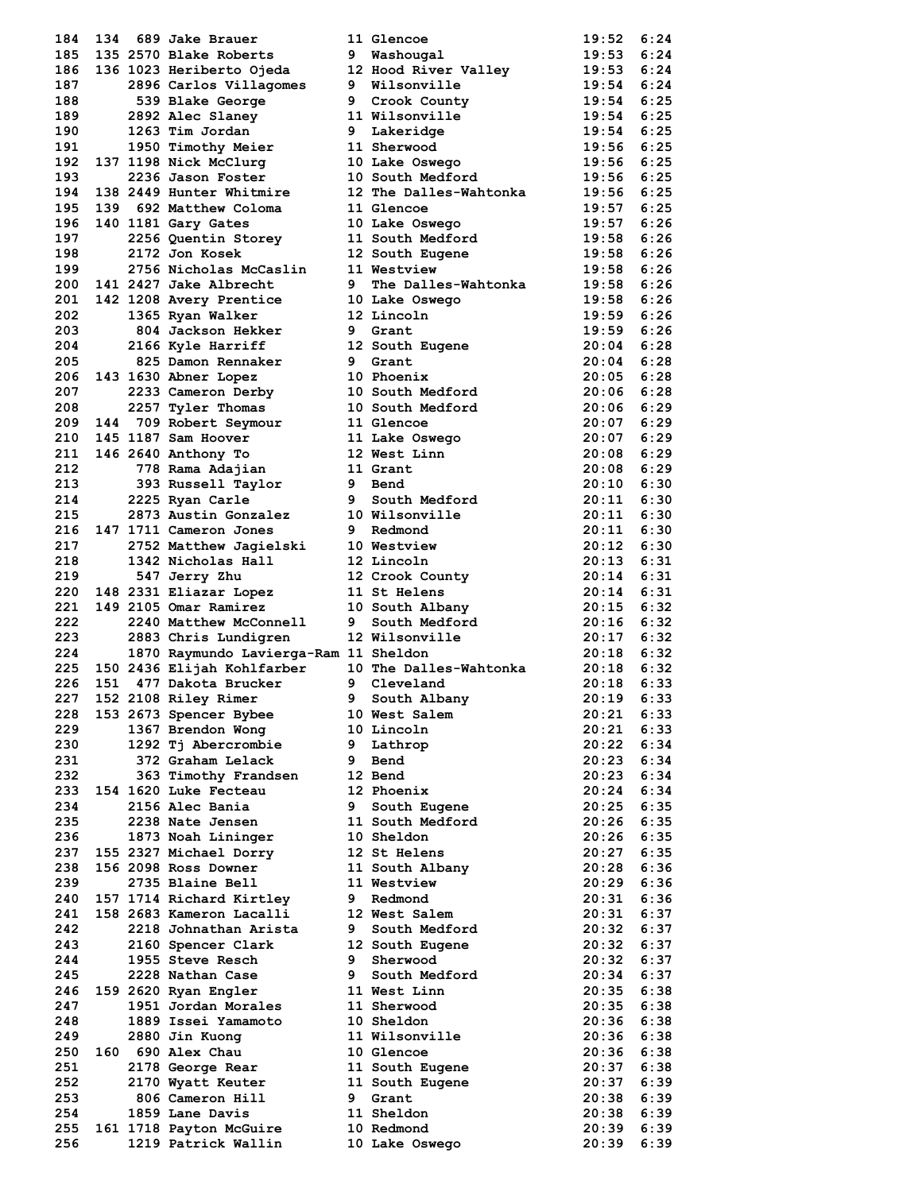| 184        | 134 | 689 Jake Brauer                                |   | 11 Glencoe                   | 19:52          | 6:24         |
|------------|-----|------------------------------------------------|---|------------------------------|----------------|--------------|
| 185        |     | 135 2570 Blake Roberts                         | 9 | Washougal                    | 19:53          | 6:24         |
| 186        |     | 136 1023 Heriberto Ojeda                       |   | 12 Hood River Valley         | 19:53          | 6:24         |
| 187        |     | 2896 Carlos Villagomes                         |   | 9 Wilsonville                | 19:54          | 6:24         |
| 188        |     | 539 Blake George                               |   | 9 Crook County               | 19:54          | 6:25         |
| 189        |     | 2892 Alec Slaney                               |   | 11 Wilsonville               | 19:54          | 6:25         |
| 190        |     | 1263 Tim Jordan                                |   | 9 Lakeridge                  | 19:54          | 6:25         |
| 191        |     | 1950 Timothy Meier                             |   | 11 Sherwood                  | 19:56 6:25     |              |
| 192        |     | 137 1198 Nick McClurg                          |   | 10 Lake Oswego               | 19:56          | 6:25         |
| 193        |     | 2236 Jason Foster                              |   | 10 South Medford             | 19:56          | 6:25         |
| 194        |     | 138 2449 Hunter Whitmire                       |   | 12 The Dalles-Wahtonka       | 19:56          | 6:25         |
| 195        |     | 139 692 Matthew Coloma                         |   | 11 Glencoe                   | 19:57          | 6:25         |
| 196        |     | 140 1181 Gary Gates                            |   | 10 Lake Oswego               | 19:57          | 6:26         |
| 197        |     | 2256 Quentin Storey                            |   | 11 South Medford             | 19:58          | 6:26         |
| 198        |     | 2172 Jon Kosek                                 |   | 12 South Eugene              | 19:58          | 6:26         |
| 199        |     | 2756 Nicholas McCaslin                         |   | 11 Westview                  | 19:58          | 6:26         |
| 200        |     | 141 2427 Jake Albrecht                         |   | 9 The Dalles-Wahtonka        | 19:58          | 6:26         |
| 201        |     | 142 1208 Avery Prentice                        |   | 10 Lake Oswego               | 19:58          | 6:26         |
| 202        |     | 1365 Ryan Walker                               |   | 12 Lincoln                   | 19:59          | 6:26         |
| 203        |     | 804 Jackson Hekker                             |   | 9 Grant                      | 19:59          | 6:26         |
| 204        |     | 2166 Kyle Harriff                              |   | 12 South Eugene              | 20:04          | 6:28         |
| 205        |     | 825 Damon Rennaker                             | 9 | Grant                        | 20:04          | 6:28         |
| 206        |     | 143 1630 Abner Lopez                           |   | 10 Phoenix                   | 20:05          | 6:28         |
| 207        |     | 2233 Cameron Derby                             |   | <b>10 South Medford</b>      | $20:06$ 6:28   |              |
| 208        |     | 2257 Tyler Thomas                              |   | 10 South Medford             | 20:06          | 6:29         |
| 209        |     | 144 709 Robert Seymour                         |   | 11 Glencoe                   | 20:07          | 6:29         |
| 210        |     | 145 1187 Sam Hoover                            |   | 11 Lake Oswego               | 20:07          | 6:29         |
| 211        |     | 146 2640 Anthony To                            |   | 12 West Linn                 | $20:08$ 6:29   |              |
| 212        |     |                                                |   | 11 Grant                     | 20:08          | 6:29         |
|            |     | 778 Rama Adajian                               |   |                              |                |              |
| 213        |     | 393 Russell Taylor                             |   | 9 Bend                       | 20:10          | 6:30         |
| 214        |     | 2225 Ryan Carle                                |   | <b>9 South Medford</b>       | 20:11          | 6:30         |
| 215        |     | 2873 Austin Gonzalez                           |   | 10 Wilsonville               | 20:11          | 6:30         |
| 216        |     | 147 1711 Cameron Jones                         |   | 9 Redmond                    | 20:11          | 6:30         |
| 217        |     | 2752 Matthew Jagielski                         |   | 10 Westview                  | $20:12$ $6:30$ |              |
| 218        |     | 1342 Nicholas Hall                             |   | 12 Lincoln                   | 20:13          | 6:31         |
| 219        |     | 547 Jerry Zhu                                  |   | 12 Crook County              | 20:14          | 6:31         |
| 220        |     | 148 2331 Eliazar Lopez                         |   | 11 St Helens                 | $20:14$ 6:31   |              |
| 221        |     | 149 2105 Omar Ramirez                          |   | 10 South Albany              | 20:15          | 6:32         |
| 222        |     | 2240 Matthew McConnell                         | 9 | South Medford                | 20:16          | 6:32         |
| 223        |     | 2883 Chris Lundigren                           |   | 12 Wilsonville               | $20:17$ 6:32   |              |
| 224        |     | 1870 Raymundo Lavierga-Ram 11 Sheldon          |   |                              | $20:18$ 6:32   |              |
| 225        |     | 150 2436 Elijah Kohlfarber                     |   | 10 The Dalles-Wahtonka       | 20:18          | 6:32         |
| 226        | 151 | 477 Dakota Brucker                             |   | 9 Cleveland                  | 20:18          | 6:33         |
| 227        |     | 152 2108 Riley Rimer                           | 9 | South Albany                 | 20:19          | 6:33         |
| 228        |     | 153 2673 Spencer Bybee                         |   | 10 West Salem                | 20:21          | 6:33         |
| 229        |     | 1367 Brendon Wong                              |   | 10 Lincoln                   | 20:21          | 6:33         |
| 230        |     | 1292 Tj Abercrombie                            | 9 | Lathrop                      | 20:22          | 6:34         |
| 231        |     | 372 Graham Lelack                              | 9 | Bend                         | 20:23          | 6:34         |
| 232        |     | 363 Timothy Frandsen                           |   | 12 Bend                      | 20:23          | 6:34         |
| 233        |     | 154 1620 Luke Fecteau                          |   | 12 Phoenix                   | 20:24          | 6:34         |
| 234        |     | 2156 Alec Bania                                | 9 | South Eugene                 | 20:25          | 6:35         |
| 235        |     | 2238 Nate Jensen                               |   | 11 South Medford             | 20:26          | 6:35         |
| 236        |     | 1873 Noah Lininger                             |   | 10 Sheldon                   | 20:26          | 6:35         |
| 237        |     | 155 2327 Michael Dorry                         |   | 12 St Helens                 | 20:27          | 6:35         |
| 238        |     | 156 2098 Ross Downer                           |   | 11 South Albany              | 20:28          | 6:36         |
| 239        |     | 2735 Blaine Bell                               |   | 11 Westview                  | 20:29          | 6:36         |
| 240        |     | 157 1714 Richard Kirtley                       |   | 9 Redmond                    | 20:31          | 6:36         |
| 241        |     | 158 2683 Kameron Lacalli                       |   | 12 West Salem                | $20:31$ $6:37$ |              |
| 242        |     | 2218 Johnathan Arista                          | 9 | South Medford                | 20:32          | 6:37         |
| 243        |     | 2160 Spencer Clark                             |   | 12 South Eugene              | 20:32          | 6:37         |
| 244        |     | 1955 Steve Resch                               | 9 | Sherwood                     | 20:32          | 6:37         |
| 245        |     | 2228 Nathan Case                               | 9 | South Medford                | 20:34          | 6:37         |
| 246        |     | 159 2620 Ryan Engler                           |   | 11 West Linn                 | 20:35          | 6:38         |
| 247        |     | 1951 Jordan Morales                            |   | 11 Sherwood                  | 20:35          | 6:38         |
| 248        |     | 1889 Issei Yamamoto                            |   | 10 Sheldon                   | 20:36          | 6:38         |
| 249        |     | 2880 Jin Kuong                                 |   | 11 Wilsonville               | 20:36          | 6:38         |
| 250        |     | 160 690 Alex Chau                              |   | 10 Glencoe                   | $20:36$ $6:38$ |              |
| 251        |     | 2178 George Rear                               |   | 11 South Eugene              | 20:37          | 6:38         |
| 252        |     | 2170 Wyatt Keuter                              |   | 11 South Eugene              | 20:37          | 6:39         |
| 253        |     |                                                |   | 9 Grant                      |                |              |
| 254        |     | 806 Cameron Hill<br>1859 Lane Davis            |   | 11 Sheldon                   | 20:38<br>20:38 | 6:39<br>6:39 |
|            |     |                                                |   |                              |                |              |
|            |     |                                                |   |                              |                |              |
| 255<br>256 |     | 161 1718 Payton McGuire<br>1219 Patrick Wallin |   | 10 Redmond<br>10 Lake Oswego | 20:39<br>20:39 | 6:39<br>6:39 |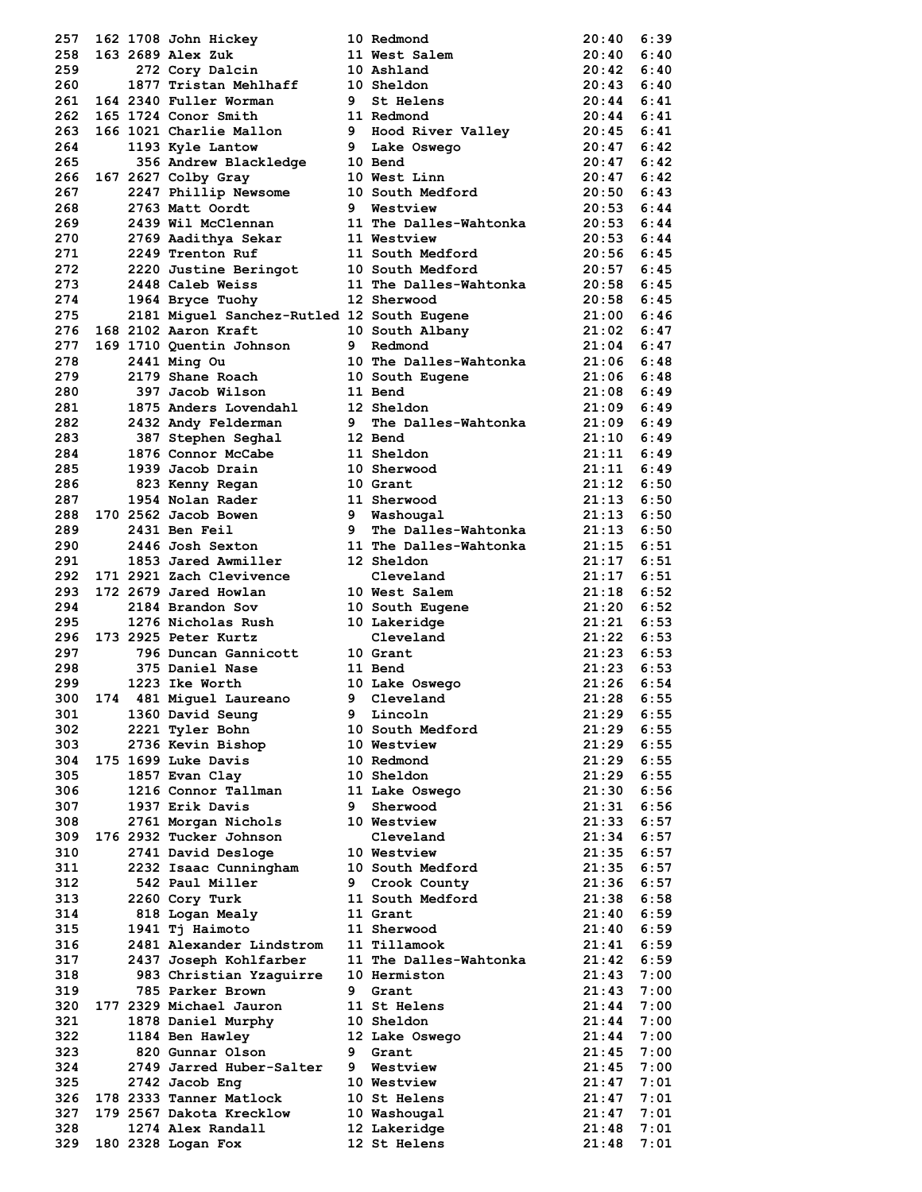| 257  |  | 162 1708 John Hickey                       |   | 10 Redmond                      | 20:40        | 6:39 |
|------|--|--------------------------------------------|---|---------------------------------|--------------|------|
| 258  |  | 163 2689 Alex Zuk                          |   | 11 West Salem                   | 20:40        | 6:40 |
| 259  |  | 272 Cory Dalcin                            |   | 10 Ashland                      | 20:42        | 6:40 |
| 260  |  | 1877 Tristan Mehlhaff                      |   | 10 Sheldon                      | 20:43        | 6:40 |
| 261  |  | 164 2340 Fuller Worman                     | 9 | St Helens                       | 20:44        | 6:41 |
| 262  |  | 165 1724 Conor Smith                       |   | 11 Redmond                      | 20:44        | 6:41 |
| 263  |  | 166 1021 Charlie Mallon                    |   | 9 Hood River Valley             | $20:45$ 6:41 |      |
|      |  |                                            |   |                                 |              |      |
| 264  |  | 1193 Kyle Lantow                           |   | 9 Lake Oswego                   | 20:47        | 6:42 |
| 265  |  | 356 Andrew Blackledge                      |   | 10 Bend                         | 20:47        | 6:42 |
| 266  |  | 167 2627 Colby Gray                        |   | 10 West Linn                    | 20:47        | 6:42 |
| 267  |  | 2247 Phillip Newsome                       |   | 10 South Medford                | 20:50        | 6:43 |
| 268  |  | 2763 Matt Oordt                            |   | 9 Westview                      | 20:53        | 6:44 |
| 269  |  | 2439 Wil McClennan                         |   | 11 The Dalles-Wahtonka          | 20:53        | 6:44 |
| 270  |  | 2769 Aadithya Sekar                        |   | 11 Westview                     | 20:53        | 6:44 |
| 271  |  | 2249 Trenton Ruf                           |   | 11 South Medford                | 20:56        | 6:45 |
| 272  |  | 2220 Justine Beringot                      |   | 10 South Medford                | 20:57        | 6:45 |
| 273  |  | 2448 Caleb Weiss                           |   | 11 The Dalles-Wahtonka          | $20:58$ 6:45 |      |
| 274  |  | 1964 Bryce Tuohy                           |   | 12 Sherwood                     | 20:58        | 6:45 |
| 275  |  | 2181 Miguel Sanchez-Rutled 12 South Eugene |   |                                 | 21:00        | 6:46 |
| 276  |  | 168 2102 Aaron Kraft                       |   | 10 South Albany                 | 21:02        | 6:47 |
| 277  |  |                                            |   |                                 |              |      |
|      |  | 169 1710 Quentin Johnson                   |   | 9 Redmond                       | 21:04        | 6:47 |
| 278  |  | 2441 Ming Ou                               |   | 10 The Dalles-Wahtonka          | 21:06        | 6:48 |
| 279  |  | 2179 Shane Roach                           |   | 10 South Eugene                 | $21:06$ 6:48 |      |
| 280  |  | 397 Jacob Wilson                           |   | 11 Bend                         | $21:08$ 6:49 |      |
| 281  |  | 1875 Anders Lovendahl                      |   | 12 Sheldon                      | 21:09        | 6:49 |
| 282  |  | 2432 Andy Felderman                        | 9 | The Dalles-Wahtonka             | 21:09        | 6:49 |
| 283  |  | 387 Stephen Seghal                         |   | 12 Bend                         | 21:10        | 6:49 |
| 284  |  | 1876 Connor McCabe                         |   | 11 Sheldon                      | $21:11$ 6:49 |      |
| 285  |  | 1939 Jacob Drain                           |   | 10 Sherwood                     | $21:11$ 6:49 |      |
| 286  |  | 823 Kenny Regan                            |   | 10 Grant                        | $21:12$ 6:50 |      |
| 287  |  | 1954 Nolan Rader                           |   | 11 Sherwood                     | $21:13$ 6:50 |      |
| 288  |  | 170 2562 Jacob Bowen                       |   | 9 Washougal                     | 21:13        | 6:50 |
| 289  |  | 2431 Ben Feil                              | 9 | The Dalles-Wahtonka             | 21:13        | 6:50 |
|      |  | 2446 Josh Sexton                           |   | 11 The Dalles-Wahtonka          |              |      |
| 290  |  |                                            |   |                                 | 21:15        | 6:51 |
| 291  |  | 1853 Jared Awmiller                        |   | 12 Sheldon                      | 21:17        | 6:51 |
| 292  |  | 171 2921 Zach Clevivence                   |   | Cleveland                       | 21:17        | 6:51 |
| 293  |  | 172 2679 Jared Howlan                      |   | 10 West Salem                   | $21:18$ 6:52 |      |
| 294  |  | 2184 Brandon Sov                           |   | 10 West Surf<br>10 South Eugene | $21:20$ 6:52 |      |
| 295  |  | 1276 Nicholas Rush                         |   |                                 | 21:21        | 6:53 |
| 296  |  | 173 2925 Peter Kurtz                       |   | Cleveland                       | $21:22$ 6:53 |      |
| 297  |  | 796 Duncan Gannicott                       |   | 10 Grant                        | $21:23$ 6:53 |      |
| 298  |  | 375 Daniel Nase                            |   | 11 Bend                         | $21:23$ 6:53 |      |
| 299  |  | 1223 Ike Worth                             |   | 10 Lake Oswego                  | 21:26        | 6:54 |
| 300  |  | 174 481 Miguel Laureano                    | 9 | Cleveland                       | 21:28        | 6:55 |
| 301  |  | 1360 David Seung                           | 9 | Lincoln                         | 21:29        | 6:55 |
| 302  |  | 2221 Tyler Bohn                            |   | 10 South Medford                | 21:29        | 6:55 |
|      |  |                                            |   |                                 |              |      |
| 303  |  | 2736 Kevin Bishop                          |   | 10 Westview                     | 21:29        | 6:55 |
| 304  |  | 175 1699 Luke Davis                        |   | 10 Redmond                      | 21:29        | 6:55 |
| 305  |  | 1857 Evan Clay                             |   | 10 Sheldon                      | 21:29        | 6:55 |
| 306  |  | 1216 Connor Tallman                        |   | 11 Lake Oswego                  | 21:30        | 6:56 |
| 307  |  | 1937 Erik Davis                            | 9 | Sherwood                        | 21:31 6:56   |      |
| 308  |  | 2761 Morgan Nichols                        |   | 10 Westview                     | 21:33        | 6:57 |
| 309  |  | 176 2932 Tucker Johnson                    |   | Cleveland                       | 21:34        | 6:57 |
| 310  |  | 2741 David Desloge                         |   | 10 Westview                     | 21:35        | 6:57 |
| 311  |  | 2232 Isaac Cunningham                      |   | 10 South Medford                | 21:35        | 6:57 |
| 312  |  | 542 Paul Miller                            |   | 9 Crook County                  | 21:36        | 6:57 |
| 313  |  | 2260 Cory Turk                             |   | 11 South Medford                | 21:38        | 6:58 |
| 314  |  | 818 Logan Mealy                            |   | 11 Grant                        | 21:40        | 6:59 |
| 315  |  | 1941 Tj Haimoto                            |   | 11 Sherwood                     | 21:40        | 6:59 |
|      |  |                                            |   |                                 |              |      |
| 316  |  | 2481 Alexander Lindstrom                   |   | 11 Tillamook                    | $21:41$ 6:59 |      |
| 317  |  | 2437 Joseph Kohlfarber                     |   | 11 The Dalles-Wahtonka          | $21:42$ 6:59 |      |
| 318  |  | 983 Christian Yzaquirre                    |   | 10 Hermiston                    | 21:43        | 7:00 |
| 319  |  | 785 Parker Brown                           |   | 9 Grant                         | 21:43        | 7:00 |
| 320  |  | 177 2329 Michael Jauron                    |   | 11 St Helens                    | 21:44        | 7:00 |
| 321  |  | 1878 Daniel Murphy                         |   | 10 Sheldon                      | 21:44        | 7:00 |
| 322  |  | 1184 Ben Hawley                            |   | 12 Lake Oswego                  | 21:44        | 7:00 |
| 323  |  | 820 Gunnar Olson                           | 9 | Grant                           | 21:45        | 7:00 |
| 324  |  | 2749 Jarred Huber-Salter                   | 9 | Westview                        | 21:45        | 7:00 |
| 325  |  | 2742 Jacob Eng                             |   | 10 Westview                     | 21:47        | 7:01 |
| 326  |  | 178 2333 Tanner Matlock                    |   | 10 St Helens                    | 21:47        | 7:01 |
| 327  |  | 179 2567 Dakota Krecklow                   |   | 10 Washougal                    | 21:47        | 7:01 |
| 328  |  | 1274 Alex Randall                          |   | 12 Lakeridge                    | 21:48        | 7:01 |
| 329. |  | 180 2328 Logan Fox                         |   | 12 St Helens                    | 21:48        | 7:01 |
|      |  |                                            |   |                                 |              |      |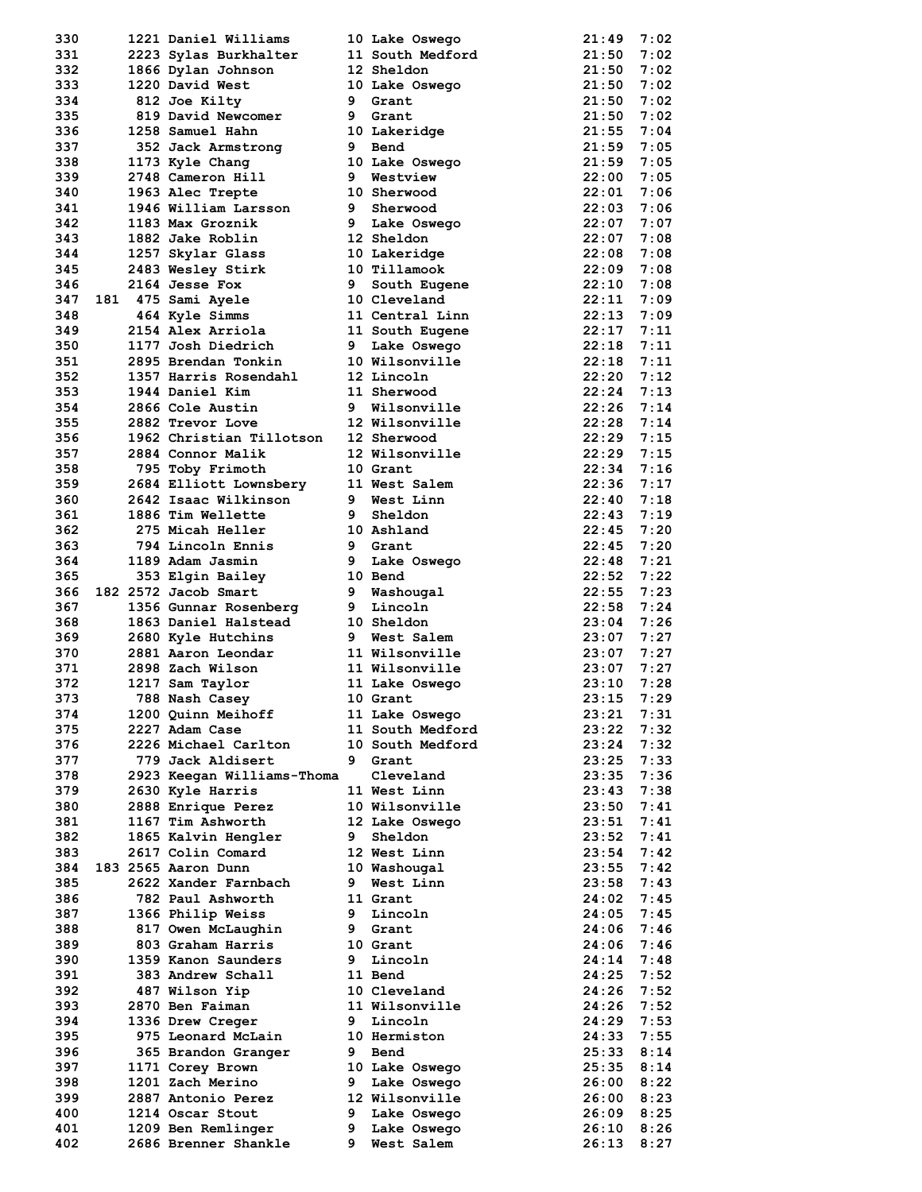| 331 |  | 1221 Daniel Williams                 |    | 10 Lake Oswego   | 21:49        | 7:02 |
|-----|--|--------------------------------------|----|------------------|--------------|------|
|     |  | 2223 Sylas Burkhalter                |    | 11 South Medford | 21:50        | 7:02 |
| 332 |  | 1866 Dylan Johnson                   |    | 12 Sheldon       | 21:50        | 7:02 |
| 333 |  | 1220 David West                      |    | 10 Lake Oswego   | 21:50        | 7:02 |
| 334 |  | 812 Joe Kilty                        |    | 9 Grant          | 21:50        | 7:02 |
| 335 |  | 819 David Newcomer                   | 9  | Grant            | 21:50        | 7:02 |
| 336 |  | 1258 Samuel Hahn                     |    |                  | 21:55        |      |
|     |  |                                      |    | 10 Lakeridge     |              | 7:04 |
| 337 |  | 352 Jack Armstrong                   | 9  | Bend             | 21:59        | 7:05 |
| 338 |  | 1173 Kyle Chang                      |    | 10 Lake Oswego   | 21:59        | 7:05 |
| 339 |  | 2748 Cameron Hill                    |    | 9 Westview       | 22:00        | 7:05 |
| 340 |  | 1963 Alec Trepte                     |    | 10 Sherwood      | $22:01$ 7:06 |      |
| 341 |  | 1946 William Larsson                 |    | 9 Sherwood       | 22:03        | 7:06 |
| 342 |  | 1183 Max Groznik                     |    | 9 Lake Oswego    | 22:07        | 7:07 |
| 343 |  | 1882 Jake Roblin                     |    | 12 Sheldon       | 22:07        | 7:08 |
| 344 |  | 1257 Skylar Glass                    |    | 10 Lakeridge     | 22:08        | 7:08 |
| 345 |  | 2483 Wesley Stirk                    |    | 10 Tillamook     | 22:09        | 7:08 |
| 346 |  | 2164 Jesse Fox                       |    | 9 South Eugene   | 22:10        | 7:08 |
| 347 |  | 181 475 Sami Ayele                   |    | 10 Cleveland     | 22:11        | 7:09 |
| 348 |  | 464 Kyle Simms                       |    | 11 Central Linn  | 22:13        | 7:09 |
| 349 |  | 2154 Alex Arriola                    |    | 11 South Eugene  | 22:17        | 7:11 |
| 350 |  | 1177 Josh Diedrich                   |    | 9 Lake Oswego    | 22:18        | 7:11 |
| 351 |  | 2895 Brendan Tonkin                  |    | 10 Wilsonville   | 22:18        | 7:11 |
|     |  |                                      |    |                  |              |      |
| 352 |  | 1357 Harris Rosendahl                |    | 12 Lincoln       | 22:20        | 7:12 |
| 353 |  | 1944 Daniel Kim                      |    | 11 Sherwood      | $22:24$ 7:13 |      |
| 354 |  | 2866 Cole Austin                     |    | 9 Wilsonville    | 22:26        | 7:14 |
| 355 |  | 2882 Trevor Love                     |    | 12 Wilsonville   | 22:28        | 7:14 |
| 356 |  | 1962 Christian Tillotson             |    | 12 Sherwood      | $22:29$ 7:15 |      |
| 357 |  | 2884 Connor Malik                    |    | 12 Wilsonville   | 22:29        | 7:15 |
| 358 |  | 795 Toby Frimoth                     |    | 10 Grant         | 22:34        | 7:16 |
| 359 |  | 2684 Elliott Lownsbery 11 West Salem |    |                  | 22:36        | 7:17 |
| 360 |  | 2642 Isaac Wilkinson                 |    | 9 West Linn      | $22:40$ 7:18 |      |
| 361 |  | 1886 Tim Wellette                    | 9  | Sheldon          | 22:43        | 7:19 |
| 362 |  | 275 Micah Heller                     |    | 10 Ashland       | 22:45        | 7:20 |
| 363 |  | 794 Lincoln Ennis                    |    | 9 Grant          | $22:45$ 7:20 |      |
| 364 |  | 1189 Adam Jasmin                     |    | 9 Lake Oswego    | 22:48        | 7:21 |
|     |  |                                      |    |                  |              |      |
| 365 |  | 353 Elgin Bailey                     |    | 10 Bend          | 22:52        | 7:22 |
| 366 |  | 182 2572 Jacob Smart                 |    | 9 Washougal      | $22:55$ 7:23 |      |
| 367 |  | 1356 Gunnar Rosenberg                |    | 9 Lincoln        | $22:58$ 7:24 |      |
| 368 |  |                                      |    |                  |              |      |
|     |  | 1863 Daniel Halstead                 |    | 10 Sheldon       | 23:04        | 7:26 |
| 369 |  | 2680 Kyle Hutchins                   |    | 9 West Salem     | $23:07$ 7:27 |      |
| 370 |  | 2881 Aaron Leondar                   |    | 11 Wilsonville   | 23:07        | 7:27 |
| 371 |  | 2898 Zach Wilson                     |    | 11 Wilsonville   | 23:07        | 7:27 |
| 372 |  | 1217 Sam Taylor                      |    | 11 Lake Oswego   | 23:10        | 7:28 |
| 373 |  | 788 Nash Casey                       |    | 10 Grant         | 23:15        | 7:29 |
| 374 |  |                                      |    |                  | 23:21        | 7:31 |
|     |  | 1200 Quinn Meihoff                   |    | 11 Lake Oswego   |              |      |
| 375 |  | 2227 Adam Case                       |    | 11 South Medford | 23:22        | 7:32 |
| 376 |  | 2226 Michael Carlton                 |    | 10 South Medford | 23:24        | 7:32 |
| 377 |  | 779 Jack Aldisert                    | 9  | Grant            | 23:25        | 7:33 |
| 378 |  | 2923 Keegan Williams-Thoma           |    | Cleveland        | 23:35        | 7:36 |
| 379 |  | 2630 Kyle Harris                     |    | 11 West Linn     | 23:43        | 7:38 |
| 380 |  | 2888 Enrique Perez                   |    | 10 Wilsonville   | 23:50        | 7:41 |
| 381 |  | 1167 Tim Ashworth                    |    | 12 Lake Oswego   | 23:51        | 7:41 |
| 382 |  | 1865 Kalvin Hengler                  | 9. | Sheldon          | 23:52        | 7:41 |
| 383 |  | 2617 Colin Comard                    |    | 12 West Linn     | 23:54        | 7:42 |
| 384 |  | 183 2565 Aaron Dunn                  |    | 10 Washougal     | 23:55        | 7:42 |
| 385 |  | 2622 Xander Farnbach                 | 9  | West Linn        | 23:58        | 7:43 |
| 386 |  | 782 Paul Ashworth                    |    | 11 Grant         | 24:02        | 7:45 |
| 387 |  | 1366 Philip Weiss                    | 9  | Lincoln          | 24:05        | 7:45 |
| 388 |  | 817 Owen McLaughin                   | 9  | Grant            | 24:06        | 7:46 |
|     |  |                                      |    |                  |              |      |
| 389 |  | 803 Graham Harris                    |    | 10 Grant         | 24:06        | 7:46 |
| 390 |  | 1359 Kanon Saunders                  | 9  | Lincoln          | 24:14        | 7:48 |
| 391 |  | 383 Andrew Schall                    |    | 11 Bend          | 24:25        | 7:52 |
| 392 |  | 487 Wilson Yip                       |    | 10 Cleveland     | 24:26        | 7:52 |
| 393 |  | 2870 Ben Faiman                      |    | 11 Wilsonville   | 24:26        | 7:52 |
| 394 |  | 1336 Drew Creger                     | 9  | Lincoln          | 24:29        | 7:53 |
| 395 |  | 975 Leonard McLain                   |    | 10 Hermiston     | 24:33        | 7:55 |
| 396 |  | 365 Brandon Granger                  | 9  | Bend             | 25:33        | 8:14 |
| 397 |  | 1171 Corey Brown                     |    | 10 Lake Oswego   | 25:35        | 8:14 |
| 398 |  | 1201 Zach Merino                     | 9  | Lake Oswego      | 26:00        | 8:22 |
| 399 |  | 2887 Antonio Perez                   |    | 12 Wilsonville   | 26:00        | 8:23 |
| 400 |  | 1214 Oscar Stout                     | 9. | Lake Oswego      | 26:09        | 8:25 |
| 401 |  | 1209 Ben Remlinger                   | 9  | Lake Oswego      | 26:10        | 8:26 |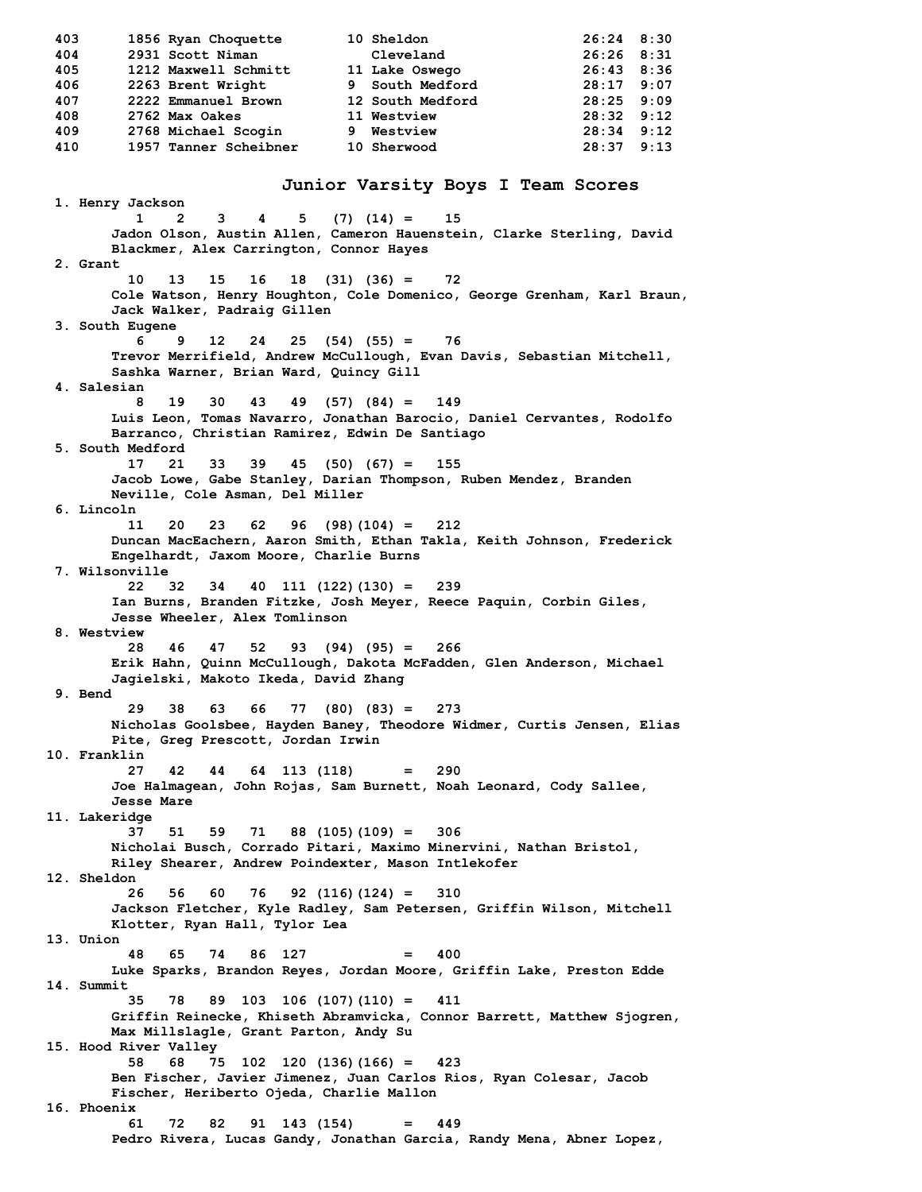**403 1856 Ryan Choquette 10 Sheldon 26:24 8:30 404 2931 Scott Niman Cleveland 26:26 8:31 405 1212 Maxwell Schmitt 11 Lake Oswego 26:43 8:36 406 2263 Brent Wright 9 South Medford 28:17 9:07 407 2222 Emmanuel Brown 12 South Medford 28:25 9:09 408 2762 Max Oakes 11 Westview 28:32 9:12 409 2768 Michael Scogin 9 Westview 28:34 9:12 410 1957 Tanner Scheibner 10 Sherwood 28:37 9:13 Junior Varsity Boys I Team Scores 1. Henry Jackson 1 2 3 4 5 (7) (14) = 15 Jadon Olson, Austin Allen, Cameron Hauenstein, Clarke Sterling, David Blackmer, Alex Carrington, Connor Hayes 2. Grant 10 13 15 16 18 (31) (36) = 72 Cole Watson, Henry Houghton, Cole Domenico, George Grenham, Karl Braun, Jack Walker, Padraig Gillen 3. South Eugene 6 9 12 24 25 (54) (55) = 76 Trevor Merrifield, Andrew McCullough, Evan Davis, Sebastian Mitchell, Sashka Warner, Brian Ward, Quincy Gill 4. Salesian 8 19 30 43 49 (57) (84) = 149 Luis Leon, Tomas Navarro, Jonathan Barocio, Daniel Cervantes, Rodolfo Barranco, Christian Ramirez, Edwin De Santiago 5. South Medford 17 21 33 39 45 (50) (67) = 155 Jacob Lowe, Gabe Stanley, Darian Thompson, Ruben Mendez, Branden Neville, Cole Asman, Del Miller 6. Lincoln 11 20 23 62 96 (98)(104) = 212 Duncan MacEachern, Aaron Smith, Ethan Takla, Keith Johnson, Frederick Engelhardt, Jaxom Moore, Charlie Burns 7. Wilsonville 22 32 34 40 111 (122)(130) = 239 Ian Burns, Branden Fitzke, Josh Meyer, Reece Paquin, Corbin Giles, Jesse Wheeler, Alex Tomlinson 8. Westview 28 46 47 52 93 (94) (95) = 266 Erik Hahn, Quinn McCullough, Dakota McFadden, Glen Anderson, Michael Jagielski, Makoto Ikeda, David Zhang 9. Bend 29 38 63 66 77 (80) (83) = 273 Nicholas Goolsbee, Hayden Baney, Theodore Widmer, Curtis Jensen, Elias Pite, Greg Prescott, Jordan Irwin 10. Franklin 27 42 44 64 113 (118) = 290 Joe Halmagean, John Rojas, Sam Burnett, Noah Leonard, Cody Sallee, Jesse Mare 11. Lakeridge 37 51 59 71 88 (105)(109) = 306 Nicholai Busch, Corrado Pitari, Maximo Minervini, Nathan Bristol, Riley Shearer, Andrew Poindexter, Mason Intlekofer 12. Sheldon 26 56 60 76 92 (116)(124) = 310 Jackson Fletcher, Kyle Radley, Sam Petersen, Griffin Wilson, Mitchell Klotter, Ryan Hall, Tylor Lea 13. Union 48 65 74 86 127 = 400 Luke Sparks, Brandon Reyes, Jordan Moore, Griffin Lake, Preston Edde 14. Summit 35 78 89 103 106 (107)(110) = 411 Griffin Reinecke, Khiseth Abramvicka, Connor Barrett, Matthew Sjogren, Max Millslagle, Grant Parton, Andy Su 15. Hood River Valley 58 68 75 102 120 (136)(166) = 423 Ben Fischer, Javier Jimenez, Juan Carlos Rios, Ryan Colesar, Jacob Fischer, Heriberto Ojeda, Charlie Mallon 16. Phoenix 61 72 82 91 143 (154) = 449 Pedro Rivera, Lucas Gandy, Jonathan Garcia, Randy Mena, Abner Lopez,**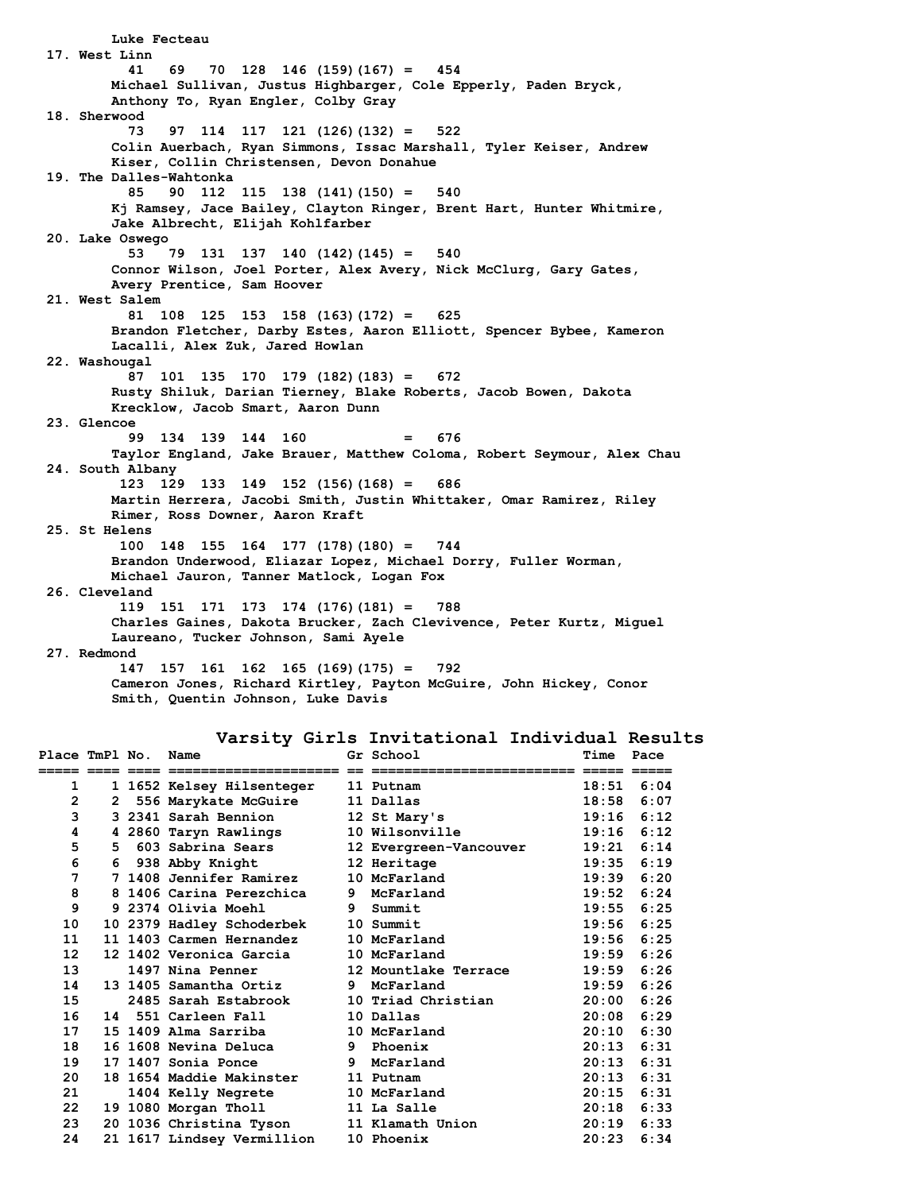**Luke Fecteau 17. West Linn 41 69 70 128 146 (159)(167) = 454 Michael Sullivan, Justus Highbarger, Cole Epperly, Paden Bryck, Anthony To, Ryan Engler, Colby Gray 18. Sherwood 73 97 114 117 121 (126)(132) = 522 Colin Auerbach, Ryan Simmons, Issac Marshall, Tyler Keiser, Andrew Kiser, Collin Christensen, Devon Donahue 19. The Dalles-Wahtonka 85 90 112 115 138 (141)(150) = 540 Kj Ramsey, Jace Bailey, Clayton Ringer, Brent Hart, Hunter Whitmire, Jake Albrecht, Elijah Kohlfarber 20. Lake Oswego 53 79 131 137 140 (142)(145) = 540 Connor Wilson, Joel Porter, Alex Avery, Nick McClurg, Gary Gates, Avery Prentice, Sam Hoover 21. West Salem 81 108 125 153 158 (163)(172) = 625 Brandon Fletcher, Darby Estes, Aaron Elliott, Spencer Bybee, Kameron Lacalli, Alex Zuk, Jared Howlan 22. Washougal 87 101 135 170 179 (182)(183) = 672 Rusty Shiluk, Darian Tierney, Blake Roberts, Jacob Bowen, Dakota Krecklow, Jacob Smart, Aaron Dunn 23. Glencoe 99 134 139 144 160 = 676 Taylor England, Jake Brauer, Matthew Coloma, Robert Seymour, Alex Chau 24. South Albany 123 129 133 149 152 (156)(168) = 686 Martin Herrera, Jacobi Smith, Justin Whittaker, Omar Ramirez, Riley Rimer, Ross Downer, Aaron Kraft 25. St Helens 100 148 155 164 177 (178)(180) = 744 Brandon Underwood, Eliazar Lopez, Michael Dorry, Fuller Worman, Michael Jauron, Tanner Matlock, Logan Fox 26. Cleveland 119 151 171 173 174 (176)(181) = 788 Charles Gaines, Dakota Brucker, Zach Clevivence, Peter Kurtz, Miguel Laureano, Tucker Johnson, Sami Ayele 27. Redmond 147 157 161 162 165 (169)(175) = 792 Cameron Jones, Richard Kirtley, Payton McGuire, John Hickey, Conor Smith, Quentin Johnson, Luke Davis**

#### **Varsity Girls Invitational Individual Results**

| Place TmPl No. |  | Name                       | Gr School              | Time         | Pace         |
|----------------|--|----------------------------|------------------------|--------------|--------------|
|                |  | ======================     |                        |              |              |
| 1              |  | 1 1652 Kelsey Hilsenteger  | 11 Putnam              | 18:51        | 6:04         |
| 2              |  | 2 556 Marykate McGuire     | 11 Dallas              | 18:58        | 6:07         |
| 3              |  | 3 2341 Sarah Bennion       | 12 St Mary's           | 19:16        | 6:12         |
| 4              |  | 4 2860 Taryn Rawlings      | 10 Wilsonville         | 19:16        | 6:12         |
| 5              |  | 5 603 Sabrina Sears        | 12 Evergreen-Vancouver | 19:21        | 6:14         |
| 6              |  | 6 938 Abby Knight          | 12 Heritage            |              | $19:35$ 6:19 |
| 7              |  | 7 1408 Jennifer Ramirez    | 10 McFarland           | 19:39        | 6:20         |
| 8              |  | 8 1406 Carina Perezchica   | 9 McFarland            | 19:52        | 6:24         |
| 9              |  | 9 2374 Olivia Moehl        | 9 Summit               |              | $19:55$ 6:25 |
| 10             |  | 10 2379 Hadley Schoderbek  | 10 Summit              | 19:56        | 6:25         |
| 11             |  | 11 1403 Carmen Hernandez   | 10 McFarland           | 19:56        | 6:25         |
| 12             |  | 12 1402 Veronica Garcia    | 10 McFarland           | 19:59        | 6:26         |
| 13             |  | 1497 Nina Penner           | 12 Mountlake Terrace   | 19:59        | 6:26         |
| 14             |  | 13 1405 Samantha Ortiz     | 9 McFarland            | 19:59        | 6:26         |
| 15             |  | 2485 Sarah Estabrook       | 10 Triad Christian     | 20:00        | 6:26         |
| 16             |  | 14 551 Carleen Fall        | 10 Dallas              | 20:08        | 6:29         |
| 17             |  | 15 1409 Alma Sarriba       | 10 McFarland           | 20:10        | 6:30         |
| 18             |  | 16 1608 Nevina Deluca      | 9 Phoenix              | 20:13        | 6:31         |
| 19             |  | 17 1407 Sonia Ponce        | 9 McFarland            | 20:13        | 6:31         |
| 20             |  | 18 1654 Maddie Makinster   | 11 Putnam              | 20:13        | 6:31         |
| 21             |  | 1404 Kelly Negrete         | 10 McFarland           | 20:15        | 6:31         |
| 22             |  | 19 1080 Morgan Tholl       | 11 La Salle            |              | $20:18$ 6:33 |
| 23             |  | 20 1036 Christina Tyson    | 11 Klamath Union       | $20:19$ 6:33 |              |
| 24             |  | 21 1617 Lindsey Vermillion | 10 Phoenix             | 20:23        | 6:34         |
|                |  |                            |                        |              |              |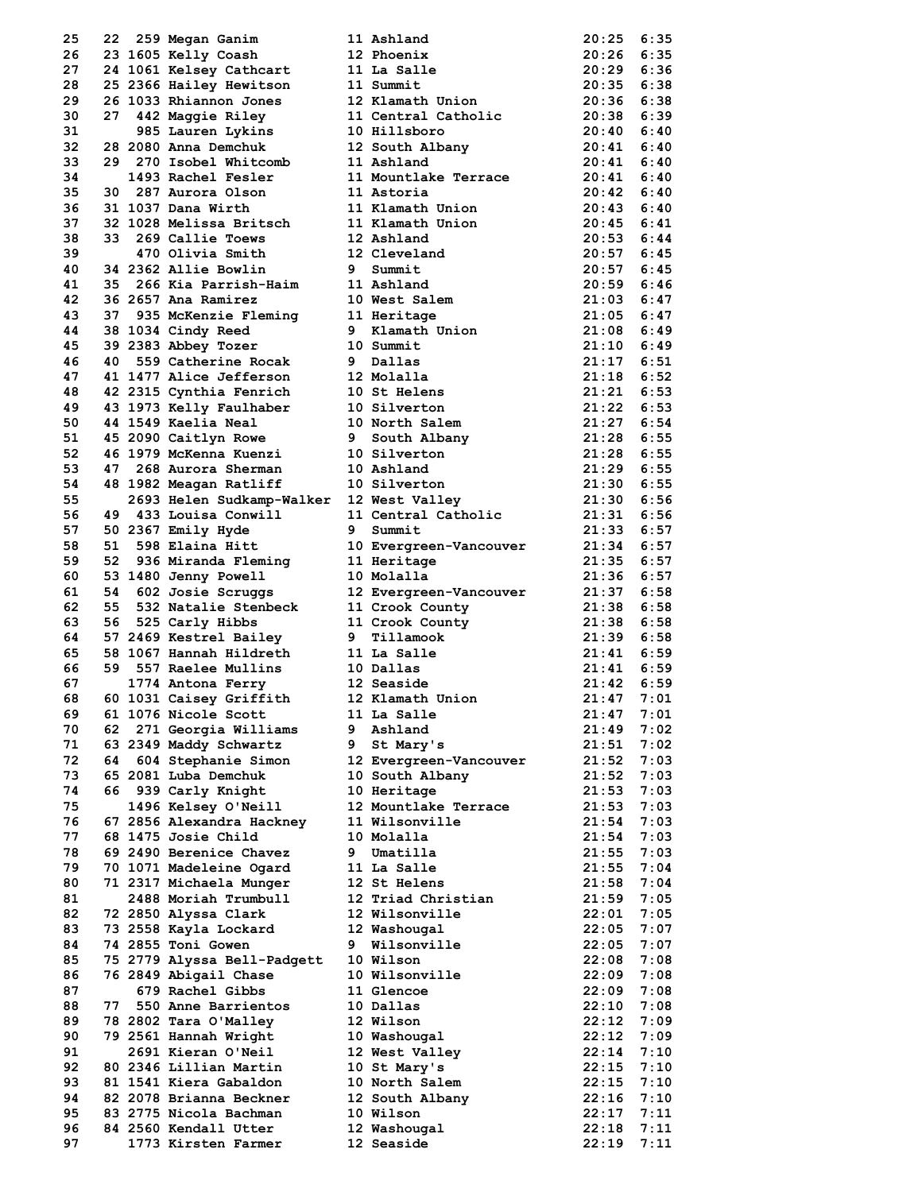| 25       |    | 22 259 Megan Ganim                                 |   | 11 Ashland                                 | $20:25$ 6:35                   |              |
|----------|----|----------------------------------------------------|---|--------------------------------------------|--------------------------------|--------------|
| 26       |    | 23 1605 Kelly Coash                                |   | 12 Phoenix                                 | $20:26$ 6:35                   |              |
| 27       |    | 24 1061 Kelsey Cathcart                            |   | 11 La Salle                                | $20:29$ $6:36$                 |              |
| 28       |    | 25 2366 Hailey Hewitson                            |   | 11 Summit                                  | $20:35$ $6:38$                 |              |
| 29       |    | 26 1033 Rhiannon Jones                             |   | 12 Klamath Union                           | $20:36$ 6:38                   |              |
| 30       |    | 27 442 Maggie Riley                                |   | 11 Central Catholic                        | 20:38 6:39                     |              |
| 31       |    | 985 Lauren Lykins                                  |   | 10 Hillsboro                               | $20:40$ 6:40                   |              |
| 32<br>33 |    | 28 2080 Anna Demchuk<br>29 270 Isobel Whitcomb     |   | 12 South Albany<br>11 Ashland              | $20:41$ $6:40$<br>$20:41$ 6:40 |              |
| 34       |    | 1493 Rachel Fesler                                 |   | 11 Mountlake Terrace                       | $20:41$ $6:40$                 |              |
| 35       |    | 30 287 Aurora Olson                                |   | 11 Astoria                                 | $20:42$ 6:40                   |              |
| 36       |    | 31 1037 Dana Wirth                                 |   | 11 Klamath Union                           | $20:43$ 6:40                   |              |
| 37       |    | 32 1028 Melissa Britsch                            |   | 11 Klamath Union                           | $20:45$ 6:41                   |              |
| 38       |    | 33 269 Callie Toews                                |   | 12 Ashland                                 | $20:53$ 6:44                   |              |
| 39       |    | 470 Olivia Smith                                   |   | 12 Cleveland                               | $20:57$ 6:45                   |              |
| 40       |    | 34 2362 Allie Bowlin                               |   | 9 Summit                                   | $20:57$ 6:45                   |              |
| 41       |    | 35 266 Kia Parrish-Haim                            |   | 11 Ashland                                 | $20:59$ 6:46                   |              |
| 42       |    | 36 2657 Ana Ramirez                                |   | 10 West Salem                              | $21:03$ 6:47                   |              |
| 43       |    | 37 935 McKenzie Fleming                            |   | 11 Heritage                                | $21:05$ 6:47                   |              |
| 44       |    | 38 1034 Cindy Reed                                 |   | 9 Klamath Union                            | $21:08$ $6:49$                 |              |
| 45       |    | 39 2383 Abbey Tozer                                |   | 10 Summit                                  | $21:10$ 6:49                   |              |
| 46       |    | 40 559 Catherine Rocak                             |   | 9 Dallas                                   | $21:17$ 6:51                   |              |
| 47<br>48 |    | 41 1477 Alice Jefferson<br>42 2315 Cynthia Fenrich |   | 12 Molalla<br>10 St Helens                 | $21:18$ 6:52<br>$21:21$ 6:53   |              |
| 49       |    | 43 1973 Kelly Faulhaber                            |   | 10 Silverton                               | $21:22$ 6:53                   |              |
| 50       |    | 44 1549 Kaelia Neal                                |   | 10 North Salem                             | $21:27$ 6:54                   |              |
| 51       |    | 45 2090 Caitlyn Rowe                               |   | 9 South Albany                             | 21:28 6:55                     |              |
| 52       |    | 46 1979 McKenna Kuenzi                             |   | 10 Silverton                               | 21:28 6:55                     |              |
| 53       | 47 | 268 Aurora Sherman                                 |   | 10 Ashland                                 | 21:29 6:55                     |              |
| 54       |    | 48 1982 Meagan Ratliff                             |   | 10 Silverton                               | 21:30 6:55                     |              |
| 55       |    | 2693 Helen Sudkamp-Walker                          |   | 12 West Valley                             | $21:30$ 6:56                   |              |
| 56       |    | 49 433 Louisa Conwill                              |   | 11 Central Catholic                        | 21:31 6:56                     |              |
| 57       |    | 50 2367 Emily Hyde                                 | 9 | Summit                                     | $21:33$ 6:57                   |              |
| 58       |    | 51 598 Elaina Hitt                                 |   | 10 Evergreen-Vancouver                     | $21:34$ 6:57                   |              |
| 59       |    | 52 936 Miranda Fleming                             |   | 11 Heritage                                | $21:35$ 6:57                   |              |
| 60       |    | 53 1480 Jenny Powell                               |   | 10 Molalla                                 | $21:36$ 6:57                   |              |
| 61       | 54 | 602 Josie Scruggs                                  |   | 12 Evergreen-Vancouver                     | $21:37$ 6:58                   |              |
| 62       |    | 55 532 Natalie Stenbeck                            |   |                                            | $21:38$ 6:58                   |              |
| 63       |    | 56 525 Carly Hibbs                                 |   | ---- county<br>11 Crook County<br>9 Tiller | $21:38$ 6:58                   |              |
| 64       |    | 57 2469 Kestrel Bailey                             |   | 9 Tillamook                                | $21:39$ 6:58                   |              |
| 65       |    | 58 1067 Hannah Hildreth                            |   | 11 La Salle                                | $21:41$ 6:59                   |              |
| 66       |    | 59 557 Raelee Mullins                              |   | 10 Dallas                                  | $21:41$ 6:59                   |              |
| 67       |    | 1774 Antona Ferry                                  |   | 12 Seaside                                 | $21:42$ 6:59                   |              |
| 68       |    | 60 1031 Caisey Griffith                            |   | 12 Klamath Union                           | 21:47                          | 7:01         |
| 69       |    | 61 1076 Nicole Scott                               |   | 11 La Salle                                | 21:47                          | 7:01         |
| 70<br>71 | 62 | 271 Georgia Williams<br>63 2349 Maddy Schwartz     | 9 | Ashland                                    | 21:49<br>21:51                 | 7:02         |
| 72       | 64 | 604 Stephanie Simon                                |   | 9 St Mary's<br>12 Evergreen-Vancouver      | 21:52                          | 7:02<br>7:03 |
| 73       |    | 65 2081 Luba Demchuk                               |   | 10 South Albany                            | 21:52                          | 7:03         |
| 74       |    | 66 939 Carly Knight                                |   | 10 Heritage                                | 21:53                          | 7:03         |
| 75       |    | 1496 Kelsey O'Neill                                |   | 12 Mountlake Terrace                       | 21:53                          | 7:03         |
| 76       |    | 67 2856 Alexandra Hackney                          |   | 11 Wilsonville                             | 21:54                          | 7:03         |
| 77       |    | 68 1475 Josie Child                                |   | 10 Molalla                                 | 21:54                          | 7:03         |
| 78       |    | 69 2490 Berenice Chavez                            |   | 9 Umatilla                                 | 21:55                          | 7:03         |
| 79       |    | 70 1071 Madeleine Ogard                            |   | 11 La Salle                                | 21:55                          | 7:04         |
| 80       |    | 71 2317 Michaela Munger                            |   | 12 St Helens                               | 21:58                          | 7:04         |
| 81       |    | 2488 Moriah Trumbull                               |   | 12 Triad Christian                         | 21:59                          | 7:05         |
| 82       |    | 72 2850 Alyssa Clark                               |   | 12 Wilsonville                             | 22:01                          | 7:05         |
| 83       |    | 73 2558 Kayla Lockard                              |   | 12 Washougal                               | 22:05                          | 7:07         |
| 84       |    | 74 2855 Toni Gowen                                 | 9 | Wilsonville                                | 22:05                          | 7:07         |
| 85       |    | 75 2779 Alyssa Bell-Padgett                        |   | 10 Wilson                                  | 22:08                          | 7:08         |
| 86       |    | 76 2849 Abigail Chase                              |   | 10 Wilsonville                             | 22:09                          | 7:08         |
| 87       |    | 679 Rachel Gibbs                                   |   | 11 Glencoe                                 | 22:09                          | 7:08         |
| 88       |    | 77 550 Anne Barrientos                             |   | 10 Dallas                                  | 22:10                          | 7:08         |
| 89       |    | 78 2802 Tara O'Malley                              |   | 12 Wilson                                  | 22:12                          | 7:09         |
| 90       |    | 79 2561 Hannah Wright                              |   | 10 Washougal                               | 22:12                          | 7:09         |
| 91<br>92 |    | 2691 Kieran O'Neil<br>80 2346 Lillian Martin       |   | 12 West Valley                             | 22:14<br>22:15                 | 7:10         |
| 93       |    | 81 1541 Kiera Gabaldon                             |   | 10 St Mary's<br>10 North Salem             | 22:15                          | 7:10<br>7:10 |
| 94       |    | 82 2078 Brianna Beckner                            |   | 12 South Albany                            | 22:16                          | 7:10         |
| 95       |    | 83 2775 Nicola Bachman                             |   | 10 Wilson                                  | 22:17                          | 7:11         |
| 96       |    | 84 2560 Kendall Utter                              |   | 12 Washougal                               | 22:18                          | 7:11         |
| 97       |    | 1773 Kirsten Farmer                                |   | 12 Seaside                                 | 22:19                          | 7:11         |
|          |    |                                                    |   |                                            |                                |              |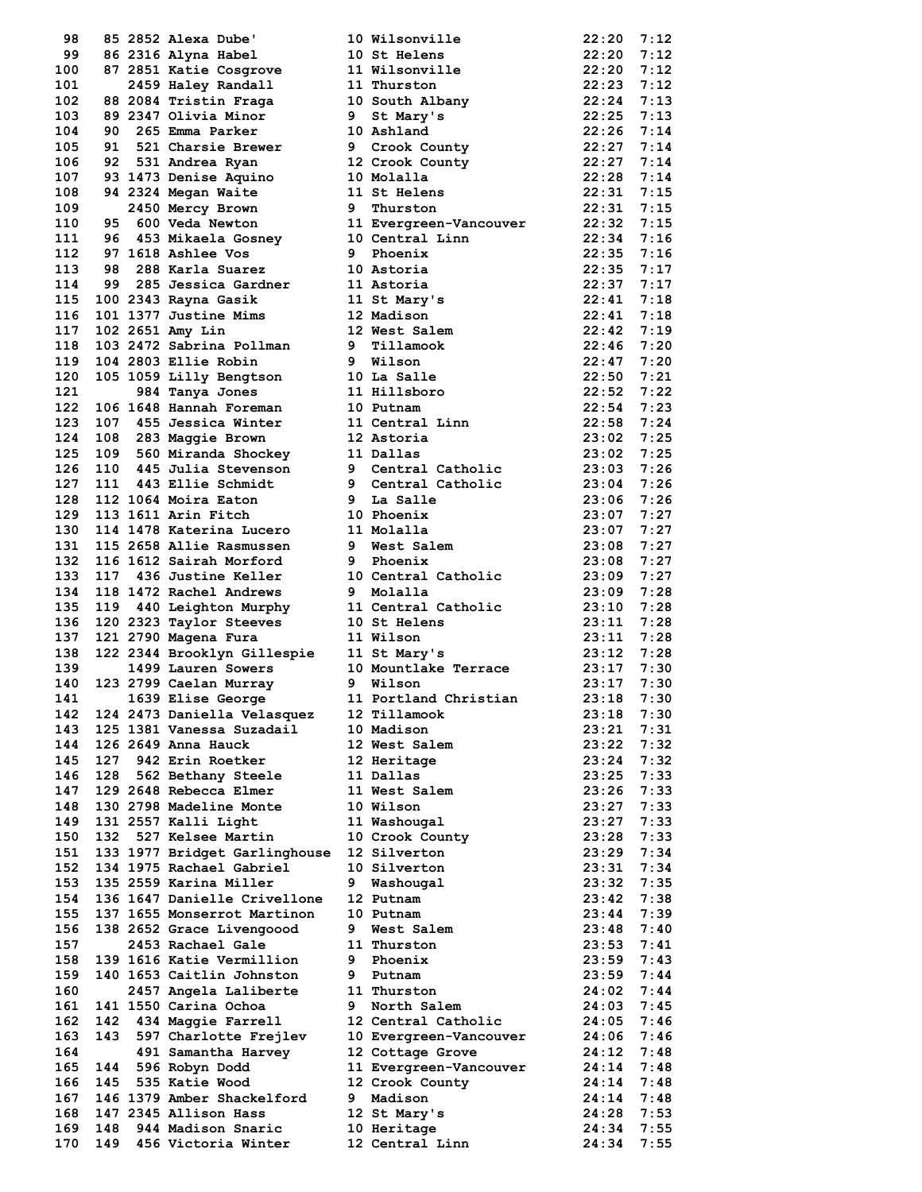| 98         |     | 85 2852 Alexa Dube'                                             |   | 10 Wilsonville                                                                                                                                                                                                                                       | 22:20              | 7:12 |
|------------|-----|-----------------------------------------------------------------|---|------------------------------------------------------------------------------------------------------------------------------------------------------------------------------------------------------------------------------------------------------|--------------------|------|
| 99         |     | 86 2316 Alyna Habel                                             |   | 10 St Helens                                                                                                                                                                                                                                         | 22:20              | 7:12 |
| 100        |     |                                                                 |   | 87 2851 Katie Cosgrove 11 Wilsonville 22:20<br>2459 Haley Randall 11 Thurston 22:23                                                                                                                                                                  |                    | 7:12 |
| 101        |     |                                                                 |   |                                                                                                                                                                                                                                                      |                    | 7:12 |
| 102        |     |                                                                 |   | 88 2084 Tristin Fraga 10 South Albany 22:24                                                                                                                                                                                                          |                    | 7:13 |
| 103        |     | 89 2347 Olivia Minor                                            |   | 9 St Mary's                                                                                                                                                                                                                                          |                    | 7:13 |
| 104        |     | 90 265 Emma Parker                                              |   | 10 Ashland                                                                                                                                                                                                                                           | 22:25<br>22:26     | 7:14 |
| 105        |     | 91 521 Charsie Brewer                                           |   | 9 Crook County                                                                                                                                                                                                                                       | 22:27              | 7:14 |
| 106        |     | 92 531 Andrea Ryan                                              |   | 12 Crook County                                                                                                                                                                                                                                      |                    | 7:14 |
| 107        |     | 92 JJI AMERICA<br>93 1473 Denise Aquino<br>01 0004 Megan Waite  |   | 10 Molalla                                                                                                                                                                                                                                           | 22:27<br>22:28     | 7:14 |
| 108        |     |                                                                 |   |                                                                                                                                                                                                                                                      | $22:20$<br>$22:31$ |      |
|            |     |                                                                 |   |                                                                                                                                                                                                                                                      |                    |      |
| 109        |     |                                                                 |   | 93 14/3 Denne Maite<br>94 2324 Megray Brown<br>95 600 Veda Newton<br>95 600 Veda Newton<br>95 600 Veda Newton<br>97 1618 Ashlee Vos<br>97 1618 Ashlee Vos<br>97 1618 Ashlee Vos<br>97 22:35 7:16<br>97 285 Jenne Maine<br>97 22:35 7:16<br>98 285 Ka |                    |      |
| 110        |     |                                                                 |   |                                                                                                                                                                                                                                                      |                    |      |
| 111        |     |                                                                 |   |                                                                                                                                                                                                                                                      |                    |      |
| 112        |     |                                                                 |   |                                                                                                                                                                                                                                                      |                    |      |
| 113        |     |                                                                 |   |                                                                                                                                                                                                                                                      |                    |      |
| 114        |     |                                                                 |   |                                                                                                                                                                                                                                                      |                    |      |
| 115        |     |                                                                 |   |                                                                                                                                                                                                                                                      |                    |      |
| 116        |     |                                                                 |   |                                                                                                                                                                                                                                                      |                    |      |
| 117        |     |                                                                 |   |                                                                                                                                                                                                                                                      |                    |      |
| 118        |     |                                                                 |   | $22:50$<br>$22:52$<br>$22:54$<br>$22:58$<br>$22:58$                                                                                                                                                                                                  |                    |      |
| 119        |     |                                                                 |   |                                                                                                                                                                                                                                                      |                    |      |
| 120        |     |                                                                 |   | 10 La Salle                                                                                                                                                                                                                                          | $22:50$ 7:21       |      |
| 121        |     | 105 1059 Lilly Bengtson<br>984 Tanva Jones                      |   |                                                                                                                                                                                                                                                      |                    | 7:22 |
|            |     | 984 Tanya Jones                                                 |   | 11 Hillsboro                                                                                                                                                                                                                                         |                    |      |
| 122        |     | 106 1648 Hannah Foreman                                         |   | 10 Putnam                                                                                                                                                                                                                                            |                    | 7:23 |
| 123        |     | 107 455 Jessica Winter                                          |   | 11 Central Linn                                                                                                                                                                                                                                      |                    | 7:24 |
| 124        |     | 108 283 Maggie Brown                                            |   | 12 Astoria                                                                                                                                                                                                                                           | 23:02              | 7:25 |
| 125        |     | 109 560 Miranda Shockey 11 Dallas                               |   |                                                                                                                                                                                                                                                      | 23:02              | 7:25 |
| 126        |     |                                                                 |   | 110 445 Julia Stevenson 9 Central Catholic 23:03                                                                                                                                                                                                     |                    | 7:26 |
| 127        |     | 111 443 Ellie Schmidt                                           |   |                                                                                                                                                                                                                                                      | 23:04              | 7:26 |
| 128        |     | 112 1064 Moira Eaton                                            |   | 9 Central Catholic<br>9 Central Catholic                                                                                                                                                                                                             | 23:06              | 7:26 |
| 129        |     | 113 1611 Arin Fitch                                             |   | 10 Phoenix                                                                                                                                                                                                                                           | 23:07              | 7:27 |
| 130        |     | 114 1478 Katerina Lucero                                        |   | 11 Molalla                                                                                                                                                                                                                                           | 23:07              | 7:27 |
| 131        |     | 115 2658 Allie Rasmussen                                        |   |                                                                                                                                                                                                                                                      |                    | 7:27 |
|            |     |                                                                 |   | 9 West Salem                                                                                                                                                                                                                                         | 23:08              |      |
| 132        |     | 116 1612 Sairah Morford                                         |   | 9 Phoenix                                                                                                                                                                                                                                            | 23:08              | 7:27 |
| 133        |     | 117 436 Justine Keller                                          |   | 10 Central Catholic                                                                                                                                                                                                                                  | 23:09 7:27         |      |
| 134        |     | 118 1472 Rachel Andrews                                         |   | 9 Molalla                                                                                                                                                                                                                                            | 23:09              | 7:28 |
| 135        |     |                                                                 |   | 119 440 Leighton Murphy 11 Central Catholic                                                                                                                                                                                                          | 23:10              | 7:28 |
| 136        |     | 120 2323 Taylor Steeves                                         |   | <b>10 St Helens</b>                                                                                                                                                                                                                                  | 23:11              | 7:28 |
| 137        |     | 121 2790 Magena Fura                                            |   | 11 Wilson                                                                                                                                                                                                                                            | $23:11$ 7:28       |      |
| 138        |     |                                                                 |   | 122 2344 Brooklyn Gillespie 11 St Mary's 23:12<br>1499 Lauren Sowers 10 Mountlake Terrace 23:17                                                                                                                                                      |                    | 7:28 |
| 139        |     |                                                                 |   |                                                                                                                                                                                                                                                      |                    | 7:30 |
| 140        |     |                                                                 |   |                                                                                                                                                                                                                                                      | 23:17              | 7:30 |
| 141        |     | 123 2799 Caelan Murray 9 Wilson<br>1639 Elise George 11 Portlar |   | 11 Portland Christian                                                                                                                                                                                                                                | 23:18              | 7:30 |
| 142        |     | 124 2473 Daniella Velasquez                                     |   | 12 Tillamook                                                                                                                                                                                                                                         | 23:18              | 7:30 |
|            |     |                                                                 |   |                                                                                                                                                                                                                                                      | 23:21              |      |
| 143        |     | 125 1381 Vanessa Suzadail                                       |   | 10 Madison                                                                                                                                                                                                                                           |                    | 7:31 |
| 144        |     | 126 2649 Anna Hauck                                             |   | 12 West Salem                                                                                                                                                                                                                                        | 23:22              | 7:32 |
| 145        | 127 | 942 Erin Roetker                                                |   | 12 Heritage                                                                                                                                                                                                                                          | 23:24              | 7:32 |
| 146        |     | 128 562 Bethany Steele                                          |   | 11 Dallas                                                                                                                                                                                                                                            | 23:25              | 7:33 |
| 147        |     | 129 2648 Rebecca Elmer                                          |   | 11 West Salem                                                                                                                                                                                                                                        | 23:26              | 7:33 |
| 148        |     | 130 2798 Madeline Monte                                         |   | 10 Wilson                                                                                                                                                                                                                                            | 23:27              | 7:33 |
| 149        |     | 131 2557 Kalli Light                                            |   | 11 Washougal                                                                                                                                                                                                                                         | 23:27              | 7:33 |
| 150        |     | 132 527 Kelsee Martin                                           |   | 10 Crook County                                                                                                                                                                                                                                      | 23:28              | 7:33 |
| 151        |     | 133 1977 Bridget Garlinghouse                                   |   | 12 Silverton                                                                                                                                                                                                                                         | 23:29              | 7:34 |
| 152        |     | 134 1975 Rachael Gabriel                                        |   | 10 Silverton                                                                                                                                                                                                                                         | 23:31              | 7:34 |
| 153        |     | 135 2559 Karina Miller                                          |   | 9 Washougal                                                                                                                                                                                                                                          | 23:32              | 7:35 |
| 154        |     | 136 1647 Danielle Crivellone                                    |   | 12 Putnam                                                                                                                                                                                                                                            | 23:42              | 7:38 |
| 155        |     | 137 1655 Monserrot Martinon                                     |   | 10 Putnam                                                                                                                                                                                                                                            | 23:44              | 7:39 |
| 156        |     | 138 2652 Grace Livengoood                                       | 9 | West Salem                                                                                                                                                                                                                                           | 23:48              | 7:40 |
|            |     |                                                                 |   |                                                                                                                                                                                                                                                      |                    |      |
| 157        |     | 2453 Rachael Gale                                               |   | 11 Thurston                                                                                                                                                                                                                                          | 23:53              | 7:41 |
| 158        |     | 139 1616 Katie Vermillion                                       | 9 | Phoenix                                                                                                                                                                                                                                              | 23:59              | 7:43 |
| 159        |     | 140 1653 Caitlin Johnston                                       | 9 | Putnam                                                                                                                                                                                                                                               | 23:59              | 7:44 |
| 160        |     | 2457 Angela Laliberte                                           |   | 11 Thurston                                                                                                                                                                                                                                          | 24:02              | 7:44 |
| 161        |     | 141 1550 Carina Ochoa                                           | 9 | North Salem                                                                                                                                                                                                                                          | 24:03              | 7:45 |
| 162        | 142 | 434 Maggie Farrell                                              |   | 12 Central Catholic                                                                                                                                                                                                                                  | 24:05              | 7:46 |
| 163        |     | 143 597 Charlotte Frejlev                                       |   | 10 Evergreen-Vancouver                                                                                                                                                                                                                               | 24:06              | 7:46 |
| 164        |     | 491 Samantha Harvey                                             |   | 12 Cottage Grove                                                                                                                                                                                                                                     | 24:12              | 7:48 |
| 165        | 144 | 596 Robyn Dodd                                                  |   | 11 Evergreen-Vancouver                                                                                                                                                                                                                               | 24:14              | 7:48 |
| 166        |     | 145 535 Katie Wood                                              |   | 12 Crook County                                                                                                                                                                                                                                      | 24:14              | 7:48 |
|            |     |                                                                 |   |                                                                                                                                                                                                                                                      |                    |      |
| 167<br>168 |     | 146 1379 Amber Shackelford                                      | 9 | Madison                                                                                                                                                                                                                                              | 24:14              | 7:48 |
|            |     |                                                                 |   |                                                                                                                                                                                                                                                      |                    |      |
|            |     | 147 2345 Allison Hass                                           |   | 12 St Mary's                                                                                                                                                                                                                                         | 24:28              | 7:53 |
| 169        | 148 | 944 Madison Snaric                                              |   | 10 Heritage                                                                                                                                                                                                                                          | 24:34              | 7:55 |
| 170        | 149 | 456 Victoria Winter                                             |   | 12 Central Linn                                                                                                                                                                                                                                      | 24:34              | 7:55 |

**98 85 2852 Alexa Dube' 10 Wilsonville 22:20 7:12**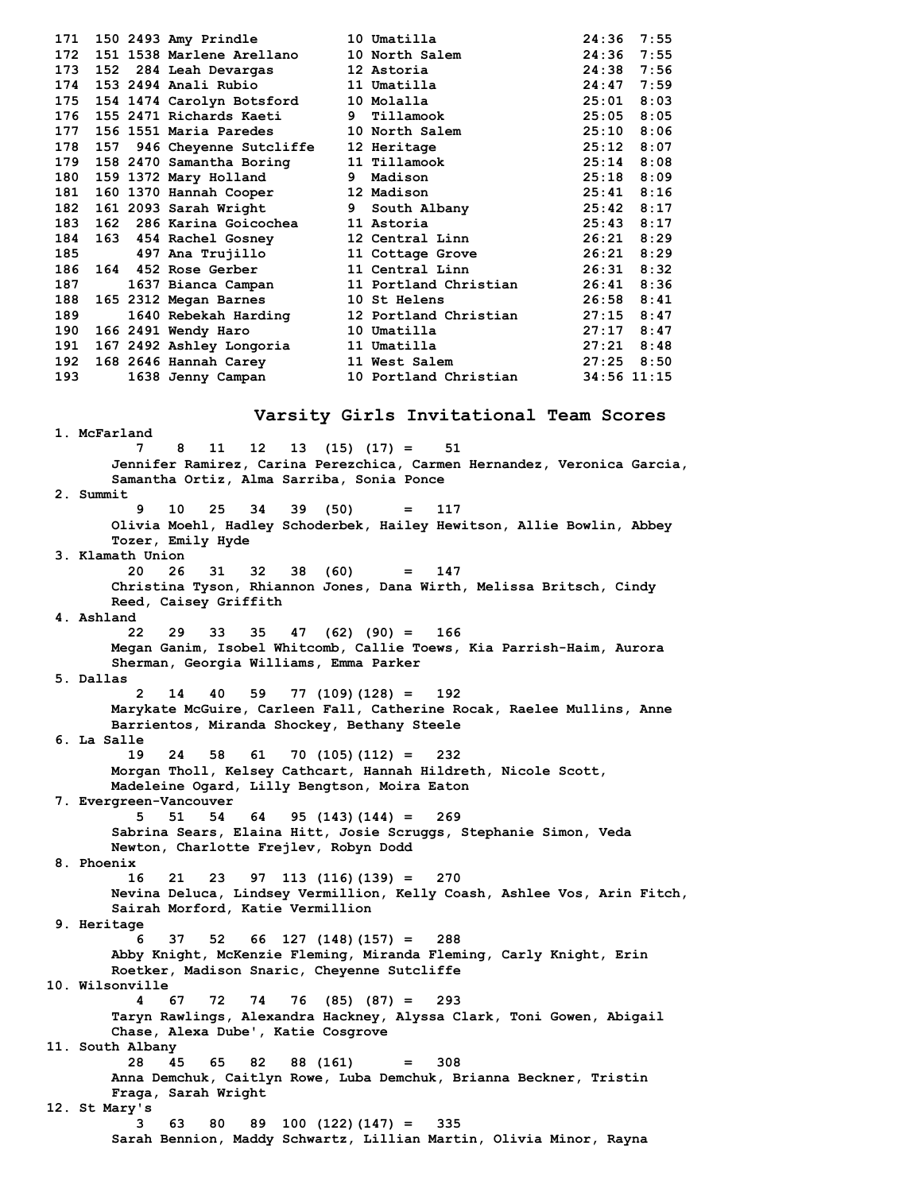| 171 |  | 150 2493 Amy Prindle 10 Umatilla         |                                                                                                                 | 24:36          | 7:55 |
|-----|--|------------------------------------------|-----------------------------------------------------------------------------------------------------------------|----------------|------|
| 172 |  | 151 1538 Marlene Arellano 10 North Salem |                                                                                                                 | 24:36          | 7:55 |
| 173 |  | 152 284 Leah Devargas 12 Astoria         |                                                                                                                 | $24:38$ 7:56   |      |
| 174 |  | 153 2494 Anali Rubio 11 Umatilla         |                                                                                                                 | $24:47$ 7:59   |      |
|     |  | 175 154 1474 Carolyn Botsford 10 Molalla |                                                                                                                 | $25:01$ 8:03   |      |
|     |  | 176 155 2471 Richards Kaeti              | 9 Tillamook                                                                                                     | $25:05$ 8:05   |      |
| 177 |  | 156 1551 Maria Paredes 10 North Salem    |                                                                                                                 | 25:10          | 8:06 |
| 178 |  | 157 946 Cheyenne Sutcliffe               | 12 Heritage                                                                                                     | $25:12$ 8:07   |      |
|     |  | 179 158 2470 Samantha Boring             | 11 Tillamook                                                                                                    | $25:14$ 8:08   |      |
|     |  | 180 159 1372 Mary Holland                | 9 Madison                                                                                                       | 25:18 8:09     |      |
|     |  |                                          | 181 160 1370 Hannah Cooper 12 Madison<br>182 161 2093 Sarah Wright 9 South Albany                               | $25:41$ 8:16   |      |
|     |  |                                          |                                                                                                                 | 25:42 8:17     |      |
| 183 |  | 162 286 Karina Goicochea 11 Astoria      |                                                                                                                 | 25:43 8:17     |      |
| 184 |  | 163 454 Rachel Gosney                    | 12 Central Linn                                                                                                 | 26:21 8:29     |      |
| 185 |  |                                          | 497 Ana Trujillo 11 Cottage Grove                                                                               | 26:21 8:29     |      |
|     |  | 186 164 452 Rose Gerber                  | 11 Central Linn                                                                                                 | 26:31 8:32     |      |
| 187 |  |                                          | 1637 Bianca Campan 11 Portland Christian                                                                        | 26:41 8:36     |      |
| 188 |  | 165 2312 Megan Barnes                    | 10 St Helens and the state of the state of the state of the state of the state of the state of the state of the | 26:58 8:41     |      |
| 189 |  |                                          | 1640 Rebekah Harding 12 Portland Christian                                                                      | $27:15$ 8:47   |      |
| 190 |  | 166 2491 Wendy Haro 10 Umatilla          |                                                                                                                 | 27:17          | 8:47 |
| 191 |  | 167 2492 Ashley Longoria 11 Umatilla     |                                                                                                                 | $27:21$ $8:48$ |      |
|     |  | 192 168 2646 Hannah Carey                | 11 West Salem 27:25 8:50                                                                                        |                |      |
| 193 |  | 1638 Jenny Campan                        | 10 Portland Christian                                                                                           | 34:56 11:15    |      |
|     |  |                                          |                                                                                                                 |                |      |

# **Varsity Girls Invitational Team Scores**

**1. McFarland 7 8 11 12 13 (15) (17) = 51 Jennifer Ramirez, Carina Perezchica, Carmen Hernandez, Veronica Garcia, Samantha Ortiz, Alma Sarriba, Sonia Ponce 2. Summit 9 10 25 34 39 (50) = 117 Olivia Moehl, Hadley Schoderbek, Hailey Hewitson, Allie Bowlin, Abbey Tozer, Emily Hyde 3. Klamath Union 20 26 31 32 38 (60) = 147 Christina Tyson, Rhiannon Jones, Dana Wirth, Melissa Britsch, Cindy Reed, Caisey Griffith 4. Ashland 22 29 33 35 47 (62) (90) = 166 Megan Ganim, Isobel Whitcomb, Callie Toews, Kia Parrish-Haim, Aurora Sherman, Georgia Williams, Emma Parker 5. Dallas 2 14 40 59 77 (109)(128) = 192 Marykate McGuire, Carleen Fall, Catherine Rocak, Raelee Mullins, Anne Barrientos, Miranda Shockey, Bethany Steele 6. La Salle 19 24 58 61 70 (105)(112) = 232 Morgan Tholl, Kelsey Cathcart, Hannah Hildreth, Nicole Scott, Madeleine Ogard, Lilly Bengtson, Moira Eaton 7. Evergreen-Vancouver 5 51 54 64 95 (143)(144) = 269 Sabrina Sears, Elaina Hitt, Josie Scruggs, Stephanie Simon, Veda Newton, Charlotte Frejlev, Robyn Dodd 8. Phoenix 16 21 23 97 113 (116)(139) = 270 Nevina Deluca, Lindsey Vermillion, Kelly Coash, Ashlee Vos, Arin Fitch, Sairah Morford, Katie Vermillion 9. Heritage 6 37 52 66 127 (148)(157) = 288 Abby Knight, McKenzie Fleming, Miranda Fleming, Carly Knight, Erin Roetker, Madison Snaric, Cheyenne Sutcliffe 10. Wilsonville 4 67 72 74 76 (85) (87) = 293 Taryn Rawlings, Alexandra Hackney, Alyssa Clark, Toni Gowen, Abigail Chase, Alexa Dube', Katie Cosgrove 11. South Albany 28 45 65 82 88 (161) = 308 Anna Demchuk, Caitlyn Rowe, Luba Demchuk, Brianna Beckner, Tristin Fraga, Sarah Wright 12. St Mary's 3 63 80 89 100 (122)(147) = 335 Sarah Bennion, Maddy Schwartz, Lillian Martin, Olivia Minor, Rayna**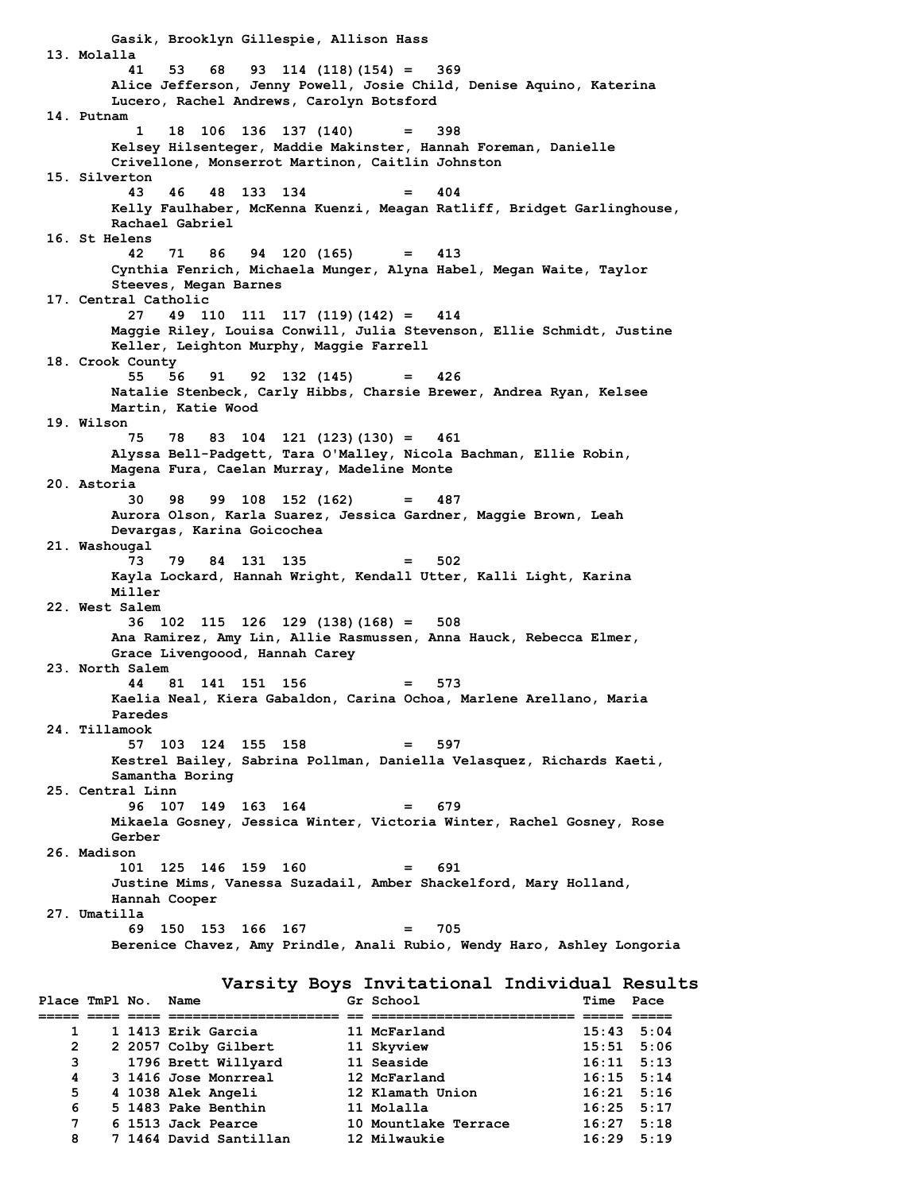**Gasik, Brooklyn Gillespie, Allison Hass 13. Molalla 41 53 68 93 114 (118)(154) = 369 Alice Jefferson, Jenny Powell, Josie Child, Denise Aquino, Katerina Lucero, Rachel Andrews, Carolyn Botsford 14. Putnam 1 18 106 136 137 (140) = 398 Kelsey Hilsenteger, Maddie Makinster, Hannah Foreman, Danielle Crivellone, Monserrot Martinon, Caitlin Johnston 15. Silverton 43 46 48 133 134 = 404 Kelly Faulhaber, McKenna Kuenzi, Meagan Ratliff, Bridget Garlinghouse, Rachael Gabriel 16. St Helens 42 71 86 94 120 (165) = 413 Cynthia Fenrich, Michaela Munger, Alyna Habel, Megan Waite, Taylor Steeves, Megan Barnes 17. Central Catholic 27 49 110 111 117 (119)(142) = 414 Maggie Riley, Louisa Conwill, Julia Stevenson, Ellie Schmidt, Justine Keller, Leighton Murphy, Maggie Farrell 18. Crook County 55 56 91 92 132 (145) = 426 Natalie Stenbeck, Carly Hibbs, Charsie Brewer, Andrea Ryan, Kelsee Martin, Katie Wood 19. Wilson 75 78 83 104 121 (123)(130) = 461 Alyssa Bell-Padgett, Tara O'Malley, Nicola Bachman, Ellie Robin, Magena Fura, Caelan Murray, Madeline Monte 20. Astoria 30 98 99 108 152 (162) = 487 Aurora Olson, Karla Suarez, Jessica Gardner, Maggie Brown, Leah Devargas, Karina Goicochea 21. Washougal 73 79 84 131 135 = 502 Kayla Lockard, Hannah Wright, Kendall Utter, Kalli Light, Karina Miller 22. West Salem 36 102 115 126 129 (138)(168) = 508 Ana Ramirez, Amy Lin, Allie Rasmussen, Anna Hauck, Rebecca Elmer, Grace Livengoood, Hannah Carey 23. North Salem 44 81 141 151 156 = 573 Kaelia Neal, Kiera Gabaldon, Carina Ochoa, Marlene Arellano, Maria Paredes 24. Tillamook 57 103 124 155 158 = 597 Kestrel Bailey, Sabrina Pollman, Daniella Velasquez, Richards Kaeti, Samantha Boring 25. Central Linn 96 107 149 163 164 = 679 Mikaela Gosney, Jessica Winter, Victoria Winter, Rachel Gosney, Rose Gerber 26. Madison 101 125 146 159 160 = 691 Justine Mims, Vanessa Suzadail, Amber Shackelford, Mary Holland, Hannah Cooper 27. Umatilla 69 150 153 166 167 = 705 Berenice Chavez, Amy Prindle, Anali Rubio, Wendy Haro, Ashley Longoria Varsity Boys Invitational Individual Results**

| Place TmPl No. Name |  |                        | Gr School            | Time           | Pace |
|---------------------|--|------------------------|----------------------|----------------|------|
|                     |  |                        |                      |                |      |
|                     |  | 1 1413 Erik Garcia     | 11 McFarland         | $15:43$ $5:04$ |      |
| 2                   |  | 2 2057 Colby Gilbert   | 11 Skyview           | $15:51$ $5:06$ |      |
| 3                   |  | 1796 Brett Willyard    | 11 Seaside           | $16:11$ $5:13$ |      |
| 4                   |  | 3 1416 Jose Monrreal   | 12 McFarland         | $16:15$ $5:14$ |      |
| 5                   |  | 4 1038 Alek Angeli     | 12 Klamath Union     | $16:21$ 5:16   |      |
| 6                   |  | 5 1483 Pake Benthin    | 11 Molalla           | $16:25$ 5:17   |      |
| $7^{\circ}$         |  | 6 1513 Jack Pearce     | 10 Mountlake Terrace | $16:27$ 5:18   |      |
| 8                   |  | 7 1464 David Santillan | 12 Milwaukie         | $16:29$ $5:19$ |      |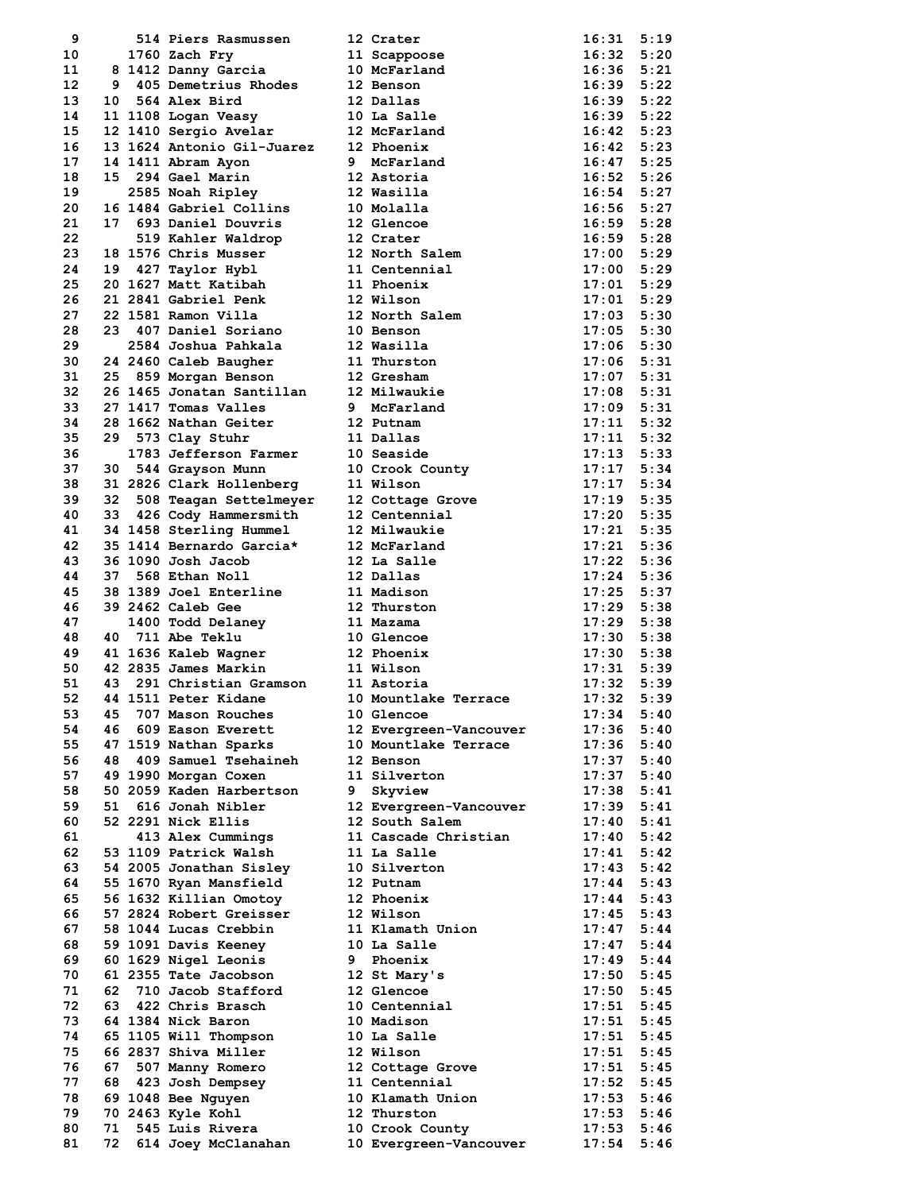| 9        |          | 514 Piers Rasmussen                    |   | 12 Crater                                 | 16:31                   | 5:19 |
|----------|----------|----------------------------------------|---|-------------------------------------------|-------------------------|------|
| 10       |          | 1760 Zach Fry                          |   | 11 Scappoose                              | $16:32$ $5:20$          |      |
| 11       |          | 8 1412 Danny Garcia                    |   | 10 McFarland                              | $16:36$ $5:21$          |      |
| 12       |          | 9 405 Demetrius Rhodes                 |   | 12 Benson                                 | $16:39$ $5:22$          |      |
| 13       | 10       | 564 Alex Bird                          |   | 12 Dallas                                 | $16:39$ $5:22$          |      |
| 14       |          | 11 1108 Logan Veasy                    |   | 10 La Salle                               | $16:39$ $5:22$          |      |
| 15       |          | 12 1410 Sergio Avelar                  |   | 12 McFarland                              | $16:42$ $5:23$          |      |
| 16       |          | 13 1624 Antonio Gil-Juarez             |   | 12 Phoenix                                | $16:42 \quad 5:23$      |      |
| 17       |          | 14 1411 Abram Ayon                     |   | 9 McFarland                               | $16:47$ 5:25            |      |
| 18       |          | 15 294 Gael Marin                      |   | 12 Astoria                                | $16:52$ $5:26$          |      |
| 19       |          |                                        |   | 12 Wasilla                                | $16:54$ $5:27$          |      |
|          |          | 2585 Noah Ripley                       |   |                                           |                         |      |
| 20       |          | 16 1484 Gabriel Collins                |   | 10 Molalla                                | $16:56$ $5:27$          |      |
| 21       |          | 17 693 Daniel Douvris                  |   | 12 Glencoe<br>12 Glencoe<br>12 Crater     | $16:59$ $5:28$          |      |
| 22       |          | 519 Kahler Waldrop                     |   |                                           | $16:59$ $5:28$          |      |
| 23       |          | 18 1576 Chris Musser                   |   | 12 North Salem                            | $17:00$ 5:29            |      |
| 24       |          | 19 427 Taylor Hybl                     |   | 11 Centennial                             | $17:00$ 5:29            |      |
| 25       |          | 20 1627 Matt Katibah                   |   | 11 Phoenix                                | $17:01$ 5:29            |      |
| 26       |          | 21 2841 Gabriel Penk                   |   | 12 Wilson                                 | $17:01$ $5:29$          |      |
| 27       |          | 22 1581 Ramon Villa                    |   | 12 North Salem                            | $17:03$ 5:30            |      |
| 28       |          | 23 407 Daniel Soriano                  |   | 10 Benson                                 | $17:05$ 5:30            |      |
| 29       |          | 2584 Joshua Pahkala                    |   | 12 Wasilla                                | $17:06$ 5:30            |      |
| 30       |          | 24 2460 Caleb Baugher                  |   | 11 Thurston                               | $17:06$ 5:31            |      |
| 31       |          | 25 859 Morgan Benson                   |   | 12 Gresham                                | $17:07$ 5:31            |      |
| 32       |          | 26 1465 Jonatan Santillan              |   | 12 Milwaukie                              | $17:08$ 5:31            |      |
|          |          |                                        |   |                                           |                         |      |
| 33       |          | 27 1417 Tomas Valles                   |   | 9 McFarland                               | $17:09$ $5:31$          |      |
| 34       |          | 28 1662 Nathan Geiter                  |   | 12 Putnam                                 | $17:11$ 5:32            |      |
| 35       |          | 29 573 Clay Stuhr                      |   | 11 Dallas                                 | $17:11$ $5:32$          |      |
| 36       |          | 1783 Jefferson Farmer                  |   | 10 Seaside                                | $17:13$ $5:33$          |      |
| 37       |          | 30 544 Grayson Munn                    |   | 10 Crook County                           | $17:17$ 5:34            |      |
| 38       |          | 31 2826 Clark Hollenberg               |   | 11 Wilson                                 | $17:17$ 5:34            |      |
| 39       |          | 32 508 Teagan Settelmeyer              |   | 12 Cottage Grove                          | $17:19$ 5:35            |      |
| 40       |          | 33 426 Cody Hammersmith                |   | 12 Centennial                             | $17:20$ 5:35            |      |
|          |          |                                        |   |                                           |                         |      |
| 41       |          | 34 1458 Sterling Hummel                |   | 12 Milwaukie                              | $17:21$ 5:35            |      |
| 42       |          | 35 1414 Bernardo Garcia*               |   | 12 McFarland                              | $17:21$ 5:36            |      |
| 43       |          | 36 1090 Josh Jacob                     |   | 12 La Salle                               | $17:22$ 5:36            |      |
| 44       |          | 37 568 Ethan Noll                      |   | 12 Dallas                                 | $17:24$ 5:36            |      |
| 45       |          | 38 1389 Joel Enterline                 |   | 11 Madison                                | $17:25$ 5:37            |      |
| 46       |          | 39 2462 Caleb Gee                      |   | 12 Thurston                               | $17:29$ 5:38            |      |
| 47       |          | 1400 Todd Delaney                      |   | 11 Mazama                                 | $17:29$ 5:38            |      |
| 48       |          | 40 711 Abe Teklu                       |   | 10 Glencoe                                | $17:30$ $5:38$          |      |
| 49       |          | 41 1636 Kaleb Wagner                   |   | 12 Phoenix                                | $17:30$ $5:38$          |      |
| 50       |          | 42 2835 James Markin                   |   | 11 Wilson                                 | $17:31$ $5:39$          |      |
|          |          |                                        |   |                                           |                         |      |
| 51       | 43       | 291 Christian Gramson                  |   | 11 Astoria                                | $17:32$ 5:39            |      |
| 52       |          | 44 1511 Peter Kidane                   |   | 10 Mountlake Terrace                      | 17:32                   | 5:39 |
| 53       | 45       | 707 Mason Rouches                      |   | 10 Glencoe                                | 17:34                   | 5:40 |
| 54       | 46       | 609 Eason Everett                      |   | 12 Evergreen-Vancouver                    | 17:36                   | 5:40 |
| 55       |          | 47 1519 Nathan Sparks                  |   | 10 Mountlake Terrace                      | 17:36                   | 5:40 |
| 56       | 48       | 409 Samuel Tsehaineh                   |   | 12 Benson                                 | 17:37                   | 5:40 |
| 57       |          | 49 1990 Morgan Coxen                   |   | 11 Silverton                              | 17:37 5:40              |      |
| 58       |          | 50 2059 Kaden Harbertson               | 9 | Skyview                                   | $17:38$ $5:41$          |      |
| 59       | 51       | 616 Jonah Nibler                       |   | 12 Evergreen-Vancouver                    | 17:39                   | 5:41 |
| 60       |          | 52 2291 Nick Ellis                     |   | 12 South Salem                            | 17:40                   | 5:41 |
| 61       |          | 413 Alex Cummings                      |   | 11 Cascade Christian                      | $17:40$ 5:42            |      |
|          |          |                                        |   |                                           |                         |      |
| 62       |          | 53 1109 Patrick Walsh                  |   | 11 La Salle                               | $17:41$ 5:42            |      |
| 63       |          | 54 2005 Jonathan Sisley                |   | 10 Silverton                              | 17:43                   | 5:42 |
| 64       |          | 55 1670 Ryan Mansfield                 |   | 12 Putnam                                 | $17:44$ 5:43            |      |
| 65       |          | 56 1632 Killian Omotoy                 |   | 12 Phoenix                                | 17:44                   | 5:43 |
| 66       |          | 57 2824 Robert Greisser                |   | 12 Wilson                                 | $17:45$ 5:43            |      |
| 67       |          | 58 1044 Lucas Crebbin                  |   | 11 Klamath Union                          | $17:47$ 5:44            |      |
| 68       |          | 59 1091 Davis Keeney                   |   | 10 La Salle                               | $17:47$ 5:44            |      |
| 69       |          | 60 1629 Nigel Leonis                   | 9 | Phoenix                                   | 17:49                   | 5:44 |
| 70       |          | 61 2355 Tate Jacobson                  |   | 12 St Mary's                              | $17:50$ $5:45$          |      |
| 71       | 62       | 710 Jacob Stafford                     |   | 12 Glencoe                                | $17:50$ $5:45$          |      |
|          |          |                                        |   |                                           |                         |      |
| 72       | 63       | 422 Chris Brasch                       |   | 10 Centennial                             | $17:51$ $5:45$          |      |
| 73       |          | 64 1384 Nick Baron                     |   | 10 Madison                                | $17:51$ $5:45$          |      |
| 74       |          | 65 1105 Will Thompson                  |   | 10 La Salle                               | $17:51$ $5:45$          |      |
|          |          |                                        |   | 12 Wilson                                 | 17:51                   | 5:45 |
| 75       |          | 66 2837 Shiva Miller                   |   |                                           |                         |      |
| 76       | 67       | 507 Manny Romero                       |   | 12 Cottage Grove                          | $17:51$ $5:45$          |      |
| 77       | 68       | 423 Josh Dempsey                       |   | 11 Centennial                             | $17:52$ $5:45$          |      |
| 78       |          |                                        |   | 10 Klamath Union                          | $17:53$ $5:46$          |      |
| 79       |          | 69 1048 Bee Nguyen                     |   | 12 Thurston                               | $17:53$ $5:46$          |      |
|          |          | 70 2463 Kyle Kohl                      |   |                                           |                         |      |
| 80<br>81 | 71<br>72 | 545 Luis Rivera<br>614 Joey McClanahan |   | 10 Crook County<br>10 Evergreen-Vancouver | $17:53$ $5:46$<br>17:54 | 5:46 |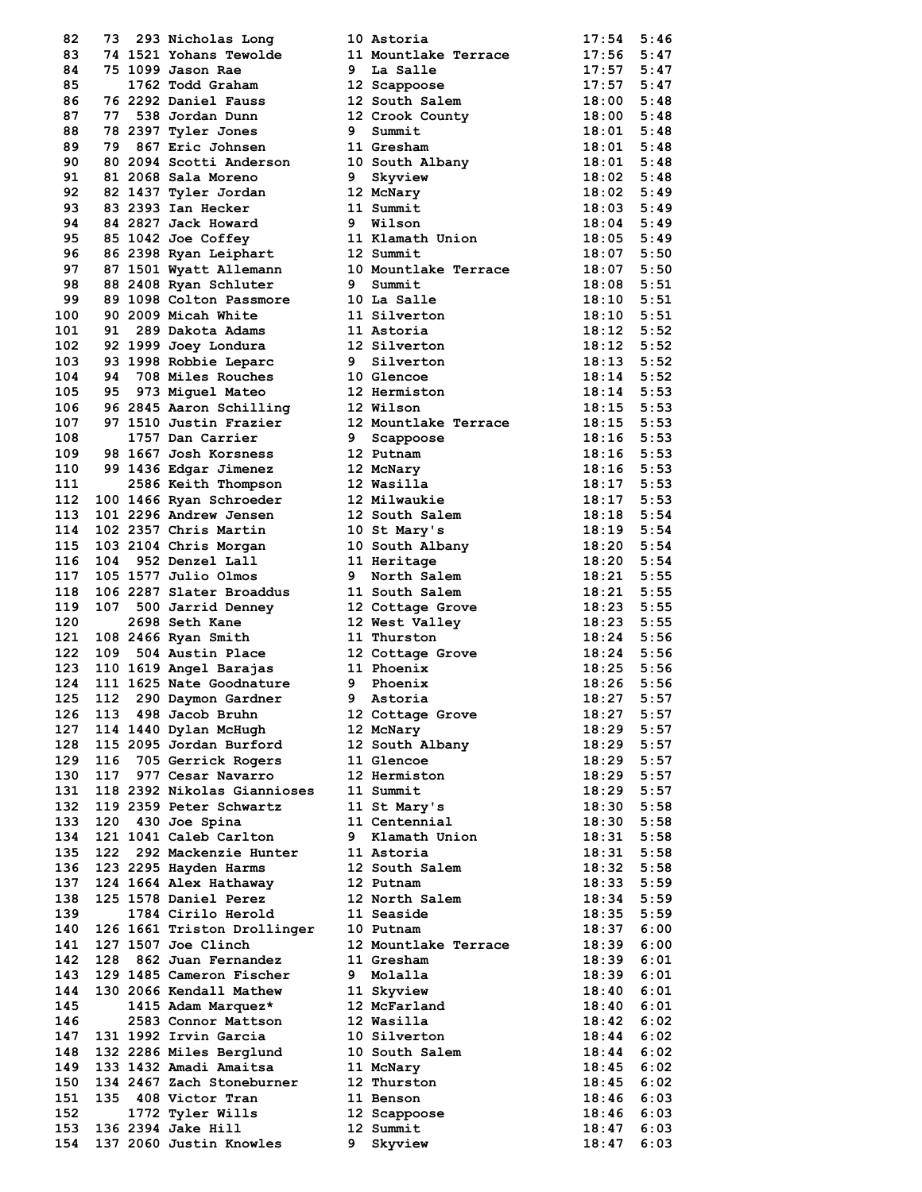| 82         | 73  |         | 293 Nicholas Long                                |
|------------|-----|---------|--------------------------------------------------|
| 83         |     |         | 74 1521 Yohans Tewolde                           |
| 84         | 75  |         | 1099 Jason Rae                                   |
| 85         |     |         | 1762 Todd Graham                                 |
| 86         | 76  |         | 2292 Daniel Fauss                                |
| 87         | 77  |         | 538 Jordan Dunn                                  |
| 88         |     |         | 78 2397 Tyler Jones                              |
| 89         |     |         | 79 867 Eric Johnsen                              |
| 90         |     |         | 80 2094 Scotti Anderson                          |
| 91         |     |         | 81 2068 Sala Moreno                              |
| 92         |     |         | 82 1437 Tyler Jordan                             |
| 93         |     |         | 83 2393 Ian Hecker                               |
| 94         |     |         | 84 2827 Jack Howard                              |
| 95         |     |         | 85 1042 Joe Coffey                               |
| 96         |     |         | 86 2398 Ryan Leiphart                            |
| 97         |     |         | 87 1501 Wyatt Allemann                           |
| 98         |     |         | 88 2408 Ryan Schluter                            |
| 99         |     |         | 89 1098 Colton Passmore                          |
| 100        |     |         | 90 2009 Micah White                              |
| 101        |     |         | 91 289 Dakota Adams                              |
| 102        |     |         | 92 1999 Joey Londura                             |
| 103        | 93  |         | 1998 Robbie Leparc                               |
| 104        |     |         | 94 708 Miles Rouches                             |
| 105        |     |         | 95 973 Miguel Mateo                              |
| 106        |     |         | 96 2845 Aaron Schilling                          |
| 107        | 97  |         | 1510 Justin Frazier                              |
| 108        |     |         | 1757 Dan Carrier                                 |
| 109        | 98. |         | 1667 Josh Korsness                               |
| 110        |     |         | 99 1436 Edgar Jimenez                            |
| 111        |     |         | 2586 Keith Thompson                              |
| 112        |     |         | 100 1466 Ryan Schroeder                          |
| 113        |     |         | 101 2296 Andrew Jensen                           |
| 114        |     |         | 102 2357 Chris Martin                            |
| 115        |     |         | 103 2104 Chris Morgan                            |
| 116        |     |         |                                                  |
| 117        |     |         | 104 952 Denzel Lall<br>105 1577 Julio Olmos      |
| 118        |     |         | 106 2287 Slater Broaddus                         |
| 119        | 107 |         | 500 Jarrid Denney                                |
| 120        |     |         | 2698 Seth Kane                                   |
| 121        |     |         | 108 2466 Ryan Smith                              |
| 122        | 109 |         | 504 Austin Place                                 |
| 123        |     |         | 110 1619 Angel Barajas                           |
| 124        |     |         | 111 1625 Nate Goodnature                         |
| 125        |     | 112 290 | Daymon Gardner                                   |
| 126        | 113 |         | 498 Jacob Bruhn                                  |
| 127        |     |         | 114 1440 Dylan McHugh                            |
| 128        |     |         | 115 2095 Jordan Burford                          |
| 129        |     |         | 116 705 Gerrick Rogers                           |
| 130        | 117 |         | 977 Cesar Navarro                                |
| 131        |     |         | 118 2392 Nikolas Giannioses                      |
| 132        |     |         | 119 2359 Peter Schwartz                          |
| 133        |     |         | 120 430 Joe Spina                                |
| 134        |     |         | 121 1041 Caleb Carlton                           |
| 135        |     |         | 122 292 Mackenzie Hunter                         |
| 136        |     |         | 123 2295 Hayden Harms                            |
| 137        |     |         | 124 1664 Alex Hathaway                           |
| 138        | 125 |         | 1578 Daniel Perez                                |
| 139        |     |         | 1784 Cirilo Herold                               |
| 140        |     |         | 126 1661 Triston Drollinger                      |
| 141        |     |         | 127 1507 Joe Clinch                              |
| 142        |     |         | 128 862 Juan Fernandez                           |
| 143        |     |         | 129 1485 Cameron Fischer                         |
| 144        | 130 |         | 2066 Kendall Mathew                              |
| 145        |     |         | 1415 Adam Marquez*                               |
| 146        |     |         | 2583 Connor Mattson<br>131 1992 Irvin Garcia     |
| 147        |     |         |                                                  |
| 148        |     |         | 132 2286 Miles Berglund                          |
| 149        |     |         | 133 1432 Amadi Amaitsa                           |
| 150<br>151 |     |         | 134 2467 Zach Stoneburner<br>135 408 Victor Tran |
|            |     |         | 1772 Tyler Wills                                 |
| 152<br>153 |     |         | 136 2394 Jake Hill                               |
| 154        |     |         | 137 2060 Justin Knowles                          |
|            |     |         |                                                  |

| 82   | 73 — | 293 Nicholas Long                                                                                      |   | 10 Astoria                                                                              | 17:54          | 5:46 |
|------|------|--------------------------------------------------------------------------------------------------------|---|-----------------------------------------------------------------------------------------|----------------|------|
| 83   |      | 74 1521 Yohans Tewolde                                                                                 |   | 11 Mountlake Terrace                                                                    | $17:56$ 5:47   |      |
| 84   |      | 75 1099 Jason Rae                                                                                      |   |                                                                                         | $17:57$ $5:47$ |      |
| 85   |      | 1762 Todd Graham                                                                                       |   |                                                                                         | $17:57$ $5:47$ |      |
| 86   |      | 76 2292 Daniel Fauss                                                                                   |   | 9 La <sub>Perr</sub><br>12 Scappoose<br>12 South Sale<br>10 Crook Cou<br>12 South Salem | $18:00$ 5:48   |      |
| 87   |      | 77 538 Jordan Dunn                                                                                     |   | 12 Crook County                                                                         | $18:00$ 5:48   |      |
| 88   |      | 78 2397 Tyler Jones                                                                                    |   | 9 Summit                                                                                | $18:01$ 5:48   |      |
| 89   |      | 79 867 Eric Johnsen                                                                                    |   | 11 Gresham                                                                              | $18:01$ 5:48   |      |
| 90   |      | 80 2094 Scotti Anderson                                                                                |   | 10 South Albany                                                                         | $18:01$ 5:48   |      |
| 91   |      | 81 2068 Sala Moreno                                                                                    | 9 | Skyview                                                                                 | $18:02$ 5:48   |      |
| 92   |      | 82 1437 Tyler Jordan                                                                                   |   |                                                                                         | $18:02$ 5:49   |      |
| 93   |      | 83 2393 Ian Hecker                                                                                     |   | 12 McNary<br>11 Summit                                                                  | $18:03$ 5:49   |      |
| 94   |      |                                                                                                        |   | 9 Wilson                                                                                | $18:04$ 5:49   |      |
| 95   |      | % 84 2827 Jack Howard 9 Wilson<br>% 85 1042 Joe Coffey 11 Klamath<br>% 86 2398 Ryan Leiphart 12 Summit |   | 11 Klamath Union                                                                        | $18:05$ $5:49$ |      |
| 96   |      |                                                                                                        |   |                                                                                         | $18:07$ 5:50   |      |
| 97   |      | 87 1501 Wyatt Allemann                                                                                 |   | 10 Mountlake Terrace                                                                    | $18:07$ 5:50   |      |
| 98   |      | 88 2408 Ryan Schluter                                                                                  |   | 9 Summit                                                                                | $18:08$ 5:51   |      |
| 99   |      | 89 1098 Colton Passmore                                                                                |   | 10 La Salle                                                                             | $18:10$ $5:51$ |      |
| 100  |      | 90 2009 Micah White                                                                                    |   | 11 Silverton                                                                            | $18:10$ $5:51$ |      |
| 101  |      |                                                                                                        |   | 11 Astoria                                                                              | $18:12$ $5:52$ |      |
| 102  |      | 91 289 Dakota Adams<br>92 1999 Joey Londura<br>93 1998 Robbie Leparc                                   |   |                                                                                         | $18:12$ $5:52$ |      |
|      |      |                                                                                                        |   | 12 Silverton                                                                            |                |      |
| 103  |      |                                                                                                        |   | 9 Silverton                                                                             | $18:13$ $5:52$ |      |
| 104  |      | <b>94 708 Miles Rouches</b>                                                                            |   | 10 Glencoe                                                                              | $18:14$ 5:52   |      |
| 105  |      | 95 973 Miguel Mateo<br>95 973 Miguel Mateo<br>96 2845 Aaron Schilling                                  |   | 12 Hermiston                                                                            | $18:14$ 5:53   |      |
| 106  |      |                                                                                                        |   | 12 Wilson                                                                               | $18:15$ 5:53   |      |
| 107  |      | 97 1510 Justin Frazier                                                                                 |   | 12 Mountlake Terrace                                                                    | $18:15$ 5:53   |      |
| 108  |      | 1757 Dan Carrier                                                                                       |   | 9 Scappoose                                                                             | $18:16$ 5:53   |      |
| 109. |      | 98 1667 Josh Korsness                                                                                  |   | 12 Putnam                                                                               | $18:16$ 5:53   |      |
| 110  |      | 99 1436 Edgar Jimenez                                                                                  |   | 12 McNary                                                                               | $18:16$ 5:53   |      |
| 111  |      | 2586 Keith Thompson                                                                                    |   | 12 Wasilla                                                                              | $18:17$ 5:53   |      |
| 112  |      | 100 1466 Ryan Schroeder<br>101 2296 Andrew Jensen                                                      |   | 12 Milwaukie                                                                            | $18:17$ 5:53   |      |
| 113  |      |                                                                                                        |   | 12 South Salem                                                                          | 18:18 5:54     |      |
| 114  |      | 102 2357 Chris Martin                                                                                  |   | 10 St Mary's                                                                            | 18:19 5:54     |      |
| 115  |      | $103$ 2104 Chris Morgan                                                                                |   |                                                                                         | 18:20 5:54     |      |
| 116  | 104  | 952 Denzel Lall                                                                                        |   | 10 South Albany<br>11 Heritage                                                          | 18:20 5:54     |      |
| 117  |      | 105 1577 Julio Olmos                                                                                   |   | 9 North Salem                                                                           | $18:21$ 5:55   |      |
| 118  |      | 106 2287 Slater Broaddus<br>107 500 Jarrid Denney<br>2698 Seth Kane                                    |   | 11 South Salem                                                                          | 18:21 5:55     |      |
| 119  |      |                                                                                                        |   |                                                                                         | 18:23 5:55     |      |
| 120  |      |                                                                                                        |   | 12 Cottage Grove<br>12 West Valley                                                      | $18:23$ 5:55   |      |
| 121  |      | 2698 Seth Kane<br>108 2466 Ryan Smith 11 Thurston<br>12 Cottage Grove                                  |   |                                                                                         | 18:24 5:56     |      |
| 122  |      |                                                                                                        |   |                                                                                         | $18:24$ 5:56   |      |
| 123. |      | 110 1619 Angel Barajas 11 Phoenix                                                                      |   |                                                                                         | 18:25 5:56     |      |
| 124  |      | 111 1625 Nate Goodnature                                                                               |   | 9 Phoenix                                                                               | 18:26 5:56     |      |
| 125  | 112  | 290 Daymon Gardner                                                                                     |   | 9 Astoria                                                                               | 18:27          | 5:57 |
| 126  | 113  | 498 Jacob Bruhn                                                                                        |   | 12 Cottage Grove                                                                        | 18:27          | 5:57 |
| 127  |      | 114 1440 Dylan McHugh                                                                                  |   | 12 McNary                                                                               | 18:29          | 5:57 |
| 128  |      | 115 2095 Jordan Burford                                                                                |   |                                                                                         | 18:29          | 5:57 |
|      |      |                                                                                                        |   | 12 South Albany                                                                         |                |      |
| 129  | 116  | 705 Gerrick Rogers                                                                                     |   | 11 Glencoe                                                                              | 18:29          | 5:57 |
| 130  | 117  | 977 Cesar Navarro                                                                                      |   | 12 Hermiston                                                                            | $18:29$ 5:57   |      |
| 131  |      | 118 2392 Nikolas Giannioses                                                                            |   | 11 Summit                                                                               | 18:29 5:57     |      |
| 132  |      | 119 2359 Peter Schwartz                                                                                |   | 11 St Mary's                                                                            | 18:30          | 5:58 |
| 133  | 120  | 430 Joe Spina                                                                                          |   | 11 Centennial                                                                           | $18:30$ $5:58$ |      |
| 134  |      | 121 1041 Caleb Carlton                                                                                 |   | 9 Klamath Union                                                                         | 18:31          | 5:58 |
| 135  | 122  | 292 Mackenzie Hunter                                                                                   |   | 11 Astoria                                                                              | $18:31$ $5:58$ |      |
| 136  |      | 123 2295 Hayden Harms                                                                                  |   | 12 South Salem                                                                          | $18:32$ $5:58$ |      |
| 137  |      | 124 1664 Alex Hathaway                                                                                 |   | 12 Putnam                                                                               | 18:33          | 5:59 |
| 138  |      | 125 1578 Daniel Perez                                                                                  |   | 12 North Salem                                                                          | $18:34$ 5:59   |      |
| 139  |      | 1784 Cirilo Herold                                                                                     |   | 11 Seaside                                                                              | 18:35          | 5:59 |
| 140  |      | 126 1661 Triston Drollinger                                                                            |   | 10 Putnam                                                                               | 18:37          | 6:00 |
| 141  |      | 127 1507 Joe Clinch                                                                                    |   | 12 Mountlake Terrace                                                                    | 18:39          | 6:00 |
| 142  | 128  | 862 Juan Fernandez                                                                                     |   | 11 Gresham                                                                              | 18:39          | 6:01 |
| 143  |      | 129 1485 Cameron Fischer                                                                               |   | 9 Molalla                                                                               | 18:39          | 6:01 |
| 144  |      | 130 2066 Kendall Mathew                                                                                |   | 11 Skyview                                                                              | 18:40          | 6:01 |
| 145  |      | 1415 Adam Marquez*                                                                                     |   | 12 McFarland                                                                            | 18:40          | 6:01 |
| 146  |      | 2583 Connor Mattson                                                                                    |   | 12 Wasilla                                                                              | 18:42          | 6:02 |
| 147  |      | 131 1992 Irvin Garcia                                                                                  |   | 10 Silverton                                                                            | 18:44          | 6:02 |
| 148  |      | 132 2286 Miles Berglund                                                                                |   | 10 South Salem                                                                          | 18:44          | 6:02 |
| 149  |      | 133 1432 Amadi Amaitsa                                                                                 |   | 11 McNary                                                                               | 18:45          | 6:02 |
| 150  |      | 134 2467 Zach Stoneburner                                                                              |   | 12 Thurston                                                                             | 18:45          | 6:02 |
| 151  | 135  | 408 Victor Tran                                                                                        |   | 11 Benson                                                                               | 18:46          | 6:03 |
| 152  |      | 1772 Tyler Wills                                                                                       |   | 12 Scappoose                                                                            | 18:46          | 6:03 |
| 153  |      | 136 2394 Jake Hill                                                                                     |   | 12 Summit                                                                               | 18:47          | 6:03 |
| 154  |      | 137 2060 Justin Knowles                                                                                | 9 | Skyview                                                                                 | 18:47          | 6:03 |
|      |      |                                                                                                        |   |                                                                                         |                |      |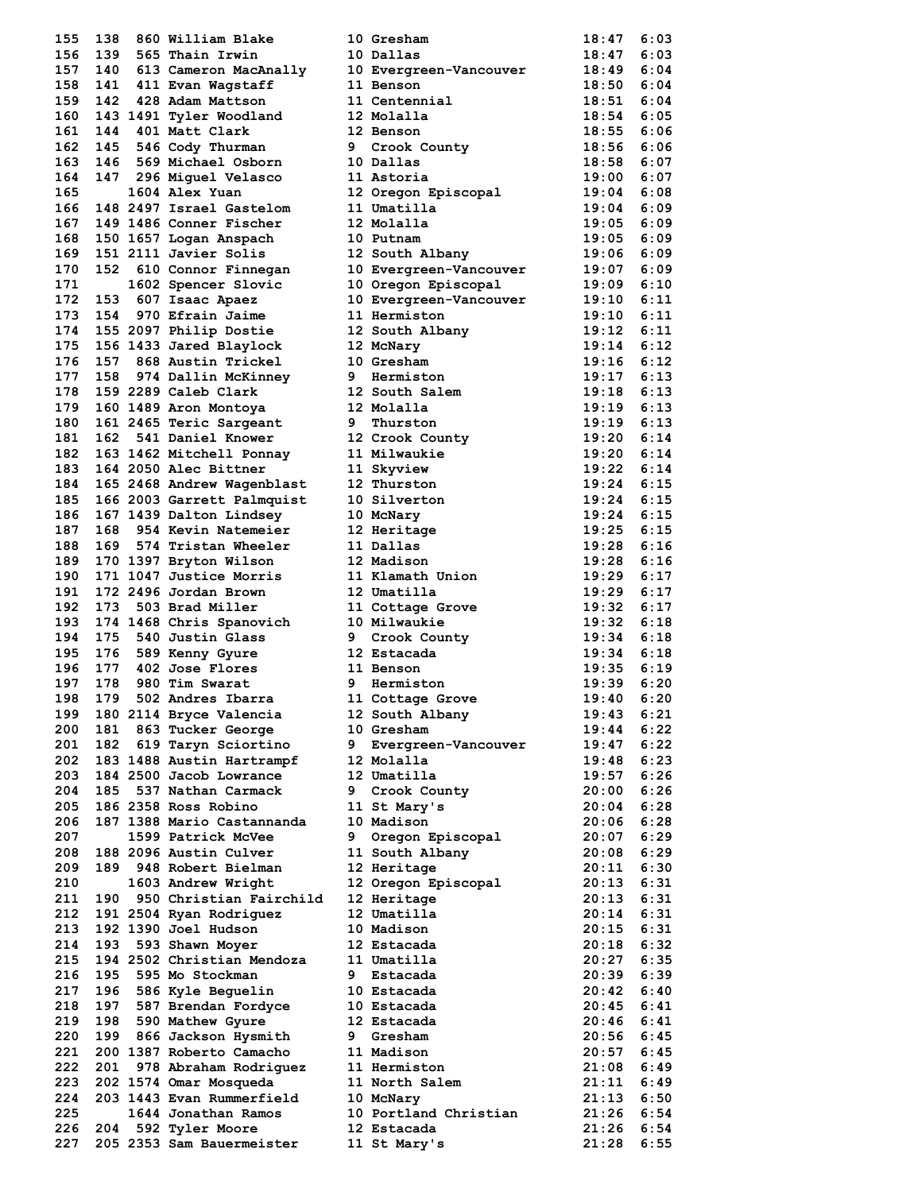| 155 | 138 |          | 860 William Blake                                                           |
|-----|-----|----------|-----------------------------------------------------------------------------|
| 156 | 139 |          | 565 Thain Irwin                                                             |
| 157 | 140 |          | 613 Cameron MacAnally                                                       |
| 158 |     | 141 411  | Evan Wagstaff                                                               |
| 159 | 142 |          | 428 Adam Mattson                                                            |
| 160 |     |          | 143 1491 Tyler Woodland                                                     |
| 161 | 144 | 401      | Matt Clark                                                                  |
| 162 | 145 |          | 546 Cody Thurman                                                            |
| 163 | 146 |          | 569 Michael Osborn                                                          |
| 164 | 147 | 296      | Miguel Velasco                                                              |
| 165 |     | 1604     | Alex Yuan                                                                   |
| 166 |     |          | 148 2497 Israel Gastelom                                                    |
| 167 |     |          | 149 1486 Conner Fischer                                                     |
| 168 |     | 150 1657 | Logan Anspach                                                               |
| 169 |     |          | 151 2111 Javier Solis                                                       |
| 170 | 152 |          | 610 Connor Finnegan                                                         |
| 171 |     | 1602     | Spencer Slovic                                                              |
| 172 | 153 | 607      | Isaac Apaez                                                                 |
| 173 | 154 | 970      | Efrain Jaime                                                                |
| 174 |     |          | 155 2097 Philip Dostie                                                      |
| 175 |     |          | 156 1433 Jared Blaylock                                                     |
| 176 | 157 |          | 868 Austin Trickel                                                          |
| 177 | 158 |          | 974 Dallin McKinney                                                         |
| 178 |     |          | 159 2289 Caleb Clark                                                        |
| 179 |     |          | 160 1489 Aron Montoya                                                       |
| 180 |     |          | 161 2465 Teric Sargeant                                                     |
| 181 | 162 |          | 541 Daniel Knower                                                           |
| 182 |     |          | 163 1462 Mitchell Ponnay                                                    |
| 183 |     |          | 164 2050 Alec Bittner                                                       |
| 184 |     |          | 165 2468 Andrew Wagenblast                                                  |
| 185 |     |          | 166 2003 Garrett Palmquist                                                  |
| 186 |     |          | 167 1439 Dalton Lindsey                                                     |
| 187 | 168 |          | 954 Kevin Natemeier                                                         |
| 188 | 169 |          | 574 Tristan Wheeler                                                         |
| 189 |     | 170 1397 | Bryton Wilson                                                               |
| 190 |     | 171 1047 | Justice Morris                                                              |
| 191 |     | 172 2496 | Jordan Brown                                                                |
| 192 | 173 | 503      | Brad Miller                                                                 |
| 193 |     |          | 174 1468 Chris Spanovich                                                    |
| 194 | 175 | 540      | Justin Glass                                                                |
| 195 | 176 | 589      | Kenny Gyure                                                                 |
| 196 |     |          | 402 Jose Flores                                                             |
| 197 |     |          |                                                                             |
| 198 | 179 |          | 177 402 Jose -<br>178 980 Tim Swarat<br>1000 1000 1000<br>502 Andres Ibarra |
| 199 | 180 | 2114     | Bryce Valencia                                                              |
| 200 | 181 | 863      | Tucker George                                                               |
| 201 | 182 | 619      | Taryn Sciortino                                                             |
| 202 |     | 183 1488 | Austin Hartrampf                                                            |
| 203 |     | 184 2500 | Jacob Lowrance                                                              |
| 204 | 185 | 537      | Nathan Carmack                                                              |
| 205 |     | 186 2358 | Ross Robino                                                                 |
| 206 | 187 | 1388     | Mario Castannanda                                                           |
| 207 |     | 1599     | Patrick McVee                                                               |
| 208 | 188 | 2096     | Austin Culver                                                               |
| 209 | 189 | 948      | Robert Bielman                                                              |
| 210 |     | 1603     | Andrew Wright                                                               |
| 211 | 190 |          | 950 Christian Fairchild                                                     |
| 212 |     | 191 2504 | Ryan Rodriquez                                                              |
| 213 | 192 | 1390     | Joel Hudson                                                                 |
| 214 | 193 | 593      | Shawn Moyer                                                                 |
| 215 | 194 | 2502     | Christian Mendoza                                                           |
| 216 | 195 | 595      | Mo Stockman                                                                 |
| 217 | 196 | 586      | Kyle Beguelin                                                               |
| 218 | 197 | 587      | Brendan Fordyce                                                             |
| 219 | 198 | 590      | Mathew Gyure                                                                |
| 220 | 199 | 866      | Jackson Hysmith                                                             |
| 221 | 200 | 1387     | Roberto Camacho                                                             |
| 222 | 201 | 978      | Abraham Rodriguez                                                           |
| 223 | 202 |          | 1574 Omar Mosqueda                                                          |
| 224 | 203 | 1443     | Evan Rummerfield                                                            |
| 225 |     | 1644     | Jonathan Ramos                                                              |
| 226 | 204 | 592      | Tyler Moore                                                                 |
| 227 | 205 | 2353     | Sam Bauermeister                                                            |
|     |     |          |                                                                             |

| 155  | 138 | 860 William Blake          |   | 10 Gresham             | 18:47          | 6:03 |
|------|-----|----------------------------|---|------------------------|----------------|------|
|      |     |                            |   |                        |                |      |
| 156  | 139 | 565 Thain Irwin            |   | 10 Dallas              | 18:47          | 6:03 |
| 157  | 140 | 613 Cameron MacAnally      |   | 10 Evergreen-Vancouver | 18:49          | 6:04 |
| 158  | 141 | 411 Evan Wagstaff          |   | 11 Benson              | 18:50          | 6:04 |
| 159  | 142 | 428 Adam Mattson           |   | 11 Centennial          | 18:51          | 6:04 |
| 160  |     | 143 1491 Tyler Woodland    |   | 12 Molalla             | 18:54          | 6:05 |
| 161  | 144 | 401 Matt Clark             |   | 12 Benson              | 18:55          | 6:06 |
|      |     |                            |   |                        |                |      |
| 162  | 145 | 546 Cody Thurman           |   | 9 Crook County         | 18:56 6:06     |      |
| 163. | 146 | 569 Michael Osborn         |   | 10 Dallas              | 18:58          | 6:07 |
| 164  | 147 | 296 Miguel Velasco         |   | 11 Astoria             | 19:00          | 6:07 |
| 165  |     | 1604 Alex Yuan             |   | 12 Oregon Episcopal    | 19:04          | 6:08 |
| 166  |     | 148 2497 Israel Gastelom   |   | 11 Umatilla            | 19:04          | 6:09 |
| 167  |     | 149 1486 Conner Fischer    |   | 12 Molalla             | 19:05          | 6:09 |
| 168  |     | 150 1657 Logan Anspach     |   | 10 Putnam              | 19:05          | 6:09 |
|      |     |                            |   |                        |                |      |
| 169  |     | 151 2111 Javier Solis      |   | 12 South Albany        | 19:06          | 6:09 |
| 170  | 152 | 610 Connor Finnegan        |   | 10 Evergreen-Vancouver | 19:07          | 6:09 |
| 171  |     | 1602 Spencer Slovic        |   | 10 Oregon Episcopal    | 19:09          | 6:10 |
| 172  | 153 | 607 Isaac Apaez            |   | 10 Evergreen-Vancouver | 19:10          | 6:11 |
| 173  | 154 | 970 Efrain Jaime           |   | 11 Hermiston           | 19:10          | 6:11 |
| 174  |     | 155 2097 Philip Dostie     |   |                        | 19:12          | 6:11 |
| 175  |     |                            |   | 12 South Albany        | $19:14$ 6:12   |      |
|      |     | 156 1433 Jared Blaylock    |   | 12 McNary              |                |      |
| 176  | 157 | 868 Austin Trickel         |   | 10 Gresham             | 19:16          | 6:12 |
| 177  | 158 | 974 Dallin McKinney        |   | 9 Hermiston            | $19:17$ $6:13$ |      |
| 178  |     | 159 2289 Caleb Clark       |   | 12 South Salem         | $19:18$ 6:13   |      |
| 179  |     | 160 1489 Aron Montoya      |   | 12 Molalla             | 19:19          | 6:13 |
| 180  |     | 161 2465 Teric Sargeant    |   | 9 Thurston             | 19:19          | 6:13 |
| 181  | 162 | 541 Daniel Knower          |   |                        | $19:20$ $6:14$ |      |
|      |     |                            |   | 12 Crook County        |                |      |
| 182  |     | 163 1462 Mitchell Ponnay   |   | 11 Milwaukie           | $19:20$ 6:14   |      |
| 183  |     | 164 2050 Alec Bittner      |   | 11 Skyview             | 19:22          | 6:14 |
| 184  |     | 165 2468 Andrew Wagenblast |   | 12 Thurston            | 19:24 6:15     |      |
| 185  |     | 166 2003 Garrett Palmquist |   | 10 Silverton           | 19:24          | 6:15 |
| 186  |     | 167 1439 Dalton Lindsey    |   | 10 McNary              | 19:24          | 6:15 |
| 187  | 168 | 954 Kevin Natemeier        |   | 12 Heritage            | $19:25$ 6:15   |      |
|      |     |                            |   |                        |                |      |
| 188  | 169 | 574 Tristan Wheeler        |   | 11 Dallas              | $19:28$ 6:16   |      |
| 189  |     | 170 1397 Bryton Wilson     |   | 12 Madison             | 19:28          | 6:16 |
| 190  |     | 171 1047 Justice Morris    |   | 11 Klamath Union       | 19:29          | 6:17 |
| 191  |     | 172 2496 Jordan Brown      |   | 12 Umatilla            | 19:29          | 6:17 |
| 192  | 173 | 503 Brad Miller            |   | 11 Cottage Grove       | 19:32 6:17     |      |
| 193  |     | 174 1468 Chris Spanovich   |   | 10 Milwaukie           | 19:32          | 6:18 |
|      |     |                            |   |                        |                |      |
| 194  | 175 | 540 Justin Glass           |   | 9 Crook County         | 19:34 6:18     |      |
| 195  | 176 | 589 Kenny Gyure            |   | 12 Estacada            | $19:34$ $6:18$ |      |
| 196  | 177 | 402 Jose Flores            |   | 11 Benson              | 19:35          | 6:19 |
| 197  | 178 | 980 Tim Swarat             |   | 9 Hermiston            | 19:39          | 6:20 |
| 198  | 179 | 502 Andres Ibarra          |   | 11 Cottage Grove       | 19:40          | 6:20 |
| 199  |     | 180 2114 Bryce Valencia    |   | 12 South Albany        | 19:43          | 6:21 |
| 200  | 181 | 863 Tucker George          |   | 10 Gresham             | 19:44          | 6:22 |
|      |     |                            |   |                        |                |      |
| 201  | 182 | 619 Taryn Sciortino        | 9 | Evergreen-Vancouver    | 19:47          | 6:22 |
| 202  |     | 183 1488 Austin Hartrampf  |   | 12 Molalla             | 19:48          | 6:23 |
| 203  |     | 184 2500 Jacob Lowrance    |   | 12 Umatilla            | 19:57          | 6:26 |
| 204  | 185 | 537 Nathan Carmack         | 9 | Crook County           | 20:00          | 6:26 |
| 205  |     | 186 2358 Ross Robino       |   | 11 St Mary's           | 20:04          | 6:28 |
| 206  |     | 187 1388 Mario Castannanda |   | 10 Madison             | 20:06          | 6:28 |
|      |     |                            |   |                        |                |      |
| 207  |     | 1599 Patrick McVee         | 9 | Oregon Episcopal       | 20:07          | 6:29 |
| 208  |     | 188 2096 Austin Culver     |   | 11 South Albany        | 20:08          | 6:29 |
| 209  | 189 | 948 Robert Bielman         |   | 12 Heritage            | 20:11          | 6:30 |
| 210  |     | 1603 Andrew Wright         |   | 12 Oregon Episcopal    | 20:13          | 6:31 |
| 211  | 190 | 950 Christian Fairchild    |   | 12 Heritage            | 20:13          | 6:31 |
| 212  |     | 191 2504 Ryan Rodriguez    |   | 12 Umatilla            | 20:14          | 6:31 |
|      |     |                            |   |                        |                |      |
| 213  |     | 192 1390 Joel Hudson       |   | 10 Madison             | 20:15          | 6:31 |
| 214  | 193 | 593 Shawn Moyer            |   | 12 Estacada            | 20:18          | 6:32 |
| 215  |     | 194 2502 Christian Mendoza |   | 11 Umatilla            | 20:27          | 6:35 |
| 216  | 195 | 595 Mo Stockman            | 9 | Estacada               | 20:39          | 6:39 |
| 217  | 196 | 586 Kyle Beguelin          |   | 10 Estacada            | 20:42          | 6:40 |
| 218  | 197 | 587 Brendan Fordyce        |   | 10 Estacada            | 20:45          | 6:41 |
|      |     |                            |   |                        |                |      |
| 219  | 198 | 590 Mathew Gyure           |   | 12 Estacada            | 20:46          | 6:41 |
| 220  | 199 | 866 Jackson Hysmith        | 9 | Gresham                | 20:56          | 6:45 |
| 221  |     | 200 1387 Roberto Camacho   |   | 11 Madison             | 20:57          | 6:45 |
| 222  | 201 | 978 Abraham Rodriguez      |   | 11 Hermiston           | 21:08          | 6:49 |
| 223  |     | 202 1574 Omar Mosqueda     |   | 11 North Salem         | 21:11          | 6:49 |
| 224  |     | 203 1443 Evan Rummerfield  |   | 10 McNary              | 21:13          | 6:50 |
|      |     |                            |   |                        |                |      |
| 225  |     | 1644 Jonathan Ramos        |   | 10 Portland Christian  | 21:26          | 6:54 |
| 226  | 204 | 592 Tyler Moore            |   | 12 Estacada            | 21:26          | 6:54 |
| 227  |     | 205 2353 Sam Bauermeister  |   | 11 St Mary's           | 21:28          | 6:55 |
|      |     |                            |   |                        |                |      |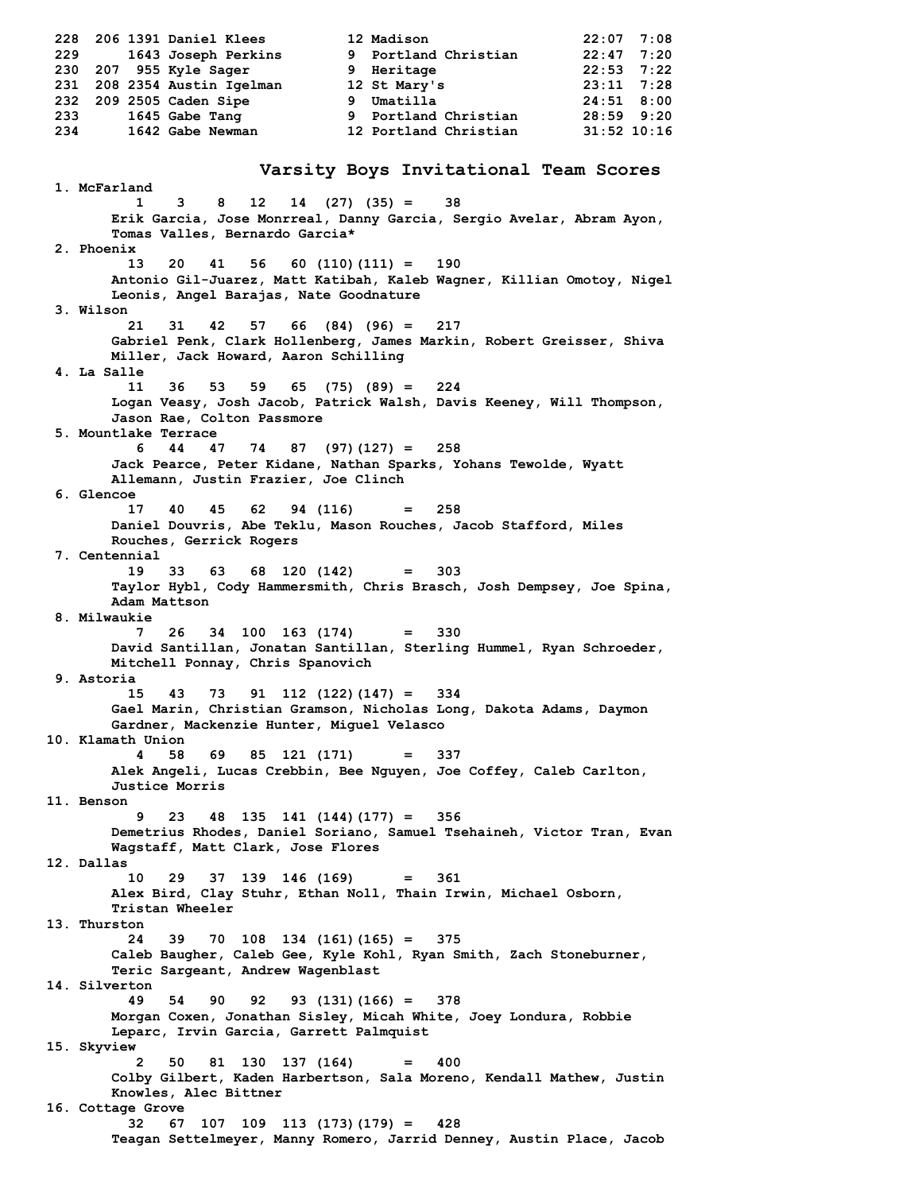**228 206 1391 Daniel Klees 12 Madison 22:07 7:08 229 1643 Joseph Perkins 9 Portland Christian 22:47 7:20 230 207 955 Kyle Sager 9 Heritage 22:53 7:22 231 208 2354 Austin Igelman 12 St Mary's 23:11 7:28 232 209 2505 Caden Sipe 9 Umatilla 24:51 8:00 233 1645 Gabe Tang 9 Portland Christian 28:59 9:20 234 1642 Gabe Newman 12 Portland Christian 31:52 10:16 Varsity Boys Invitational Team Scores 1. McFarland 1 3 8 12 14 (27) (35) = 38 Erik Garcia, Jose Monrreal, Danny Garcia, Sergio Avelar, Abram Ayon, Tomas Valles, Bernardo Garcia\* 2. Phoenix 13 20 41 56 60 (110)(111) = 190 Antonio Gil-Juarez, Matt Katibah, Kaleb Wagner, Killian Omotoy, Nigel Leonis, Angel Barajas, Nate Goodnature 3. Wilson 21 31 42 57 66 (84) (96) = 217 Gabriel Penk, Clark Hollenberg, James Markin, Robert Greisser, Shiva Miller, Jack Howard, Aaron Schilling 4. La Salle 11 36 53 59 65 (75) (89) = 224 Logan Veasy, Josh Jacob, Patrick Walsh, Davis Keeney, Will Thompson, Jason Rae, Colton Passmore 5. Mountlake Terrace 6 44 47 74 87 (97)(127) = 258 Jack Pearce, Peter Kidane, Nathan Sparks, Yohans Tewolde, Wyatt Allemann, Justin Frazier, Joe Clinch 6. Glencoe 17 40 45 62 94 (116) = 258 Daniel Douvris, Abe Teklu, Mason Rouches, Jacob Stafford, Miles Rouches, Gerrick Rogers 7. Centennial 19 33 63 68 120 (142) = 303 Taylor Hybl, Cody Hammersmith, Chris Brasch, Josh Dempsey, Joe Spina, Adam Mattson 8. Milwaukie 7 26 34 100 163 (174) = 330 David Santillan, Jonatan Santillan, Sterling Hummel, Ryan Schroeder, Mitchell Ponnay, Chris Spanovich 9. Astoria 15 43 73 91 112 (122)(147) = 334 Gael Marin, Christian Gramson, Nicholas Long, Dakota Adams, Daymon Gardner, Mackenzie Hunter, Miguel Velasco 10. Klamath Union 4 58 69 85 121 (171) = 337 Alek Angeli, Lucas Crebbin, Bee Nguyen, Joe Coffey, Caleb Carlton, Justice Morris 11. Benson 9 23 48 135 141 (144)(177) = 356 Demetrius Rhodes, Daniel Soriano, Samuel Tsehaineh, Victor Tran, Evan Wagstaff, Matt Clark, Jose Flores 12. Dallas 10 29 37 139 146 (169) = 361 Alex Bird, Clay Stuhr, Ethan Noll, Thain Irwin, Michael Osborn, Tristan Wheeler 13. Thurston 24 39 70 108 134 (161)(165) = 375 Caleb Baugher, Caleb Gee, Kyle Kohl, Ryan Smith, Zach Stoneburner, Teric Sargeant, Andrew Wagenblast 14. Silverton 49 54 90 92 93 (131)(166) = 378 Morgan Coxen, Jonathan Sisley, Micah White, Joey Londura, Robbie Leparc, Irvin Garcia, Garrett Palmquist 15. Skyview 2 50 81 130 137 (164) = 400 Colby Gilbert, Kaden Harbertson, Sala Moreno, Kendall Mathew, Justin Knowles, Alec Bittner 16. Cottage Grove 32 67 107 109 113 (173)(179) = 428 Teagan Settelmeyer, Manny Romero, Jarrid Denney, Austin Place, Jacob**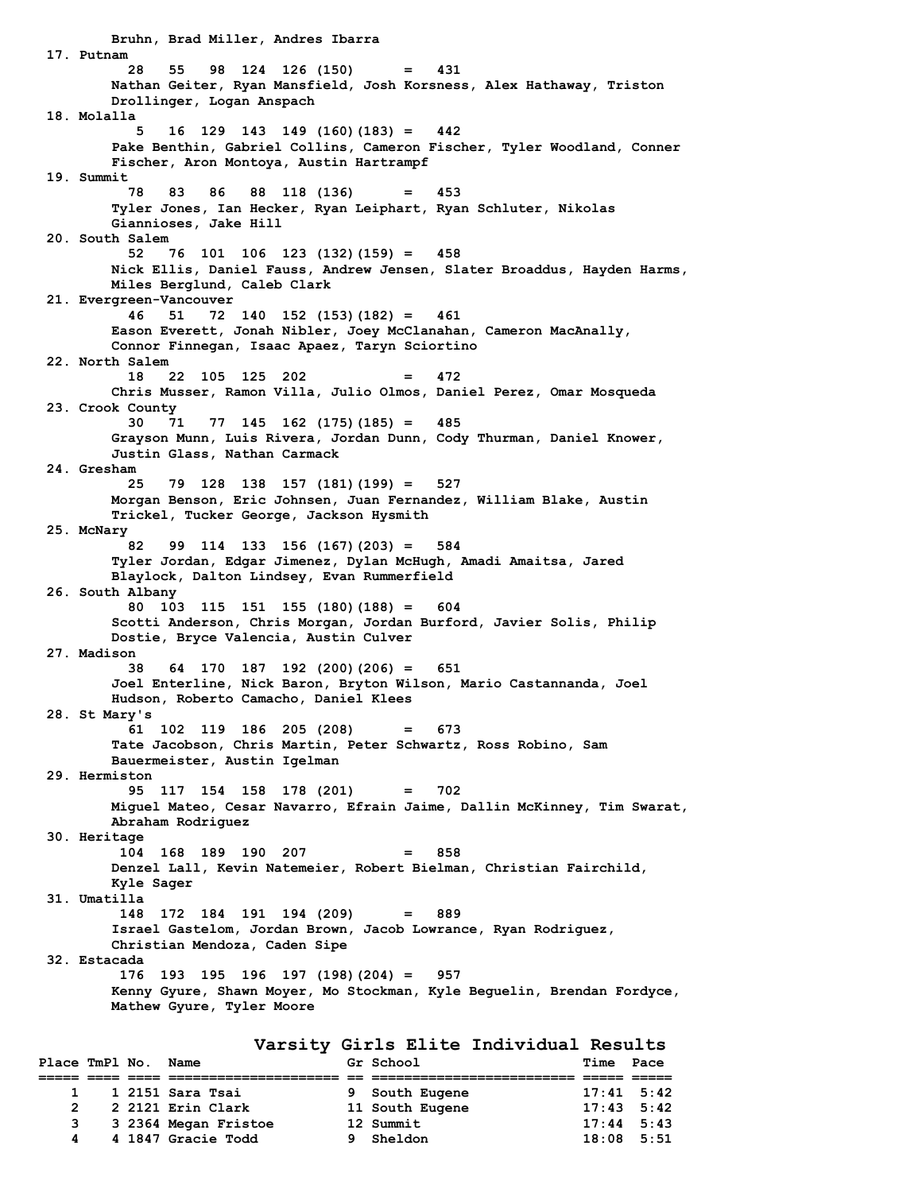**Bruhn, Brad Miller, Andres Ibarra 17. Putnam 28 55 98 124 126 (150) = 431 Nathan Geiter, Ryan Mansfield, Josh Korsness, Alex Hathaway, Triston Drollinger, Logan Anspach 18. Molalla 5 16 129 143 149 (160)(183) = 442 Pake Benthin, Gabriel Collins, Cameron Fischer, Tyler Woodland, Conner Fischer, Aron Montoya, Austin Hartrampf 19. Summit 78 83 86 88 118 (136) = 453 Tyler Jones, Ian Hecker, Ryan Leiphart, Ryan Schluter, Nikolas Giannioses, Jake Hill 20. South Salem 52 76 101 106 123 (132)(159) = 458 Nick Ellis, Daniel Fauss, Andrew Jensen, Slater Broaddus, Hayden Harms, Miles Berglund, Caleb Clark 21. Evergreen-Vancouver 46 51 72 140 152 (153)(182) = 461 Eason Everett, Jonah Nibler, Joey McClanahan, Cameron MacAnally, Connor Finnegan, Isaac Apaez, Taryn Sciortino 22. North Salem 18 22 105 125 202 = 472 Chris Musser, Ramon Villa, Julio Olmos, Daniel Perez, Omar Mosqueda 23. Crook County 30 71 77 145 162 (175)(185) = 485 Grayson Munn, Luis Rivera, Jordan Dunn, Cody Thurman, Daniel Knower, Justin Glass, Nathan Carmack 24. Gresham 25 79 128 138 157 (181)(199) = 527 Morgan Benson, Eric Johnsen, Juan Fernandez, William Blake, Austin Trickel, Tucker George, Jackson Hysmith 25. McNary 82 99 114 133 156 (167)(203) = 584 Tyler Jordan, Edgar Jimenez, Dylan McHugh, Amadi Amaitsa, Jared Blaylock, Dalton Lindsey, Evan Rummerfield 26. South Albany 80 103 115 151 155 (180)(188) = 604 Scotti Anderson, Chris Morgan, Jordan Burford, Javier Solis, Philip Dostie, Bryce Valencia, Austin Culver 27. Madison 38 64 170 187 192 (200)(206) = 651 Joel Enterline, Nick Baron, Bryton Wilson, Mario Castannanda, Joel Hudson, Roberto Camacho, Daniel Klees 28. St Mary's 61 102 119 186 205 (208) = 673 Tate Jacobson, Chris Martin, Peter Schwartz, Ross Robino, Sam Bauermeister, Austin Igelman 29. Hermiston 95 117 154 158 178 (201) = 702 Miguel Mateo, Cesar Navarro, Efrain Jaime, Dallin McKinney, Tim Swarat, Abraham Rodriguez 30. Heritage 104 168 189 190 207 = 858 Denzel Lall, Kevin Natemeier, Robert Bielman, Christian Fairchild, Kyle Sager 31. Umatilla 148 172 184 191 194 (209) = 889 Israel Gastelom, Jordan Brown, Jacob Lowrance, Ryan Rodriguez, Christian Mendoza, Caden Sipe 32. Estacada 176 193 195 196 197 (198)(204) = 957 Kenny Gyure, Shawn Moyer, Mo Stockman, Kyle Beguelin, Brendan Fordyce, Mathew Gyure, Tyler Moore Varsity Girls Elite Individual Results**

| Place TmPl No. Name |  |                      | Gr School       | Time Pace          |  |
|---------------------|--|----------------------|-----------------|--------------------|--|
|                     |  |                      |                 |                    |  |
|                     |  | 1 1 2151 Sara Tsai   | 9 South Eugene  | $17:41$ 5:42       |  |
| $\overline{2}$      |  | 2 2121 Erin Clark    | 11 South Eugene | $17:43 \quad 5:42$ |  |
|                     |  | 3 2364 Megan Fristoe | 12 Summit       | $17:44$ 5:43       |  |
| 4                   |  | 4 1847 Gracie Todd   | 9 Sheldon       | $18:08$ 5:51       |  |
|                     |  |                      |                 |                    |  |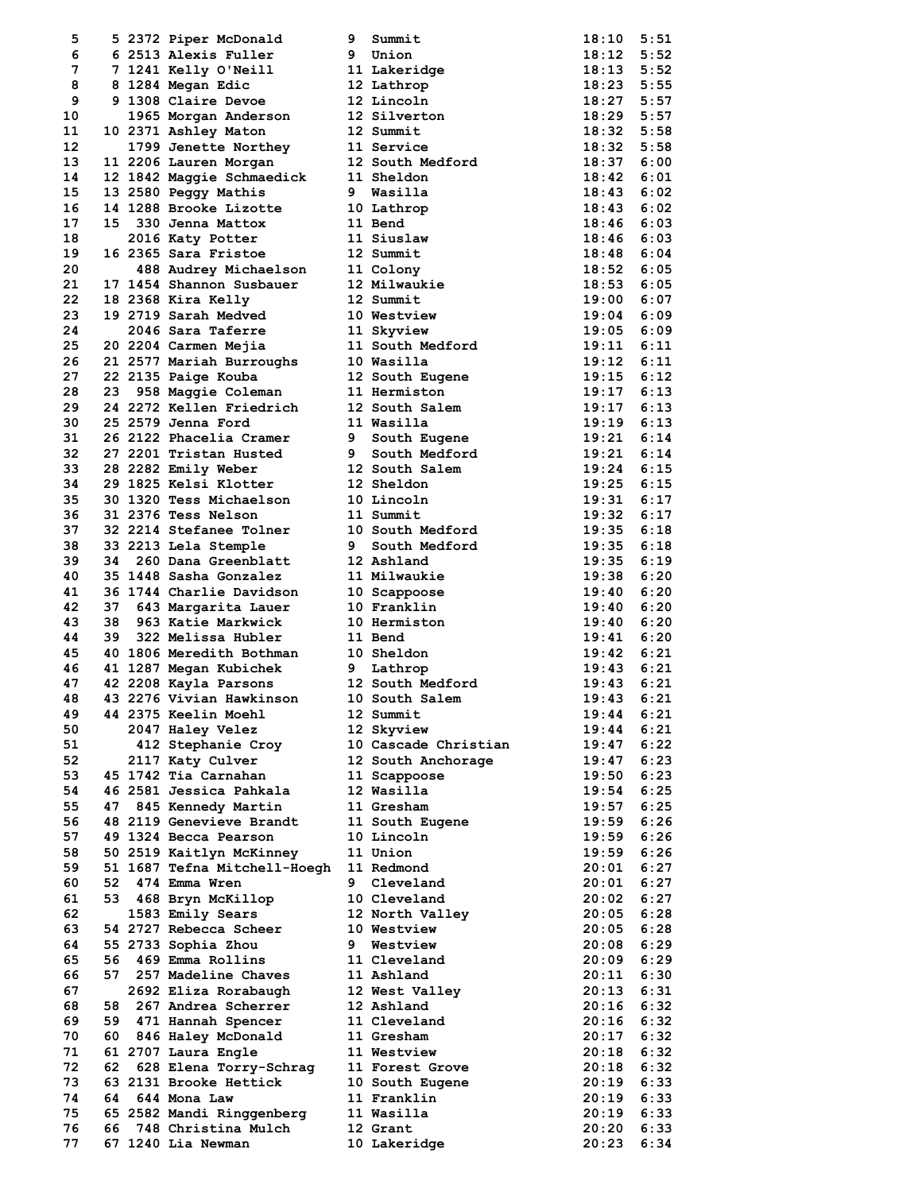| 5  |      | 5 2372 Piper McDonald        | 9 | Summit                  | $18:10$ $5:51$ |      |
|----|------|------------------------------|---|-------------------------|----------------|------|
| 6  |      | 6 2513 Alexis Fuller         |   | 9 Union                 | 18:12 5:52     |      |
| 7  |      | 7 1241 Kelly O'Neill         |   | 11 Lakeridge            | $18:13$ $5:52$ |      |
| 8  |      | 8 1284 Megan Edic            |   | 12 Lathrop              | $18:23$ 5:55   |      |
| 9  |      | 9 1308 Claire Devoe          |   | 12 Lincoln              | $18:27$ 5:57   |      |
| 10 |      | 1965 Morgan Anderson         |   | 12 Silverton            | 18:29 5:57     |      |
| 11 |      | 10 2371 Ashley Maton         |   | 12 Summit               | $18:32$ $5:58$ |      |
| 12 |      |                              |   |                         | $18:32$ $5:58$ |      |
|    |      | 1799 Jenette Northey         |   | 11 Service              |                |      |
| 13 |      | 11 2206 Lauren Morgan        |   | 12 South Medford        | 18:37 6:00     |      |
| 14 |      | 12 1842 Maggie Schmaedick    |   | 11 Sheldon              | $18:42$ 6:01   |      |
| 15 |      | 13 2580 Peggy Mathis         |   | 9 Wasilla               | $18:43$ $6:02$ |      |
| 16 |      | 14 1288 Brooke Lizotte       |   | 10 Lathrop              | $18:43$ 6:02   |      |
| 17 |      | 15 330 Jenna Mattox          |   | 11 Bend                 | $18:46$ 6:03   |      |
| 18 |      | 2016 Katy Potter             |   | 11 Siuslaw              | $18:46$ 6:03   |      |
| 19 |      | 16 2365 Sara Fristoe         |   | 12 Summit               | 18:48 6:04     |      |
| 20 |      | 488 Audrey Michaelson        |   | 11 Colony               | $18:52$ 6:05   |      |
| 21 |      | 17 1454 Shannon Susbauer     |   | 12 Milwaukie            | $18:53$ $6:05$ |      |
| 22 |      | 18 2368 Kira Kelly           |   | 12 Summit               | 19:00 6:07     |      |
| 23 |      | 19 2719 Sarah Medved         |   | 10 Westview             | $19:04$ 6:09   |      |
| 24 |      | 2046 Sara Taferre            |   | 11 Skyview              | $19:05$ 6:09   |      |
| 25 |      | 20 2204 Carmen Mejia         |   | 11 South Medford        | $19:11$ $6:11$ |      |
| 26 |      | 21 2577 Mariah Burroughs     |   | 10 Wasilla              | $19:12$ $6:11$ |      |
| 27 |      |                              |   |                         | $19:15$ $6:12$ |      |
|    |      | 22 2135 Paige Kouba          |   | 12 South Eugene         |                |      |
| 28 |      | 23 958 Maggie Coleman        |   | 11 Hermiston            | $19:17$ 6:13   |      |
| 29 |      | 24 2272 Kellen Friedrich     |   | 12 South Salem          | $19:17$ 6:13   |      |
| 30 |      | 25 2579 Jenna Ford           |   | 11 Wasilla              | $19:19$ $6:13$ |      |
| 31 |      | 26 2122 Phacelia Cramer      |   | 9 South Eugene          | $19:21$ $6:14$ |      |
| 32 |      | 27 2201 Tristan Husted       |   | <b>9</b> South Medford  | $19:21$ $6:14$ |      |
| 33 |      | 28 2282 Emily Weber          |   | 12 South Salem          | $19:24$ 6:15   |      |
| 34 |      | 29 1825 Kelsi Klotter        |   | 12 Sheldon              | $19:25$ 6:15   |      |
| 35 |      | 30 1320 Tess Michaelson      |   | 10 Lincoln              | $19:31$ $6:17$ |      |
| 36 |      | 31 2376 Tess Nelson          |   | 11 Summit               | $19:32$ $6:17$ |      |
| 37 |      | 32 2214 Stefanee Tolner      |   | <b>10 South Medford</b> | $19:35$ $6:18$ |      |
| 38 |      | 33 2213 Lela Stemple         |   | 9 South Medford         | $19:35$ $6:18$ |      |
| 39 |      | 34 260 Dana Greenblatt       |   | 12 Ashland              | $19:35$ 6:19   |      |
| 40 |      | 35 1448 Sasha Gonzalez       |   | 11 Milwaukie            | 19:38          | 6:20 |
|    |      |                              |   |                         |                |      |
| 41 |      | 36 1744 Charlie Davidson     |   | 10 Scappoose            | $19:40$ 6:20   |      |
| 42 |      | 37 643 Margarita Lauer       |   | 10 Franklin             | $19:40$ 6:20   |      |
| 43 | 38   | 963 Katie Markwick           |   | 10 Hermiston            | $19:40$ 6:20   |      |
| 44 |      | 39 322 Melissa Hubler        |   | 11 Bend                 | $19:41$ 6:20   |      |
| 45 |      | 40 1806 Meredith Bothman     |   | 10 Sheldon              | $19:42$ 6:21   |      |
| 46 |      | 41 1287 Megan Kubichek       | 9 | Lathrop                 | $19:43$ 6:21   |      |
| 47 |      | 42 2208 Kayla Parsons        |   | 12 South Medford        | $19:43$ $6:21$ |      |
| 48 |      | 43 2276 Vivian Hawkinson     |   | 10 South Salem          | 19:43          | 6:21 |
| 49 |      | <b>44 2375 Keelin Moehl</b>  |   | 12 Summit               | 19:44          | 6:21 |
| 50 |      | 2047 Haley Velez             |   | 12 Skyview              | 19:44          | 6:21 |
| 51 |      | 412 Stephanie Croy           |   | 10 Cascade Christian    | 19:47          | 6:22 |
| 52 |      | 2117 Katy Culver             |   | 12 South Anchorage      | 19:47          | 6:23 |
| 53 |      | 45 1742 Tia Carnahan         |   | 11 Scappoose            | 19:50          | 6:23 |
| 54 |      | 46 2581 Jessica Pahkala      |   | 12 Wasilla              | 19:54          | 6:25 |
| 55 | 47   | 845 Kennedy Martin           |   | 11 Gresham              | $19:57$ $6:25$ |      |
| 56 |      | 48 2119 Genevieve Brandt     |   | 11 South Eugene         | 19:59          | 6:26 |
| 57 |      | 49 1324 Becca Pearson        |   | 10 Lincoln              | 19:59          | 6:26 |
|    |      |                              |   |                         | 19:59          |      |
| 58 |      | 50 2519 Kaitlyn McKinney     |   | 11 Union                |                | 6:26 |
| 59 |      | 51 1687 Tefna Mitchell-Hoegh |   | 11 Redmond              | 20:01          | 6:27 |
| 60 | 52   | 474 Emma Wren                | 9 | Cleveland               | 20:01          | 6:27 |
| 61 |      | 53 468 Bryn McKillop         |   | 10 Cleveland            | 20:02 6:27     |      |
| 62 |      | 1583 Emily Sears             |   | 12 North Valley         | $20:05$ 6:28   |      |
| 63 |      | 54 2727 Rebecca Scheer       |   | 10 Westview             | 20:05          | 6:28 |
| 64 |      | 55 2733 Sophia Zhou          |   | 9 Westview              | $20:08$ 6:29   |      |
| 65 |      | 56 469 Emma Rollins          |   | 11 Cleveland            | 20:09 6:29     |      |
| 66 | 57 - | 257 Madeline Chaves          |   | 11 Ashland              | 20:11          | 6:30 |
| 67 |      | 2692 Eliza Rorabaugh         |   | 12 West Valley          | $20:13$ $6:31$ |      |
| 68 |      | 58 267 Andrea Scherrer       |   | 12 Ashland              | 20:16          | 6:32 |
| 69 |      | 59 471 Hannah Spencer        |   | 11 Cleveland            | 20:16          | 6:32 |
| 70 | 60   | 846 Haley McDonald           |   | 11 Gresham              | 20:17          | 6:32 |
| 71 |      | 61 2707 Laura Engle          |   | 11 Westview             | 20:18 6:32     |      |
|    |      |                              |   |                         |                |      |
| 72 | 62   | 628 Elena Torry-Schrag       |   | 11 Forest Grove         | $20:18$ 6:32   |      |
| 73 |      | 63 2131 Brooke Hettick       |   | 10 South Eugene         | 20:19          | 6:33 |
| 74 |      | 64 644 Mona Law              |   | 11 Franklin             | 20:19 6:33     |      |
| 75 |      | 65 2582 Mandi Ringgenberg    |   | 11 Wasilla              | 20:19 6:33     |      |
| 76 | 66   | 748 Christina Mulch          |   | 12 Grant                | 20:20          | 6:33 |
| 77 |      | 67 1240 Lia Newman           |   | 10 Lakeridge            | 20:23          | 6:34 |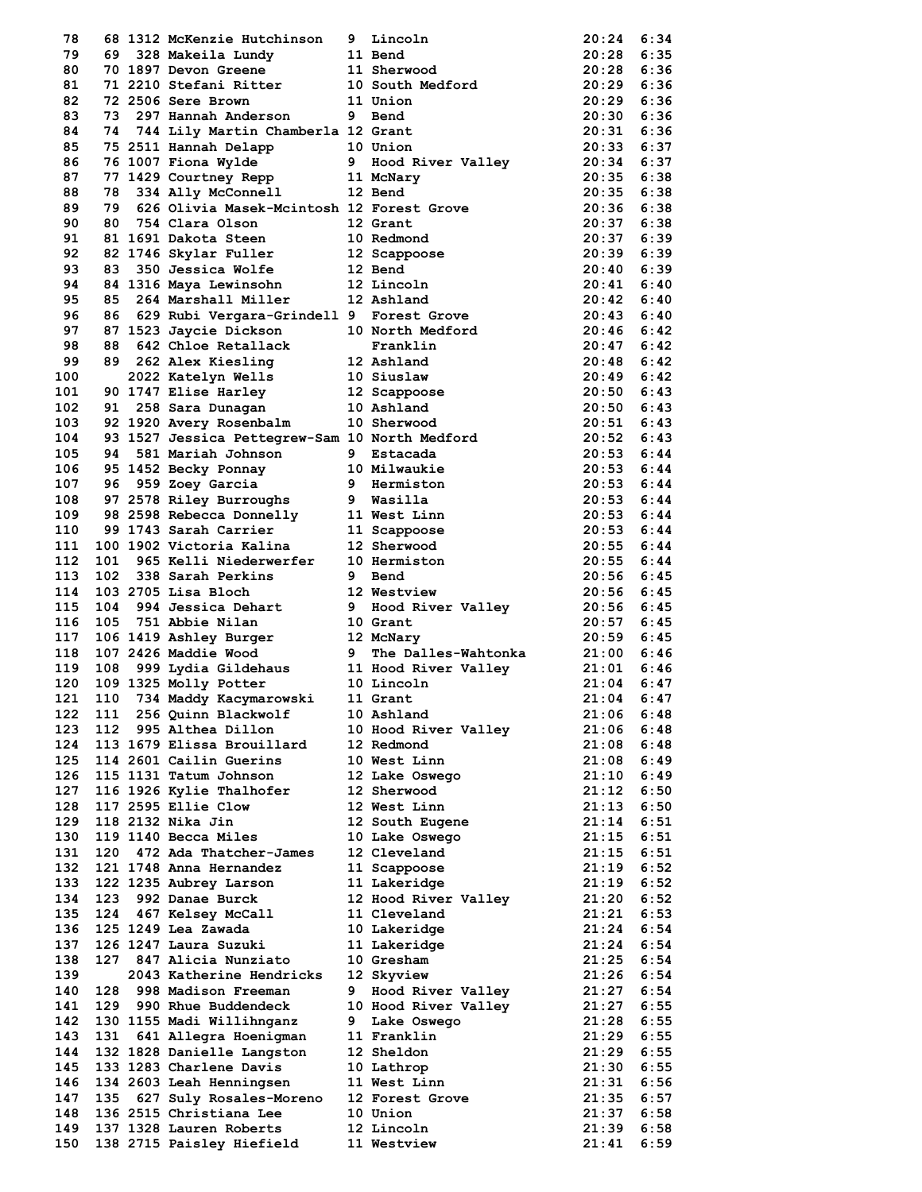| 78         |     | 68 1312 McKenzie Hutchinson                                                                          |   | 9 Lincoln                                                                                                                                                                                                                                                                                | 20:24              | 6:34 |
|------------|-----|------------------------------------------------------------------------------------------------------|---|------------------------------------------------------------------------------------------------------------------------------------------------------------------------------------------------------------------------------------------------------------------------------------------|--------------------|------|
|            |     |                                                                                                      |   |                                                                                                                                                                                                                                                                                          |                    |      |
| 79         | 69. | 328 Makeila Lundy                                                                                    |   | 11 Bend                                                                                                                                                                                                                                                                                  | 20:28              | 6:35 |
| 80         |     | 70 1897 Devon Greene                                                                                 |   | 11 Sherwood                                                                                                                                                                                                                                                                              | 20:28 6:36         |      |
| 81         |     | 71 2210 Stefani Ritter                                                                               |   | 10 South Medford                                                                                                                                                                                                                                                                         | $20:29$ 6:36       |      |
| 82         |     | 72 2506 Sere Brown                                                                                   |   | 11 Union                                                                                                                                                                                                                                                                                 | $20:29$ 6:36       |      |
| 83         |     | 73 297 Hannah Anderson                                                                               |   | 9 Bend                                                                                                                                                                                                                                                                                   | $20:30$ 6:36       |      |
| 84         |     | 74 744 Lily Martin Chamberla 12 Grant                                                                |   |                                                                                                                                                                                                                                                                                          | $20:31$ 6:36       |      |
| 85         |     |                                                                                                      |   |                                                                                                                                                                                                                                                                                          | $20:33$ 6:37       |      |
| 86         |     |                                                                                                      |   |                                                                                                                                                                                                                                                                                          | $20:34$ 6:37       |      |
| 87         |     |                                                                                                      |   |                                                                                                                                                                                                                                                                                          |                    |      |
|            |     |                                                                                                      |   |                                                                                                                                                                                                                                                                                          | $20:35$ 6:38       |      |
| 88         |     |                                                                                                      |   |                                                                                                                                                                                                                                                                                          | $20:35$ 6:38       |      |
| 89         |     |                                                                                                      |   | 79 626 Olivia Masek-Mcintosh 12 Forest Grove                                                                                                                                                                                                                                             | $20:36$ $6:38$     |      |
| 90         |     |                                                                                                      |   |                                                                                                                                                                                                                                                                                          | $20:37$ 6:38       |      |
| 91         |     | 80 754 Clara Olson 12 Grant<br>81 1691 Dakota Steen 10 Redmond<br>82 1746 Skylar Fuller 12 Scappoose |   |                                                                                                                                                                                                                                                                                          | 20:37 6:39         |      |
| 92         |     |                                                                                                      |   |                                                                                                                                                                                                                                                                                          | $20:39$ 6:39       |      |
| 93         | 83  | 350 Jessica Wolfe                                                                                    |   | 12 Bend                                                                                                                                                                                                                                                                                  | $20:40$ 6:39       |      |
| 94         |     | 84 1316 Maya Lewinsohn                                                                               |   | 12 Lincoln                                                                                                                                                                                                                                                                               | $20:41$ 6:40       |      |
| 95         | 85  | 264 Marshall Miller                                                                                  |   | 12 Ashland                                                                                                                                                                                                                                                                               | 20:42 6:40         |      |
|            |     |                                                                                                      |   |                                                                                                                                                                                                                                                                                          |                    |      |
| 96         |     |                                                                                                      |   | 86 629 Rubi Vergara-Grindell 9 Forest Grove<br>86 629 KUDI Vergara-Simuell 3 100000 11523 Jaycie Dickson<br>87 1523 Jaycie Dickson<br>88 642 Chloe Retallack Franklin<br>89 262 Alex Kiesling 12 Ashland<br>2022 Katelyn Wells 10 Siuslaw<br>90 1747 Elise Harley 12 Scappoose<br>91 258 | 20:43 6:40         |      |
| 97         |     |                                                                                                      |   |                                                                                                                                                                                                                                                                                          | 20:46 6:42         |      |
| 98         |     |                                                                                                      |   |                                                                                                                                                                                                                                                                                          | $20:47$ 6:42       |      |
| 99         |     |                                                                                                      |   |                                                                                                                                                                                                                                                                                          | $20:48$ 6:42       |      |
| 100        |     |                                                                                                      |   |                                                                                                                                                                                                                                                                                          | $20:49$ 6:42       |      |
| 101        |     |                                                                                                      |   |                                                                                                                                                                                                                                                                                          | 20:50 6:43         |      |
| 102        |     |                                                                                                      |   |                                                                                                                                                                                                                                                                                          | 20:50 6:43         |      |
|            |     |                                                                                                      |   |                                                                                                                                                                                                                                                                                          |                    |      |
| 103        |     |                                                                                                      |   |                                                                                                                                                                                                                                                                                          | 20:51 6:43         |      |
| 104        |     |                                                                                                      |   | 93 1527 Jessica Pettegrew-Sam 10 North Medford<br>01 501 Merich Johnson 9 Estacada                                                                                                                                                                                                       | $20:52 \quad 6:43$ |      |
| 105        | 94  | 581 Mariah Johnson 9 Estacada                                                                        |   |                                                                                                                                                                                                                                                                                          | $20:53$ 6:44       |      |
| 106        |     | 95 1452 Becky Ponnay 10 Milwaukie                                                                    |   |                                                                                                                                                                                                                                                                                          | 20:53 6:44         |      |
| 107        |     | 96 959 Zoey Garcia             9   Hermiston<br>97 2578 Riley Burroughs         9   Wasilla          |   |                                                                                                                                                                                                                                                                                          | $20:53$ $6:44$     |      |
| 108        |     |                                                                                                      |   |                                                                                                                                                                                                                                                                                          | $20:53$ 6:44       |      |
| 109        |     |                                                                                                      |   | 98 2598 Rebecca Donnelly 11 West Linn                                                                                                                                                                                                                                                    | $20:53$ 6:44       |      |
| 110        |     | 99 1743 Sarah Carrier                                                                                |   |                                                                                                                                                                                                                                                                                          | $20:53$ 6:44       |      |
| 111        |     | 100 1902 Victoria Kalina                                                                             |   | 11 Scappoose                                                                                                                                                                                                                                                                             |                    |      |
|            |     |                                                                                                      |   | 12 Sherwood                                                                                                                                                                                                                                                                              | $20:55$ 6:44       |      |
| 112        | 101 | 965 Kelli Niederwerfer 10 Hermiston                                                                  |   |                                                                                                                                                                                                                                                                                          | $20:55$ 6:44       |      |
| 113        | 102 |                                                                                                      |   |                                                                                                                                                                                                                                                                                          | $20:56$ 6:45       |      |
| 114        |     | 103 2705 Lisa Bloch                                                                                  |   |                                                                                                                                                                                                                                                                                          | 20:56 6:45         |      |
| 115        | 104 |                                                                                                      |   |                                                                                                                                                                                                                                                                                          | 20:56 6:45         |      |
| 116        | 105 | 751 Abbie Nilan                                                                                      |   | 10 Grant                                                                                                                                                                                                                                                                                 | $20:57$ 6:45       |      |
| 117        |     |                                                                                                      |   |                                                                                                                                                                                                                                                                                          | $20:59$ 6:45       |      |
| 118        |     |                                                                                                      |   | 106 1419 Ashley Burger 12 McNary<br>107 2426 Maddie Wood 9 The Dalles-Wahtonka                                                                                                                                                                                                           | $21:00$ 6:46       |      |
|            |     |                                                                                                      |   | 999 Lydia Gildehaus 11 Hood River Valley                                                                                                                                                                                                                                                 |                    |      |
| 119        | 108 |                                                                                                      |   |                                                                                                                                                                                                                                                                                          | $21:01$ 6:46       |      |
| 120        |     | 109 1325 Molly Potter                                                                                |   | 10 Lincoln                                                                                                                                                                                                                                                                               | $21:04$ 6:47       |      |
| 121        |     | 110 734 Maddy Kacymarowski                                                                           |   | 11 Grant                                                                                                                                                                                                                                                                                 | 21:04              | 6:47 |
| 122        | 111 | 256 Quinn Blackwolf                                                                                  |   | 10 Ashland                                                                                                                                                                                                                                                                               | 21:06              | 6:48 |
| 123        | 112 | 995 Althea Dillon                                                                                    |   | 10 Hood River Valley                                                                                                                                                                                                                                                                     | 21:06              | 6:48 |
| 124        |     | 113 1679 Elissa Brouillard                                                                           |   | 12 Redmond                                                                                                                                                                                                                                                                               | 21:08              | 6:48 |
| 125        |     | 114 2601 Cailin Guerins                                                                              |   | 10 West Linn                                                                                                                                                                                                                                                                             | 21:08              | 6:49 |
| 126        |     | 115 1131 Tatum Johnson                                                                               |   | 12 Lake Oswego                                                                                                                                                                                                                                                                           | 21:10              | 6:49 |
| 127        |     | 116 1926 Kylie Thalhofer                                                                             |   | 12 Sherwood                                                                                                                                                                                                                                                                              | 21:12              | 6:50 |
|            |     |                                                                                                      |   | 12 West Linn                                                                                                                                                                                                                                                                             |                    |      |
| 128        |     | 117 2595 Ellie Clow                                                                                  |   |                                                                                                                                                                                                                                                                                          | 21:13              | 6:50 |
| 129.       |     | 118 2132 Nika Jin                                                                                    |   | 12 South Eugene                                                                                                                                                                                                                                                                          | 21:14              | 6:51 |
| 130        |     | 119 1140 Becca Miles                                                                                 |   | 10 Lake Oswego                                                                                                                                                                                                                                                                           | 21:15              | 6:51 |
| 131        | 120 | 472 Ada Thatcher-James                                                                               |   | 12 Cleveland                                                                                                                                                                                                                                                                             | 21:15              | 6:51 |
| 132        |     | 121 1748 Anna Hernandez                                                                              |   | 11 Scappoose                                                                                                                                                                                                                                                                             | 21:19              | 6:52 |
| 133        |     | 122 1235 Aubrey Larson                                                                               |   | 11 Lakeridge                                                                                                                                                                                                                                                                             | 21:19              | 6:52 |
| 134        | 123 | 992 Danae Burck                                                                                      |   | 12 Hood River Valley                                                                                                                                                                                                                                                                     | 21:20              | 6:52 |
| 135        | 124 | 467 Kelsey McCall                                                                                    |   | 11 Cleveland                                                                                                                                                                                                                                                                             | 21:21              | 6:53 |
|            |     |                                                                                                      |   |                                                                                                                                                                                                                                                                                          | 21:24              |      |
| 136        |     | 125 1249 Lea Zawada                                                                                  |   | 10 Lakeridge                                                                                                                                                                                                                                                                             |                    | 6:54 |
| 137        |     | 126 1247 Laura Suzuki                                                                                |   | 11 Lakeridge                                                                                                                                                                                                                                                                             | 21:24              | 6:54 |
| 138        | 127 | 847 Alicia Nunziato                                                                                  |   | 10 Gresham                                                                                                                                                                                                                                                                               | 21:25              | 6:54 |
| 139        |     | 2043 Katherine Hendricks                                                                             |   | 12 Skyview                                                                                                                                                                                                                                                                               | 21:26              | 6:54 |
| 140        | 128 | 998 Madison Freeman                                                                                  | 9 | Hood River Valley                                                                                                                                                                                                                                                                        | 21:27              | 6:54 |
| 141        | 129 | 990 Rhue Buddendeck                                                                                  |   | 10 Hood River Valley                                                                                                                                                                                                                                                                     | 21:27              | 6:55 |
| 142        |     | 130 1155 Madi Willihnganz                                                                            | 9 | Lake Oswego                                                                                                                                                                                                                                                                              | 21:28              | 6:55 |
| 143        | 131 | 641 Allegra Hoenigman                                                                                |   | 11 Franklin                                                                                                                                                                                                                                                                              | 21:29              | 6:55 |
|            |     |                                                                                                      |   |                                                                                                                                                                                                                                                                                          |                    |      |
| 144        |     | 132 1828 Danielle Langston                                                                           |   | 12 Sheldon                                                                                                                                                                                                                                                                               | 21:29              | 6:55 |
| 145        |     | 133 1283 Charlene Davis                                                                              |   | 10 Lathrop                                                                                                                                                                                                                                                                               | 21:30              | 6:55 |
|            |     |                                                                                                      |   | 11 West Linn                                                                                                                                                                                                                                                                             | 21:31              | 6:56 |
|            |     | 134 2603 Leah Henningsen                                                                             |   |                                                                                                                                                                                                                                                                                          |                    |      |
| 146<br>147 | 135 | 627 Suly Rosales-Moreno                                                                              |   | 12 Forest Grove                                                                                                                                                                                                                                                                          | 21:35              | 6:57 |
| 148        |     | 136 2515 Christiana Lee                                                                              |   | 10 Union                                                                                                                                                                                                                                                                                 | 21:37              | 6:58 |
| 149        |     | 137 1328 Lauren Roberts                                                                              |   | 12 Lincoln                                                                                                                                                                                                                                                                               | 21:39              | 6:58 |
| 150        |     | 138 2715 Paisley Hiefield                                                                            |   | 11 Westview                                                                                                                                                                                                                                                                              | 21:41              | 6:59 |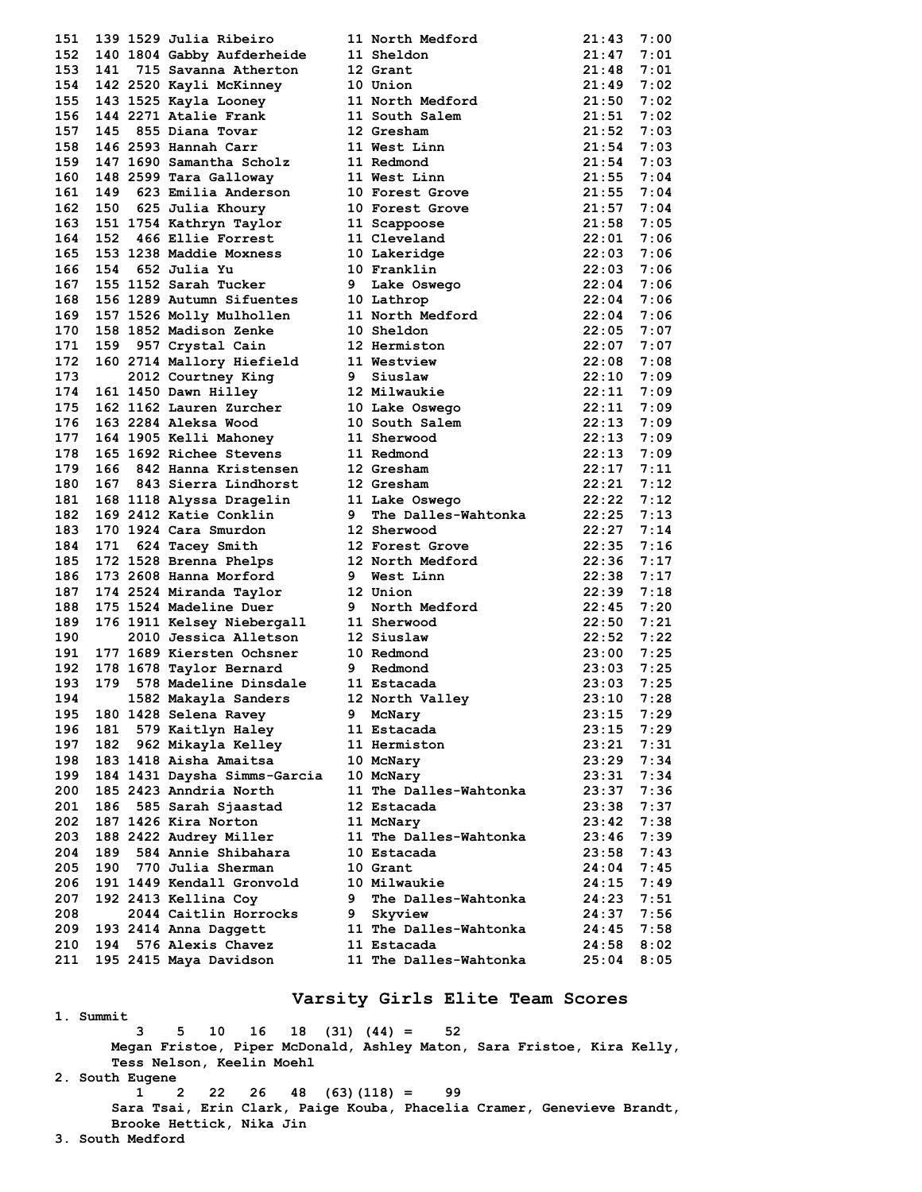| 151 |     | 139 1529 Julia Ribeiro                                                                                                       |   | 11 North Medford                             | 21:43          | 7:00 |
|-----|-----|------------------------------------------------------------------------------------------------------------------------------|---|----------------------------------------------|----------------|------|
| 152 |     | 140 1804 Gabby Aufderheide                                                                                                   |   | 11 Sheldon                                   | $21:47$ 7:01   |      |
| 153 |     | 141 715 Savanna Atherton                                                                                                     |   | 12 Grant                                     | 21:48          | 7:01 |
| 154 |     |                                                                                                                              |   | 10 Union                                     | 21:49          | 7:02 |
| 155 |     |                                                                                                                              |   | 11 North Medford                             | 21:50          | 7:02 |
| 156 |     | 141 715 Savanna Acherton<br>142 2520 Kayli McKinney<br>143 1525 Kayla Looney<br>144 2271 Atalie Frank<br>145 855 Diana Tovar |   | 11 Note-                                     | 21:51          | 7:02 |
| 157 |     |                                                                                                                              |   |                                              | $21:52$ 7:03   |      |
| 158 |     | 146 2593 Hannah Carr                                                                                                         |   | 11 West Linn                                 | 21:54          | 7:03 |
| 159 |     | 147 1690 Samantha Scholz                                                                                                     |   | 11 Redmond                                   | 21:54 7:03     |      |
| 160 |     | 148 2599 Tara Galloway                                                                                                       |   | 11 West Linn                                 | 21:55 7:04     |      |
|     | 149 | 623 Emilia Anderson                                                                                                          |   |                                              |                |      |
| 161 |     |                                                                                                                              |   | 10 Forest Grove                              | $21:55$ 7:04   |      |
| 162 | 150 | 625 Julia Khoury                                                                                                             |   | 10 Forest Grove                              | 21:57 7:04     |      |
| 163 |     | 151 1754 Kathryn Taylor<br>466 Ellie Forrest                                                                                 |   | 11 Scappoose<br>11 scappoose<br>11 Cleveland | 21:58          | 7:05 |
| 164 | 152 |                                                                                                                              |   |                                              | 22:01          | 7:06 |
| 165 |     | 153 1238 Maddie Moxness                                                                                                      |   | 10 Lakeridge                                 | 22:03          | 7:06 |
| 166 | 154 | 652 Julia Yu                                                                                                                 |   | 10 Franklin                                  | $22:03$ 7:06   |      |
| 167 |     | 155 1152 Sarah Tucker                                                                                                        |   | 9 Lake Oswego                                | $22:04$ 7:06   |      |
| 168 |     | 156 1289 Autumn Sifuentes                                                                                                    |   | 10 Lathrop                                   | 22:04          | 7:06 |
| 169 |     | 157 1526 Molly Mulhollen                                                                                                     |   | 11 North Medford                             | $22:04$ 7:06   |      |
| 170 |     | 158 1852 Madison Zenke                                                                                                       |   | 10 Sheldon                                   | 22:05          | 7:07 |
| 171 | 159 | 957 Crystal Cain                                                                                                             |   | 12 Hermiston                                 | $22:07$ 7:07   |      |
| 172 |     | 160 2714 Mallory Hiefield                                                                                                    |   | 11 Westview                                  | $22:08$ 7:08   |      |
| 173 |     | 2012 Courtney King                                                                                                           |   | 9 Siuslaw                                    | $22:10$ 7:09   |      |
| 174 |     | 161 1450 Dawn Hilley                                                                                                         |   | 12 Milwaukie                                 | 22:11 7:09     |      |
| 175 |     | 162 1162 Lauren Zurcher                                                                                                      |   | 10 Lake Oswego 22:11                         |                | 7:09 |
| 176 |     | 163 2284 Aleksa Wood                                                                                                         |   | 10 South Salem                               | 22:13 7:09     |      |
| 177 |     | 164 1905 Kelli Mahoney                                                                                                       |   | 11 Sherwood                                  | $22:13$ 7:09   |      |
| 178 |     | 165 1692 Richee Stevens                                                                                                      |   | 11 Redmond                                   | 22:13          | 7:09 |
| 179 | 166 | 842 Hanna Kristensen                                                                                                         |   | 12 Gresham                                   | 22:17 7:11     |      |
| 180 |     |                                                                                                                              |   |                                              | $22:21$ 7:12   |      |
| 181 |     |                                                                                                                              |   |                                              | $22:22$ 7:12   |      |
| 182 |     | 169 2412 Katie Conklin                                                                                                       |   | 9 The Dalles-Wahtonka                        | 22:25 7:13     |      |
| 183 |     | 170 1924 Cara Smurdon                                                                                                        |   | 12 Sherwood                                  | $22:27$ 7:14   |      |
| 184 | 171 | 624 Tacey Smith                                                                                                              |   | 12 Forest Grove                              | 22:35          | 7:16 |
| 185 |     |                                                                                                                              |   | 172 1528 Brenna Phelps 12 North Medford      | 22:36          | 7:17 |
| 186 |     |                                                                                                                              |   | 9 West Linn                                  | 22:38          | 7:17 |
| 187 |     | 173 2608 Hanna Morford 9 West 1<br>174 2524 Miranda Taylor 12 Union                                                          |   |                                              | $22:39$ 7:18   |      |
| 188 |     | 175 1524 Madeline Duer                                                                                                       |   | 9 North Medford                              | 22:45          | 7:20 |
| 189 |     | 176 1911 Kelsey Niebergall                                                                                                   |   | 11 Sherwood                                  | 22:50 7:21     |      |
| 190 |     | 2010 Jessica Alletson                                                                                                        |   | 12 Siuslaw                                   | $22:52 \t7:22$ |      |
| 191 |     | 177 1689 Kiersten Ochsner                                                                                                    |   | 10 Redmond                                   | $23:00$ $7:25$ |      |
| 192 |     | 178 1678 Taylor Bernard                                                                                                      |   | 9 Redmond                                    | 23:03 7:25     |      |
| 193 |     | 179 578 Madeline Dinsdale 11 Estacada                                                                                        |   |                                              | 23:03          | 7:25 |
|     |     |                                                                                                                              |   |                                              |                |      |
| 194 |     |                                                                                                                              |   | 1582 Makayla Sanders         12 North Valley | $23:10$ 7:28   |      |
| 195 |     | 180 1428 Selena Ravey                                                                                                        |   | 9 McNary                                     | 23:15          | 7:29 |
| 196 | 181 | 579 Kaitlyn Haley                                                                                                            |   | 11 Estacada                                  | 23:15 7:29     |      |
| 197 | 182 | 962 Mikayla Kelley                                                                                                           |   | 11 Hermiston                                 | 23:21          | 7:31 |
| 198 |     | 183 1418 Aisha Amaitsa                                                                                                       |   | 10 McNary                                    | 23:29          | 7:34 |
| 199 |     | 184 1431 Daysha Simms-Garcia                                                                                                 |   | 10 McNary                                    | 23:31          | 7:34 |
| 200 |     | 185 2423 Anndria North                                                                                                       |   | 11 The Dalles-Wahtonka                       | 23:37          | 7:36 |
| 201 | 186 | 585 Sarah Sjaastad                                                                                                           |   | 12 Estacada                                  | 23:38          | 7:37 |
| 202 |     | 187 1426 Kira Norton                                                                                                         |   | 11 McNary                                    | 23:42          | 7:38 |
| 203 |     | 188 2422 Audrey Miller                                                                                                       |   | 11 The Dalles-Wahtonka                       | 23:46          | 7:39 |
| 204 | 189 | 584 Annie Shibahara                                                                                                          |   | 10 Estacada                                  | 23:58          | 7:43 |
| 205 | 190 | 770 Julia Sherman                                                                                                            |   | 10 Grant                                     | 24:04          | 7:45 |
| 206 |     | 191 1449 Kendall Gronvold                                                                                                    |   | 10 Milwaukie                                 | 24:15 7:49     |      |
| 207 |     | 192 2413 Kellina Coy                                                                                                         | 9 | The Dalles-Wahtonka                          | 24:23          | 7:51 |
| 208 |     | 2044 Caitlin Horrocks                                                                                                        |   | 9 Skyview                                    | 24:37          | 7:56 |
| 209 |     | 193 2414 Anna Daggett                                                                                                        |   | 11 The Dalles-Wahtonka                       | 24:45          | 7:58 |
| 210 |     | 194 576 Alexis Chavez                                                                                                        |   | 11 Estacada                                  | 24:58          | 8:02 |
| 211 |     | 195 2415 Maya Davidson                                                                                                       |   | 11 The Dalles-Wahtonka                       | 25:04          | 8:05 |
|     |     |                                                                                                                              |   |                                              |                |      |

# **Varsity Girls Elite Team Scores**

**1. Summit 3 5 10 16 18 (31) (44) = 52 Megan Fristoe, Piper McDonald, Ashley Maton, Sara Fristoe, Kira Kelly, Tess Nelson, Keelin Moehl 2. South Eugene 1 2 22 26 48 (63)(118) = 99 Sara Tsai, Erin Clark, Paige Kouba, Phacelia Cramer, Genevieve Brandt, Brooke Hettick, Nika Jin 3. South Medford**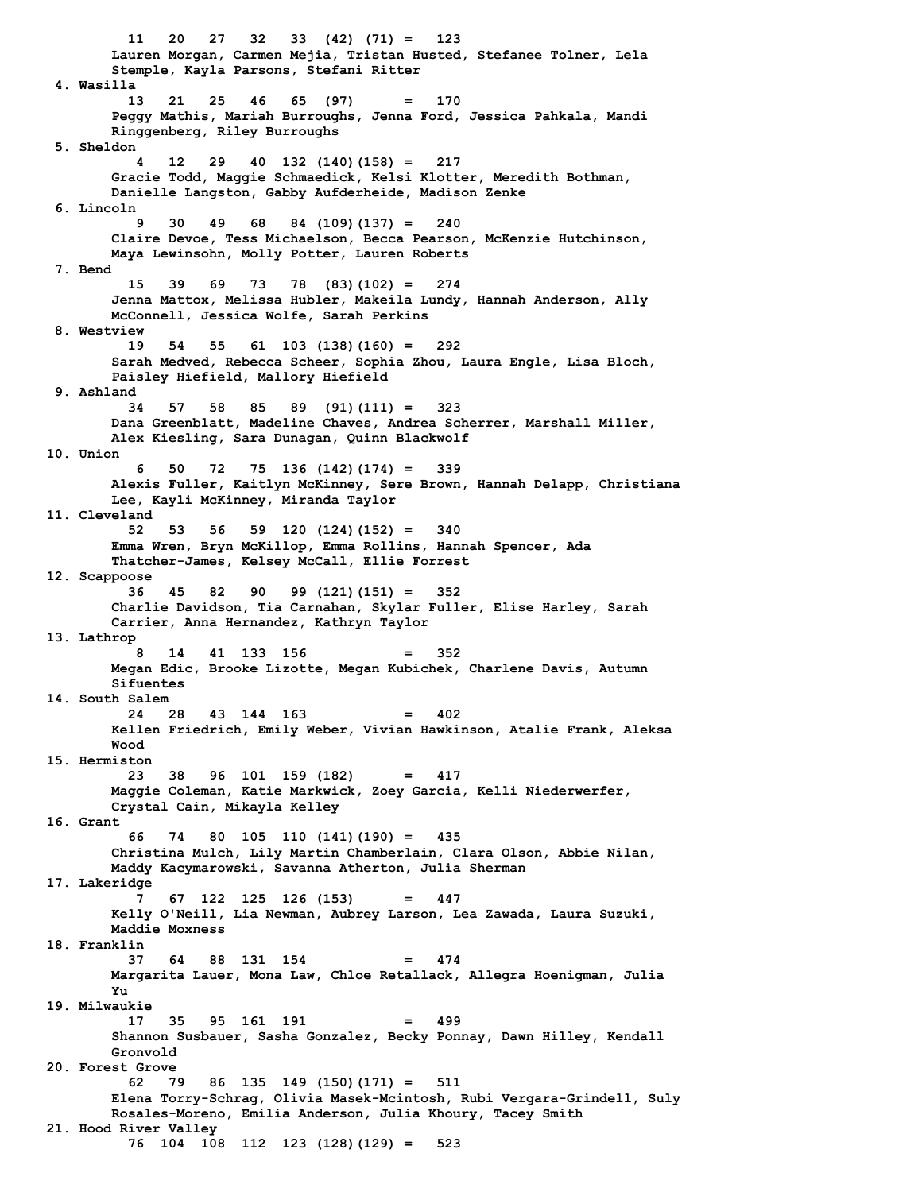**11 20 27 32 33 (42) (71) = 123 Lauren Morgan, Carmen Mejia, Tristan Husted, Stefanee Tolner, Lela Stemple, Kayla Parsons, Stefani Ritter 4. Wasilla 13 21 25 46 65 (97) = 170 Peggy Mathis, Mariah Burroughs, Jenna Ford, Jessica Pahkala, Mandi Ringgenberg, Riley Burroughs 5. Sheldon 4 12 29 40 132 (140)(158) = 217 Gracie Todd, Maggie Schmaedick, Kelsi Klotter, Meredith Bothman, Danielle Langston, Gabby Aufderheide, Madison Zenke 6. Lincoln 9 30 49 68 84 (109)(137) = 240 Claire Devoe, Tess Michaelson, Becca Pearson, McKenzie Hutchinson, Maya Lewinsohn, Molly Potter, Lauren Roberts 7. Bend 15 39 69 73 78 (83)(102) = 274 Jenna Mattox, Melissa Hubler, Makeila Lundy, Hannah Anderson, Ally McConnell, Jessica Wolfe, Sarah Perkins 8. Westview 19 54 55 61 103 (138)(160) = 292 Sarah Medved, Rebecca Scheer, Sophia Zhou, Laura Engle, Lisa Bloch, Paisley Hiefield, Mallory Hiefield 9. Ashland 34 57 58 85 89 (91)(111) = 323 Dana Greenblatt, Madeline Chaves, Andrea Scherrer, Marshall Miller, Alex Kiesling, Sara Dunagan, Quinn Blackwolf 10. Union 6 50 72 75 136 (142)(174) = 339 Alexis Fuller, Kaitlyn McKinney, Sere Brown, Hannah Delapp, Christiana Lee, Kayli McKinney, Miranda Taylor 11. Cleveland 52 53 56 59 120 (124)(152) = 340 Emma Wren, Bryn McKillop, Emma Rollins, Hannah Spencer, Ada Thatcher-James, Kelsey McCall, Ellie Forrest 12. Scappoose 36 45 82 90 99 (121)(151) = 352 Charlie Davidson, Tia Carnahan, Skylar Fuller, Elise Harley, Sarah Carrier, Anna Hernandez, Kathryn Taylor 13. Lathrop 8 14 41 133 156 = 352 Megan Edic, Brooke Lizotte, Megan Kubichek, Charlene Davis, Autumn Sifuentes 14. South Salem 24 28 43 144 163 = 402 Kellen Friedrich, Emily Weber, Vivian Hawkinson, Atalie Frank, Aleksa Wood 15. Hermiston 23 38 96 101 159 (182) = 417 Maggie Coleman, Katie Markwick, Zoey Garcia, Kelli Niederwerfer, Crystal Cain, Mikayla Kelley 16. Grant 66 74 80 105 110 (141)(190) = 435 Christina Mulch, Lily Martin Chamberlain, Clara Olson, Abbie Nilan, Maddy Kacymarowski, Savanna Atherton, Julia Sherman 17. Lakeridge 7 67 122 125 126 (153) = 447 Kelly O'Neill, Lia Newman, Aubrey Larson, Lea Zawada, Laura Suzuki, Maddie Moxness 18. Franklin 37 64 88 131 154 = 474 Margarita Lauer, Mona Law, Chloe Retallack, Allegra Hoenigman, Julia Yu 19. Milwaukie 17 35 95 161 191 = 499 Shannon Susbauer, Sasha Gonzalez, Becky Ponnay, Dawn Hilley, Kendall Gronvold 20. Forest Grove 62 79 86 135 149 (150)(171) = 511 Elena Torry-Schrag, Olivia Masek-Mcintosh, Rubi Vergara-Grindell, Suly Rosales-Moreno, Emilia Anderson, Julia Khoury, Tacey Smith 21. Hood River Valley 76 104 108 112 123 (128)(129) = 523**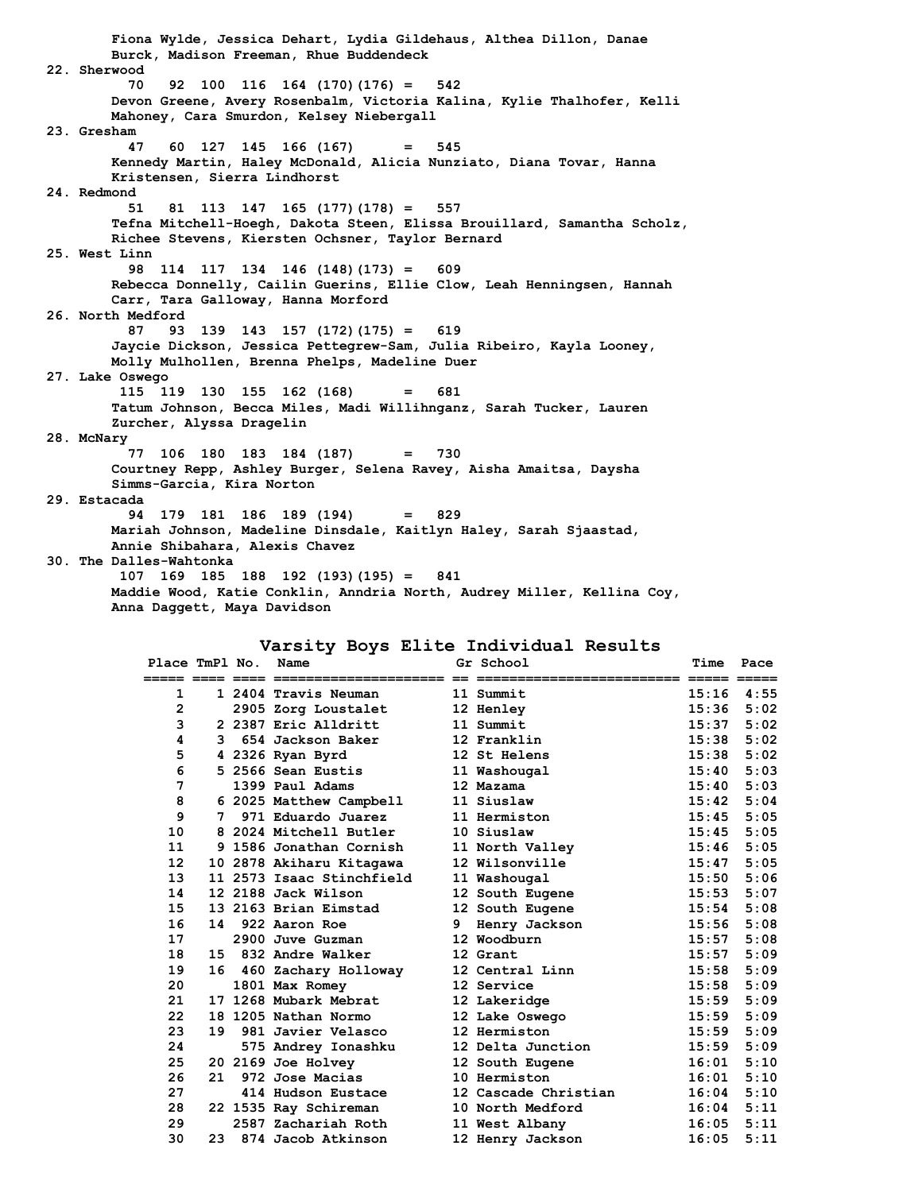**Fiona Wylde, Jessica Dehart, Lydia Gildehaus, Althea Dillon, Danae Burck, Madison Freeman, Rhue Buddendeck 22. Sherwood 70 92 100 116 164 (170)(176) = 542 Devon Greene, Avery Rosenbalm, Victoria Kalina, Kylie Thalhofer, Kelli Mahoney, Cara Smurdon, Kelsey Niebergall 23. Gresham 47 60 127 145 166 (167) = 545 Kennedy Martin, Haley McDonald, Alicia Nunziato, Diana Tovar, Hanna Kristensen, Sierra Lindhorst 24. Redmond 51 81 113 147 165 (177)(178) = 557 Tefna Mitchell-Hoegh, Dakota Steen, Elissa Brouillard, Samantha Scholz, Richee Stevens, Kiersten Ochsner, Taylor Bernard 25. West Linn 98 114 117 134 146 (148)(173) = 609 Rebecca Donnelly, Cailin Guerins, Ellie Clow, Leah Henningsen, Hannah Carr, Tara Galloway, Hanna Morford 26. North Medford 87 93 139 143 157 (172)(175) = 619 Jaycie Dickson, Jessica Pettegrew-Sam, Julia Ribeiro, Kayla Looney, Molly Mulhollen, Brenna Phelps, Madeline Duer 27. Lake Oswego 115 119 130 155 162 (168) = 681 Tatum Johnson, Becca Miles, Madi Willihnganz, Sarah Tucker, Lauren Zurcher, Alyssa Dragelin 28. McNary 77 106 180 183 184 (187) = 730 Courtney Repp, Ashley Burger, Selena Ravey, Aisha Amaitsa, Daysha Simms-Garcia, Kira Norton 29. Estacada 94 179 181 186 189 (194) = 829 Mariah Johnson, Madeline Dinsdale, Kaitlyn Haley, Sarah Sjaastad, Annie Shibahara, Alexis Chavez 30. The Dalles-Wahtonka 107 169 185 188 192 (193)(195) = 841 Maddie Wood, Katie Conklin, Anndria North, Audrey Miller, Kellina Coy, Anna Daggett, Maya Davidson**

#### **Varsity Boys Elite Individual Results**

| Place TmPl No.    |    | Name                      |   | Gr School            | Time           | Pace |
|-------------------|----|---------------------------|---|----------------------|----------------|------|
| ===== ====        |    |                           |   |                      |                |      |
| 1                 |    | 1 2404 Travis Neuman      |   | 11 Summit            | $15:16$ $4:55$ |      |
| 2                 |    | 2905 Zorg Loustalet       |   | 12 Henley            | 15:36          | 5:02 |
| 3                 |    | 2 2387 Eric Alldritt      |   | 11 Summit            | 15:37          | 5:02 |
| 4                 | 3  | 654 Jackson Baker         |   | 12 Franklin          | 15:38          | 5:02 |
| 5                 |    | 4 2326 Ryan Byrd          |   | 12 St Helens         | 15:38          | 5:02 |
| 6                 |    | 5 2566 Sean Eustis        |   | 11 Washougal         | 15:40          | 5:03 |
| 7                 |    | 1399 Paul Adams           |   | 12 Mazama            | 15:40          | 5:03 |
| 8                 |    | 6 2025 Matthew Campbell   |   | 11 Siuslaw           | 15:42          | 5:04 |
| 9                 | 7  | 971 Eduardo Juarez        |   | 11 Hermiston         | 15:45          | 5:05 |
| 10                |    | 8 2024 Mitchell Butler    |   | 10 Siuslaw           | 15:45          | 5:05 |
| 11                |    | 9 1586 Jonathan Cornish   |   | 11 North Valley      | 15:46          | 5:05 |
| $12 \overline{ }$ |    | 10 2878 Akiharu Kitagawa  |   | 12 Wilsonville       | 15:47          | 5:05 |
| 13                |    | 11 2573 Isaac Stinchfield |   | 11 Washougal         | 15:50          | 5:06 |
| 14                |    | 12 2188 Jack Wilson       |   | 12 South Eugene      | 15:53          | 5:07 |
| 15                |    | 13 2163 Brian Eimstad     |   | 12 South Eugene      | 15:54          | 5:08 |
| 16                | 14 | 922 Aaron Roe             | 9 | Henry Jackson        | 15:56          | 5:08 |
| 17                |    | 2900 Juve Guzman          |   | 12 Woodburn          | 15:57          | 5:08 |
| 18                |    | 15 832 Andre Walker       |   | 12 Grant             | 15:57          | 5:09 |
| 19                | 16 | 460 Zachary Holloway      |   | 12 Central Linn      | 15:58          | 5:09 |
| 20                |    | 1801 Max Romey            |   | 12 Service           | 15:58          | 5:09 |
| 21                |    | 17 1268 Mubark Mebrat     |   | 12 Lakeridge         | 15:59          | 5:09 |
| 22                |    | 18 1205 Nathan Normo      |   | 12 Lake Oswego       | 15:59          | 5:09 |
| 23                | 19 | 981 Javier Velasco        |   | 12 Hermiston         | 15:59          | 5:09 |
| 24                |    | 575 Andrey Ionashku       |   | 12 Delta Junction    | 15:59          | 5:09 |
| 25                |    | 20 2169 Joe Holvey        |   | 12 South Eugene      | 16:01          | 5:10 |
| 26                | 21 | 972 Jose Macias           |   | 10 Hermiston         | 16:01          | 5:10 |
| 27                |    | 414 Hudson Eustace        |   | 12 Cascade Christian | 16:04          | 5:10 |
| 28                |    | 22 1535 Ray Schireman     |   | 10 North Medford     | 16:04          | 5:11 |
| 29                |    | 2587 Zachariah Roth       |   | 11 West Albany       | 16:05          | 5:11 |
| 30                | 23 | 874 Jacob Atkinson        |   | 12 Henry Jackson     | 16:05          | 5:11 |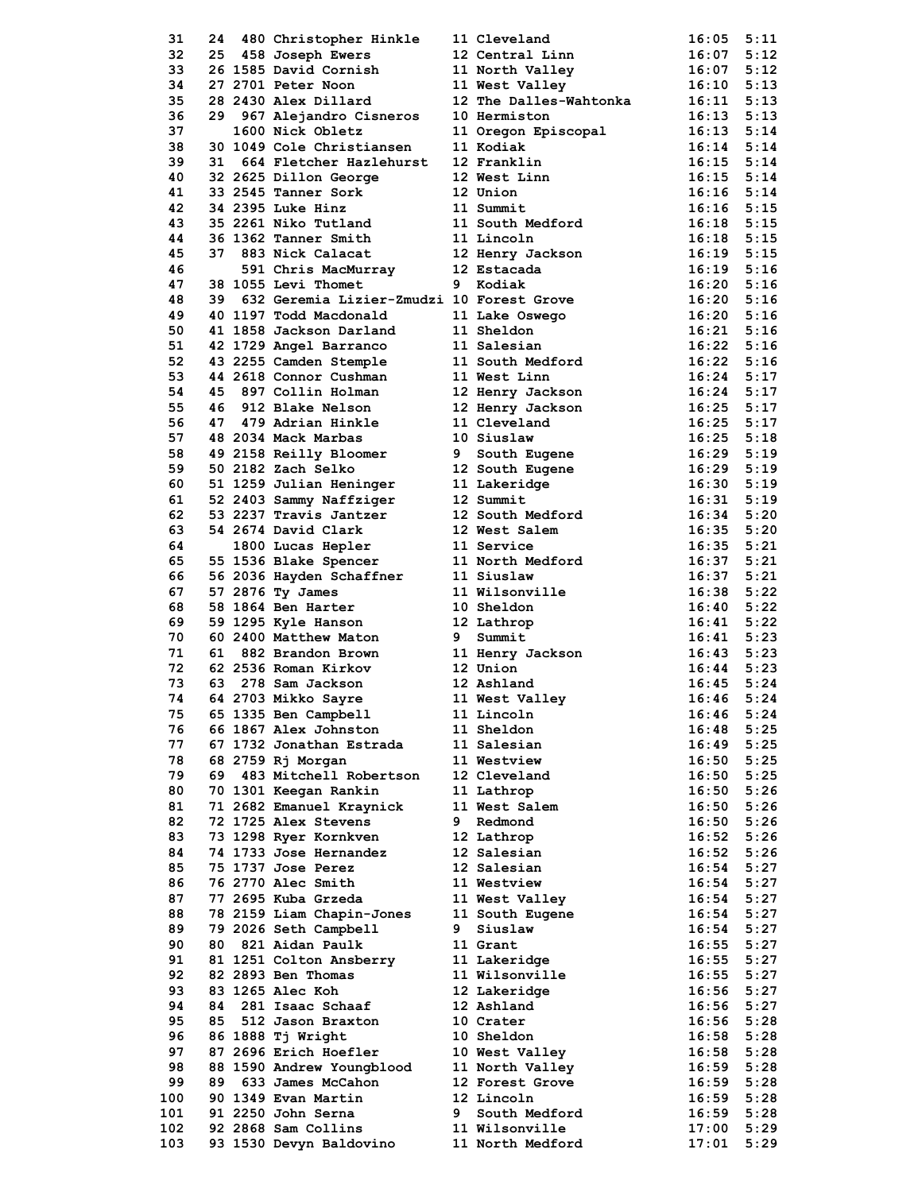| 31  | 24  | 480 Christopher Hinkle                                        |   | 11 Cleveland                                 | 16:05          | 5:11 |
|-----|-----|---------------------------------------------------------------|---|----------------------------------------------|----------------|------|
| 32  |     | 25 458 Joseph Ewers                                           |   | 12 Central Linn                              | $16:07$ $5:12$ |      |
|     |     |                                                               |   |                                              |                |      |
| 33  |     | 26 1585 David Cornish                                         |   | 11 North Valley                              | $16:07$ $5:12$ |      |
| 34  |     | 27 2701 Peter Noon                                            |   | 11 West Valley                               | $16:10$ $5:13$ |      |
| 35  |     | 28 2430 Alex Dillard                                          |   | 12 The Dalles-Wahtonka                       | $16:11$ $5:13$ |      |
| 36  |     | 29 967 Alejandro Cisneros                                     |   | 10 Hermiston                                 | $16:13$ $5:13$ |      |
| 37  |     | 1600 Nick Obletz                                              |   |                                              | $16:13$ $5:14$ |      |
| 38  |     | 30 1049 Cole Christiansen                                     |   | 11 Oregon Episcopal<br>11 Kodiak             | $16:14$ $5:14$ |      |
| 39  | 31  | 664 Fletcher Hazlehurst                                       |   | 12 Franklin                                  | $16:15$ $5:14$ |      |
|     |     |                                                               |   |                                              |                |      |
| 40  |     | 32 2625 Dillon George                                         |   | 12 West Linn                                 | $16:15$ $5:14$ |      |
| 41  |     | 33 2545 Tanner Sork                                           |   | 12 Union                                     | $16:16$ $5:14$ |      |
| 42  |     | 34 2395 Luke Hinz                                             |   | 11 Summit                                    | $16:16$ 5:15   |      |
| 43  |     | 35 2261 Niko Tutland                                          |   | 11 South Medford                             | $16:18$ $5:15$ |      |
| 44  |     | 36 1362 Tanner Smith                                          |   | 11 Lincoln                                   | $16:18$ $5:15$ |      |
| 45  |     | 37 883 Nick Calacat                                           |   | 12 Henry Jackson                             | $16:19$ $5:15$ |      |
| 46  |     |                                                               |   | 12 Estacada                                  | $16:19$ $5:16$ |      |
| 47  |     | 591 Chris MacMurray<br>OFF Isti Thomat<br>38 1055 Levi Thomet |   | 9 Kodiak                                     | $16:20$ $5:16$ |      |
|     |     |                                                               |   |                                              |                |      |
| 48  |     |                                                               |   | 39 632 Geremia Lizier-Zmudzi 10 Forest Grove | $16:20$ $5:16$ |      |
| 49  |     | 40 1197 Todd Macdonald                                        |   | 11 Lake Oswego                               | $16:20$ $5:16$ |      |
| 50  |     | 41 1858 Jackson Darland                                       |   | 11 Sheldon                                   | $16:21$ $5:16$ |      |
| 51  |     | 42 1729 Angel Barranco                                        |   | 11 Salesian                                  | $16:22$ $5:16$ |      |
| 52  |     | 43 2255 Camden Stemple                                        |   | 11 South Medford                             | $16:22$ $5:16$ |      |
| 53  |     | 44 2618 Connor Cushman                                        |   | 11 West Linn                                 | $16:24$ $5:17$ |      |
| 54  |     | 45 897 Collin Holman                                          |   | 12 Henry Jackson                             | $16:24$ $5:17$ |      |
| 55  |     |                                                               |   |                                              |                |      |
|     |     | 46 912 Blake Nelson                                           |   | 12 Henry Jackson                             | $16:25$ $5:17$ |      |
| 56  |     | 47 479 Adrian Hinkle                                          |   | 11 Cleveland                                 | $16:25$ $5:17$ |      |
| 57  |     | 48 2034 Mack Marbas                                           |   | 10 Siuslaw                                   | $16:25$ $5:18$ |      |
| 58  |     | 49 2158 Reilly Bloomer                                        |   | 9 South Eugene                               | $16:29$ $5:19$ |      |
| 59  |     | 50 2182 Zach Selko                                            |   | 12 South Eugene                              | $16:29$ $5:19$ |      |
| 60  |     | 51 1259 Julian Heninger                                       |   | 11 Lakeridge                                 | $16:30$ $5:19$ |      |
| 61  |     | 52 2403 Sammy Naffziger                                       |   | 12 Summit                                    | $16:31$ $5:19$ |      |
| 62  |     |                                                               |   |                                              |                |      |
|     |     | 53 2237 Travis Jantzer                                        |   | 12 South Medford                             | $16:34$ $5:20$ |      |
| 63  |     | 54 2674 David Clark                                           |   | 12 West Salem                                | $16:35$ $5:20$ |      |
| 64  |     | 1800 Lucas Hepler                                             |   | 11 Service                                   | $16:35$ $5:21$ |      |
| 65  |     | 55 1536 Blake Spencer                                         |   | 11 North Medford                             | $16:37$ $5:21$ |      |
| 66  |     | 56 2036 Hayden Schaffner                                      |   | 11 Siuslaw                                   | $16:37$ $5:21$ |      |
| 67  |     | 57 2876 Ty James                                              |   | 11 Wilsonville                               | $16:38$ $5:22$ |      |
| 68  |     | 58 1864 Ben Harter                                            |   | 10 Sheldon                                   | $16:40$ $5:22$ |      |
| 69  |     | 59 1295 Kyle Hanson                                           |   | 12 Lathrop                                   | $16:41$ $5:22$ |      |
|     |     |                                                               |   |                                              |                |      |
| 70  |     | 60 2400 Matthew Maton                                         |   | 9 Summit                                     | $16:41$ $5:23$ |      |
| 71  |     | 61 882 Brandon Brown                                          |   | 11 Henry Jackson                             | $16:43$ $5:23$ |      |
| 72  |     | 62 2536 Roman Kirkov                                          |   | 12 Union                                     | $16:44$ $5:23$ |      |
| 73  | 63. | 278 Sam Jackson                                               |   | 12 Ashland                                   | $16:45$ 5:24   |      |
| 74  |     | 64 2703 Mikko Sayre                                           |   | 11 West Valley                               | $16:46$ $5:24$ |      |
| 75  |     | 65 1335 Ben Campbell                                          |   | 11 Lincoln                                   | 16:46          | 5:24 |
| 76  |     | 66 1867 Alex Johnston                                         |   | 11 Sheldon                                   | 16:48          | 5:25 |
| 77  |     | 67 1732 Jonathan Estrada                                      |   | 11 Salesian                                  | 16:49          | 5:25 |
|     |     |                                                               |   |                                              |                |      |
| 78  |     | 68 2759 Rj Morgan                                             |   | 11 Westview                                  | 16:50          | 5:25 |
| 79  |     | 69 483 Mitchell Robertson                                     |   | 12 Cleveland                                 | $16:50$ $5:25$ |      |
| 80  |     | 70 1301 Keegan Rankin                                         |   | 11 Lathrop                                   | $16:50$ $5:26$ |      |
| 81  |     | 71 2682 Emanuel Kraynick                                      |   | 11 West Salem                                | 16:50 5:26     |      |
| 82  |     | 72 1725 Alex Stevens                                          |   | 9 Redmond                                    | 16:50 5:26     |      |
| 83  |     | 73 1298 Ryer Kornkven                                         |   | 12 Lathrop                                   | $16:52$ $5:26$ |      |
| 84  |     | 74 1733 Jose Hernandez                                        |   | 12 Salesian                                  | 16:52          | 5:26 |
| 85  |     | 75 1737 Jose Perez                                            |   | 12 Salesian                                  | $16:54$ $5:27$ |      |
|     |     | 76 2770 Alec Smith                                            |   |                                              |                |      |
| 86  |     |                                                               |   | 11 Westview                                  | $16:54$ $5:27$ |      |
| 87  |     | 77 2695 Kuba Grzeda                                           |   | 11 West Valley                               | $16:54$ $5:27$ |      |
| 88  |     | 78 2159 Liam Chapin-Jones                                     |   | 11 South Eugene                              | 16:54          | 5:27 |
| 89  |     | 79 2026 Seth Campbell                                         |   | 9 Siuslaw                                    | $16:54$ $5:27$ |      |
| 90  |     | 80 821 Aidan Paulk                                            |   | 11 Grant                                     | $16:55$ $5:27$ |      |
| 91  |     | 81 1251 Colton Ansberry                                       |   | 11 Lakeridge                                 | $16:55$ $5:27$ |      |
| 92  |     | 82 2893 Ben Thomas                                            |   | 11 Wilsonville                               | $16:55$ $5:27$ |      |
| 93  |     | 83 1265 Alec Koh                                              |   | 12 Lakeridge                                 | $16:56$ $5:27$ |      |
|     |     |                                                               |   |                                              |                |      |
| 94  | 84  | 281 Isaac Schaaf                                              |   | 12 Ashland                                   | 16:56 5:27     |      |
| 95  | 85  | 512 Jason Braxton                                             |   | 10 Crater                                    | 16:56 5:28     |      |
| 96  |     | 86 1888 Tj Wright                                             |   | <b>10 Sheldon</b>                            | $16:58$ $5:28$ |      |
| 97  |     | 87 2696 Erich Hoefler                                         |   | 10 West Valley                               | 16:58          | 5:28 |
| 98  |     | 88 1590 Andrew Youngblood                                     |   | 11 North Valley                              | 16:59          | 5:28 |
| 99  | 89  | 633 James McCahon                                             |   | 12 Forest Grove                              | $16:59$ $5:28$ |      |
| 100 |     | 90 1349 Evan Martin                                           |   | 12 Lincoln                                   | 16:59          | 5:28 |
|     |     |                                                               |   |                                              |                |      |
| 101 |     | 91 2250 John Serna                                            | 9 | South Medford                                | 16:59          | 5:28 |
| 102 |     | 92 2868 Sam Collins                                           |   | 11 Wilsonville                               | 17:00          | 5:29 |
| 103 |     | 93 1530 Devyn Baldovino                                       |   | 11 North Medford                             | 17:01          | 5:29 |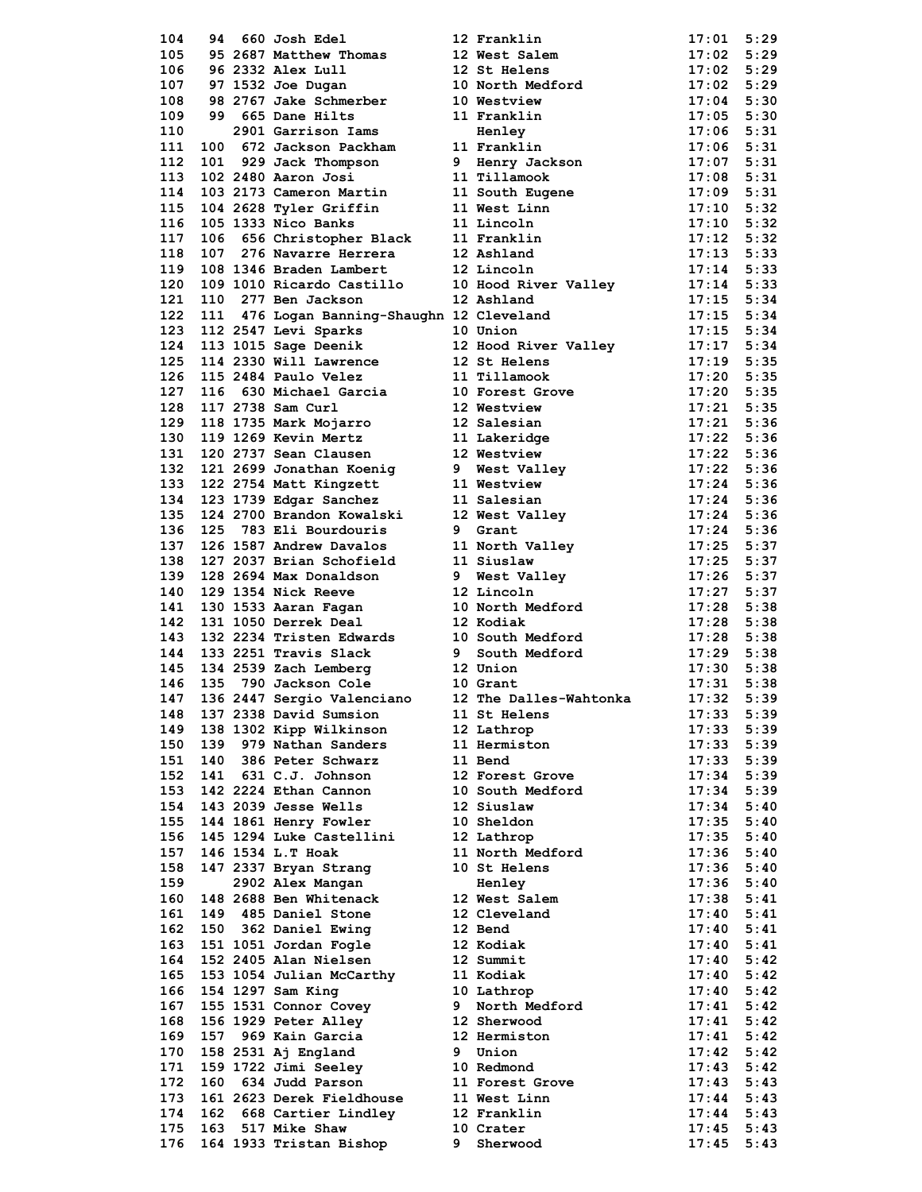|            |     |                                              |   | 104 94 660 Josh Roal (1913)<br>104 95 260 Josh Roal (1914)<br>105 93 260 Josh Rosh Robertson 12 Franklin<br>107 99 260 Josh Robertson 12 Next Salam<br>107 99 260 Josh Robertson 12 Next Salam 11:02 5:29<br>109 99 260 Josh Robertson 11 Re |                       |      |
|------------|-----|----------------------------------------------|---|----------------------------------------------------------------------------------------------------------------------------------------------------------------------------------------------------------------------------------------------|-----------------------|------|
|            |     |                                              |   |                                                                                                                                                                                                                                              |                       |      |
|            |     |                                              |   |                                                                                                                                                                                                                                              |                       |      |
|            |     |                                              |   |                                                                                                                                                                                                                                              |                       |      |
|            |     |                                              |   |                                                                                                                                                                                                                                              |                       |      |
|            |     |                                              |   |                                                                                                                                                                                                                                              |                       |      |
|            |     |                                              |   |                                                                                                                                                                                                                                              |                       |      |
|            |     |                                              |   |                                                                                                                                                                                                                                              |                       |      |
|            |     |                                              |   |                                                                                                                                                                                                                                              |                       |      |
|            |     |                                              |   |                                                                                                                                                                                                                                              |                       |      |
|            |     |                                              |   |                                                                                                                                                                                                                                              |                       |      |
|            |     |                                              |   |                                                                                                                                                                                                                                              |                       |      |
|            |     |                                              |   |                                                                                                                                                                                                                                              |                       |      |
|            |     |                                              |   |                                                                                                                                                                                                                                              |                       |      |
|            |     |                                              |   |                                                                                                                                                                                                                                              |                       |      |
|            |     |                                              |   |                                                                                                                                                                                                                                              |                       |      |
|            |     |                                              |   |                                                                                                                                                                                                                                              |                       |      |
|            |     |                                              |   |                                                                                                                                                                                                                                              |                       |      |
|            |     |                                              |   |                                                                                                                                                                                                                                              |                       |      |
|            |     |                                              |   |                                                                                                                                                                                                                                              |                       |      |
|            |     |                                              |   |                                                                                                                                                                                                                                              |                       |      |
|            |     |                                              |   |                                                                                                                                                                                                                                              |                       |      |
|            |     |                                              |   |                                                                                                                                                                                                                                              |                       |      |
|            |     |                                              |   |                                                                                                                                                                                                                                              |                       |      |
|            |     |                                              |   |                                                                                                                                                                                                                                              |                       |      |
|            |     |                                              |   |                                                                                                                                                                                                                                              |                       |      |
|            |     |                                              |   |                                                                                                                                                                                                                                              |                       |      |
|            |     |                                              |   |                                                                                                                                                                                                                                              |                       |      |
|            |     |                                              |   |                                                                                                                                                                                                                                              |                       |      |
|            |     |                                              |   |                                                                                                                                                                                                                                              |                       |      |
|            |     |                                              |   |                                                                                                                                                                                                                                              |                       |      |
|            |     |                                              |   |                                                                                                                                                                                                                                              |                       |      |
|            |     |                                              |   |                                                                                                                                                                                                                                              |                       |      |
|            |     |                                              |   |                                                                                                                                                                                                                                              |                       |      |
|            |     |                                              |   |                                                                                                                                                                                                                                              |                       |      |
|            |     |                                              |   |                                                                                                                                                                                                                                              |                       |      |
|            |     |                                              |   |                                                                                                                                                                                                                                              |                       |      |
|            |     |                                              |   |                                                                                                                                                                                                                                              |                       |      |
|            |     |                                              |   |                                                                                                                                                                                                                                              |                       |      |
|            |     |                                              |   |                                                                                                                                                                                                                                              |                       |      |
|            |     |                                              |   |                                                                                                                                                                                                                                              |                       |      |
|            |     |                                              |   |                                                                                                                                                                                                                                              |                       |      |
|            |     |                                              |   |                                                                                                                                                                                                                                              |                       |      |
|            |     |                                              |   |                                                                                                                                                                                                                                              |                       |      |
|            |     |                                              |   |                                                                                                                                                                                                                                              |                       |      |
|            |     |                                              |   |                                                                                                                                                                                                                                              |                       |      |
|            |     |                                              |   |                                                                                                                                                                                                                                              |                       |      |
|            |     |                                              |   |                                                                                                                                                                                                                                              |                       |      |
|            |     |                                              |   |                                                                                                                                                                                                                                              |                       |      |
| 148        |     | 137 2338 David Sumsion                       |   | 11 St Helens                                                                                                                                                                                                                                 | 17:33                 |      |
|            |     |                                              |   |                                                                                                                                                                                                                                              |                       | 5:39 |
| 149        |     | 138 1302 Kipp Wilkinson                      |   | 12 Lathrop                                                                                                                                                                                                                                   | 17:33                 | 5:39 |
| 150        | 139 | 979 Nathan Sanders                           |   | 11 Hermiston                                                                                                                                                                                                                                 | 17:33                 | 5:39 |
| 151        |     | 140 386 Peter Schwarz                        |   | 11 Bend                                                                                                                                                                                                                                      | 17:33                 | 5:39 |
| 152        |     | 141 631 C.J. Johnson                         |   | 12 Forest Grove                                                                                                                                                                                                                              | $17:34$ 5:39          |      |
| 153        |     | 142 2224 Ethan Cannon                        |   | 10 South Medford                                                                                                                                                                                                                             | 17:34                 | 5:39 |
| 154        |     | 143 2039 Jesse Wells                         |   | 12 Siuslaw                                                                                                                                                                                                                                   | 17:34                 | 5:40 |
| 155        |     | 144 1861 Henry Fowler                        |   | 10 Sheldon                                                                                                                                                                                                                                   | $17:35$ $5:40$        |      |
|            |     |                                              |   |                                                                                                                                                                                                                                              |                       |      |
| 156        |     | 145 1294 Luke Castellini                     |   | 12 Lathrop                                                                                                                                                                                                                                   | 17:35                 | 5:40 |
| 157        |     | 146 1534 L.T Hoak                            |   | 11 North Medford                                                                                                                                                                                                                             | 17:36                 | 5:40 |
| 158        |     | 147 2337 Bryan Strang                        |   | 10 St Helens                                                                                                                                                                                                                                 | $17:36$ $5:40$        |      |
| 159        |     | 2902 Alex Mangan                             |   | Henley                                                                                                                                                                                                                                       | $17:36$ $5:40$        |      |
| 160        |     | 148 2688 Ben Whitenack                       |   | 12 West Salem                                                                                                                                                                                                                                | 17:38                 | 5:41 |
| 161        |     | 149 485 Daniel Stone                         |   | 12 Cleveland                                                                                                                                                                                                                                 | 17:40                 | 5:41 |
|            |     |                                              |   |                                                                                                                                                                                                                                              |                       |      |
| 162        |     | 150 362 Daniel Ewing                         |   | 12 Bend                                                                                                                                                                                                                                      | $17:40$ $5:41$        |      |
| 163        |     | 151 1051 Jordan Fogle                        |   | 12 Kodiak                                                                                                                                                                                                                                    | 17:40                 | 5:41 |
| 164        |     | 152 2405 Alan Nielsen                        |   | 12 Summit                                                                                                                                                                                                                                    | 17:40                 | 5:42 |
| 165        |     | 153 1054 Julian McCarthy                     |   | 11 Kodiak                                                                                                                                                                                                                                    | $17:40$ 5:42          |      |
| 166        |     | 154 1297 Sam King                            |   | 10 Lathrop                                                                                                                                                                                                                                   | 17:40                 | 5:42 |
| 167        |     | 155 1531 Connor Covey                        | 9 | North Medford                                                                                                                                                                                                                                | 17:41                 | 5:42 |
| 168        |     | 156 1929 Peter Alley                         |   | 12 Sherwood                                                                                                                                                                                                                                  | $17:41$ $5:42$        |      |
|            |     |                                              |   |                                                                                                                                                                                                                                              |                       |      |
| 169        |     | 157 969 Kain Garcia                          |   | 12 Hermiston                                                                                                                                                                                                                                 | 17:41                 | 5:42 |
| 170        |     | 158 2531 Aj England                          |   | 9 Union                                                                                                                                                                                                                                      | 17:42                 | 5:42 |
|            |     | 159 1722 Jimi Seeley                         |   | 10 Redmond                                                                                                                                                                                                                                   | $17:43$ $5:42$        |      |
| 171        |     |                                              |   |                                                                                                                                                                                                                                              |                       |      |
| 172        |     | 160 634 Judd Parson                          |   | 11 Forest Grove                                                                                                                                                                                                                              | $17:43$ 5:43          |      |
| 173        |     | 161 2623 Derek Fieldhouse                    |   | 11 West Linn                                                                                                                                                                                                                                 | 17:44                 | 5:43 |
|            |     |                                              |   |                                                                                                                                                                                                                                              |                       |      |
| 174        |     | 162 668 Cartier Lindley                      |   | 12 Franklin                                                                                                                                                                                                                                  | $17:44$ 5:43          |      |
| 175<br>176 |     | 163 517 Mike Shaw<br>164 1933 Tristan Bishop | 9 | 10 Crater<br>Sherwood                                                                                                                                                                                                                        | $17:45$ 5:43<br>17:45 | 5:43 |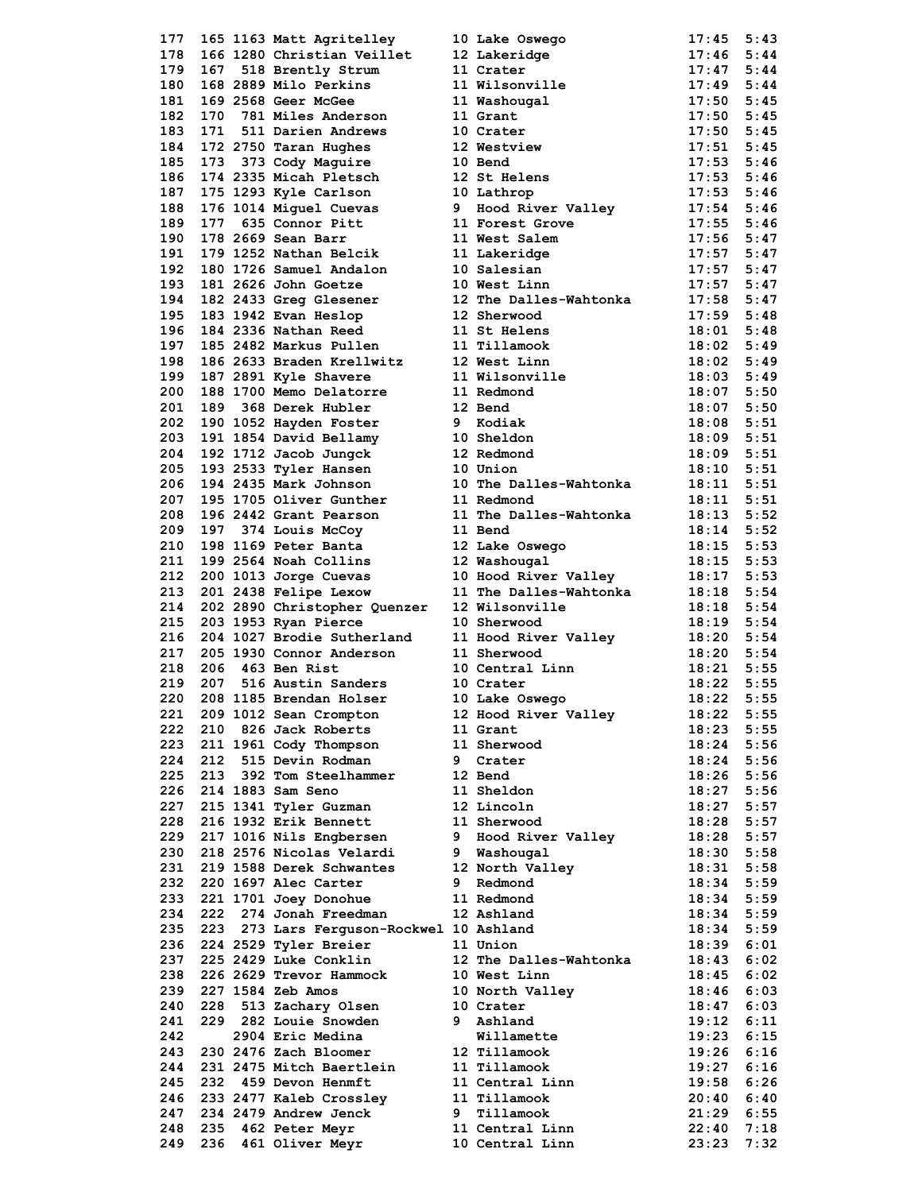| 177        |     |                                                         |   |                                                                                                                                                                                                                                                                                                                                                                                                                                                                                                          | 17:45          | 5:43         |
|------------|-----|---------------------------------------------------------|---|----------------------------------------------------------------------------------------------------------------------------------------------------------------------------------------------------------------------------------------------------------------------------------------------------------------------------------------------------------------------------------------------------------------------------------------------------------------------------------------------------------|----------------|--------------|
| 178        |     |                                                         |   |                                                                                                                                                                                                                                                                                                                                                                                                                                                                                                          | 17:46          | 5:44         |
| 179        |     |                                                         |   |                                                                                                                                                                                                                                                                                                                                                                                                                                                                                                          | 17:47          | 5:44         |
|            |     | 168 2889 Milo Perkins                                   |   | 11 Crater<br>11 Wilsonville                                                                                                                                                                                                                                                                                                                                                                                                                                                                              |                |              |
| 180        |     |                                                         |   |                                                                                                                                                                                                                                                                                                                                                                                                                                                                                                          | 17:49          | 5:44         |
| 181        |     |                                                         |   |                                                                                                                                                                                                                                                                                                                                                                                                                                                                                                          |                |              |
| 182        |     |                                                         |   |                                                                                                                                                                                                                                                                                                                                                                                                                                                                                                          |                |              |
| 183        |     |                                                         |   | 169 2568 Geer McGee<br>169 2568 Geer McGee<br>171 511 Darien Andrews<br>171 511 Darien Andrews<br>172 2750 Taran Hughes<br>173 373 Cody Maguire<br>173 373 Cody Maguire<br>174 2335 Micah Pletsch<br>174 2335 Mich Pletsch<br>174 2335 Mich Plet                                                                                                                                                                                                                                                         |                |              |
|            |     |                                                         |   |                                                                                                                                                                                                                                                                                                                                                                                                                                                                                                          |                |              |
| 184        |     |                                                         |   |                                                                                                                                                                                                                                                                                                                                                                                                                                                                                                          |                |              |
| 185        |     |                                                         |   |                                                                                                                                                                                                                                                                                                                                                                                                                                                                                                          |                |              |
| 186        |     |                                                         |   |                                                                                                                                                                                                                                                                                                                                                                                                                                                                                                          |                |              |
| 187        |     |                                                         |   |                                                                                                                                                                                                                                                                                                                                                                                                                                                                                                          |                |              |
| 188        |     |                                                         |   |                                                                                                                                                                                                                                                                                                                                                                                                                                                                                                          |                |              |
|            |     |                                                         |   | 176 1014 Miguel Cuevas 9 Hood River Valley 17:54 5:46<br>177 635 Connor Pitt 11 Forest Grove 17:55 5:46<br>178 2669 Sean Barr 11 West Salem 17:56 5:47                                                                                                                                                                                                                                                                                                                                                   |                |              |
| 189        |     |                                                         |   |                                                                                                                                                                                                                                                                                                                                                                                                                                                                                                          |                |              |
| 190        |     |                                                         |   |                                                                                                                                                                                                                                                                                                                                                                                                                                                                                                          |                |              |
| 191        |     |                                                         |   |                                                                                                                                                                                                                                                                                                                                                                                                                                                                                                          | $17:57$ $5:47$ |              |
| 192        |     |                                                         |   |                                                                                                                                                                                                                                                                                                                                                                                                                                                                                                          | $17:57$ $5:47$ |              |
|            |     | 180 1726 Samuel Andalon<br>181 2626 John Goetze         |   | 179 1252 Nathan Belcik<br>179 1252 Nathan Belcik<br>180 1726 Samuel Andalon 10 Salesian<br>181 2626 John Goetze 10 West Linn                                                                                                                                                                                                                                                                                                                                                                             |                |              |
| 193        |     |                                                         |   |                                                                                                                                                                                                                                                                                                                                                                                                                                                                                                          | $17:57$ $5:47$ |              |
| 194        |     | 182 2433 Greg Glesener                                  |   | 12 The Dalles-Wahtonka                                                                                                                                                                                                                                                                                                                                                                                                                                                                                   | $17:58$ 5:47   |              |
| 195        |     |                                                         |   |                                                                                                                                                                                                                                                                                                                                                                                                                                                                                                          | $17:59$ $5:48$ |              |
| 196        |     |                                                         |   |                                                                                                                                                                                                                                                                                                                                                                                                                                                                                                          | $18:01$ $5:48$ |              |
| 197        |     |                                                         |   |                                                                                                                                                                                                                                                                                                                                                                                                                                                                                                          | $18:02$ 5:49   |              |
|            |     |                                                         |   |                                                                                                                                                                                                                                                                                                                                                                                                                                                                                                          |                |              |
| 198        |     |                                                         |   |                                                                                                                                                                                                                                                                                                                                                                                                                                                                                                          | $18:02$ 5:49   |              |
| 199        |     |                                                         |   |                                                                                                                                                                                                                                                                                                                                                                                                                                                                                                          | $18:03$ 5:49   |              |
| 200        |     |                                                         |   |                                                                                                                                                                                                                                                                                                                                                                                                                                                                                                          | 18:07 5:50     |              |
| 201        |     |                                                         |   |                                                                                                                                                                                                                                                                                                                                                                                                                                                                                                          | $18:07$ 5:50   |              |
|            |     |                                                         |   |                                                                                                                                                                                                                                                                                                                                                                                                                                                                                                          |                |              |
| 202        |     |                                                         |   |                                                                                                                                                                                                                                                                                                                                                                                                                                                                                                          | $18:08$ 5:51   |              |
| 203        |     |                                                         |   |                                                                                                                                                                                                                                                                                                                                                                                                                                                                                                          | 18:09 5:51     |              |
| 204        |     |                                                         |   |                                                                                                                                                                                                                                                                                                                                                                                                                                                                                                          |                |              |
| 205        |     |                                                         |   |                                                                                                                                                                                                                                                                                                                                                                                                                                                                                                          |                |              |
|            |     |                                                         |   | 182 2433 Greg Glesener<br>183 1942 Evan Heslop<br>18 1942 Evan Heslop<br>18 2336 Nathan Reed<br>18 2482 Markus Pullen<br>18 2633 Braden Krellwitz<br>18 2891 Kyle Shavere<br>18 1700 Memo Delatorre<br>18 1700 Memo Delatorre<br>18 1700 Memo De<br>191 1854 David Bellamy<br>192 1712 Jacob Jungck<br>193 2533 Tyler Hansen<br>10 Union<br>10 The Dalles-Wahtonka<br>18:10 5:51<br>194 2435 Mark Johnson<br>10 The Dalles-Wahtonka<br>18:11 5:51<br>195 1705 Oliver Gunther<br>11 Redmond<br>194 2435 M |                |              |
| 206        |     |                                                         |   |                                                                                                                                                                                                                                                                                                                                                                                                                                                                                                          |                |              |
| 207        |     |                                                         |   |                                                                                                                                                                                                                                                                                                                                                                                                                                                                                                          |                |              |
| 208        |     |                                                         |   |                                                                                                                                                                                                                                                                                                                                                                                                                                                                                                          |                |              |
| 209        |     |                                                         |   | 196 2442 Grant Pearson<br>196 2442 Grant Pearson<br>197 374 Louis McCoy<br>11 The Dalles-Wahtonka<br>18:13 5:52<br>198 1169 Peter Banta<br>12 Lake Oswego<br>12 Washougal<br>18:15 5:53<br>200 1013 Jorge Cuevas<br>200 1013 Jorge Cuevas<br>10 Hood                                                                                                                                                                                                                                                     |                |              |
| 210        |     |                                                         |   |                                                                                                                                                                                                                                                                                                                                                                                                                                                                                                          |                |              |
|            |     |                                                         |   |                                                                                                                                                                                                                                                                                                                                                                                                                                                                                                          |                |              |
| 211        |     |                                                         |   |                                                                                                                                                                                                                                                                                                                                                                                                                                                                                                          |                |              |
| 212        |     |                                                         |   |                                                                                                                                                                                                                                                                                                                                                                                                                                                                                                          |                |              |
| 213        |     |                                                         |   |                                                                                                                                                                                                                                                                                                                                                                                                                                                                                                          |                |              |
| 214        |     |                                                         |   |                                                                                                                                                                                                                                                                                                                                                                                                                                                                                                          |                |              |
|            |     |                                                         |   | 201 2438 Felipe Lexow 11 The Dalles-Wantonka<br>202 2890 Christopher Quenzer 12 Wilsonville 18:18 5:54<br>203 1953 Ryan Pierce 10 Sherwood 18:19 5:54<br>204 1027 Brodie Sutherland 11 Hood River Valley 18:20 5:54<br>18:20 5:54<br>11                                                                                                                                                                                                                                                                  |                |              |
| 215        |     |                                                         |   |                                                                                                                                                                                                                                                                                                                                                                                                                                                                                                          |                |              |
| 216        |     |                                                         |   |                                                                                                                                                                                                                                                                                                                                                                                                                                                                                                          |                |              |
| 217        |     |                                                         |   |                                                                                                                                                                                                                                                                                                                                                                                                                                                                                                          |                |              |
|            |     | 206 463 Ben Rist                                        |   |                                                                                                                                                                                                                                                                                                                                                                                                                                                                                                          |                |              |
|            |     |                                                         |   |                                                                                                                                                                                                                                                                                                                                                                                                                                                                                                          |                |              |
| 218        |     |                                                         |   |                                                                                                                                                                                                                                                                                                                                                                                                                                                                                                          |                |              |
| 219        | 207 | 463 Ben Rist 10 Centra.<br>516 Austin Sanders 10 Crater |   |                                                                                                                                                                                                                                                                                                                                                                                                                                                                                                          |                |              |
| 220        |     | 208 1185 Brendan Holser                                 |   |                                                                                                                                                                                                                                                                                                                                                                                                                                                                                                          |                |              |
| 221        |     | 209 1012 Sean Crompton                                  |   | 10 Central Linn 18:21 5:55<br>10 Crater 18:22 5:55<br>10 Lake Oswego 18:22 5:55<br>12 Hood River Valley                                                                                                                                                                                                                                                                                                                                                                                                  | 18:22          | 5:55         |
| 222        | 210 | 826 Jack Roberts                                        |   | 11 Grant                                                                                                                                                                                                                                                                                                                                                                                                                                                                                                 | 18:23          | 5:55         |
|            |     |                                                         |   |                                                                                                                                                                                                                                                                                                                                                                                                                                                                                                          |                |              |
| 223        |     | 211 1961 Cody Thompson                                  |   | 11 Sherwood                                                                                                                                                                                                                                                                                                                                                                                                                                                                                              | 18:24          | 5:56         |
| 224        | 212 | 515 Devin Rodman                                        | 9 | Crater                                                                                                                                                                                                                                                                                                                                                                                                                                                                                                   | 18:24          | 5:56         |
| 225        |     | 213 392 Tom Steelhammer                                 |   | 12 Bend                                                                                                                                                                                                                                                                                                                                                                                                                                                                                                  | $18:26$ 5:56   |              |
| 226        |     | 214 1883 Sam Seno                                       |   | 11 Sheldon                                                                                                                                                                                                                                                                                                                                                                                                                                                                                               | 18:27          | 5:56         |
| 227        |     |                                                         |   | 12 Lincoln                                                                                                                                                                                                                                                                                                                                                                                                                                                                                               | 18:27          |              |
|            |     | 215 1341 Tyler Guzman                                   |   |                                                                                                                                                                                                                                                                                                                                                                                                                                                                                                          |                | 5:57         |
| 228        |     | 216 1932 Erik Bennett                                   |   | 11 Sherwood                                                                                                                                                                                                                                                                                                                                                                                                                                                                                              | 18:28 5:57     |              |
| 229        |     | 217 1016 Nils Engbersen                                 |   | 9 Hood River Valley                                                                                                                                                                                                                                                                                                                                                                                                                                                                                      | 18:28          | 5:57         |
| 230        |     | 218 2576 Nicolas Velardi                                |   | 9 Washougal                                                                                                                                                                                                                                                                                                                                                                                                                                                                                              | 18:30          | 5:58         |
| 231        |     | 219 1588 Derek Schwantes                                |   | 12 North Valley                                                                                                                                                                                                                                                                                                                                                                                                                                                                                          | 18:31          | 5:58         |
| 232        |     | 220 1697 Alec Carter                                    | 9 | Redmond                                                                                                                                                                                                                                                                                                                                                                                                                                                                                                  | $18:34$ 5:59   |              |
|            |     |                                                         |   |                                                                                                                                                                                                                                                                                                                                                                                                                                                                                                          |                |              |
| 233        |     | 221 1701 Joey Donohue                                   |   | 11 Redmond                                                                                                                                                                                                                                                                                                                                                                                                                                                                                               | 18:34          | 5:59         |
| 234        | 222 | 274 Jonah Freedman                                      |   | 12 Ashland                                                                                                                                                                                                                                                                                                                                                                                                                                                                                               | $18:34$ 5:59   |              |
| 235        |     | 223 273 Lars Ferguson-Rockwel 10 Ashland                |   |                                                                                                                                                                                                                                                                                                                                                                                                                                                                                                          | 18:34 5:59     |              |
| 236        |     | 224 2529 Tyler Breier                                   |   | 11 Union                                                                                                                                                                                                                                                                                                                                                                                                                                                                                                 | 18:39          | 6:01         |
|            |     |                                                         |   |                                                                                                                                                                                                                                                                                                                                                                                                                                                                                                          |                |              |
| 237        |     | 225 2429 Luke Conklin                                   |   | 12 The Dalles-Wahtonka                                                                                                                                                                                                                                                                                                                                                                                                                                                                                   | 18:43          | 6:02         |
| 238        |     | 226 2629 Trevor Hammock                                 |   | 10 West Linn                                                                                                                                                                                                                                                                                                                                                                                                                                                                                             | 18:45          | 6:02         |
| 239        |     | 227 1584 Zeb Amos                                       |   | 10 North Valley                                                                                                                                                                                                                                                                                                                                                                                                                                                                                          | 18:46          | 6:03         |
| 240        | 228 | 513 Zachary Olsen                                       |   | 10 Crater                                                                                                                                                                                                                                                                                                                                                                                                                                                                                                | 18:47          | 6:03         |
| 241        |     | 229 282 Louie Snowden                                   |   | 9 Ashland                                                                                                                                                                                                                                                                                                                                                                                                                                                                                                | 19:12          | 6:11         |
|            |     |                                                         |   |                                                                                                                                                                                                                                                                                                                                                                                                                                                                                                          |                |              |
| 242        |     | 2904 Eric Medina                                        |   | Willamette                                                                                                                                                                                                                                                                                                                                                                                                                                                                                               | 19:23          | 6:15         |
| 243        |     | 230 2476 Zach Bloomer                                   |   | 12 Tillamook                                                                                                                                                                                                                                                                                                                                                                                                                                                                                             | 19:26          | 6:16         |
| 244        |     | 231 2475 Mitch Baertlein                                |   | 11 Tillamook                                                                                                                                                                                                                                                                                                                                                                                                                                                                                             | 19:27          | 6:16         |
| 245        |     | 232 459 Devon Henmft                                    |   | 11 Central Linn                                                                                                                                                                                                                                                                                                                                                                                                                                                                                          | 19:58          | 6:26         |
|            |     |                                                         |   | 11 Tillamook                                                                                                                                                                                                                                                                                                                                                                                                                                                                                             | 20:40          |              |
| 246        |     | 233 2477 Kaleb Crossley                                 |   |                                                                                                                                                                                                                                                                                                                                                                                                                                                                                                          |                | 6:40         |
| 247        |     | 234 2479 Andrew Jenck                                   | 9 | Tillamook                                                                                                                                                                                                                                                                                                                                                                                                                                                                                                | 21:29          | 6:55         |
| 248<br>249 |     | 235 462 Peter Meyr<br>236 461 Oliver Meyr               |   | 11 Central Linn<br>10 Central Linn                                                                                                                                                                                                                                                                                                                                                                                                                                                                       | 22:40<br>23:23 | 7:18<br>7:32 |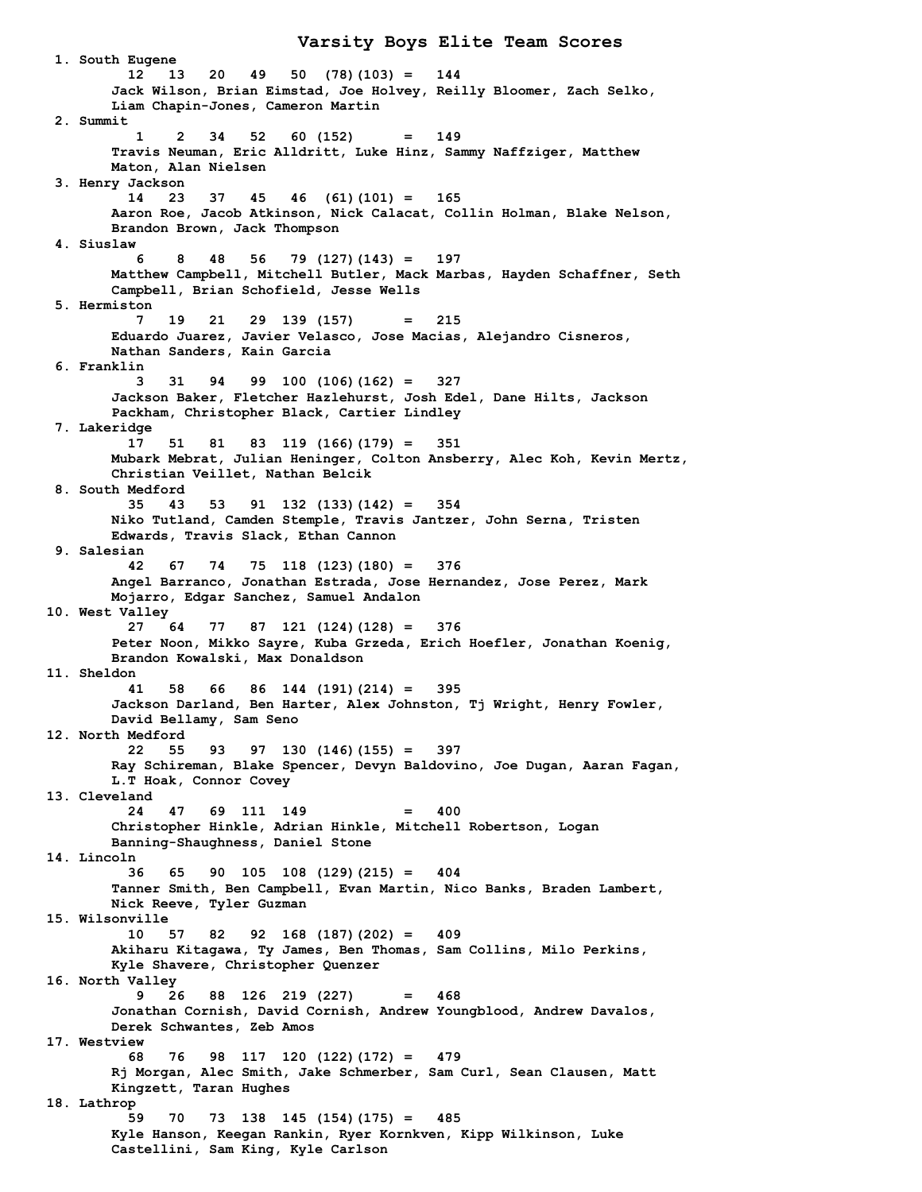**1. South Eugene 12 13 20 49 50 (78)(103) = 144 Jack Wilson, Brian Eimstad, Joe Holvey, Reilly Bloomer, Zach Selko, Liam Chapin-Jones, Cameron Martin 2. Summit 1 2 34 52 60 (152) = 149 Travis Neuman, Eric Alldritt, Luke Hinz, Sammy Naffziger, Matthew Maton, Alan Nielsen 3. Henry Jackson 14 23 37 45 46 (61)(101) = 165 Aaron Roe, Jacob Atkinson, Nick Calacat, Collin Holman, Blake Nelson, Brandon Brown, Jack Thompson 4. Siuslaw 6 8 48 56 79 (127)(143) = 197 Matthew Campbell, Mitchell Butler, Mack Marbas, Hayden Schaffner, Seth Campbell, Brian Schofield, Jesse Wells 5. Hermiston 7 19 21 29 139 (157) = 215 Eduardo Juarez, Javier Velasco, Jose Macias, Alejandro Cisneros, Nathan Sanders, Kain Garcia 6. Franklin 3 31 94 99 100 (106)(162) = 327 Jackson Baker, Fletcher Hazlehurst, Josh Edel, Dane Hilts, Jackson Packham, Christopher Black, Cartier Lindley 7. Lakeridge 17 51 81 83 119 (166)(179) = 351 Mubark Mebrat, Julian Heninger, Colton Ansberry, Alec Koh, Kevin Mertz, Christian Veillet, Nathan Belcik 8. South Medford 35 43 53 91 132 (133)(142) = 354 Niko Tutland, Camden Stemple, Travis Jantzer, John Serna, Tristen Edwards, Travis Slack, Ethan Cannon 9. Salesian 42 67 74 75 118 (123)(180) = 376 Angel Barranco, Jonathan Estrada, Jose Hernandez, Jose Perez, Mark Mojarro, Edgar Sanchez, Samuel Andalon 10. West Valley 27 64 77 87 121 (124)(128) = 376 Peter Noon, Mikko Sayre, Kuba Grzeda, Erich Hoefler, Jonathan Koenig, Brandon Kowalski, Max Donaldson 11. Sheldon 41 58 66 86 144 (191)(214) = 395 Jackson Darland, Ben Harter, Alex Johnston, Tj Wright, Henry Fowler, David Bellamy, Sam Seno 12. North Medford 22 55 93 97 130 (146)(155) = 397 Ray Schireman, Blake Spencer, Devyn Baldovino, Joe Dugan, Aaran Fagan, L.T Hoak, Connor Covey 13. Cleveland 24 47 69 111 149 = 400 Christopher Hinkle, Adrian Hinkle, Mitchell Robertson, Logan Banning-Shaughness, Daniel Stone 14. Lincoln 36 65 90 105 108 (129)(215) = 404 Tanner Smith, Ben Campbell, Evan Martin, Nico Banks, Braden Lambert, Nick Reeve, Tyler Guzman 15. Wilsonville 10 57 82 92 168 (187)(202) = 409 Akiharu Kitagawa, Ty James, Ben Thomas, Sam Collins, Milo Perkins, Kyle Shavere, Christopher Quenzer 16. North Valley 9 26 88 126 219 (227) = 468 Jonathan Cornish, David Cornish, Andrew Youngblood, Andrew Davalos, Derek Schwantes, Zeb Amos 17. Westview 68 76 98 117 120 (122)(172) = 479 Rj Morgan, Alec Smith, Jake Schmerber, Sam Curl, Sean Clausen, Matt Kingzett, Taran Hughes 18. Lathrop 59 70 73 138 145 (154)(175) = 485 Kyle Hanson, Keegan Rankin, Ryer Kornkven, Kipp Wilkinson, Luke Castellini, Sam King, Kyle Carlson**